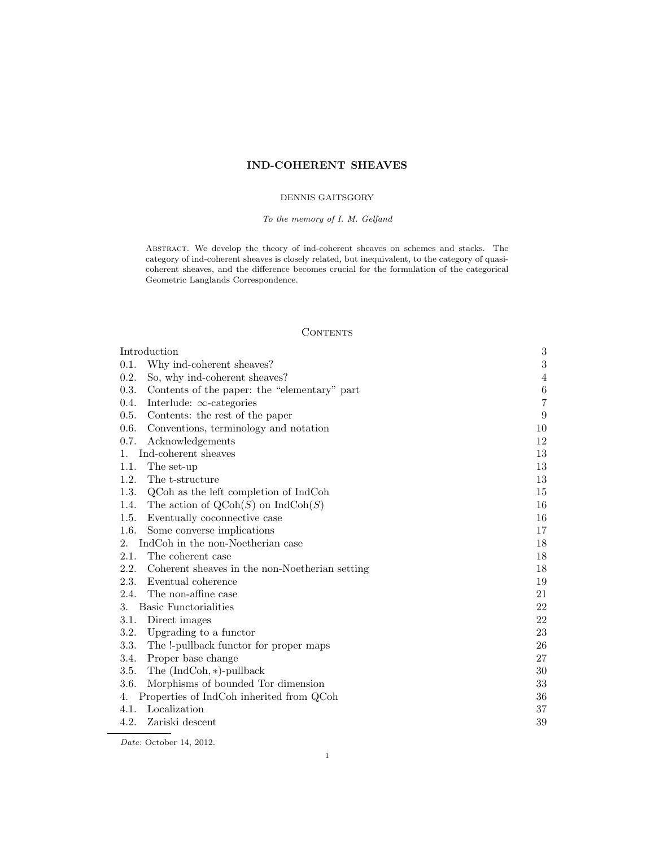# IND-COHERENT SHEAVES

# DENNIS GAITSGORY

# To the memory of I. M. Gelfand

ABSTRACT. We develop the theory of ind-coherent sheaves on schemes and stacks. The category of ind-coherent sheaves is closely related, but inequivalent, to the category of quasicoherent sheaves, and the difference becomes crucial for the formulation of the categorical Geometric Langlands Correspondence.

# **CONTENTS**

| Introduction                                                 |                |
|--------------------------------------------------------------|----------------|
| 0.1.<br>Why ind-coherent sheaves?                            | 3              |
| 0.2.<br>So, why ind-coherent sheaves?                        | $\overline{4}$ |
| 0.3.<br>Contents of the paper: the "elementary" part         | $\,6$          |
| 0.4.<br>Interlude: $\infty$ -categories                      | 7              |
| 0.5.<br>Contents: the rest of the paper                      | 9              |
| 0.6.<br>Conventions, terminology and notation                | 10             |
| 0.7.<br>Acknowledgements                                     | 12             |
| Ind-coherent sheaves<br>1.                                   | 13             |
| The set-up<br>1.1.                                           | 13             |
| 1.2.<br>The t-structure                                      | 13             |
| 1.3.<br>QCoh as the left completion of IndCoh                | 15             |
| 1.4.<br>The action of $\text{QCoh}(S)$ on $\text{IndCoh}(S)$ | 16             |
| 1.5.<br>Eventually coconnective case                         | 16             |
| 1.6.<br>Some converse implications                           | 17             |
| IndCoh in the non-Noetherian case<br>2.                      | 18             |
| The coherent case<br>2.1.                                    | 18             |
| 2.2.<br>Coherent sheaves in the non-Noetherian setting       | 18             |
| 2.3.<br>Eventual coherence                                   | 19             |
| 2.4.<br>The non-affine case                                  | 21             |
| <b>Basic Functorialities</b><br>3.                           | 22             |
| Direct images<br>3.1.                                        | 22             |
| 3.2.<br>Upgrading to a functor                               | $23\,$         |
| The !-pullback functor for proper maps<br>3.3.               | 26             |
| 3.4.<br>Proper base change                                   | 27             |
| 3.5.<br>The $(IndCoh, *)$ -pullback                          | 30             |
| Morphisms of bounded Tor dimension<br>3.6.                   | 33             |
| Properties of IndCoh inherited from QCoh<br>4.               | 36             |
| Localization<br>4.1.                                         | 37             |
| 4.2.<br>Zariski descent                                      | 39             |

Date: October 14, 2012.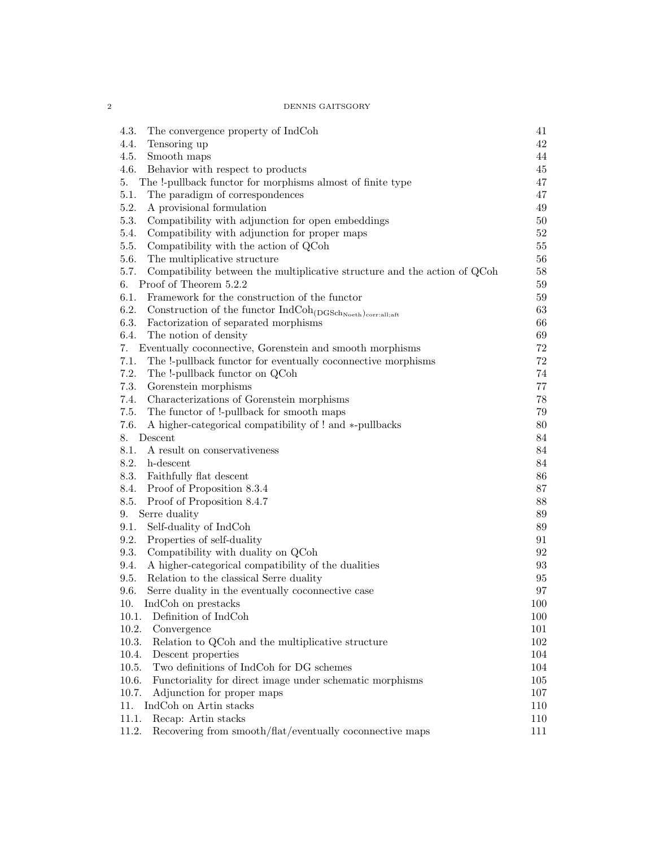2 DENNIS GAITSGORY

| 4.3.<br>The convergence property of IndCoh                                             | 41       |
|----------------------------------------------------------------------------------------|----------|
| 4.4.<br>Tensoring up                                                                   | 42       |
| 4.5.<br>Smooth maps                                                                    | 44       |
| 4.6.<br>Behavior with respect to products                                              | 45       |
| The !-pullback functor for morphisms almost of finite type<br>5.                       | 47       |
| 5.1.<br>The paradigm of correspondences                                                | 47       |
| 5.2.<br>A provisional formulation                                                      | 49       |
| 5.3.<br>Compatibility with adjunction for open embeddings                              | $50\,$   |
| Compatibility with adjunction for proper maps<br>5.4.                                  | $52\,$   |
| 5.5.<br>Compatibility with the action of QCoh                                          | $55\,$   |
| The multiplicative structure<br>5.6.                                                   | 56       |
| 5.7.<br>Compatibility between the multiplicative structure and the action of QCoh      | 58       |
| Proof of Theorem 5.2.2<br>6.                                                           | $59\,$   |
| 6.1.<br>Framework for the construction of the functor                                  | $59\,$   |
| 6.2.<br>Construction of the functor $\rm IndCoh_{(DGSch_{Noeth})_{\rm corr: all;aff}}$ | 63       |
| 6.3.<br>Factorization of separated morphisms                                           | 66       |
| 6.4.<br>The notion of density                                                          | 69       |
| Eventually coconnective, Gorenstein and smooth morphisms<br>7.                         | $72\,$   |
| 7.1.<br>The !-pullback functor for eventually coconnective morphisms                   | $72\,$   |
| 7.2.<br>The !-pullback functor on QCoh                                                 | 74       |
| 7.3.<br>Gorenstein morphisms                                                           | 77       |
| Characterizations of Gorenstein morphisms<br>7.4.                                      | 78       |
| The functor of !-pullback for smooth maps<br>7.5.                                      | 79       |
| A higher-categorical compatibility of ! and *-pullbacks<br>7.6.                        | 80       |
| 8. Descent                                                                             | 84       |
| 8.1.<br>A result on conservativeness                                                   | 84       |
| 8.2. h-descent                                                                         | 84       |
| 8.3.<br>Faithfully flat descent                                                        | 86       |
| 8.4.<br>Proof of Proposition 8.3.4                                                     | 87       |
| Proof of Proposition 8.4.7<br>8.5.                                                     | 88       |
| Serre duality<br>9.                                                                    | $89\,$   |
| Self-duality of IndCoh<br>9.1.                                                         | $89\,$   |
| Properties of self-duality<br>9.2.                                                     | 91       |
| Compatibility with duality on QCoh<br>9.3.                                             | 92       |
| A higher-categorical compatibility of the dualities<br>9.4.                            | 93       |
| Relation to the classical Serre duality<br>9.5.                                        | 95       |
| 9.6.<br>Serre duality in the eventually coconnective case                              | $\rm 97$ |
| 10.<br>IndCoh on prestacks                                                             | 100      |
| 10.1. Definition of IndCoh                                                             | 100      |
| 10.2.<br>Convergence                                                                   | 101      |
| 10.3.<br>Relation to QCoh and the multiplicative structure                             | 102      |
| 10.4.<br>Descent properties                                                            | 104      |
| Two definitions of IndCoh for DG schemes<br>10.5.                                      | 104      |
| 10.6.<br>Functoriality for direct image under schematic morphisms                      | 105      |
| Adjunction for proper maps<br>10.7.                                                    | 107      |
| IndCoh on Artin stacks<br>11.                                                          | 110      |
| Recap: Artin stacks<br>11.1.                                                           | 110      |
| Recovering from smooth/flat/eventually coconnective maps<br>11.2.                      | 111      |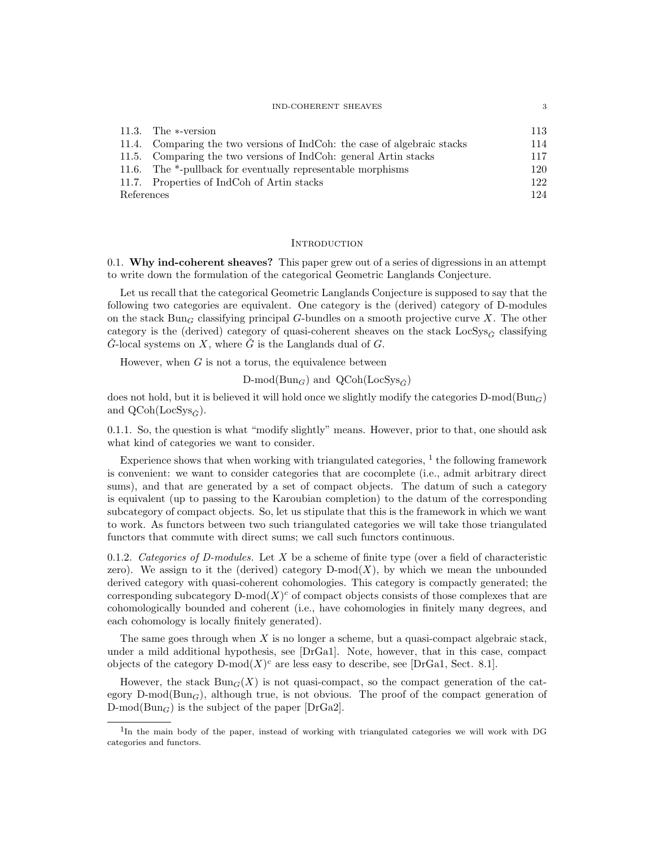#### IND-COHERENT SHEAVES  $\hspace{1.5cm} 3$

|            | 11.3. The $\ast$ -version                                                | 113 |
|------------|--------------------------------------------------------------------------|-----|
|            | 11.4. Comparing the two versions of IndCoh: the case of algebraic stacks | 114 |
|            | 11.5. Comparing the two versions of IndCoh: general Artin stacks         | 117 |
|            | 11.6. The $*$ -pullback for eventually representable morphisms           | 120 |
|            | 11.7. Properties of IndCoh of Artin stacks                               | 122 |
| References |                                                                          | 124 |

### **INTRODUCTION**

0.1. Why ind-coherent sheaves? This paper grew out of a series of digressions in an attempt to write down the formulation of the categorical Geometric Langlands Conjecture.

Let us recall that the categorical Geometric Langlands Conjecture is supposed to say that the following two categories are equivalent. One category is the (derived) category of D-modules on the stack Bun<sub>G</sub> classifying principal G-bundles on a smooth projective curve X. The other category is the (derived) category of quasi-coherent sheaves on the stack  $LocSys_{\tilde{G}}$  classifying  $\check{G}$ -local systems on X, where  $\check{G}$  is the Langlands dual of G.

However, when  $G$  is not a torus, the equivalence between

 $D\text{-mod}(Bun_G)$  and  $QCoh(LocSys_{\check{C}})$ 

does not hold, but it is believed it will hold once we slightly modify the categories  $D\text{-mod}(Bun_G)$ and  $QCoh(LocSys_{\check{G}}).$ 

0.1.1. So, the question is what "modify slightly" means. However, prior to that, one should ask what kind of categories we want to consider.

Experience shows that when working with triangulated categories,  $^{1}$  the following framework is convenient: we want to consider categories that are cocomplete (i.e., admit arbitrary direct sums), and that are generated by a set of compact objects. The datum of such a category is equivalent (up to passing to the Karoubian completion) to the datum of the corresponding subcategory of compact objects. So, let us stipulate that this is the framework in which we want to work. As functors between two such triangulated categories we will take those triangulated functors that commute with direct sums; we call such functors continuous.

0.1.2. Categories of D-modules. Let  $X$  be a scheme of finite type (over a field of characteristic zero). We assign to it the (derived) category  $D\text{-mod}(X)$ , by which we mean the unbounded derived category with quasi-coherent cohomologies. This category is compactly generated; the corresponding subcategory  $D\text{-mod}(X)^c$  of compact objects consists of those complexes that are cohomologically bounded and coherent (i.e., have cohomologies in finitely many degrees, and each cohomology is locally finitely generated).

The same goes through when  $X$  is no longer a scheme, but a quasi-compact algebraic stack, under a mild additional hypothesis, see [DrGa1]. Note, however, that in this case, compact objects of the category  $D\text{-mod}(X)^c$  are less easy to describe, see [DrGa1, Sect. 8.1].

However, the stack  $Bun_G(X)$  is not quasi-compact, so the compact generation of the category D-mod( $Bun_G$ ), although true, is not obvious. The proof of the compact generation of  $D\text{-mod}(Bun_G)$  is the subject of the paper [DrGa2].

<sup>&</sup>lt;sup>1</sup>In the main body of the paper, instead of working with triangulated categories we will work with DG categories and functors.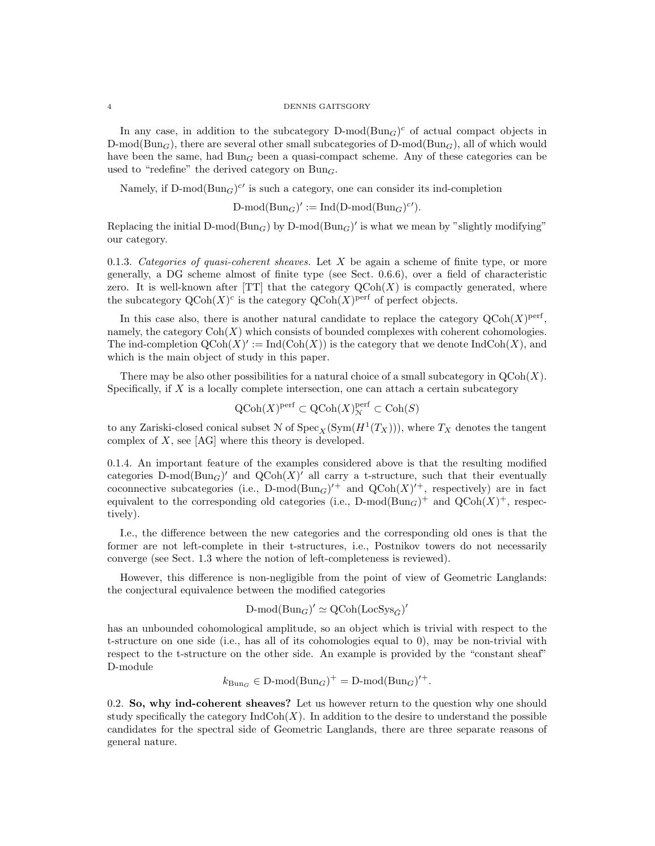In any case, in addition to the subcategory  $D\text{-mod}(Bun_G)^c$  of actual compact objects in  $D\text{-mod}(Bun_G)$ , there are several other small subcategories of  $D\text{-mod}(Bun_G)$ , all of which would have been the same, had  $Bun_G$  been a quasi-compact scheme. Any of these categories can be used to "redefine" the derived category on  $Bun<sub>G</sub>$ .

Namely, if  $D\text{-mod}(Bun_G)^{c'}$  is such a category, one can consider its ind-completion

 $D\text{-mod}(Bun_G)' := \text{Ind}(D\text{-mod}(Bun_G)^{c}).$ 

Replacing the initial D-mod( $Bun_G$ ) by D-mod( $Bun_G$ )' is what we mean by "slightly modifying" our category.

0.1.3. Categories of quasi-coherent sheaves. Let X be again a scheme of finite type, or more generally, a DG scheme almost of finite type (see Sect. 0.6.6), over a field of characteristic zero. It is well-known after [TT] that the category  $\text{QCoh}(X)$  is compactly generated, where the subcategory  $\mathrm{QCoh}(X)^c$  is the category  $\mathrm{QCoh}(X)^{\mathrm{perf}}$  of perfect objects.

In this case also, there is another natural candidate to replace the category  $Q\text{Coh}(X)^\text{perf}$ , namely, the category  $\text{Coh}(X)$  which consists of bounded complexes with coherent cohomologies. The ind-completion  $Q\text{Coh}(X)' := \text{Ind}(\text{Coh}(X))$  is the category that we denote  $\text{Ind}\text{Coh}(X)$ , and which is the main object of study in this paper.

There may be also other possibilities for a natural choice of a small subcategory in  $\mathrm{QCoh}(X)$ . Specifically, if  $X$  is a locally complete intersection, one can attach a certain subcategory

$$
\operatorname{QCoh}(X)^{\rm perf} \subset \operatorname{QCoh}(X)^{\rm perf}_\mathcal{N} \subset \operatorname{Coh}(S)
$$

to any Zariski-closed conical subset  $N$  of  $\mathrm{Spec}_X(\mathrm{Sym}(H^1(T_X))),$  where  $T_X$  denotes the tangent complex of  $X$ , see [AG] where this theory is developed.

0.1.4. An important feature of the examples considered above is that the resulting modified categories  $D\text{-mod}(Bun_G)'$  and  $Q\text{Coh}(X)'$  all carry a t-structure, such that their eventually coconnective subcategories (i.e.,  $D\text{-mod}(Bun_G)'^+$  and  $Q\text{Coh}(X)'^+$ , respectively) are in fact equivalent to the corresponding old categories (i.e.,  $D\text{-mod}(Bun_G)^+$  and  $Q\text{Coh}(X)^+$ , respectively).

I.e., the difference between the new categories and the corresponding old ones is that the former are not left-complete in their t-structures, i.e., Postnikov towers do not necessarily converge (see Sect. 1.3 where the notion of left-completeness is reviewed).

However, this difference is non-negligible from the point of view of Geometric Langlands: the conjectural equivalence between the modified categories

$$
\text{D-mod}(\text{Bun}_G)' \simeq \text{QCoh}(\text{LocSys}_{\check{G}})'
$$

has an unbounded cohomological amplitude, so an object which is trivial with respect to the t-structure on one side (i.e., has all of its cohomologies equal to 0), may be non-trivial with respect to the t-structure on the other side. An example is provided by the "constant sheaf" D-module

$$
k_{\mathrm{Bun}_G} \in \mathrm{D}\text{-mod}(\mathrm{Bun}_G)^+ = \mathrm{D}\text{-mod}(\mathrm{Bun}_G)'^+.
$$

0.2. So, why ind-coherent sheaves? Let us however return to the question why one should study specifically the category  $\text{IndCoh}(X)$ . In addition to the desire to understand the possible candidates for the spectral side of Geometric Langlands, there are three separate reasons of general nature.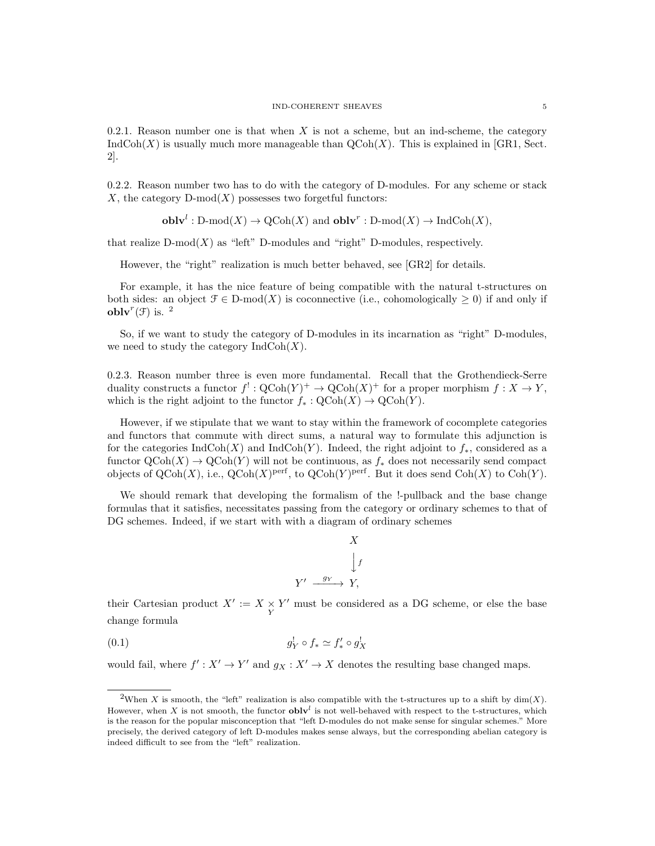0.2.1. Reason number one is that when X is not a scheme, but an ind-scheme, the category  $IndCoh(X)$  is usually much more manageable than  $QCoh(X)$ . This is explained in [GR1, Sect. 2].

0.2.2. Reason number two has to do with the category of D-modules. For any scheme or stack X, the category  $D\text{-mod}(X)$  possesses two forgetful functors:

**oblv<sup>*l*</sup>**: D-mod(X) 
$$
\rightarrow
$$
 QCoh(X) and **oblv<sup>*r*</sup>**: D-mod(X)  $\rightarrow$  IndCoh(X),

that realize  $D\text{-mod}(X)$  as "left" D-modules and "right" D-modules, respectively.

However, the "right" realization is much better behaved, see [GR2] for details.

For example, it has the nice feature of being compatible with the natural t-structures on both sides: an object  $\mathcal{F} \in \mathcal{D} \text{-mod}(X)$  is coconnective (i.e., cohomologically  $\geq 0$ ) if and only if obly<sup> $r$ </sup>(F) is. <sup>2</sup>

So, if we want to study the category of D-modules in its incarnation as "right" D-modules, we need to study the category  $\text{IndCoh}(X)$ .

0.2.3. Reason number three is even more fundamental. Recall that the Grothendieck-Serre duality constructs a functor  $f^!: \text{QCoh}(Y)^+ \to \text{QCoh}(X)^+$  for a proper morphism  $f: X \to Y$ , which is the right adjoint to the functor  $f_* : \mathrm{QCoh}(X) \to \mathrm{QCoh}(Y)$ .

However, if we stipulate that we want to stay within the framework of cocomplete categories and functors that commute with direct sums, a natural way to formulate this adjunction is for the categories  $\text{IndCoh}(X)$  and  $\text{IndCoh}(Y)$ . Indeed, the right adjoint to  $f_*$ , considered as a functor  $\mathrm{QCoh}(X) \to \mathrm{QCoh}(Y)$  will not be continuous, as  $f_*$  does not necessarily send compact objects of  $\mathrm{QCoh}(X)$ , i.e.,  $\mathrm{QCoh}(X)$ <sup>perf</sup>, to  $\mathrm{QCoh}(Y)$ <sup>perf</sup>. But it does send  $\mathrm{Coh}(X)$  to  $\mathrm{Coh}(Y)$ .

We should remark that developing the formalism of the !-pullback and the base change formulas that it satisfies, necessitates passing from the category or ordinary schemes to that of DG schemes. Indeed, if we start with with a diagram of ordinary schemes

$$
X
$$
\n
$$
\downarrow f
$$
\n
$$
Y' \xrightarrow{g_Y} Y,
$$

their Cartesian product  $X' := X \underset{Y}{\times} Y'$  must be considered as a DG scheme, or else the base change formula

$$
(0.1) \t\t g_Y^! \circ f_* \simeq f'_* \circ g_X^!
$$

would fail, where  $f' : X' \to Y'$  and  $g_X : X' \to X$  denotes the resulting base changed maps.

<sup>&</sup>lt;sup>2</sup>When X is smooth, the "left" realization is also compatible with the t-structures up to a shift by  $\dim(X)$ . However, when X is not smooth, the functor  $\textbf{oblv}^l$  is not well-behaved with respect to the t-structures, which is the reason for the popular misconception that "left D-modules do not make sense for singular schemes." More precisely, the derived category of left D-modules makes sense always, but the corresponding abelian category is indeed difficult to see from the "left" realization.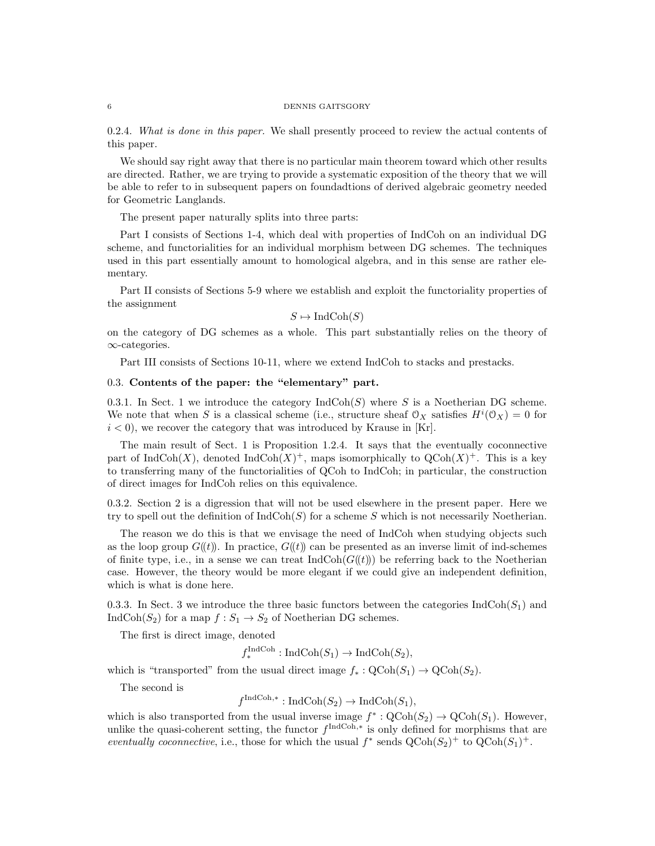#### 6 DENNIS GAITSGORY

0.2.4. What is done in this paper. We shall presently proceed to review the actual contents of this paper.

We should say right away that there is no particular main theorem toward which other results are directed. Rather, we are trying to provide a systematic exposition of the theory that we will be able to refer to in subsequent papers on foundadtions of derived algebraic geometry needed for Geometric Langlands.

The present paper naturally splits into three parts:

Part I consists of Sections 1-4, which deal with properties of IndCoh on an individual DG scheme, and functorialities for an individual morphism between DG schemes. The techniques used in this part essentially amount to homological algebra, and in this sense are rather elementary.

Part II consists of Sections 5-9 where we establish and exploit the functoriality properties of the assignment

 $S \mapsto \text{IndCoh}(S)$ 

on the category of DG schemes as a whole. This part substantially relies on the theory of ∞-categories.

Part III consists of Sections 10-11, where we extend IndCoh to stacks and prestacks.

# 0.3. Contents of the paper: the "elementary" part.

0.3.1. In Sect. 1 we introduce the category  $IndCoh(S)$  where S is a Noetherian DG scheme. We note that when S is a classical scheme (i.e., structure sheaf  $\mathcal{O}_X$  satisfies  $H^i(\mathcal{O}_X) = 0$  for  $i < 0$ , we recover the category that was introduced by Krause in [Kr].

The main result of Sect. 1 is Proposition 1.2.4. It says that the eventually coconnective part of IndCoh(X), denoted IndCoh(X)<sup>+</sup>, maps isomorphically to  $Q\text{Coh}(X)^+$ . This is a key to transferring many of the functorialities of QCoh to IndCoh; in particular, the construction of direct images for IndCoh relies on this equivalence.

0.3.2. Section 2 is a digression that will not be used elsewhere in the present paper. Here we try to spell out the definition of  $\text{IndCoh}(S)$  for a scheme S which is not necessarily Noetherian.

The reason we do this is that we envisage the need of IndCoh when studying objects such as the loop group  $G(\ell t)$ . In practice,  $G(\ell t)$  can be presented as an inverse limit of ind-schemes of finite type, i.e., in a sense we can treat  $IndCoh(G(\mathcal{t}))$  be referring back to the Noetherian case. However, the theory would be more elegant if we could give an independent definition, which is what is done here.

0.3.3. In Sect. 3 we introduce the three basic functors between the categories  $\text{IndCoh}(S_1)$  and IndCoh( $S_2$ ) for a map  $f : S_1 \to S_2$  of Noetherian DG schemes.

The first is direct image, denoted

 $f_*^{\text{IndCoh}}: \text{IndCoh}(S_1) \to \text{IndCoh}(S_2),$ 

which is "transported" from the usual direct image  $f_*: \text{QCoh}(S_1) \to \text{QCoh}(S_2)$ .

The second is

$$
f^{\text{IndCoh},*}: \text{IndCoh}(S_2) \to \text{IndCoh}(S_1),
$$

which is also transported from the usual inverse image  $f^* : \text{QCoh}(S_2) \to \text{QCoh}(S_1)$ . However, unlike the quasi-coherent setting, the functor  $f^{\text{IndCoh},*}$  is only defined for morphisms that are eventually coconnective, i.e., those for which the usual  $f^*$  sends  $\operatorname{QCoh}(S_2)^+$  to  $\operatorname{QCoh}(S_1)^+$ .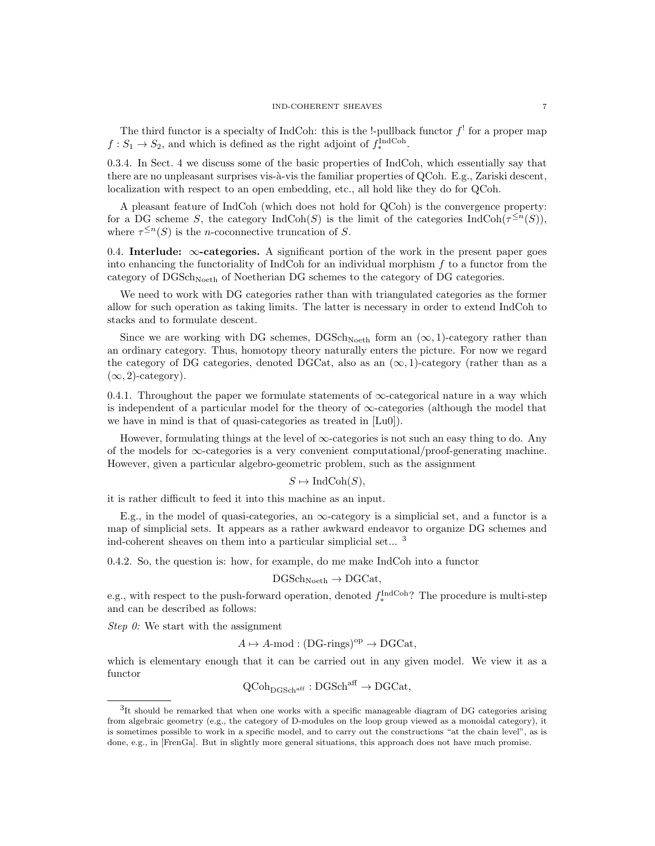The third functor is a specialty of IndCoh: this is the !-pullback functor  $f'$  for a proper map  $f: S_1 \to S_2$ , and which is defined as the right adjoint of  $f_*^{\text{IndCoh}}$ .

0.3.4. In Sect. 4 we discuss some of the basic properties of IndCoh, which essentially say that there are no unpleasant surprises vis- $\grave{a}$ -vis the familiar properties of QCoh. E.g., Zariski descent, localization with respect to an open embedding, etc., all hold like they do for QCoh.

A pleasant feature of IndCoh (which does not hold for QCoh) is the convergence property: for a DG scheme S, the category  $\text{IndCoh}(S)$  is the limit of the categories  $\text{IndCoh}(\tau^{\leq n}(S)),$ where  $\tau^{\leq n}(S)$  is the *n*-coconnective truncation of S.

0.4. Interlude:  $\infty$ -categories. A significant portion of the work in the present paper goes into enhancing the functoriality of IndCoh for an individual morphism  $f$  to a functor from the category of  $DGSch_{Noeth}$  of Noetherian DG schemes to the category of DG categories.

We need to work with DG categories rather than with triangulated categories as the former allow for such operation as taking limits. The latter is necessary in order to extend IndCoh to stacks and to formulate descent.

Since we are working with DG schemes, DGSch<sub>Noeth</sub> form an  $(\infty, 1)$ -category rather than an ordinary category. Thus, homotopy theory naturally enters the picture. For now we regard the category of DG categories, denoted DGCat, also as an  $(\infty, 1)$ -category (rather than as a  $(\infty, 2)$ -category).

0.4.1. Throughout the paper we formulate statements of  $\infty$ -categorical nature in a way which is independent of a particular model for the theory of  $\infty$ -categories (although the model that we have in mind is that of quasi-categories as treated in [Lu0]).

However, formulating things at the level of  $\infty$ -categories is not such an easy thing to do. Any of the models for  $\infty$ -categories is a very convenient computational/proof-generating machine. However, given a particular algebro-geometric problem, such as the assignment

# $S \mapsto \text{IndCoh}(S)$ ,

it is rather difficult to feed it into this machine as an input.

E.g., in the model of quasi-categories, an  $\infty$ -category is a simplicial set, and a functor is a map of simplicial sets. It appears as a rather awkward endeavor to organize DG schemes and ind-coherent sheaves on them into a particular simplicial set... <sup>3</sup>

0.4.2. So, the question is: how, for example, do me make IndCoh into a functor

$$
\mathrm{DGSch}_{\mathrm{Noeth}} \to \mathrm{DGCat},
$$

e.g., with respect to the push-forward operation, denoted  $f_*^{\text{IndCoh}}$ ? The procedure is multi-step and can be described as follows:

Step  $\theta$ : We start with the assignment

$$
A \mapsto A\text{-mod} : (DG\text{-rings})^{\text{op}} \to DGCat,
$$

which is elementary enough that it can be carried out in any given model. We view it as a functor

$$
\operatorname{QCoh}_{\operatorname{DGSch}^{\operatorname{aff}}} : \operatorname{DGSch}^{\operatorname{aff}} \to \operatorname{DGCat},
$$

<sup>&</sup>lt;sup>3</sup>It should be remarked that when one works with a specific manageable diagram of DG categories arising from algebraic geometry (e.g., the category of D-modules on the loop group viewed as a monoidal category), it is sometimes possible to work in a specific model, and to carry out the constructions "at the chain level", as is done, e.g., in [FrenGa]. But in slightly more general situations, this approach does not have much promise.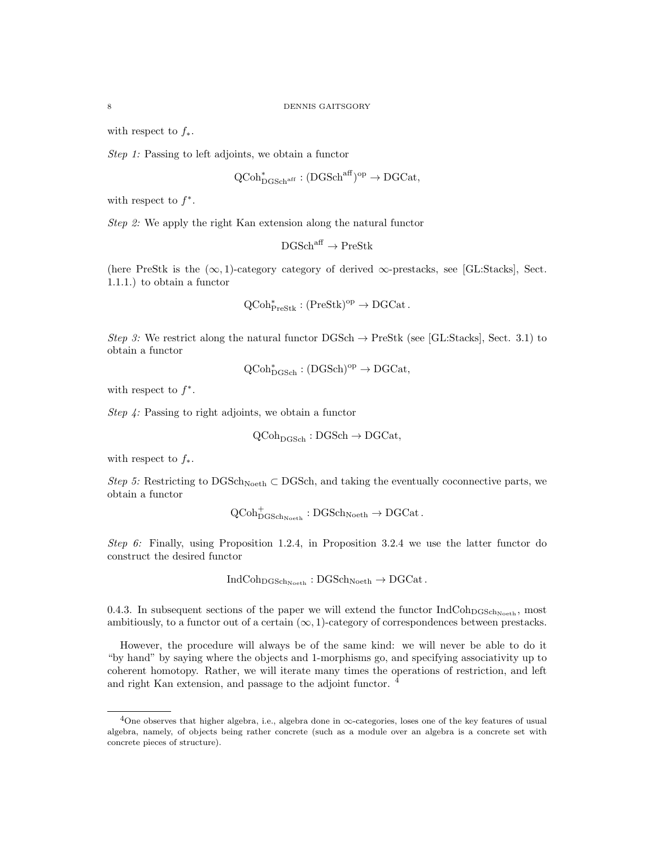with respect to  $f_*$ .

Step 1: Passing to left adjoints, we obtain a functor

$$
\operatorname{QCoh}_{\operatorname{DGSch}^{\operatorname{aff}}}^* : (\operatorname{DGSch}^{\operatorname{aff}})^{\operatorname{op}} \to \operatorname{DGCat},
$$

with respect to  $f^*$ .

Step 2: We apply the right Kan extension along the natural functor

$$
\mathrm{DGSch}^{\mathrm{aff}}\to\mathrm{PreStk}
$$

(here PreStk is the  $(\infty, 1)$ -category category of derived  $\infty$ -prestacks, see [GL:Stacks], Sect. 1.1.1.) to obtain a functor

$$
\mathrm{QCoh}^*_{\mathrm{PreStk}}:(\mathrm{PreStk})^{\mathrm{op}}\to \mathrm{DGCat}\,.
$$

Step 3: We restrict along the natural functor  $\text{DGSch} \to \text{PreStk}$  (see [GL:Stacks], Sect. 3.1) to obtain a functor

$$
\mathrm{QCoh}^*_\mathrm{DGSch} : (\mathrm{DGSch})^\mathrm{op} \to \mathrm{DGCat},
$$

with respect to  $f^*$ .

Step 4: Passing to right adjoints, we obtain a functor

$$
\mathrm{QCoh}_{\mathrm{DGSch}} : \mathrm{DGSch} \to \mathrm{DGCat},
$$

with respect to  $f_*$ .

Step 5: Restricting to DGSch<sub>Noeth</sub> ⊂ DGSch, and taking the eventually coconnective parts, we obtain a functor

$$
\operatorname{QCoh}^+_{\operatorname{DGSch}_{{\operatorname{Noeth}}}}: \operatorname{DGSch}_{{\operatorname{Noeth}}}\to \operatorname{DGCat}.
$$

Step 6: Finally, using Proposition 1.2.4, in Proposition 3.2.4 we use the latter functor do construct the desired functor

$$
IndCohDGSchNoeth: DGSchNoeth \rightarrow DGCat.
$$

0.4.3. In subsequent sections of the paper we will extend the functor  $IndCoh<sub>DGSch<sub>Noeth</sub></sub>$ , most ambitiously, to a functor out of a certain  $(\infty, 1)$ -category of correspondences between prestacks.

However, the procedure will always be of the same kind: we will never be able to do it "by hand" by saying where the objects and 1-morphisms go, and specifying associativity up to coherent homotopy. Rather, we will iterate many times the operations of restriction, and left and right Kan extension, and passage to the adjoint functor. <sup>4</sup>

<sup>4</sup>One observes that higher algebra, i.e., algebra done in ∞-categories, loses one of the key features of usual algebra, namely, of objects being rather concrete (such as a module over an algebra is a concrete set with concrete pieces of structure).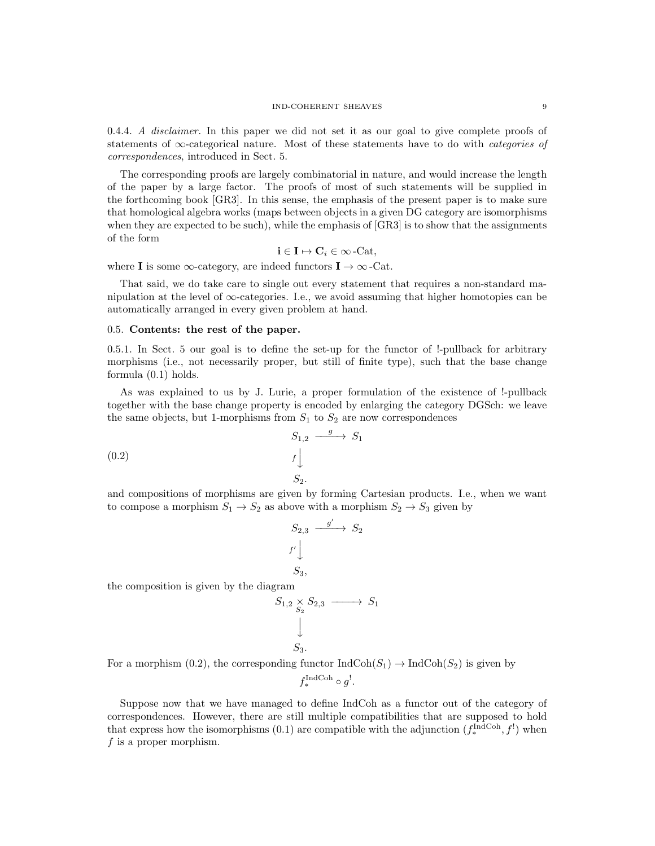#### IND-COHERENT SHEAVES 9

0.4.4. A disclaimer. In this paper we did not set it as our goal to give complete proofs of statements of  $\infty$ -categorical nature. Most of these statements have to do with *categories of* correspondences, introduced in Sect. 5.

The corresponding proofs are largely combinatorial in nature, and would increase the length of the paper by a large factor. The proofs of most of such statements will be supplied in the forthcoming book [GR3]. In this sense, the emphasis of the present paper is to make sure that homological algebra works (maps between objects in a given DG category are isomorphisms when they are expected to be such), while the emphasis of [GR3] is to show that the assignments of the form

$$
\mathbf{i} \in \mathbf{I} \mapsto \mathbf{C}_i \in \infty\text{-Cat},
$$

where **I** is some  $\infty$ -category, are indeed functors  $I \to \infty$ -Cat.

That said, we do take care to single out every statement that requires a non-standard manipulation at the level of  $\infty$ -categories. I.e., we avoid assuming that higher homotopies can be automatically arranged in every given problem at hand.

# 0.5. Contents: the rest of the paper.

0.5.1. In Sect. 5 our goal is to define the set-up for the functor of !-pullback for arbitrary morphisms (i.e., not necessarily proper, but still of finite type), such that the base change formula (0.1) holds.

As was explained to us by J. Lurie, a proper formulation of the existence of !-pullback together with the base change property is encoded by enlarging the category DGSch: we leave the same objects, but 1-morphisms from  $S_1$  to  $S_2$  are now correspondences

$$
S_{1,2} \xrightarrow{g} S_1
$$
  
(0.2)  $f \downarrow$   
 $S_2$ .

and compositions of morphisms are given by forming Cartesian products. I.e., when we want to compose a morphism  $S_1 \rightarrow S_2$  as above with a morphism  $S_2 \rightarrow S_3$  given by

$$
S_{2,3} \xrightarrow{g'} S_2
$$
  

$$
f' \downarrow
$$
  

$$
S_3,
$$

the composition is given by the diagram

$$
S_{1,2} \underset{S_2}{\times} S_{2,3} \longrightarrow S_1
$$
  

$$
\downarrow
$$
  

$$
S_3.
$$

For a morphism (0.2), the corresponding functor  $IndCoh(S_1) \to IndCoh(S_2)$  is given by

$$
f_*^{\text{IndCoh}} \circ g^!.
$$

Suppose now that we have managed to define IndCoh as a functor out of the category of correspondences. However, there are still multiple compatibilities that are supposed to hold that express how the isomorphisms (0.1) are compatible with the adjunction  $(f_*^{\text{IndCoh}}, f')$  when f is a proper morphism.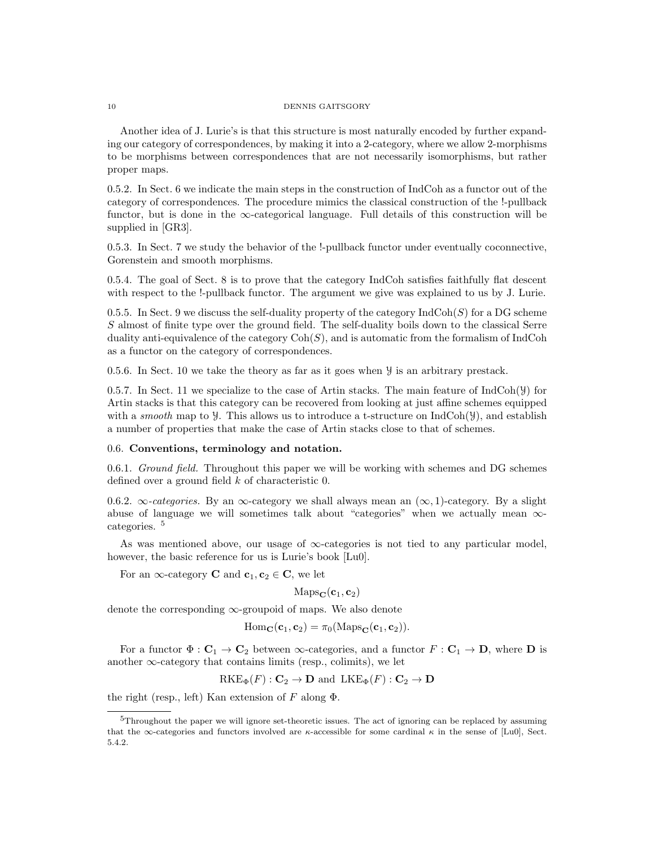#### 10 DENNIS GAITSGORY

Another idea of J. Lurie's is that this structure is most naturally encoded by further expanding our category of correspondences, by making it into a 2-category, where we allow 2-morphisms to be morphisms between correspondences that are not necessarily isomorphisms, but rather proper maps.

0.5.2. In Sect. 6 we indicate the main steps in the construction of IndCoh as a functor out of the category of correspondences. The procedure mimics the classical construction of the !-pullback functor, but is done in the  $\infty$ -categorical language. Full details of this construction will be supplied in [GR3].

0.5.3. In Sect. 7 we study the behavior of the !-pullback functor under eventually coconnective, Gorenstein and smooth morphisms.

0.5.4. The goal of Sect. 8 is to prove that the category IndCoh satisfies faithfully flat descent with respect to the !-pullback functor. The argument we give was explained to us by J. Lurie.

0.5.5. In Sect. 9 we discuss the self-duality property of the category  $\text{IndCoh}(S)$  for a DG scheme S almost of finite type over the ground field. The self-duality boils down to the classical Serre duality anti-equivalence of the category  $\text{Coh}(S)$ , and is automatic from the formalism of IndCoh as a functor on the category of correspondences.

0.5.6. In Sect. 10 we take the theory as far as it goes when Y is an arbitrary prestack.

0.5.7. In Sect. 11 we specialize to the case of Artin stacks. The main feature of  $IndCoh(\mathcal{Y})$  for Artin stacks is that this category can be recovered from looking at just affine schemes equipped with a *smooth* map to  $\mathcal Y$ . This allows us to introduce a t-structure on IndCoh( $\mathcal Y$ ), and establish a number of properties that make the case of Artin stacks close to that of schemes.

# 0.6. Conventions, terminology and notation.

0.6.1. Ground field. Throughout this paper we will be working with schemes and DG schemes defined over a ground field  $k$  of characteristic 0.

0.6.2.  $\infty$ -categories. By an  $\infty$ -category we shall always mean an  $(\infty, 1)$ -category. By a slight abuse of language we will sometimes talk about "categories" when we actually mean ∞ categories. <sup>5</sup>

As was mentioned above, our usage of  $\infty$ -categories is not tied to any particular model, however, the basic reference for us is Lurie's book [Lu0].

For an  $\infty$ -category **C** and  $c_1, c_2 \in \mathbb{C}$ , we let

 $\text{Maps}_{\mathbf{C}}(\mathbf{c}_1, \mathbf{c}_2)$ 

denote the corresponding  $\infty$ -groupoid of maps. We also denote

$$
\mathrm{Hom}_{\mathbf{C}}(\mathbf{c}_1, \mathbf{c}_2) = \pi_0(\mathrm{Maps}_{\mathbf{C}}(\mathbf{c}_1, \mathbf{c}_2)).
$$

For a functor  $\Phi : \mathbf{C}_1 \to \mathbf{C}_2$  between  $\infty$ -categories, and a functor  $F : \mathbf{C}_1 \to \mathbf{D}$ , where **D** is another  $\infty$ -category that contains limits (resp., colimits), we let

$$
RKE_{\Phi}(F): \mathbf{C}_2 \to \mathbf{D} \text{ and } LKE_{\Phi}(F): \mathbf{C}_2 \to \mathbf{D}
$$

the right (resp., left) Kan extension of F along  $\Phi$ .

<sup>5</sup>Throughout the paper we will ignore set-theoretic issues. The act of ignoring can be replaced by assuming that the  $\infty$ -categories and functors involved are  $\kappa$ -accessible for some cardinal  $\kappa$  in the sense of [Lu0], Sect. 5.4.2.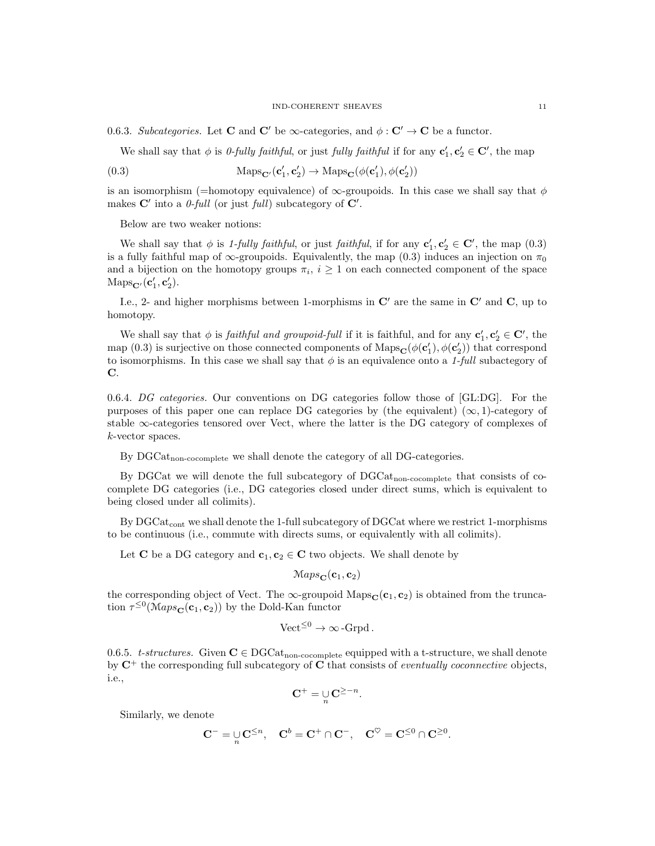0.6.3. Subcategories. Let **C** and **C'** be  $\infty$ -categories, and  $\phi : C' \to \mathbf{C}$  be a functor.

We shall say that  $\phi$  is *0-fully faithful*, or just *fully faithful* if for any  $\mathbf{c}'_1, \mathbf{c}'_2 \in \mathbf{C}'$ , the map

(0.3) 
$$
\text{Maps}_{\mathbf{C}'}(\mathbf{c}'_1, \mathbf{c}'_2) \to \text{Maps}_{\mathbf{C}}(\phi(\mathbf{c}'_1), \phi(\mathbf{c}'_2))
$$

is an isomorphism (=homotopy equivalence) of  $\infty$ -groupoids. In this case we shall say that  $\phi$ makes  $\mathbf{C}'$  into a *0-full* (or just *full*) subcategory of  $\mathbf{C}'$ .

Below are two weaker notions:

We shall say that  $\phi$  is 1-fully faithful, or just faithful, if for any  $\mathbf{c}'_1, \mathbf{c}'_2 \in \mathbf{C}'$ , the map  $(0.3)$ is a fully faithful map of  $\infty$ -groupoids. Equivalently, the map (0.3) induces an injection on  $\pi_0$ and a bijection on the homotopy groups  $\pi_i$ ,  $i \geq 1$  on each connected component of the space  $\mathrm{Maps}_{\mathbf{C}'}(\mathbf{c}'_1, \mathbf{c}'_2).$ 

I.e., 2- and higher morphisms between 1-morphisms in  $\mathbb{C}'$  are the same in  $\mathbb{C}'$  and  $\mathbb{C}$ , up to homotopy.

We shall say that  $\phi$  is *faithful and groupoid-full* if it is faithful, and for any  $\mathbf{c}'_1, \mathbf{c}'_2 \in \mathbf{C}'$ , the map (0.3) is surjective on those connected components of  $\text{Maps}_{\mathbf{C}}(\phi(\mathbf{c}'_1), \phi(\mathbf{c}'_2))$  that correspond to isomorphisms. In this case we shall say that  $\phi$  is an equivalence onto a 1-full subactegory of C.

0.6.4. DG categories. Our conventions on DG categories follow those of [GL:DG]. For the purposes of this paper one can replace DG categories by (the equivalent)  $(\infty, 1)$ -category of stable  $\infty$ -categories tensored over Vect, where the latter is the DG category of complexes of k-vector spaces.

By  $DGCat_{\text{non-cocomplete}}$  we shall denote the category of all DG-categories.

By DGCat we will denote the full subcategory of DGCatnon-cocomplete that consists of cocomplete DG categories (i.e., DG categories closed under direct sums, which is equivalent to being closed under all colimits).

By DGCat<sub>cont</sub> we shall denote the 1-full subcategory of DGCat where we restrict 1-morphisms to be continuous (i.e., commute with directs sums, or equivalently with all colimits).

Let **C** be a DG category and  $c_1, c_2 \in \mathbb{C}$  two objects. We shall denote by

$$
\mathcal{M}aps_{\mathbf{C}}(\mathbf{c}_1,\mathbf{c}_2)
$$

the corresponding object of Vect. The  $\infty$ -groupoid Maps $_{\mathbf{C}}(\mathbf{c}_1, \mathbf{c}_2)$  is obtained from the truncation  $\tau^{\leq 0}(\mathcal{M}aps_{\mathbf{C}}(\mathbf{c}_1, \mathbf{c}_2))$  by the Dold-Kan functor

$$
\text{Vect}^{\leq 0} \to \infty\text{-}\text{Grpd}.
$$

0.6.5. t-structures. Given  $C \in DGCat_{\text{non-cocomplete}}$  equipped with a t-structure, we shall denote by  $C^+$  the corresponding full subcategory of C that consists of *eventually coconnective* objects, i.e.,

$$
\mathbf{C}^+ = \bigcup_n \mathbf{C}^{\geq -n}.
$$

Similarly, we denote

$$
\mathbf{C}^- = \mathop{\cup}\limits_n \mathbf{C}^{\leq n}, \quad \mathbf{C}^b = \mathbf{C}^+ \cap \mathbf{C}^-, \quad \mathbf{C}^\heartsuit = \mathbf{C}^{\leq 0} \cap \mathbf{C}^{\geq 0}.
$$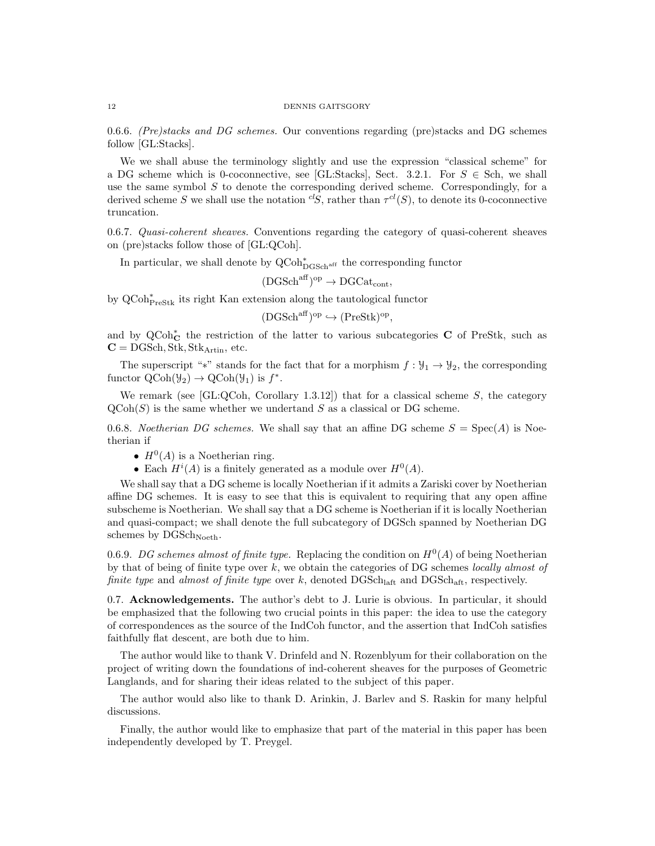0.6.6. (Pre)stacks and DG schemes. Our conventions regarding (pre)stacks and DG schemes follow [GL:Stacks].

We we shall abuse the terminology slightly and use the expression "classical scheme" for a DG scheme which is 0-coconnective, see [GL:Stacks], Sect. 3.2.1. For  $S \in$  Sch, we shall use the same symbol  $S$  to denote the corresponding derived scheme. Correspondingly, for a derived scheme S we shall use the notation <sup>cl</sup>S, rather than  $\tau^{cl}(S)$ , to denote its 0-coconnective truncation.

0.6.7. Quasi-coherent sheaves. Conventions regarding the category of quasi-coherent sheaves on (pre)stacks follow those of [GL:QCoh].

In particular, we shall denote by  $\operatorname{QCoh}^*_{\operatorname{DGSch}^{\operatorname{aff}}}$  the corresponding functor

 $(DGSch<sup>aff</sup>)<sup>op</sup> \rightarrow DGCat<sub>cont</sub>$ ,

by  $\operatorname{QCoh}^*_{\operatorname{Preskt}}$  its right Kan extension along the tautological functor

$$
(\text{DGSch}^{\text{aff}})^{\text{op}} \hookrightarrow (\text{PreStk})^{\text{op}},
$$

and by QCoh<sup>∗</sup>c the restriction of the latter to various subcategories **C** of PreStk, such as  $C = DGSch, Stk, Stk<sub>Artin</sub>, etc.$ 

The superscript "\*" stands for the fact that for a morphism  $f : \mathcal{Y}_1 \to \mathcal{Y}_2$ , the corresponding functor  $\text{QCoh}(\mathcal{Y}_2) \to \text{QCoh}(\mathcal{Y}_1)$  is  $f^*$ .

We remark (see [GL:QCoh, Corollary 1.3.12]) that for a classical scheme  $S$ , the category  $\mathrm{QCoh}(S)$  is the same whether we undertand S as a classical or DG scheme.

0.6.8. Noetherian DG schemes. We shall say that an affine DG scheme  $S = Spec(A)$  is Noetherian if

- $H^0(A)$  is a Noetherian ring.
- Each  $H^{i}(A)$  is a finitely generated as a module over  $H^{0}(A)$ .

We shall say that a DG scheme is locally Noetherian if it admits a Zariski cover by Noetherian affine DG schemes. It is easy to see that this is equivalent to requiring that any open affine subscheme is Noetherian. We shall say that a DG scheme is Noetherian if it is locally Noetherian and quasi-compact; we shall denote the full subcategory of DGSch spanned by Noetherian DG schemes by  $DGSch_{Noeth}$ .

0.6.9. DG schemes almost of finite type. Replacing the condition on  $H^0(A)$  of being Noetherian by that of being of finite type over  $k$ , we obtain the categories of DG schemes locally almost of finite type and almost of finite type over  $k$ , denoted  $\text{DGSch}_{\text{laff}}$  and  $\text{DGSch}_{\text{aff}}$ , respectively.

0.7. Acknowledgements. The author's debt to J. Lurie is obvious. In particular, it should be emphasized that the following two crucial points in this paper: the idea to use the category of correspondences as the source of the IndCoh functor, and the assertion that IndCoh satisfies faithfully flat descent, are both due to him.

The author would like to thank V. Drinfeld and N. Rozenblyum for their collaboration on the project of writing down the foundations of ind-coherent sheaves for the purposes of Geometric Langlands, and for sharing their ideas related to the subject of this paper.

The author would also like to thank D. Arinkin, J. Barlev and S. Raskin for many helpful discussions.

Finally, the author would like to emphasize that part of the material in this paper has been independently developed by T. Preygel.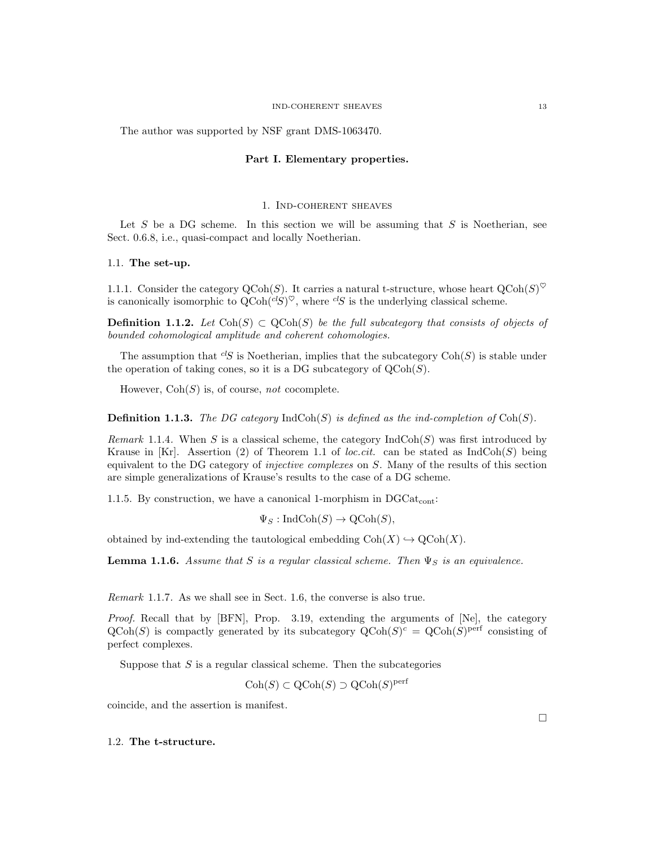The author was supported by NSF grant DMS-1063470.

# Part I. Elementary properties.

### 1. Ind-coherent sheaves

Let S be a DG scheme. In this section we will be assuming that S is Noetherian, see Sect. 0.6.8, i.e., quasi-compact and locally Noetherian.

# 1.1. The set-up.

1.1.1. Consider the category QCoh(S). It carries a natural t-structure, whose heart  $Q\text{Coh}(S)^{\heartsuit}$ is canonically isomorphic to  $Q\text{Coh}(^{cl}S)^{\heartsuit}$ , where  $^{cl}S$  is the underlying classical scheme.

**Definition 1.1.2.** Let Coh(S)  $\subset \text{QCoh}(S)$  be the full subcategory that consists of objects of bounded cohomological amplitude and coherent cohomologies.

The assumption that  ${}^{cl}S$  is Noetherian, implies that the subcategory Coh(S) is stable under the operation of taking cones, so it is a DG subcategory of  $Q\text{Coh}(S)$ .

However,  $Coh(S)$  is, of course, not cocomplete.

**Definition 1.1.3.** The DG category  $\text{IndCoh}(S)$  is defined as the ind-completion of  $\text{Coh}(S)$ .

Remark 1.1.4. When S is a classical scheme, the category  $IndCoh(S)$  was first introduced by Krause in [Kr]. Assertion (2) of Theorem 1.1 of loc.cit. can be stated as  $IndCoh(S)$  being equivalent to the DG category of *injective complexes* on S. Many of the results of this section are simple generalizations of Krause's results to the case of a DG scheme.

1.1.5. By construction, we have a canonical 1-morphism in  $DGCat_{cont}$ :

 $\Psi_S : \text{IndCoh}(S) \to \text{QCoh}(S)$ ,

obtained by ind-extending the tautological embedding  $Coh(X) \hookrightarrow \text{QCoh}(X)$ .

**Lemma 1.1.6.** Assume that S is a regular classical scheme. Then  $\Psi_S$  is an equivalence.

Remark 1.1.7. As we shall see in Sect. 1.6, the converse is also true.

Proof. Recall that by [BFN], Prop. 3.19, extending the arguments of [Ne], the category  $\text{QCoh}(S)$  is compactly generated by its subcategory  $\text{QCoh}(S)^c = \text{QCoh}(S)^{\text{perf}}$  consisting of perfect complexes.

Suppose that  $S$  is a regular classical scheme. Then the subcategories

 $\mathrm{Coh}(S) \subset \mathrm{QCoh}(S) \supset \mathrm{QCoh}(S)^{\mathrm{perf}}$ 

coincide, and the assertion is manifest.

 $\Box$ 

# 1.2. The t-structure.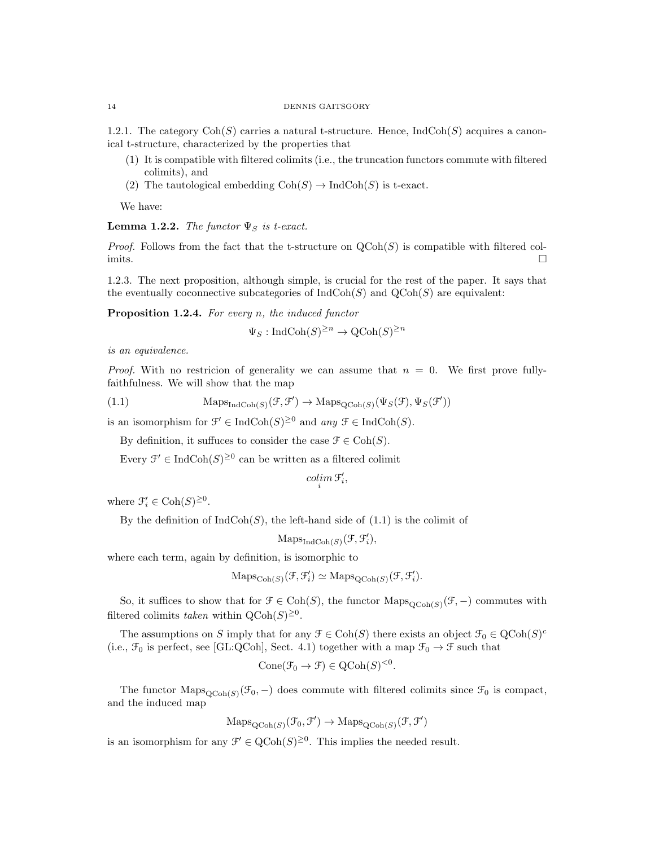#### 14 DENNIS GAITSGORY

1.2.1. The category  $\text{Coh}(S)$  carries a natural t-structure. Hence, IndCoh(S) acquires a canonical t-structure, characterized by the properties that

- (1) It is compatible with filtered colimits (i.e., the truncation functors commute with filtered colimits), and
- (2) The tautological embedding  $Coh(S) \to \text{Ind} \text{Coh}(S)$  is t-exact.

We have:

**Lemma 1.2.2.** The functor  $\Psi_S$  is t-exact.

*Proof.* Follows from the fact that the t-structure on  $QCoh(S)$  is compatible with filtered col- $\Box$ 

1.2.3. The next proposition, although simple, is crucial for the rest of the paper. It says that the eventually coconnective subcategories of  $\text{IndCoh}(S)$  and  $\text{QCoh}(S)$  are equivalent:

Proposition 1.2.4. For every n, the induced functor

$$
\Psi_S: \text{IndCoh}(S)^{\geq n} \to \text{QCoh}(S)^{\geq n}
$$

is an equivalence.

*Proof.* With no restricion of generality we can assume that  $n = 0$ . We first prove fullyfaithfulness. We will show that the map

(1.1) 
$$
\text{Maps}_{\text{IndCoh}(S)}(\mathcal{F}, \mathcal{F}') \to \text{Maps}_{\text{QCoh}(S)}(\Psi_S(\mathcal{F}), \Psi_S(\mathcal{F}'))
$$

is an isomorphism for  $\mathcal{F}' \in \text{IndCoh}(S)^{\geq 0}$  and  $any \mathcal{F} \in \text{IndCoh}(S)$ .

By definition, it suffuces to consider the case  $\mathcal{F} \in \text{Coh}(S)$ .

Every  $\mathcal{F}' \in \text{IndCoh}(S)^{\geq 0}$  can be written as a filtered colimit

$$
\operatornamewithlimits{colim}_i \mathfrak{F}'_i,
$$

where  $\mathcal{F}'_i \in \text{Coh}(S)^{\geq 0}$ .

By the definition of  $IndCoh(S)$ , the left-hand side of  $(1.1)$  is the colimit of

 $\mathrm{Maps}_{\mathrm{IndCoh}(S)}(\mathcal{F}, \mathcal{F}'_i),$ 

where each term, again by definition, is isomorphic to

$$
\mathrm{Maps}_{\mathrm{Coh}(S)}(\mathcal{F}, \mathcal{F}'_i) \simeq \mathrm{Maps}_{\mathrm{QCoh}(S)}(\mathcal{F}, \mathcal{F}'_i).
$$

So, it suffices to show that for  $\mathcal{F} \in \text{Coh}(S)$ , the functor  $\text{Maps}_{\text{QCoh}(S)}(\mathcal{F},-)$  commutes with filtered colimits taken within  $Q\text{Coh}(S)^{\geq 0}$ .

The assumptions on S imply that for any  $\mathcal{F} \in \text{Coh}(S)$  there exists an object  $\mathcal{F}_0 \in \text{QCoh}(S)^c$ (i.e.,  $\mathcal{F}_0$  is perfect, see [GL:QCoh], Sect. 4.1) together with a map  $\mathcal{F}_0 \to \mathcal{F}$  such that

$$
Cone(\mathcal{F}_0 \to \mathcal{F}) \in QCoh(S)^{< 0}
$$

.

The functor  $\text{Maps}_{\text{QCoh}(S)}(\mathcal{F}_0, -)$  does commute with filtered colimits since  $\mathcal{F}_0$  is compact, and the induced map

$$
\mathrm{Maps}_{\mathrm{QCoh}(S)}(\mathcal{F}_0, \mathcal{F}') \to \mathrm{Maps}_{\mathrm{QCoh}(S)}(\mathcal{F}, \mathcal{F}')
$$

is an isomorphism for any  $\mathcal{F}' \in \text{QCoh}(S)^{\geq 0}$ . This implies the needed result.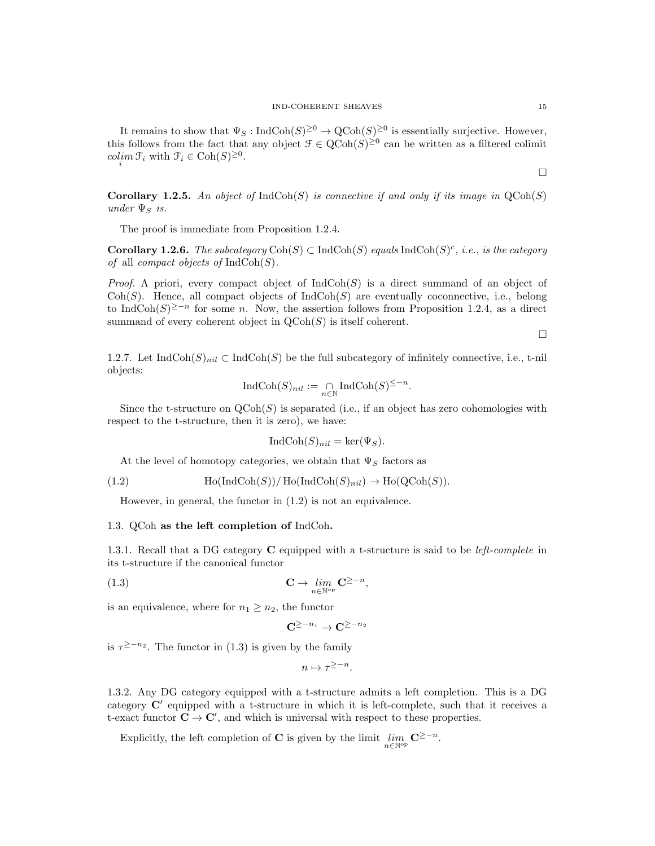It remains to show that  $\Psi_S: \text{IndCoh}(S)^{\geq 0} \to \text{QCoh}(S)^{\geq 0}$  is essentially surjective. However, this follows from the fact that any object  $\mathcal{F} \in \text{QCoh}(S)^{\geq 0}$  can be written as a filtered colimit  $\operatorname{colim}_{i} \mathcal{F}_{i}$  with  $\mathcal{F}_{i} \in \operatorname{Coh}(S)^{\geq 0}$ .

 $\Box$ 

**Corollary 1.2.5.** An object of  $IndCoh(S)$  is connective if and only if its image in  $QCoh(S)$ under  $\Psi_S$  is.

The proof is immediate from Proposition 1.2.4.

**Corollary 1.2.6.** The subcategory  $\text{Coh}(S) \subset \text{IndCoh}(S)$  equals  $\text{IndCoh}(S)^c$ , i.e., is the category of all *compact objects of*  $IndCoh(S)$ .

*Proof.* A priori, every compact object of  $\text{IndCoh}(S)$  is a direct summand of an object of Coh(S). Hence, all compact objects of  $IndCoh(S)$  are eventually coconnective, i.e., belong to IndCoh(S)<sup>≥-n</sup> for some n. Now, the assertion follows from Proposition 1.2.4, as a direct summand of every coherent object in  $\mathrm{QCoh}(S)$  is itself coherent.

 $\Box$ 

1.2.7. Let IndCoh $(S)_{nil} \subset \text{IndCoh}(S)$  be the full subcategory of infinitely connective, i.e., t-nil objects:

$$
\text{IndCoh}(S)_{nil} := \bigcap_{n \in \mathbb{N}} \text{IndCoh}(S)^{\leq -n}.
$$

Since the t-structure on  $\text{QCoh}(S)$  is separated (i.e., if an object has zero cohomologies with respect to the t-structure, then it is zero), we have:

$$
IndCoh(S)_{nil} = \ker(\Psi_S).
$$

At the level of homotopy categories, we obtain that  $\Psi_S$  factors as

(1.2) 
$$
\operatorname{Ho}(\operatorname{IndCoh}(S))/\operatorname{Ho}(\operatorname{IndCoh}(S)_{nil}) \to \operatorname{Ho}(\operatorname{QCoh}(S)).
$$

However, in general, the functor in (1.2) is not an equivalence.

## 1.3. QCoh as the left completion of IndCoh.

1.3.1. Recall that a DG category **C** equipped with a t-structure is said to be *left-complete* in its t-structure if the canonical functor

(1.3) 
$$
\mathbf{C} \to \lim_{n \in \mathbb{N}^{\text{op}}} \mathbf{C}^{\geq -n},
$$

is an equivalence, where for  $n_1 \geq n_2$ , the functor

$$
\mathbf{C}^{\geq -n_1} \to \mathbf{C}^{\geq -n_2}
$$

is  $\tau^{\geq -n_2}$ . The functor in (1.3) is given by the family

 $n \mapsto \tau^{\geq -n}$ .

1.3.2. Any DG category equipped with a t-structure admits a left completion. This is a DG category  $C'$  equipped with a t-structure in which it is left-complete, such that it receives a t-exact functor  $\mathbf{C} \to \mathbf{C}'$ , and which is universal with respect to these properties.

Explicitly, the left completion of **C** is given by the limit  $\lim_{n \in \mathbb{N}^{\text{op}}} \mathbf{C}^{\geq -n}$ .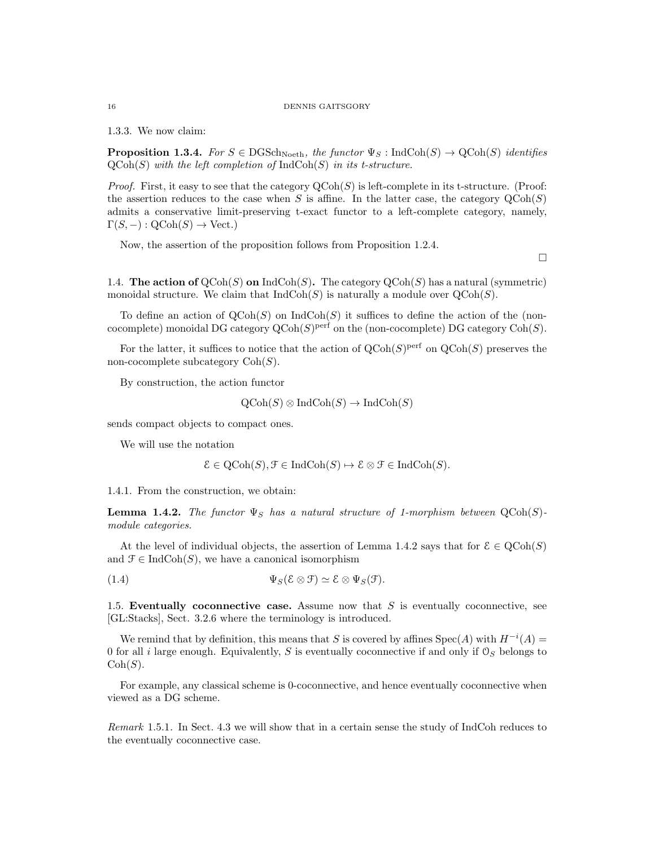#### 16 DENNIS GAITSGORY

1.3.3. We now claim:

**Proposition 1.3.4.** For  $S \in \text{DGSch}_{\text{Noeth}}$ , the functor  $\Psi_S : \text{IndCoh}(S) \to \text{QCoh}(S)$  identifies  $QCoh(S)$  with the left completion of  $IndCoh(S)$  in its t-structure.

*Proof.* First, it easy to see that the category  $\text{QCoh}(S)$  is left-complete in its t-structure. (Proof: the assertion reduces to the case when S is affine. In the latter case, the category  $\mathrm{QCoh}(S)$ admits a conservative limit-preserving t-exact functor to a left-complete category, namely,  $\Gamma(S, -) : \text{QCoh}(S) \to \text{Vect.}$ 

Now, the assertion of the proposition follows from Proposition 1.2.4.

 $\Box$ 

1.4. The action of  $\mathsf{QCoh}(S)$  on  $\mathrm{IndCoh}(S)$ . The category  $\mathsf{QCoh}(S)$  has a natural (symmetric) monoidal structure. We claim that  $\text{IndCoh}(S)$  is naturally a module over  $\text{QCoh}(S)$ .

To define an action of  $QCoh(S)$  on  $IndCoh(S)$  it suffices to define the action of the (noncocomplete) monoidal DG category  $Q\text{Coh}(S)^\text{perf}$  on the (non-cocomplete) DG category  $\text{Coh}(S)$ .

For the latter, it suffices to notice that the action of  $\text{QCoh}(S)$ <sup>perf</sup> on  $\text{QCoh}(S)$  preserves the non-cocomplete subcategory  $Coh(S)$ .

By construction, the action functor

$$
QCoh(S) \otimes IndCoh(S) \rightarrow IndCoh(S)
$$

sends compact objects to compact ones.

We will use the notation

$$
\mathcal{E} \in \mathrm{QCoh}(S), \mathcal{F} \in \mathrm{IndCoh}(S) \mapsto \mathcal{E} \otimes \mathcal{F} \in \mathrm{IndCoh}(S).
$$

1.4.1. From the construction, we obtain:

**Lemma 1.4.2.** The functor  $\Psi_S$  has a natural structure of 1-morphism between  $QCoh(S)$ module categories.

At the level of individual objects, the assertion of Lemma 1.4.2 says that for  $\mathcal{E} \in \text{QCoh}(S)$ and  $\mathcal{F} \in \text{IndCoh}(S)$ , we have a canonical isomorphism

(1.4)  $\Psi_S(\mathcal{E} \otimes \mathcal{F}) \simeq \mathcal{E} \otimes \Psi_S(\mathcal{F}).$ 

1.5. Eventually coconnective case. Assume now that  $S$  is eventually coconnective, see [GL:Stacks], Sect. 3.2.6 where the terminology is introduced.

We remind that by definition, this means that S is covered by affines  $Spec(A)$  with  $H^{-i}(A)$ 0 for all *i* large enough. Equivalently, S is eventually coconnective if and only if  $\mathcal{O}_S$  belongs to  $Coh(S)$ .

For example, any classical scheme is 0-coconnective, and hence eventually coconnective when viewed as a DG scheme.

Remark 1.5.1. In Sect. 4.3 we will show that in a certain sense the study of IndCoh reduces to the eventually coconnective case.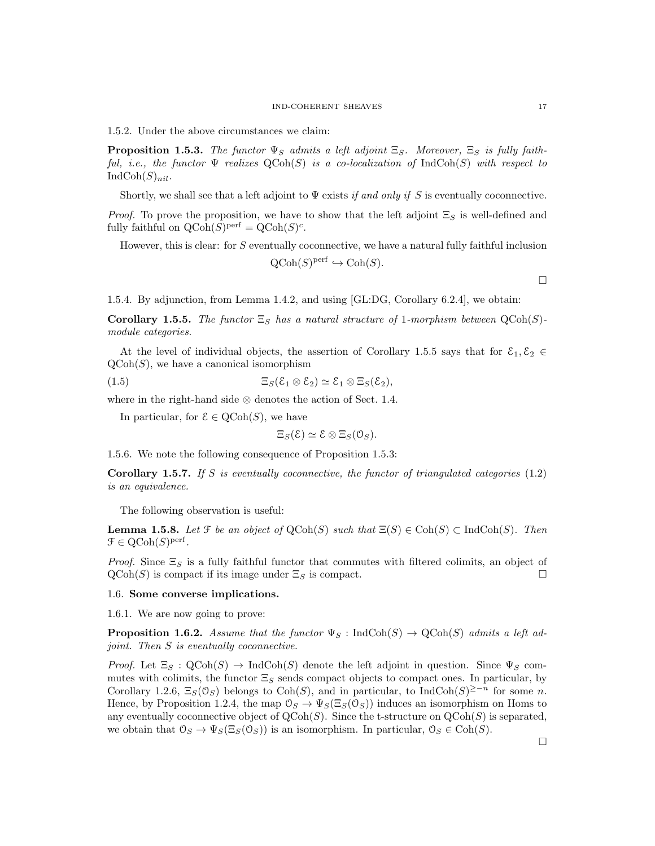1.5.2. Under the above circumstances we claim:

**Proposition 1.5.3.** The functor  $\Psi_S$  admits a left adjoint  $\Xi_S$ . Moreover,  $\Xi_S$  is fully faithful, i.e., the functor  $\Psi$  realizes  $\mathrm{QCoh}(S)$  is a co-localization of IndCoh(S) with respect to  $IndCoh(S)_{nil}.$ 

Shortly, we shall see that a left adjoint to  $\Psi$  exists if and only if S is eventually coconnective.

*Proof.* To prove the proposition, we have to show that the left adjoint  $\Xi_S$  is well-defined and fully faithful on  $\mathrm{QCoh}(S)^{\mathrm{perf}} = \mathrm{QCoh}(S)^c$ .

However, this is clear: for S eventually coconnective, we have a natural fully faithful inclusion

 $\mathrm{QCoh}(S)^\mathrm{perf} \hookrightarrow \mathrm{Coh}(S).$ 

 $\Box$ 

1.5.4. By adjunction, from Lemma 1.4.2, and using [GL:DG, Corollary 6.2.4], we obtain:

Corollary 1.5.5. The functor  $\Xi_S$  has a natural structure of 1-morphism between  $QCoh(S)$ module categories.

At the level of individual objects, the assertion of Corollary 1.5.5 says that for  $\mathcal{E}_1, \mathcal{E}_2 \in$  $\text{QCoh}(S)$ , we have a canonical isomorphism

(1.5) 
$$
\Xi_S(\mathcal{E}_1 \otimes \mathcal{E}_2) \simeq \mathcal{E}_1 \otimes \Xi_S(\mathcal{E}_2),
$$

where in the right-hand side ⊗ denotes the action of Sect. 1.4.

In particular, for  $\mathcal{E} \in \text{QCoh}(S)$ , we have

 $\Xi_S(\mathcal{E}) \simeq \mathcal{E} \otimes \Xi_S(\mathcal{O}_S).$ 

1.5.6. We note the following consequence of Proposition 1.5.3:

**Corollary 1.5.7.** If S is eventually coconnective, the functor of triangulated categories  $(1.2)$ is an equivalence.

The following observation is useful:

**Lemma 1.5.8.** Let  $\mathcal F$  be an object of  $\mathrm{QCoh}(S)$  such that  $\Xi(S) \in \mathrm{Coh}(S) \subset \mathrm{IndCoh}(S)$ . Then  $\mathcal{F} \in \mathrm{QCoh}(S)^{\mathrm{perf}}$ .

*Proof.* Since  $\Xi_S$  is a fully faithful functor that commutes with filtered colimits, an object of  $\mathrm{QCoh}(S)$  is compact if its image under  $\Xi_S$  is compact.

#### 1.6. Some converse implications.

1.6.1. We are now going to prove:

**Proposition 1.6.2.** Assume that the functor  $\Psi_S$ : IndCoh(S)  $\rightarrow$  QCoh(S) admits a left adjoint. Then S is eventually coconnective.

*Proof.* Let  $\Xi_S$ :  $\mathrm{QCoh}(S) \to \mathrm{IndCoh}(S)$  denote the left adjoint in question. Since  $\Psi_S$  commutes with colimits, the functor  $\Xi_S$  sends compact objects to compact ones. In particular, by Corollary 1.2.6,  $\Xi_S(\mathcal{O}_S)$  belongs to Coh(S), and in particular, to IndCoh(S)<sup>≥-n</sup> for some n. Hence, by Proposition 1.2.4, the map  $\mathcal{O}_S \to \Psi_S(\Xi_S(\mathcal{O}_S))$  induces an isomorphism on Homs to any eventually coconnective object of  $QCoh(S)$ . Since the t-structure on  $QCoh(S)$  is separated, we obtain that  $\mathcal{O}_S \to \Psi_S(\Xi_S(\mathcal{O}_S))$  is an isomorphism. In particular,  $\mathcal{O}_S \in \text{Coh}(S)$ .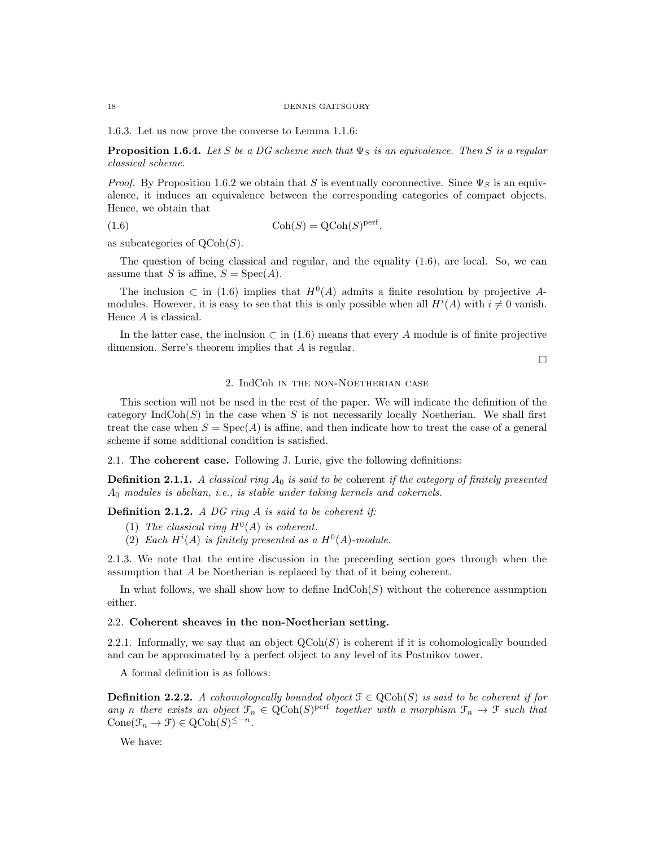1.6.3. Let us now prove the converse to Lemma 1.1.6:

**Proposition 1.6.4.** Let S be a DG scheme such that  $\Psi_S$  is an equivalence. Then S is a regular classical scheme.

*Proof.* By Proposition 1.6.2 we obtain that S is eventually coconnective. Since  $\Psi_S$  is an equivalence, it induces an equivalence between the corresponding categories of compact objects. Hence, we obtain that

(1.6) Coh(S) =  $Q\text{Coh}(S)$ <sup>perf</sup>.

as subcategories of  $\mathrm{QCoh}(S)$ .

The question of being classical and regular, and the equality (1.6), are local. So, we can assume that S is affine,  $S = \text{Spec}(A)$ .

The inclusion  $\subset$  in (1.6) implies that  $H^0(A)$  admits a finite resolution by projective Amodules. However, it is easy to see that this is only possible when all  $H^{i}(A)$  with  $i \neq 0$  vanish. Hence A is classical.

In the latter case, the inclusion  $\subset$  in (1.6) means that every A module is of finite projective dimension. Serre's theorem implies that A is regular.

 $\Box$ 

# 2. IndCoh in the non-Noetherian case

This section will not be used in the rest of the paper. We will indicate the definition of the category  $\text{IndCoh}(S)$  in the case when S is not necessarily locally Noetherian. We shall first treat the case when  $S = \text{Spec}(A)$  is affine, and then indicate how to treat the case of a general scheme if some additional condition is satisfied.

2.1. The coherent case. Following J. Lurie, give the following definitions:

**Definition 2.1.1.** A classical ring  $A_0$  is said to be coherent if the category of finitely presented A<sup>0</sup> modules is abelian, i.e., is stable under taking kernels and cokernels.

**Definition 2.1.2.** A DG ring A is said to be coherent if:

- (1) The classical ring  $H^0(A)$  is coherent.
- (2) Each  $H^{i}(A)$  is finitely presented as a  $H^{0}(A)$ -module.

2.1.3. We note that the entire discussion in the preceeding section goes through when the assumption that A be Noetherian is replaced by that of it being coherent.

In what follows, we shall show how to define  $\text{IndCoh}(S)$  without the coherence assumption either.

# 2.2. Coherent sheaves in the non-Noetherian setting.

2.2.1. Informally, we say that an object  $\text{QCoh}(S)$  is coherent if it is cohomologically bounded and can be approximated by a perfect object to any level of its Postnikov tower.

A formal definition is as follows:

**Definition 2.2.2.** A cohomologically bounded object  $\mathcal{F} \in \text{QCoh}(S)$  is said to be coherent if for any n there exists an object  $\mathfrak{F}_n \in \text{QCoh}(S)^{\text{perf}}$  together with a morphism  $\mathfrak{F}_n \to \mathfrak{F}$  such that Cone( $\mathcal{F}_n \to \mathcal{F}$ )  $\in \mathrm{QCoh}(S)^{\leq -n}$ .

We have: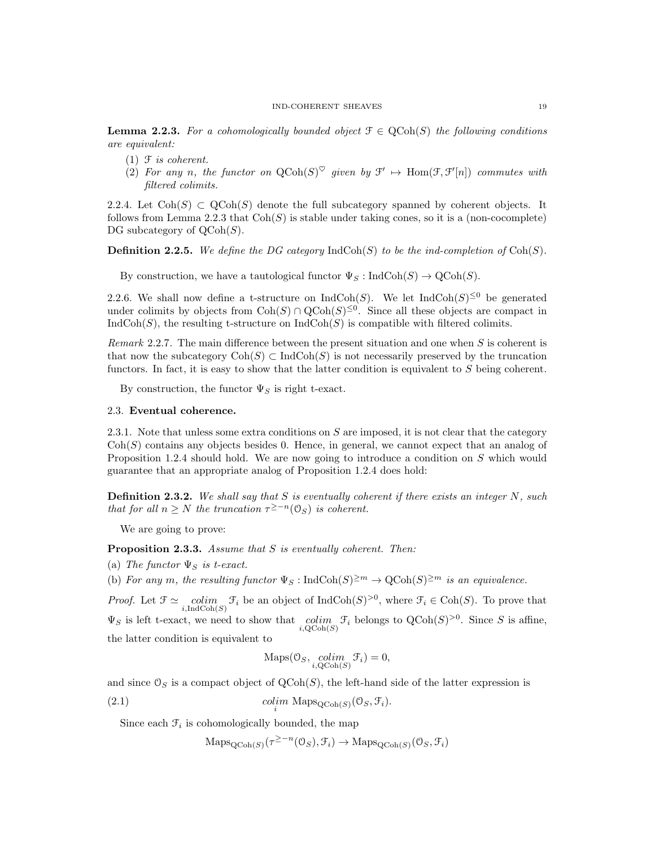**Lemma 2.2.3.** For a cohomologically bounded object  $\mathcal{F} \in \text{QCoh}(S)$  the following conditions are equivalent:

- $(1)$   $\mathcal F$  *is coherent.*
- (2) For any n, the functor on  $QCoh(S)^{\heartsuit}$  given by  $\mathcal{F}' \mapsto Hom(\mathcal{F}, \mathcal{F}'[n])$  commutes with filtered colimits.

2.2.4. Let  $\text{Coh}(S) \subset \text{QCoh}(S)$  denote the full subcategory spanned by coherent objects. It follows from Lemma 2.2.3 that  $\text{Coh}(S)$  is stable under taking cones, so it is a (non-cocomplete) DG subcategory of  $\mathrm{QCoh}(S)$ .

**Definition 2.2.5.** We define the DG category  $\text{IndCoh}(S)$  to be the ind-completion of  $\text{Coh}(S)$ .

By construction, we have a tautological functor  $\Psi_S : \text{IndCoh}(S) \to \text{QCoh}(S)$ .

2.2.6. We shall now define a t-structure on  $\text{IndCoh}(S)$ . We let  $\text{IndCoh}(S)^{\leq 0}$  be generated under colimits by objects from  $\text{Coh}(S) \cap \text{QCoh}(S)^{\leq 0}$ . Since all these objects are compact in  $IndCoh(S)$ , the resulting t-structure on  $IndCoh(S)$  is compatible with filtered colimits.

Remark 2.2.7. The main difference between the present situation and one when S is coherent is that now the subcategory  $\text{Coh}(S) \subset \text{IndCoh}(S)$  is not necessarily preserved by the truncation functors. In fact, it is easy to show that the latter condition is equivalent to S being coherent.

By construction, the functor  $\Psi_S$  is right t-exact.

#### 2.3. Eventual coherence.

2.3.1. Note that unless some extra conditions on S are imposed, it is not clear that the category  $\text{Coh}(S)$  contains any objects besides 0. Hence, in general, we cannot expect that an analog of Proposition 1.2.4 should hold. We are now going to introduce a condition on S which would guarantee that an appropriate analog of Proposition 1.2.4 does hold:

**Definition 2.3.2.** We shall say that S is eventually coherent if there exists an integer N, such that for all  $n \geq N$  the truncation  $\tau^{\geq -n}(\mathcal{O}_S)$  is coherent.

We are going to prove:

Proposition 2.3.3. Assume that S is eventually coherent. Then:

(a) The functor  $\Psi_S$  is t-exact.

(b) For any m, the resulting functor  $\Psi_S : \text{IndCoh}(S)^{\geq m} \to \text{QCoh}(S)^{\geq m}$  is an equivalence.

*Proof.* Let  $\mathcal{F} \simeq \text{colim}_{\mathcal{F}} \mathcal{F}_i$  be an object of  $\text{IndCoh}(S)^{>0}$ , where  $\mathcal{F}_i \in \text{Coh}(S)$ . To prove that  $i, \text{IndCoh}(S)$  $\Psi_S$  is left t-exact, we need to show that colim  $\mathcal{F}_i$  belongs to  $QCoh(S)^{>0}$ . Since S is affine,  $i, \mathrm{QCoh}(S)$ the latter condition is equivalent to

$$
Maps(0_S, \underset{i, \text{QCoh}(S)}{colim} \mathcal{F}_i) = 0,
$$

and since  $\mathcal{O}_S$  is a compact object of  $\mathrm{QCoh}(S)$ , the left-hand side of the latter expression is

(2.1) colim  $\text{Maps}_{\text{QCoh}(S)}(\mathcal{O}_S, \mathcal{F}_i)$ .

Since each  $\mathcal{F}_i$  is cohomologically bounded, the map

 $\mathrm{Maps}_{\mathrm{QCoh}(S)}(\tau^{\geq -n}(\mathbb{O}_S), \mathcal{F}_i) \to \mathrm{Maps}_{\mathrm{QCoh}(S)}(\mathbb{O}_S, \mathcal{F}_i)$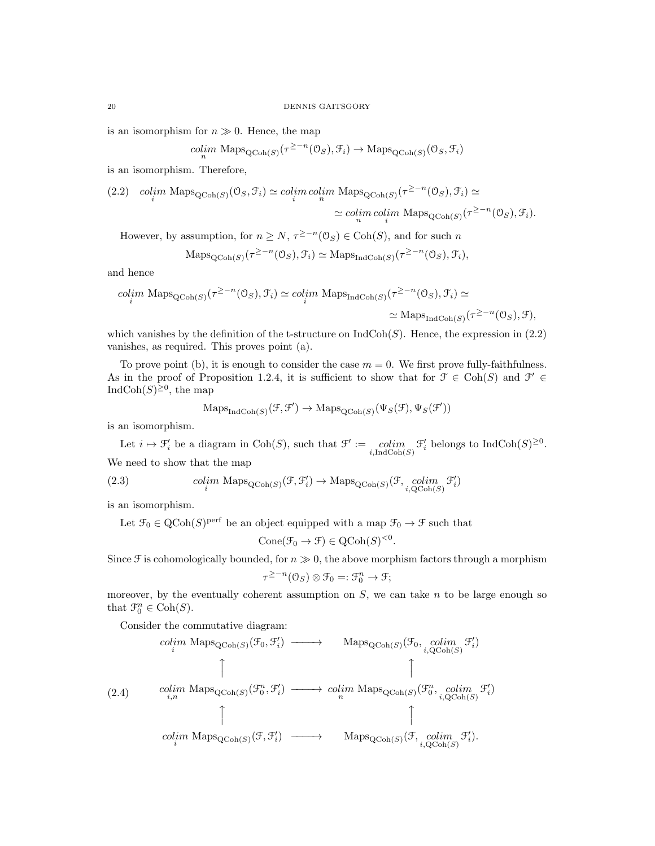is an isomorphism for  $n \gg 0$ . Hence, the map

$$
\underset{n}{colim} \text{ Maps}_{\text{QCoh}(S)}(\tau^{\geq -n}(\mathbb{O}_S), \mathcal{F}_i) \to \text{Maps}_{\text{QCoh}(S)}(\mathbb{O}_S, \mathcal{F}_i)
$$

is an isomorphism. Therefore,

(2.2) 
$$
\operatorname{colim}_{i} \operatorname{Maps}_{\mathbf{QCoh}(S)}(0_S, \mathcal{F}_i) \simeq \operatorname{colim}_{i} \operatorname{colim}_{n} \operatorname{Maps}_{\mathbf{QCoh}(S)}(\tau^{\geq -n}(0_S), \mathcal{F}_i) \simeq
$$

$$
\simeq \operatorname{colim}_{n} \operatorname{colim}_{i} \operatorname{Maps}_{\mathbf{QCoh}(S)}(\tau^{\geq -n}(0_S), \mathcal{F}_i).
$$

However, by assumption, for  $n \ge N$ ,  $\tau^{\ge -n}(\mathcal{O}_S) \in \text{Coh}(S)$ , and for such n

$$
\mathrm{Maps}_{\mathrm{QCoh}(S)}(\tau^{\geq -n}(\mathbb{O}_S), \mathcal{F}_i) \simeq \mathrm{Maps}_{\mathrm{IndCoh}(S)}(\tau^{\geq -n}(\mathbb{O}_S), \mathcal{F}_i),
$$

and hence

$$
\begin{aligned}\n\text{colim Maps}_{\text{QCoh}(S)}(\tau^{\geq -n}(\mathbb{O}_S), \mathcal{F}_i) &\simeq \text{colim Maps}_{\text{IndCoh}(S)}(\tau^{\geq -n}(\mathbb{O}_S), \mathcal{F}_i) &\simeq \\
&\simeq \text{Maps}_{\text{IndCoh}(S)}(\tau^{\geq -n}(\mathbb{O}_S), \mathcal{F}),\n\end{aligned}
$$

which vanishes by the definition of the t-structure on  $\text{IndCoh}(S)$ . Hence, the expression in (2.2) vanishes, as required. This proves point (a).

To prove point (b), it is enough to consider the case  $m = 0$ . We first prove fully-faithfulness. As in the proof of Proposition 1.2.4, it is sufficient to show that for  $\mathcal{F} \in \text{Coh}(S)$  and  $\mathcal{F}' \in$ IndCoh $(S)^{\geq 0}$ , the map

$$
\mathrm{Maps}_{\mathrm{IndCoh}(S)}(\mathcal{F}, \mathcal{F}') \to \mathrm{Maps}_{\mathrm{QCoh}(S)}(\Psi_S(\mathcal{F}), \Psi_S(\mathcal{F}'))
$$

is an isomorphism.

Let  $i \mapsto \mathcal{F}'_i$  be a diagram in Coh(S), such that  $\mathcal{F}':=\operatorname*{colim}_{i,\text{IndCoh}(S)} \mathcal{F}'_i$  belongs to  $\text{IndCoh}(S)^{\geq 0}$ . We need to show that the map

(2.3) 
$$
colim_{i} \text{Maps}_{\text{QCoh}(S)}(\mathcal{F}, \mathcal{F}'_i) \to \text{Maps}_{\text{QCoh}(S)}(\mathcal{F}, \underset{i, \text{QCoh}(S)}{coll}(S, \mathcal{F}'_i)
$$

is an isomorphism.

Let  $\mathcal{F}_0 \in \text{QCoh}(S)^\text{perf}$  be an object equipped with a map  $\mathcal{F}_0 \to \mathcal{F}$  such that

$$
Cone(\mathcal{F}_0 \to \mathcal{F}) \in QCoh(S)^{< 0}.
$$

Since  $\mathcal F$  is cohomologically bounded, for  $n \gg 0$ , the above morphism factors through a morphism

$$
\tau^{\geq -n}(\mathcal{O}_S) \otimes \mathcal{F}_0 =: \mathcal{F}_0^n \to \mathcal{F};
$$

moreover, by the eventually coherent assumption on  $S$ , we can take  $n$  to be large enough so that  $\mathfrak{F}_0^n \in \text{Coh}(S)$ .

Consider the commutative diagram:

$$
\begin{array}{cccc}\n\text{colim Maps}_{\text{QCoh}(S)}(\mathcal{F}_0, \mathcal{F}'_i) & \longrightarrow & \text{Maps}_{\text{QCoh}(S)}(\mathcal{F}_0, \text{colim } \mathcal{F}'_i) \\
\uparrow & & \uparrow & & \uparrow \\
\text{colim Maps}_{\text{QCoh}(S)}(\mathcal{F}_0^n, \mathcal{F}'_i) & \longrightarrow & \text{colim Maps}_{\text{QCoh}(S)}(\mathcal{F}_0^n, \text{colim } \mathcal{F}'_i) \\
\downarrow & & \uparrow & & \uparrow \\
\text{colim Maps}_{\text{QCoh}(S)}(\mathcal{F}, \mathcal{F}'_i) & \longrightarrow & \text{Maps}_{\text{QCoh}(S)}(\mathcal{F}, \text{colim } \mathcal{F}'_i).\n\end{array}
$$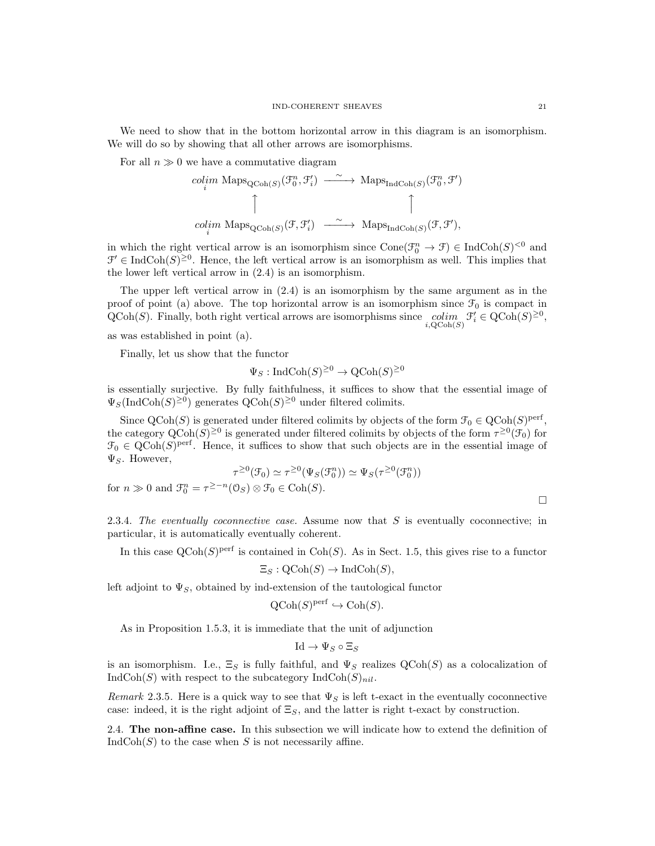We need to show that in the bottom horizontal arrow in this diagram is an isomorphism. We will do so by showing that all other arrows are isomorphisms.

For all  $n \gg 0$  we have a commutative diagram

$$
\begin{array}{ccc}\ncolim & \mathrm{Maps}_{\mathrm{QCoh}(S)}(\mathcal{F}_0^n, \mathcal{F}_i') & \xrightarrow{\sim} & \mathrm{Maps}_{\mathrm{IndCoh}(S)}(\mathcal{F}_0^n, \mathcal{F}') \\
\uparrow & & \uparrow & \uparrow \\
colim & \mathrm{Maps}_{\mathrm{QCoh}(S)}(\mathcal{F}, \mathcal{F}_i') & \xrightarrow{\sim} & \mathrm{Maps}_{\mathrm{IndCoh}(S)}(\mathcal{F}, \mathcal{F}'),\n\end{array}
$$

in which the right vertical arrow is an isomorphism since  $Cone(\mathcal{F}_0^n \to \mathcal{F}) \in \text{IndCoh}(S)^{<0}$  and  $\mathcal{F}' \in \text{IndCoh}(S)^{\geq 0}$ . Hence, the left vertical arrow is an isomorphism as well. This implies that the lower left vertical arrow in (2.4) is an isomorphism.

The upper left vertical arrow in (2.4) is an isomorphism by the same argument as in the proof of point (a) above. The top horizontal arrow is an isomorphism since  $\mathcal{F}_0$  is compact in  $\mathrm{QCoh}(S)$ . Finally, both right vertical arrows are isomorphisms since  $\underset{i, \mathrm{QCoh}(S)}{colim} \mathcal{F}'_i \in \mathrm{QCoh}(S)^{\geq 0}$ ,

as was established in point (a).

Finally, let us show that the functor

$$
\Psi_S: \text{IndCoh}(S)^{\geq 0} \to \text{QCoh}(S)^{\geq 0}
$$

is essentially surjective. By fully faithfulness, it suffices to show that the essential image of  $\Psi_S(\text{IndCoh}(S)^{\geq 0})$  generates  $\text{QCoh}(S)^{\geq 0}$  under filtered colimits.

Since  $\text{QCoh}(S)$  is generated under filtered colimits by objects of the form  $\mathcal{F}_0 \in \text{QCoh}(S)^{\text{perf}}$ , the category  $Q\text{Coh}(S)^{\geq 0}$  is generated under filtered colimits by objects of the form  $\tau^{\geq 0}(\mathcal{F}_0)$  for  $\mathfrak{F}_0 \in \text{QCoh}(S)^\text{perf}$ . Hence, it suffices to show that such objects are in the essential image of  $\Psi_S$ . However,

$$
\tau^{\geq 0}(\mathcal{F}_0) \simeq \tau^{\geq 0}(\Psi_S(\mathcal{F}_0^n)) \simeq \Psi_S(\tau^{\geq 0}(\mathcal{F}_0^n))
$$
  

$$
\tau^{\geq 0}(\mathcal{F}_0) \otimes \mathcal{F}_0 \in \text{Coh}(S)
$$

for  $n \gg 0$  and  $\mathcal{F}_0^n = \tau^{\geq -n}(\mathcal{O}_S) \otimes \mathcal{F}_0 \in \text{Coh}(S)$ .

 $\Box$ 

2.3.4. The eventually coconnective case. Assume now that  $S$  is eventually coconnective; in particular, it is automatically eventually coherent.

In this case  $\text{QCoh}(S)^\text{perf}$  is contained in  $\text{Coh}(S)$ . As in Sect. 1.5, this gives rise to a functor

$$
\Xi_S: \text{QCoh}(S) \to \text{IndCoh}(S),
$$

left adjoint to  $\Psi_S$ , obtained by ind-extension of the tautological functor

$$
QCoh(S)^{perf} \hookrightarrow Coh(S).
$$

As in Proposition 1.5.3, it is immediate that the unit of adjunction

 $\mathrm{Id} \to \Psi_S \circ \Xi_S$ 

is an isomorphism. I.e.,  $\Xi_S$  is fully faithful, and  $\Psi_S$  realizes  $\mathrm{QCoh}(S)$  as a colocalization of  $IndCoh(S)$  with respect to the subcategory  $IndCoh(S)_{nil}$ .

Remark 2.3.5. Here is a quick way to see that  $\Psi_S$  is left t-exact in the eventually coconnective case: indeed, it is the right adjoint of  $\Xi_S$ , and the latter is right t-exact by construction.

2.4. The non-affine case. In this subsection we will indicate how to extend the definition of  $IndCoh(S)$  to the case when S is not necessarily affine.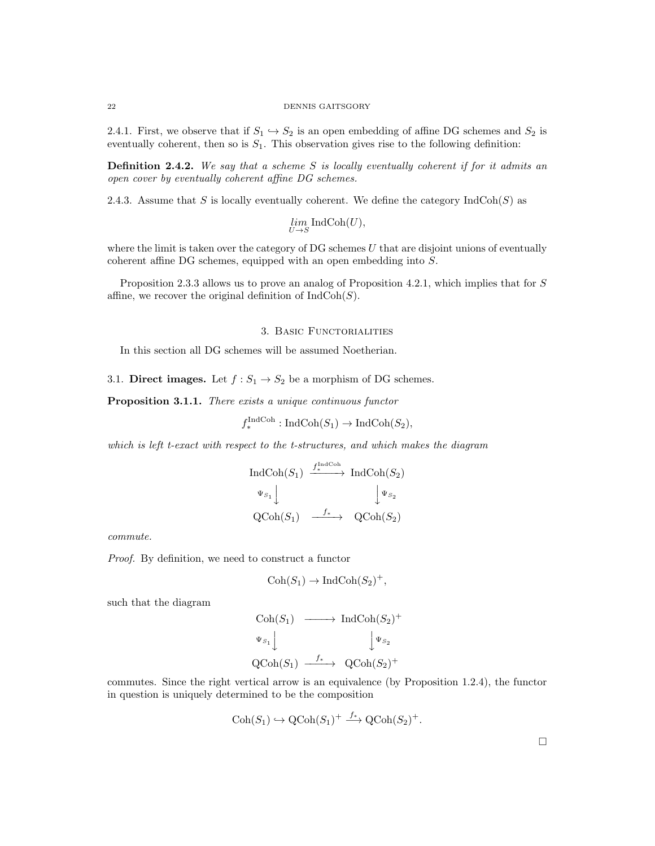#### 22 DENNIS GAITSGORY

2.4.1. First, we observe that if  $S_1 \hookrightarrow S_2$  is an open embedding of affine DG schemes and  $S_2$  is eventually coherent, then so is  $S_1$ . This observation gives rise to the following definition:

**Definition 2.4.2.** We say that a scheme S is locally eventually coherent if for it admits an open cover by eventually coherent affine DG schemes.

2.4.3. Assume that S is locally eventually coherent. We define the category  $IndCoh(S)$  as

$$
\lim_{U \to S} \text{IndCoh}(U),
$$

where the limit is taken over the category of  $DG$  schemes  $U$  that are disjoint unions of eventually coherent affine DG schemes, equipped with an open embedding into S.

Proposition 2.3.3 allows us to prove an analog of Proposition 4.2.1, which implies that for S affine, we recover the original definition of  $IndCoh(S)$ .

### 3. BASIC FUNCTORIALITIES

In this section all DG schemes will be assumed Noetherian.

3.1. Direct images. Let  $f : S_1 \to S_2$  be a morphism of DG schemes.

Proposition 3.1.1. There exists a unique continuous functor

$$
f_*^{\text{IndCoh}} : \text{IndCoh}(S_1) \to \text{IndCoh}(S_2),
$$

which is left t-exact with respect to the t-structures, and which makes the diagram

$$
\operatorname{IndCoh}(S_1) \xrightarrow{f_*^{\operatorname{IndCoh}}} \operatorname{IndCoh}(S_2)
$$
  
\n
$$
\Psi_{S_1} \downarrow \qquad \qquad \downarrow \Psi_{S_2}
$$
  
\n
$$
\operatorname{QCoh}(S_1) \xrightarrow{f_*} \operatorname{QCoh}(S_2)
$$

commute.

Proof. By definition, we need to construct a functor

$$
Coh(S_1) \to IndCoh(S_2)^+,
$$

such that the diagram

$$
\begin{array}{ccc}\n\text{Coh}(S_1) & \longrightarrow & \text{Ind}\text{Coh}(S_2)^+ \\
\downarrow \Psi_{S_1} & & \downarrow \Psi_{S_2} \\
\text{QCoh}(S_1) & \xrightarrow{f_*} & \text{QCoh}(S_2)^+\n\end{array}
$$

commutes. Since the right vertical arrow is an equivalence (by Proposition 1.2.4), the functor in question is uniquely determined to be the composition

$$
\mathrm{Coh}(S_1) \hookrightarrow \mathrm{QCoh}(S_1)^+ \xrightarrow{f_*} \mathrm{QCoh}(S_2)^+.
$$

 $\Box$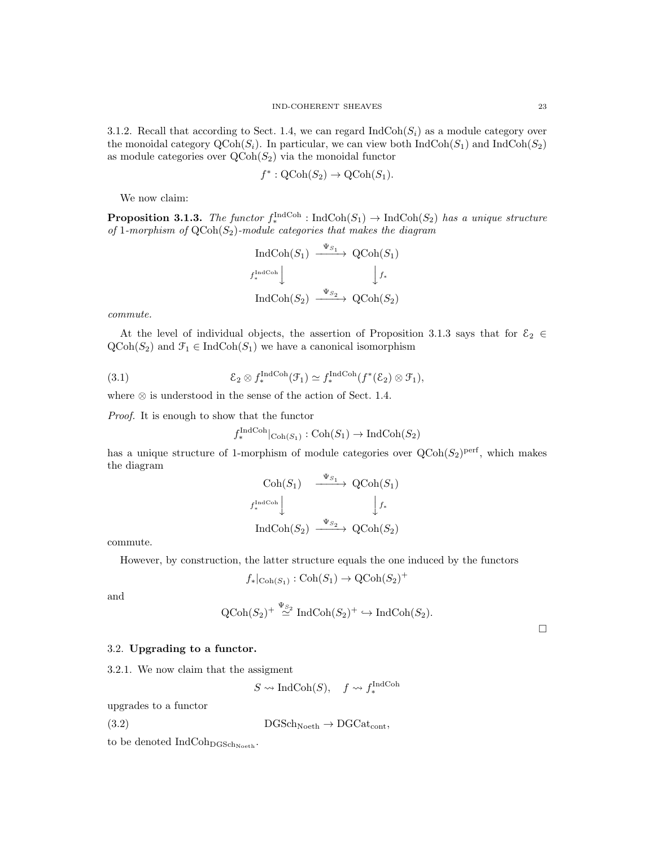3.1.2. Recall that according to Sect. 1.4, we can regard  $\text{IndCoh}(S_i)$  as a module category over the monoidal category  $\text{QCoh}(S_i)$ . In particular, we can view both  $\text{IndCoh}(S_1)$  and  $\text{IndCoh}(S_2)$ as module categories over  $\text{QCoh}(S_2)$  via the monoidal functor

$$
f^* : \text{QCoh}(S_2) \to \text{QCoh}(S_1).
$$

We now claim:

**Proposition 3.1.3.** The functor  $f_*^{\text{IndCoh}}$ : IndCoh $(S_1) \to \text{IndCoh}(S_2)$  has a unique structure of 1-morphism of  $QCoh(S_2)$ -module categories that makes the diagram

$$
\operatorname{IndCoh}(S_1) \xrightarrow{\Psi_{S_1}} \operatorname{QCoh}(S_1)
$$
  

$$
f_*^{\operatorname{IndCoh}} \downarrow \qquad \qquad \downarrow f_*
$$
  

$$
\operatorname{IndCoh}(S_2) \xrightarrow{\Psi_{S_2}} \operatorname{QCoh}(S_2)
$$

commute.

At the level of individual objects, the assertion of Proposition 3.1.3 says that for  $\mathcal{E}_2 \in$  $\text{QCoh}(S_2)$  and  $\mathcal{F}_1 \in \text{IndCoh}(S_1)$  we have a canonical isomorphism

(3.1) 
$$
\mathcal{E}_2 \otimes f_*^{\text{IndCoh}}(\mathcal{F}_1) \simeq f_*^{\text{IndCoh}}(f^*(\mathcal{E}_2) \otimes \mathcal{F}_1),
$$

where  $\otimes$  is understood in the sense of the action of Sect. 1.4.

Proof. It is enough to show that the functor

$$
f_*^{\text{IndCoh}}|_{\text{Coh}(S_1)} : \text{Coh}(S_1) \to \text{IndCoh}(S_2)
$$

has a unique structure of 1-morphism of module categories over  $Q\text{Coh}(S_2)^\text{perf}$ , which makes the diagram

$$
\begin{array}{ccc}\n\text{Coh}(S_1) & \xrightarrow{\Psi_{S_1}} & \text{QCoh}(S_1) \\
\downarrow f_*^{\text{IndCoh}} & & \downarrow f_* \\
\text{IndCoh}(S_2) & \xrightarrow{\Psi_{S_2}} & \text{QCoh}(S_2)\n\end{array}
$$

commute.

However, by construction, the latter structure equals the one induced by the functors

$$
f_*|_{\mathrm{Coh}(S_1)} : \mathrm{Coh}(S_1) \to \mathrm{QCoh}(S_2)^+
$$

and

$$
\operatorname{QCoh}(S_2)^+ \stackrel{\Psi_{S_2}}{\simeq} \operatorname{IndCoh}(S_2)^+ \hookrightarrow \operatorname{IndCoh}(S_2).
$$

 $\Box$ 

# 3.2. Upgrading to a functor.

3.2.1. We now claim that the assigment

 $S \rightsquigarrow \text{IndCoh}(S)$ ,  $f \rightsquigarrow f_*^{\text{IndCoh}}$ 

upgrades to a functor

(3.2)  $DGSch_{Noeth} \rightarrow DGCat_{cont}$ ,

to be denoted  $IndCoh<sub>DGSch<sub>Noeth</sub></sub>$ .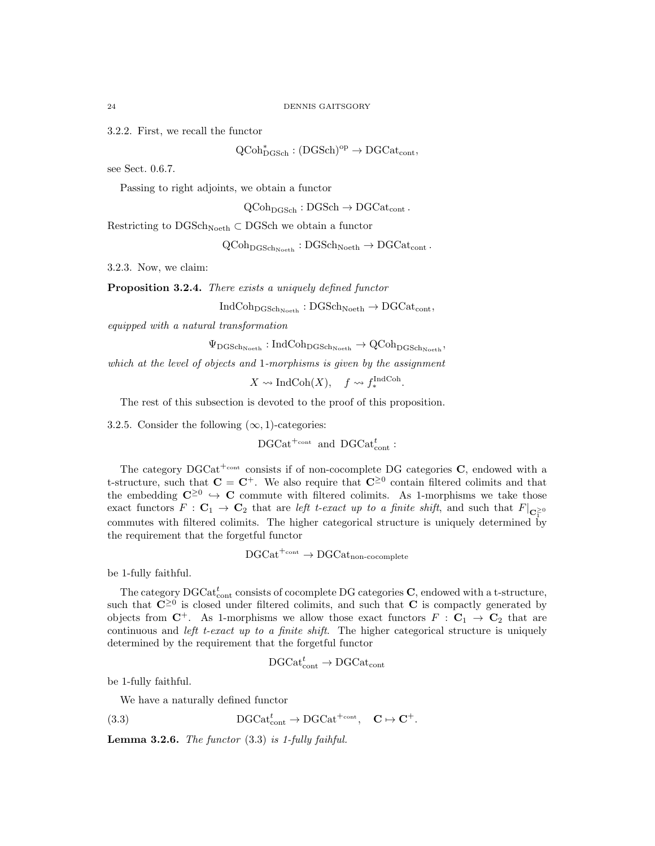3.2.2. First, we recall the functor

 $QCoh_{DGSch}^* : (DGSch)^{op} \to DGCat_{cont},$ 

see Sect. 0.6.7.

Passing to right adjoints, we obtain a functor

 $QCoh<sub>DGSch</sub> : DGSch \rightarrow DGCat<sub>cont</sub>$ .

Restricting to  $DGSch_{Noeth} \subset DGSch$  we obtain a functor

 $\mathrm{QCoh}_{\mathrm{DGSch}_{\mathrm{Noeth}}} : \mathrm{DGSch}_{\mathrm{Noeth}} \to \mathrm{DGCat}_{\mathrm{cont}}$ .

3.2.3. Now, we claim:

Proposition 3.2.4. There exists a uniquely defined functor

 $IndCoh<sub>DGSch<sub>Noeth</sub></sub> : DGSch<sub>Noeth</sub> \rightarrow DGCat<sub>cont</sub>$ 

equipped with a natural transformation

 $\Psi_{\text{DGSch}_{\text{Noeth}}} : \text{IndCoh}_{\text{DGSch}_{\text{Noeth}}} \to \text{QCoh}_{\text{DGSch}_{\text{Noeth}}},$ 

which at the level of objects and 1-morphisms is given by the assignment

 $X \rightsquigarrow \text{IndCoh}(X), \quad f \rightsquigarrow f_*^{\text{IndCoh}}.$ 

The rest of this subsection is devoted to the proof of this proposition.

3.2.5. Consider the following  $(\infty, 1)$ -categories:

 $DGCat^{+\text{cont}}$  and  $DGCat_{cont}^t$ :

The category  $DGCat^{+_{\text{cont}}}$  consists if of non-cocomplete DG categories  $C$ , endowed with a t-structure, such that  $C = C^+$ . We also require that  $C^{\geq 0}$  contain filtered colimits and that the embedding  $\mathbb{C}^{\geq 0} \hookrightarrow \mathbb{C}$  commute with filtered colimits. As 1-morphisms we take those exact functors  $F : \mathbf{C}_1 \to \mathbf{C}_2$  that are left t-exact up to a finite shift, and such that  $F|_{\mathbf{C}_1^{\geq 0}}$ commutes with filtered colimits. The higher categorical structure is uniquely determined by the requirement that the forgetful functor

$$
\text{DGCat}^{+\text{cont}} \to \text{DGCat}_{\text{non-cocomplete}}
$$

be 1-fully faithful.

The category  $\mathrm{DGCat}_{\mathrm{cont}}^t$  consists of cocomplete DG categories  $\mathbf{C},$  endowed with a t-structure, such that  $\mathbb{C}^{\geq 0}$  is closed under filtered colimits, and such that  $\mathbb{C}$  is compactly generated by objects from  $C^+$ . As 1-morphisms we allow those exact functors  $F : C_1 \to C_2$  that are continuous and *left t-exact up to a finite shift*. The higher categorical structure is uniquely determined by the requirement that the forgetful functor

$$
\text{DGCat}_{\text{cont}}^t \rightarrow \text{DGCat}_{\text{cont}}
$$

be 1-fully faithful.

We have a naturally defined functor

(3.3)  $DGCat_{cont}^t \rightarrow DGCat^{+_{cont}}$ ,  $C \rightarrow C^+$ .

**Lemma 3.2.6.** The functor  $(3.3)$  is 1-fully faihful.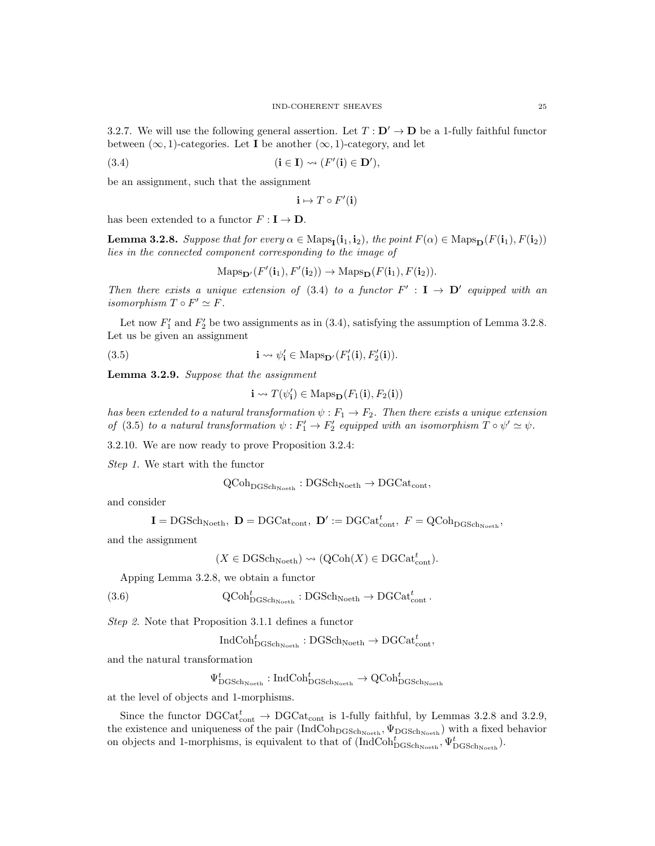3.2.7. We will use the following general assertion. Let  $T : D' \rightarrow D$  be a 1-fully faithful functor between  $(\infty, 1)$ -categories. Let **I** be another  $(\infty, 1)$ -category, and let

(3.4) 
$$
(\mathbf{i} \in \mathbf{I}) \rightsquigarrow (F'(\mathbf{i}) \in \mathbf{D}'),
$$

be an assignment, such that the assignment

$$
\mathbf{i}\mapsto T\circ F'(\mathbf{i})
$$

has been extended to a functor  $F : I \to D$ .

**Lemma 3.2.8.** Suppose that for every  $\alpha \in \text{Maps}_{\mathbf{I}}(\mathbf{i}_1, \mathbf{i}_2)$ , the point  $F(\alpha) \in \text{Maps}_{\mathbf{D}}(F(\mathbf{i}_1), F(\mathbf{i}_2))$ lies in the connected component corresponding to the image of

$$
\mathrm{Maps}_{\mathbf{D}'}(F'(\mathbf{i}_1), F'(\mathbf{i}_2)) \to \mathrm{Maps}_{\mathbf{D}}(F(\mathbf{i}_1), F(\mathbf{i}_2)).
$$

Then there exists a unique extension of (3.4) to a functor  $F' : I \to D'$  equipped with an isomorphism  $T \circ F' \simeq F$ .

Let now  $F'_1$  and  $F'_2$  be two assignments as in (3.4), satisfying the assumption of Lemma 3.2.8. Let us be given an assignment

(3.5) 
$$
\mathbf{i} \leadsto \psi'_\mathbf{i} \in \text{Maps}_{\mathbf{D}'}(F'_1(\mathbf{i}), F'_2(\mathbf{i})).
$$

Lemma 3.2.9. Suppose that the assignment

$$
\mathbf{i} \leadsto T(\psi_{\mathbf{i}}') \in \mathrm{Maps}_{\mathbf{D}}(F_1(\mathbf{i}), F_2(\mathbf{i}))
$$

has been extended to a natural transformation  $\psi : F_1 \to F_2$ . Then there exists a unique extension of (3.5) to a natural transformation  $\psi : F'_1 \to F'_2$  equipped with an isomorphism  $T \circ \psi' \simeq \psi$ .

3.2.10. We are now ready to prove Proposition 3.2.4:

Step 1. We start with the functor

$$
\operatorname{QCoh}_{\operatorname{DGSch}_{\operatorname{Noeth}}}: \operatorname{DGSch}_{\operatorname{Noeth}} \to \operatorname{DGCat}_{\operatorname{cont}},
$$

and consider

$$
\mathbf{I}=\mathrm{DGSch}_{\mathrm{Noeth}},\ \mathbf{D}=\mathrm{DGCat}_{\mathrm{cont}},\ \mathbf{D}':=\mathrm{DGCat}_{\mathrm{cont}}^t,\ F=\mathrm{QCoh}_{\mathrm{DGSch}_{\mathrm{Noeth}}},
$$

and the assignment

$$
(X \in \text{DGSch}_{\text{Noeth}}) \rightsquigarrow (\text{QCoh}(X) \in \text{DGCat}_{\text{cont}}^t).
$$

Apping Lemma 3.2.8, we obtain a functor

(3.6) 
$$
\mathrm{QCoh}_{\mathrm{DGSch}_{\mathrm{Noeth}}}^t : \mathrm{DGSch}_{\mathrm{Noeth}} \to \mathrm{DGCat}_{\mathrm{cont}}^t.
$$

Step 2. Note that Proposition 3.1.1 defines a functor

$$
\mathbf{IndCoh}_{\mathbf{DGSch}_{\mathbf{Noeth}}}^t : \mathbf{DGSch}_{\mathbf{Noeth}} \to \mathbf{DGCat}_{\mathbf{cont}}^t,
$$

and the natural transformation

$$
\Psi_{\mathrm{DGSch}_\mathrm{Noeth}}^t:\mathrm{IndCoh}^t_{\mathrm{DGSch}_\mathrm{Noeth}}\to \mathrm{QCoh}^t_{\mathrm{DGSch}_\mathrm{Noeth}}
$$

at the level of objects and 1-morphisms.

Since the functor  $\text{DGCat}_{\text{cont}}^t \to \text{DGCat}_{\text{cont}}$  is 1-fully faithful, by Lemmas 3.2.8 and 3.2.9, the existence and uniqueness of the pair  $(IndCoh<sub>DGSch<sub>Noeth</sub></sub>, \Psi<sub>DGSch<sub>Noeth</sub></sub>)$  with a fixed behavior on objects and 1-morphisms, is equivalent to that of  $(\text{IndCoh}_{\text{DGSch}_{\text{Noeth}}^t}, \Psi_{\text{DGSch}_{\text{Noeth}}^t}).$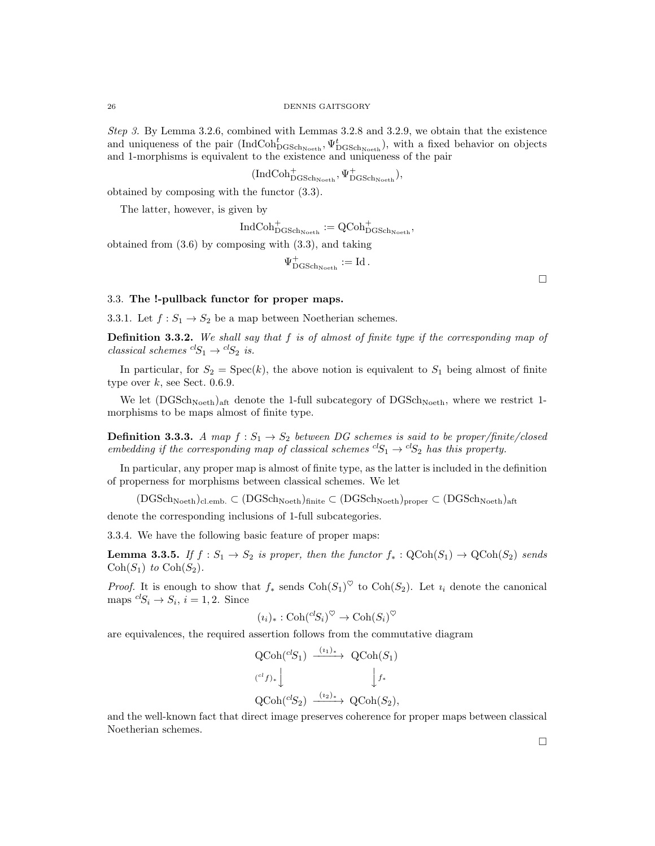Step 3. By Lemma 3.2.6, combined with Lemmas 3.2.8 and 3.2.9, we obtain that the existence and uniqueness of the pair  $(IndCoh_{DGSch_{Noeth}}^t, \Psi_{DGSch_{Noeth}}^t)$ , with a fixed behavior on objects and 1-morphisms is equivalent to the existence and uniqueness of the pair

 $(\mathrm{IndCoh}^+_{\mathrm{DGSch}_\mathrm{Noeth}}, \Psi^+_{\mathrm{DGSch}_\mathrm{Noeth}}),$ 

obtained by composing with the functor (3.3).

The latter, however, is given by

 ${\rm IndCoh}^+_{{\rm DGSch}_{\rm Noeth}}:=\operatorname{QCoh}^+_{{\rm DGSch}_{\rm Noeth}},$ 

obtained from (3.6) by composing with (3.3), and taking

$$
\Psi^+_{\mathrm{DGSch}_\mathrm{Noeth}}:=\mathrm{Id}\,.
$$

 $\Box$ 

# 3.3. The !-pullback functor for proper maps.

3.3.1. Let  $f: S_1 \to S_2$  be a map between Noetherian schemes.

**Definition 3.3.2.** We shall say that  $f$  is of almost of finite type if the corresponding map of classical schemes  ${}^{cl}S_1 \rightarrow {}^{cl}S_2$  is.

In particular, for  $S_2 = \text{Spec}(k)$ , the above notion is equivalent to  $S_1$  being almost of finite type over  $k$ , see Sect. 0.6.9.

We let  $(DGSch<sub>Noeth</sub>)<sub>aff</sub>$  denote the 1-full subcategory of  $DGSch<sub>Noeth</sub>$ , where we restrict 1morphisms to be maps almost of finite type.

**Definition 3.3.3.** A map  $f : S_1 \to S_2$  between DG schemes is said to be proper/finite/closed embedding if the corresponding map of classical schemes  ${}^{cl}S_1 \rightarrow {}^{cl}S_2$  has this property.

In particular, any proper map is almost of finite type, as the latter is included in the definition of properness for morphisms between classical schemes. We let

 $(DGSch_{Noeth})_{\text{cl.emb.}} \subset (DGSch_{Noeth})_{\text{finite}} \subset (DGSch_{Noeth})_{\text{proper}} \subset (DGSch_{Noeth})_{\text{aff}}$ 

denote the corresponding inclusions of 1-full subcategories.

3.3.4. We have the following basic feature of proper maps:

**Lemma 3.3.5.** If  $f : S_1 \to S_2$  is proper, then the functor  $f_* : \text{QCoh}(S_1) \to \text{QCoh}(S_2)$  sends  $\mathrm{Coh}(S_1)$  to  $\mathrm{Coh}(S_2)$ .

*Proof.* It is enough to show that  $f_*$  sends  $\text{Coh}(S_1)^\heartsuit$  to  $\text{Coh}(S_2)$ . Let  $i_i$  denote the canonical maps  ${}^{cl}S_i \rightarrow S_i$ ,  $i = 1, 2$ . Since

$$
(\imath_i)_* : \mathrm{Coh}({}^{cl}S_i)^\heartsuit \to \mathrm{Coh}(S_i)^\heartsuit
$$

are equivalences, the required assertion follows from the commutative diagram

$$
\begin{array}{ccc}\n\text{QCoh}(^{cl}S_1) & \xrightarrow{(i_1)_*} & \text{QCoh}(S_1) \\
\downarrow^{cl}f)_{*} & & \downarrow f_* \\
\text{QCoh}(^{cl}S_2) & \xrightarrow{(i_2)_*} & \text{QCoh}(S_2),\n\end{array}
$$

and the well-known fact that direct image preserves coherence for proper maps between classical Noetherian schemes.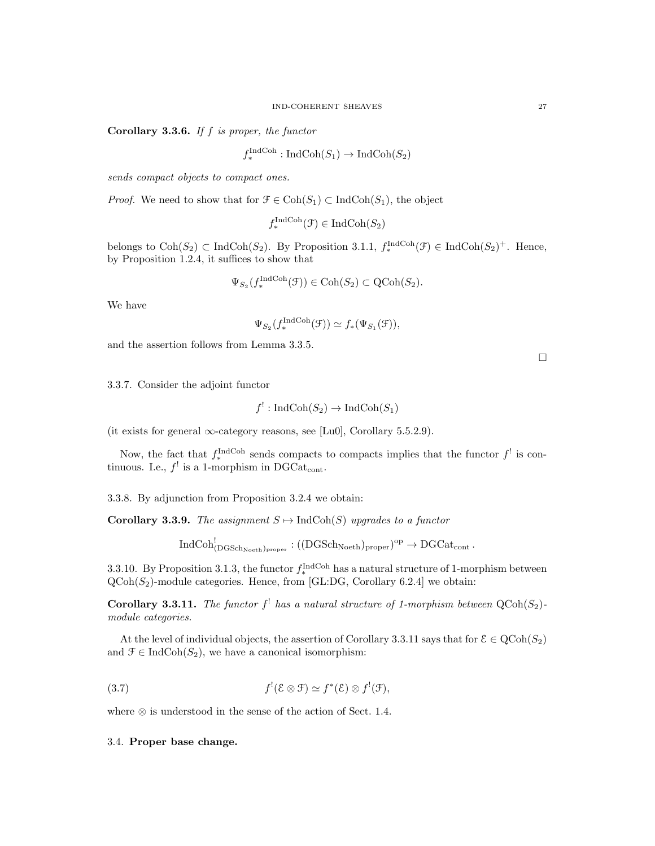Corollary 3.3.6. If  $f$  is proper, the functor

$$
f^{\text{IndCoh}}_{*}: \text{IndCoh}(S_1) \to \text{IndCoh}(S_2)
$$

sends compact objects to compact ones.

*Proof.* We need to show that for  $\mathcal{F} \in \text{Coh}(S_1) \subset \text{IndCoh}(S_1)$ , the object

$$
f_*^{\text{IndCoh}}(\mathcal{F}) \in \text{IndCoh}(S_2)
$$

belongs to  $\text{Coh}(S_2) \subset \text{IndCoh}(S_2)$ . By Proposition 3.1.1,  $f_*^{\text{IndCoh}}(\mathcal{F}) \in \text{IndCoh}(S_2)^+$ . Hence, by Proposition 1.2.4, it suffices to show that

$$
\Psi_{S_2}(f_*^{\text{IndCoh}}(\mathcal{F})) \in \text{Coh}(S_2) \subset \text{QCoh}(S_2).
$$

We have

$$
\Psi_{S_2}(f_*^{\operatorname{IndCoh}}(\mathcal{F})) \simeq f_*(\Psi_{S_1}(\mathcal{F})),
$$

and the assertion follows from Lemma 3.3.5.

3.3.7. Consider the adjoint functor

$$
f^!: \operatorname{IndCoh}(S_2) \to \operatorname{IndCoh}(S_1)
$$

(it exists for general  $\infty$ -category reasons, see [Lu0], Corollary 5.5.2.9).

Now, the fact that  $f_*^{\text{IndCoh}}$  sends compacts to compacts implies that the functor  $f^!$  is continuous. I.e.,  $f'$  is a 1-morphism in DGCat<sub>cont</sub>.

3.3.8. By adjunction from Proposition 3.2.4 we obtain:

Corollary 3.3.9. The assignment  $S \mapsto \text{IndCoh}(S)$  upgrades to a functor

 $\mathrm{IndCoh}^!_{(\mathrm{DGSch}_\mathrm{Noeth})_\mathrm{proper}}:((\mathrm{DGSch}_\mathrm{Noeth})_\mathrm{proper})^\mathrm{op}\to\mathrm{DGCat}_\mathrm{cont}$  .

3.3.10. By Proposition 3.1.3, the functor  $f_*^{\text{IndCoh}}$  has a natural structure of 1-morphism between  $QCoh(S_2)$ -module categories. Hence, from [GL:DG, Corollary 6.2.4] we obtain:

**Corollary 3.3.11.** The functor  $f^!$  has a natural structure of 1-morphism between  $QCoh(S_2)$ module categories.

At the level of individual objects, the assertion of Corollary 3.3.11 says that for  $\mathcal{E} \in \text{QCoh}(S_2)$ and  $\mathcal{F} \in \text{IndCoh}(S_2)$ , we have a canonical isomorphism:

(3.7) 
$$
f'(\mathcal{E}\otimes\mathcal{F})\simeq f^*(\mathcal{E})\otimes f^!(\mathcal{F}),
$$

where ⊗ is understood in the sense of the action of Sect. 1.4.

# 3.4. Proper base change.

 $\Box$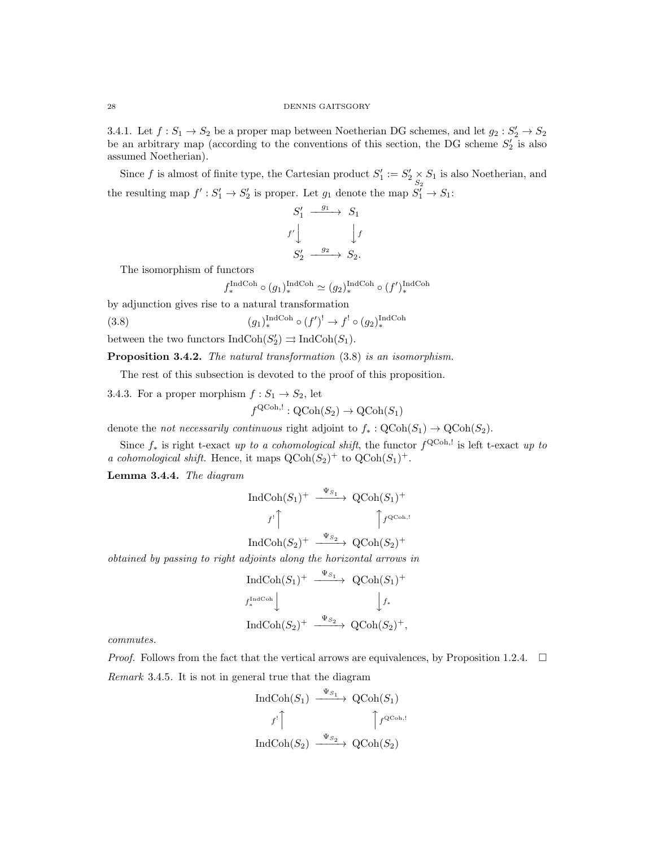3.4.1. Let  $f: S_1 \to S_2$  be a proper map between Noetherian DG schemes, and let  $g_2: S'_2 \to S_2$ be an arbitrary map (according to the conventions of this section, the DG scheme  $S'_2$  is also assumed Noetherian).

Since f is almost of finite type, the Cartesian product  $S'_1 := S'_2 \times S_1$  is also Noetherian, and the resulting map  $f' : S'_1 \to S'_2$  is proper. Let  $g_1$  denote the map  $S'_1 \to S_1$ :

$$
S'_1 \xrightarrow{g_1} S_1
$$
  

$$
f' \downarrow \qquad \qquad \downarrow f
$$
  

$$
S'_2 \xrightarrow{g_2} S_2.
$$

The isomorphism of functors

$$
f_*^{\text{IndCoh}} \circ (g_1)_*^{\text{IndCoh}} \simeq (g_2)_*^{\text{IndCoh}} \circ (f')_*^{\text{IndCoh}}
$$

by adjunction gives rise to a natural transformation

(3.8) 
$$
(g_1)_*^{\text{IndCoh}} \circ (f')^! \to f^! \circ (g_2)_*^{\text{IndCoh}}
$$

f

between the two functors  $\text{IndCoh}(S'_2) \rightrightarrows \text{IndCoh}(S_1)$ .

Proposition 3.4.2. The natural transformation  $(3.8)$  is an isomorphism.

The rest of this subsection is devoted to the proof of this proposition.

3.4.3. For a proper morphism  $f : S_1 \to S_2$ , let

$$
{}^{\textrm{QCoh},!} : \textrm{QCoh}(S_2) \to \textrm{QCoh}(S_1)
$$

denote the *not necessarily continuous* right adjoint to  $f_*: \text{QCoh}(S_1) \to \text{QCoh}(S_2)$ .

Since  $f_*$  is right t-exact up to a cohomological shift, the functor  $f^{\text{QCoh},!}$  is left t-exact up to a cohomological shift. Hence, it maps  $Q\text{Coh}(S_2)^+$  to  $Q\text{Coh}(S_1)^+$ .

Lemma 3.4.4. The diagram

$$
\begin{array}{ccc}\n\text{IndCoh}(S_1)^+ & \xrightarrow{\Psi_{S_1}} & \text{QCoh}(S_1)^+ \\
\downarrow f^! \uparrow & & \uparrow f^{\text{QCoh},!} \\
\text{IndCoh}(S_2)^+ & \xrightarrow{\Psi_{S_2}} & \text{QCoh}(S_2)^+ \\
\end{array}
$$

obtained by passing to right adjoints along the horizontal arrows in

$$
\begin{array}{ccc}\n\text{IndCoh}(S_1)^+ & \xrightarrow{\Psi_{S_1}} & \text{QCoh}(S_1)^+ \\
\downarrow f_*^{\text{IndCoh}} & & \downarrow f_* \\
\text{IndCoh}(S_2)^+ & \xrightarrow{\Psi_{S_2}} & \text{QCoh}(S_2)^+, \\
\end{array}
$$

commutes.

*Proof.* Follows from the fact that the vertical arrows are equivalences, by Proposition 1.2.4.  $\Box$ 

Remark 3.4.5. It is not in general true that the diagram

$$
\text{IndCoh}(S_1) \xrightarrow{\Psi_{S_1}} \text{QCoh}(S_1)
$$

$$
f' \uparrow \qquad \qquad \uparrow f^{\text{QCoh},!}
$$

$$
\text{IndCoh}(S_2) \xrightarrow{\Psi_{S_2}} \text{QCoh}(S_2)
$$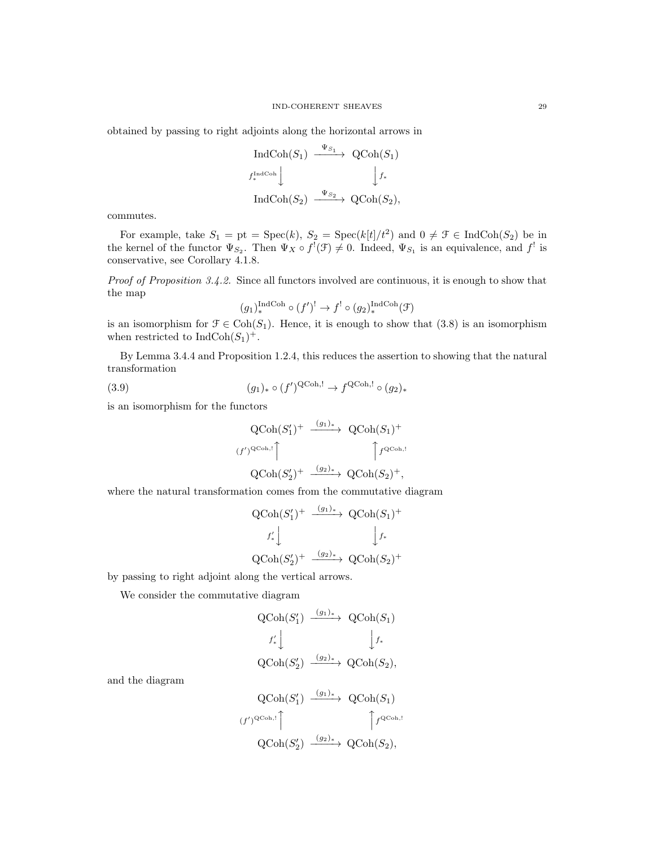obtained by passing to right adjoints along the horizontal arrows in

$$
\begin{array}{ccc}\n\text{IndCoh}(S_1) & \xrightarrow{\Psi_{S_1}} & \text{QCoh}(S_1) \\
\downarrow f_*^{\text{IndCoh}} & & \downarrow f_* \\
\text{IndCoh}(S_2) & \xrightarrow{\Psi_{S_2}} & \text{QCoh}(S_2),\n\end{array}
$$

commutes.

For example, take  $S_1 = \text{pt} = \text{Spec}(k)$ ,  $S_2 = \text{Spec}(k[t]/t^2)$  and  $0 \neq \mathcal{F} \in \text{IndCoh}(S_2)$  be in the kernel of the functor  $\Psi_{S_2}$ . Then  $\Psi_X \circ f^!(\mathcal{F}) \neq 0$ . Indeed,  $\Psi_{S_1}$  is an equivalence, and  $f^!$  is conservative, see Corollary 4.1.8.

Proof of Proposition 3.4.2. Since all functors involved are continuous, it is enough to show that the map

$$
(g_1)^{\text{IndCoh}}_*(f')^! \to f^! \circ (g_2)^{\text{IndCoh}}_*(\mathcal{F})
$$

is an isomorphism for  $\mathcal{F} \in \text{Coh}(S_1)$ . Hence, it is enough to show that (3.8) is an isomorphism when restricted to  $\text{IndCoh}(S_1)^+$ .

By Lemma 3.4.4 and Proposition 1.2.4, this reduces the assertion to showing that the natural transformation

(3.9) 
$$
(g_1)_* \circ (f')^{\text{QCoh},!} \to f^{\text{QCoh},!} \circ (g_2)_*
$$

is an isomorphism for the functors

$$
\begin{array}{ccc}\n\text{QCoh}(S'_1)^+ & \xrightarrow{(g_1)_*} & \text{QCoh}(S_1)^+ \\
\text{(f')^{QCoh, !}} & & \uparrow f^{QCoh, !} \\
\text{QCoh}(S'_2)^+ & \xrightarrow{(g_2)_*} & \text{QCoh}(S_2)^+, \\
\end{array}
$$

where the natural transformation comes from the commutative diagram

$$
\begin{array}{ccc}\n\text{QCoh}(S'_1)^+ & \xrightarrow{(g_1)_*} & \text{QCoh}(S_1)^+ \\
\downarrow f'_* & & \downarrow f_* \\
\text{QCoh}(S'_2)^+ & \xrightarrow{(g_2)_*} & \text{QCoh}(S_2)^+\n\end{array}
$$

by passing to right adjoint along the vertical arrows.

We consider the commutative diagram

$$
\begin{array}{ccc}\n\text{QCoh}(S_1') & \xrightarrow{(g_1)_*} & \text{QCoh}(S_1) \\
\downarrow f'_* & & \downarrow f_* \\
\text{QCoh}(S_2') & \xrightarrow{(g_2)_*} & \text{QCoh}(S_2),\n\end{array}
$$

and the diagram

$$
\begin{array}{ccc}\n\operatorname{QCoh}(S_1') & \xrightarrow{(g_1)_*} & \operatorname{QCoh}(S_1) \\
\text{(f')^{QCoh,!}} & & \uparrow f^{QCoh,!} \\
\operatorname{QCoh}(S_2') & \xrightarrow{(g_2)_*} & \operatorname{QCoh}(S_2),\n\end{array}
$$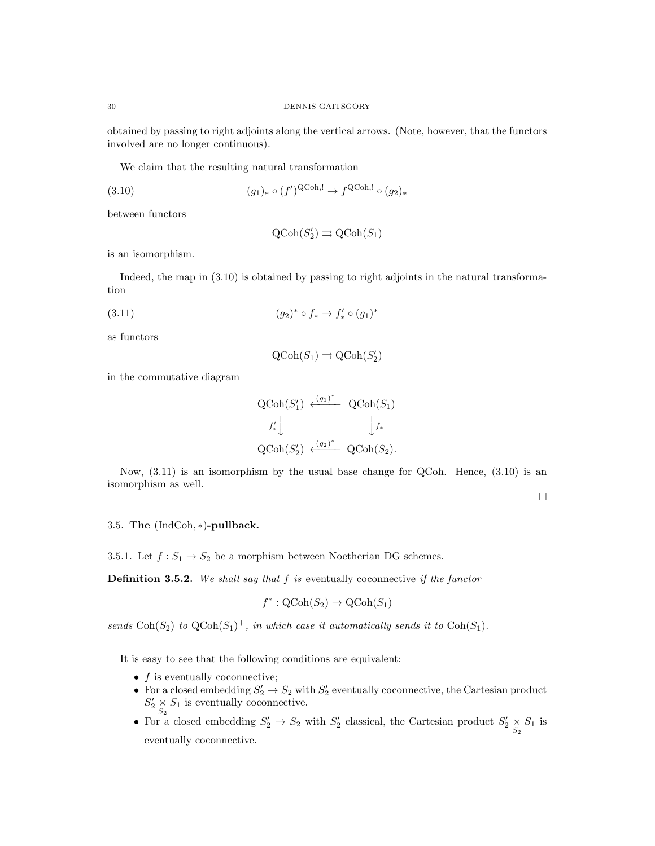obtained by passing to right adjoints along the vertical arrows. (Note, however, that the functors involved are no longer continuous).

We claim that the resulting natural transformation

$$
(3.10) \qquad \qquad (g_1)_* \circ (f')^{\text{QCoh},!} \to f^{\text{QCoh},!} \circ (g_2)_*
$$

between functors

$$
\text{QCoh}(S'_2) \rightrightarrows \text{QCoh}(S_1)
$$

is an isomorphism.

Indeed, the map in (3.10) is obtained by passing to right adjoints in the natural transformation

(3.11) 
$$
(g_2)^* \circ f_* \to f'_* \circ (g_1)^*
$$

as functors

$$
\text{QCoh}(S_1) \rightrightarrows \text{QCoh}(S_2')
$$

in the commutative diagram

$$
\begin{aligned}\n\text{QCoh}(S_1') &\xleftarrow{(g_1)^*} \text{QCoh}(S_1) \\
f'_* \bigcup_{\text{QCoh}(S_2') \xleftarrow{(g_2)^*} \text{QCoh}(S_2)} \text{QCoh}(S_2).\n\end{aligned}
$$

Now,  $(3.11)$  is an isomorphism by the usual base change for QCoh. Hence,  $(3.10)$  is an isomorphism as well.

 $\Box$ 

## 3.5. The (IndCoh, ∗)-pullback.

3.5.1. Let  $f: S_1 \to S_2$  be a morphism between Noetherian DG schemes.

**Definition 3.5.2.** We shall say that  $f$  is eventually coconnective if the functor

$$
f^* : \text{QCoh}(S_2) \to \text{QCoh}(S_1)
$$

sends  $\text{Coh}(S_2)$  to  $\text{QCoh}(S_1)^+$ , in which case it automatically sends it to  $\text{Coh}(S_1)$ .

It is easy to see that the following conditions are equivalent:

- $\bullet$  f is eventually coconnective;
- For a closed embedding  $S'_2 \to S_2$  with  $S'_2$  eventually coconnective, the Cartesian product  $S'_2 \underset{S_2}{\times} S_1$  is eventually coconnective.
- For a closed embedding  $S'_2 \to S_2$  with  $S'_2$  classical, the Cartesian product  $S'_2 \underset{S_2}{\times} S_1$  is eventually coconnective.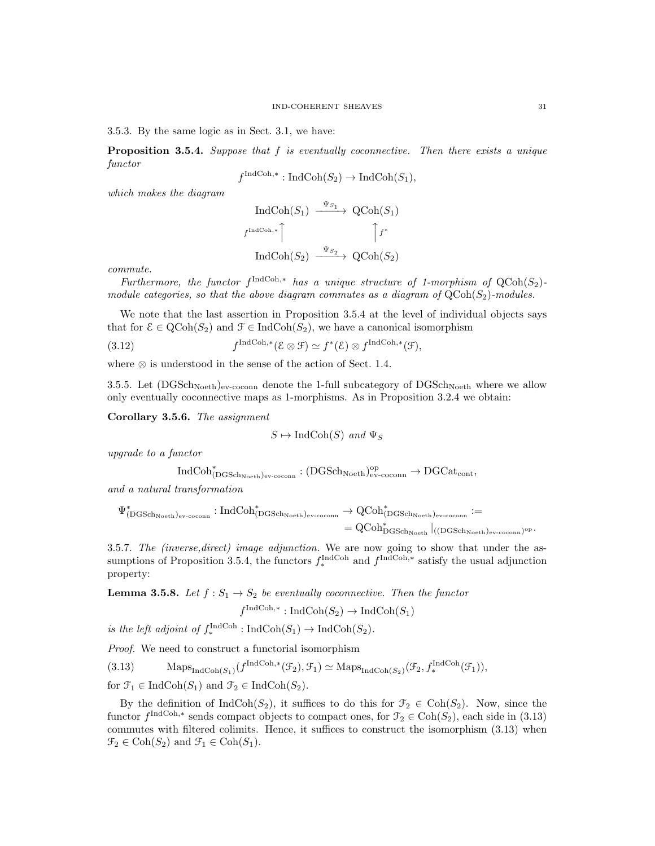3.5.3. By the same logic as in Sect. 3.1, we have:

**Proposition 3.5.4.** Suppose that  $f$  is eventually coconnective. Then there exists a unique functor

$$
f^{\text{IndCoh},*}: \text{IndCoh}(S_2) \to \text{IndCoh}(S_1),
$$

which makes the diagram

$$
\operatorname{IndCoh}(S_1) \xrightarrow{\Psi_{S_1}} \operatorname{QCoh}(S_1)
$$
  
 $f^{\operatorname{IndCoh},*}$   

$$
\uparrow f^*
$$
  

$$
\operatorname{IndCoh}(S_2) \xrightarrow{\Psi_{S_2}} \operatorname{QCoh}(S_2)
$$

commute.

Furthermore, the functor  $f^{\text{IndCoh},*}$  has a unique structure of 1-morphism of  $Q\text{Coh}(S_2)$ module categories, so that the above diagram commutes as a diagram of  $QCoh(S_2)$ -modules.

We note that the last assertion in Proposition 3.5.4 at the level of individual objects says that for  $\mathcal{E} \in \text{QCoh}(S_2)$  and  $\mathcal{F} \in \text{IndCoh}(S_2)$ , we have a canonical isomorphism

(3.12) 
$$
f^{\text{IndCoh},*}(\mathcal{E}\otimes\mathcal{F})\simeq f^{*}(\mathcal{E})\otimes f^{\text{IndCoh},*}(\mathcal{F}),
$$

where  $\otimes$  is understood in the sense of the action of Sect. 1.4.

3.5.5. Let  $(DGSch<sub>Noeth</sub>)<sub>ev-coconn</sub>$  denote the 1-full subcategory of  $DGSch<sub>Noeth</sub>$  where we allow only eventually coconnective maps as 1-morphisms. As in Proposition 3.2.4 we obtain:

Corollary 3.5.6. The assignment

$$
S \mapsto \text{IndCoh}(S) \text{ and } \Psi_S
$$

upgrade to a functor

$$
\mathrm{IndCoh}^*_{(\mathrm{DGSch}_{\mathrm{Noeth}})_{\mathrm{ev}\text{-}\mathrm{coconn}}}:(\mathrm{DGSch}_{\mathrm{Noeth}})_{\mathrm{ev}\text{-}\mathrm{coconn}}^{\mathrm{op}}\to \mathrm{DGCat}_{\mathrm{cont}},
$$

and a natural transformation

$$
\Psi^*_{(D{\rm GSch}_{\rm Noeth})_{\rm ev\text{-}coconn}}: {\rm IndCoh}^*_{(D{\rm GSch}_{\rm Noeth})_{\rm ev\text{-}coconn}} \to {\rm QCoh}^*_{(D{\rm GSch}_{\rm Noeth})_{\rm ev\text{-}coconn}}:=\\ = {\rm QCoh}^*_{D{\rm GSch}_{\rm Noeth}}|_{((D{\rm GSch}_{\rm Noeth})_{\rm ev\text{-}coconn})^{\rm op}}.
$$

3.5.7. The (inverse,direct) image adjunction. We are now going to show that under the assumptions of Proposition 3.5.4, the functors  $f_*^{\text{IndCoh}}$  and  $f^{\text{IndCoh,*}}$  satisfy the usual adjunction property:

**Lemma 3.5.8.** Let  $f: S_1 \to S_2$  be eventually coconnective. Then the functor

$$
f^{\text{IndCoh},*}: \text{IndCoh}(S_2) \to \text{IndCoh}(S_1)
$$

is the left adjoint of  $f_*^{\text{IndCoh}}: \text{IndCoh}(S_1) \to \text{IndCoh}(S_2)$ .

Proof. We need to construct a functorial isomorphism

(3.13) Maps $\text{Maps}_{\text{IndCoh}(S_1)}(f^{\text{IndCoh},*}(\mathcal{F}_2), \mathcal{F}_1) \simeq \text{Maps}_{\text{IndCoh}(S_2)}(\mathcal{F}_2, f_*^{\text{IndCoh}}(\mathcal{F}_1)),$ 

for  $\mathfrak{F}_1 \in \text{IndCoh}(S_1)$  and  $\mathfrak{F}_2 \in \text{IndCoh}(S_2)$ .

By the definition of  $\text{IndCoh}(S_2)$ , it suffices to do this for  $\mathcal{F}_2 \in \text{Coh}(S_2)$ . Now, since the functor  $f^{\text{IndCoh},*}$  sends compact objects to compact ones, for  $\mathcal{F}_2 \in \text{Coh}(S_2)$ , each side in  $(3.13)$ commutes with filtered colimits. Hence, it suffices to construct the isomorphism (3.13) when  $\mathcal{F}_2 \in \text{Coh}(S_2)$  and  $\mathcal{F}_1 \in \text{Coh}(S_1)$ .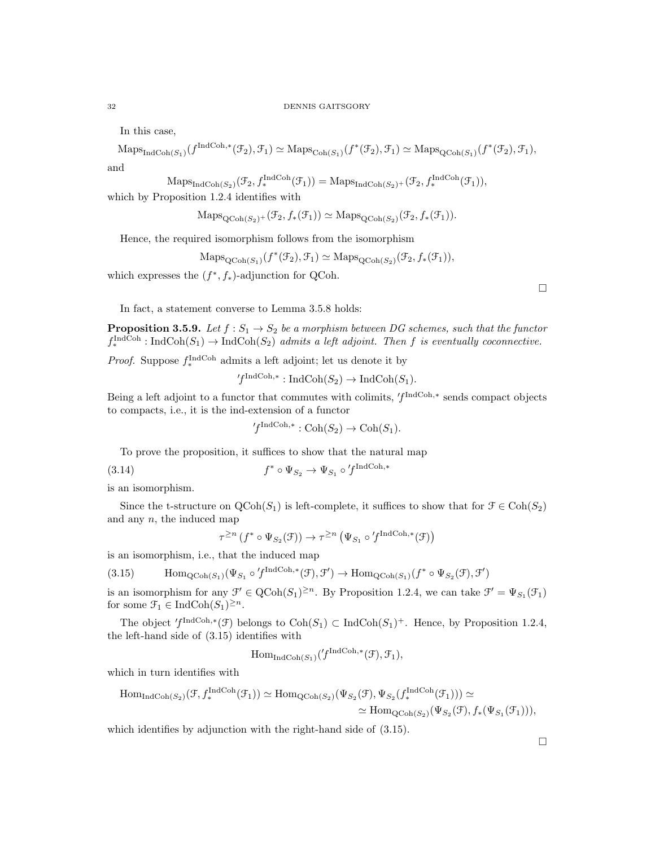In this case,

$$
\mathrm{Maps}_{\mathrm{IndCoh}(S_1)}(f^{\mathrm{IndCoh},*}(\mathcal{F}_2),\mathcal{F}_1) \simeq \mathrm{Maps}_{\mathrm{Coh}(S_1)}(f^*(\mathcal{F}_2),\mathcal{F}_1) \simeq \mathrm{Maps}_{\mathrm{QCoh}(S_1)}(f^*(\mathcal{F}_2),\mathcal{F}_1),
$$

and

$$
\text{Maps}_{\text{IndCoh}(S_2)}(\mathcal{F}_2, f_*^{\text{IndCoh}}(\mathcal{F}_1)) = \text{Maps}_{\text{IndCoh}(S_2)^+}(\mathcal{F}_2, f_*^{\text{IndCoh}}(\mathcal{F}_1)),
$$
  
which by Proposition 1.2.4 identifies with

$$
\mathrm{Maps}_{\mathrm{QCoh}(S_2)^+}(\mathcal{F}_2, f_*(\mathcal{F}_1)) \simeq \mathrm{Maps}_{\mathrm{QCoh}(S_2)}(\mathcal{F}_2, f_*(\mathcal{F}_1)).
$$

Hence, the required isomorphism follows from the isomorphism

$$
\mathrm{Maps}_{\mathrm{QCoh}(S_1)}(f^*(\mathcal{F}_2), \mathcal{F}_1) \simeq \mathrm{Maps}_{\mathrm{QCoh}(S_2)}(\mathcal{F}_2, f_*(\mathcal{F}_1)),
$$

which expresses the  $(f^*, f_*)$ -adjunction for QCoh.

 $\Box$ 

In fact, a statement converse to Lemma 3.5.8 holds:

**Proposition 3.5.9.** Let  $f : S_1 \to S_2$  be a morphism between DG schemes, such that the functor  $f_*^{\text{IndCoh}}: \text{IndCoh}(S_1) \to \text{IndCoh}(S_2)$  admits a left adjoint. Then f is eventually coconnective.

*Proof.* Suppose  $f_*^{\text{IndCoh}}$  admits a left adjoint; let us denote it by

$$
f^{\text{IndCoh},*}: \text{IndCoh}(S_2) \to \text{IndCoh}(S_1).
$$

Being a left adjoint to a functor that commutes with colimits,  $'f^{\text{IndCoh},*}$  sends compact objects to compacts, i.e., it is the ind-extension of a functor

$$
{}'f^{\text{IndCoh},*}: \text{Coh}(S_2) \to \text{Coh}(S_1).
$$

To prove the proposition, it suffices to show that the natural map

(3.14) 
$$
f^* \circ \Psi_{S_2} \to \Psi_{S_1} \circ f^{\text{IndCoh},*}
$$

is an isomorphism.

Since the t-structure on  $\text{QCoh}(S_1)$  is left-complete, it suffices to show that for  $\mathcal{F} \in \text{Coh}(S_2)$ and any  $n$ , the induced map

$$
\tau^{\geq n} (f^* \circ \Psi_{S_2}(\mathcal{F})) \to \tau^{\geq n} (\Psi_{S_1} \circ f^{\text{IndCoh},*}(\mathcal{F}))
$$

is an isomorphism, i.e., that the induced map

(3.15) 
$$
\text{Hom}_{\text{QCoh}(S_1)}(\Psi_{S_1} \circ f^{\text{IndCoh},*}(\mathcal{F}), \mathcal{F}') \to \text{Hom}_{\text{QCoh}(S_1)}(f^* \circ \Psi_{S_2}(\mathcal{F}), \mathcal{F}')
$$

is an isomorphism for any  $\mathcal{F}' \in \text{QCoh}(S_1)^{\geq n}$ . By Proposition 1.2.4, we can take  $\mathcal{F}' = \Psi_{S_1}(\mathcal{F}_1)$ for some  $\mathfrak{F}_1 \in \text{IndCoh}(S_1)^{\geq n}$ .

The object  $f^{\text{IndCoh},*}(\mathcal{F})$  belongs to  $\text{Coh}(S_1) \subset \text{IndCoh}(S_1)^+$ . Hence, by Proposition 1.2.4, the left-hand side of (3.15) identifies with

$$
\mathrm{Hom}_{\mathrm{IndCoh}(S_1)}('f^{\mathrm{IndCoh},*}(\mathcal{F}),\mathcal{F}_1),
$$

which in turn identifies with

$$
\mathrm{Hom}_{\mathrm{IndCoh}(S_2)}(\mathcal{F}, f_*^{\mathrm{IndCoh}}(\mathcal{F}_1)) \simeq \mathrm{Hom}_{\mathrm{QCoh}(S_2)}(\Psi_{S_2}(\mathcal{F}), \Psi_{S_2}(f_*^{\mathrm{IndCoh}}(\mathcal{F}_1))) \simeq \\ \simeq \mathrm{Hom}_{\mathrm{QCoh}(S_2)}(\Psi_{S_2}(\mathcal{F}), f_*(\Psi_{S_1}(\mathcal{F}_1))),
$$

which identifies by adjunction with the right-hand side of  $(3.15)$ .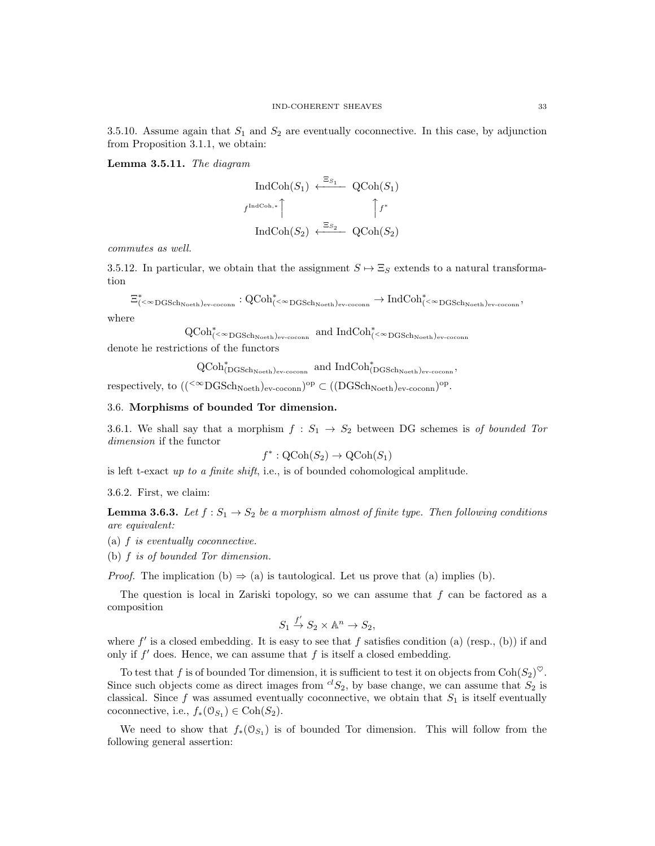3.5.10. Assume again that  $S_1$  and  $S_2$  are eventually coconnective. In this case, by adjunction from Proposition 3.1.1, we obtain:

Lemma 3.5.11. The diagram

$$
\text{IndCoh}(S_1) \xleftarrow{\Xi_{S_1}} \text{QCoh}(S_1)
$$
\n
$$
f^{\text{IndCoh},*} \qquad \qquad \uparrow f^*
$$
\n
$$
\text{IndCoh}(S_2) \xleftarrow{\Xi_{S_2}} \text{QCoh}(S_2)
$$

commutes as well.

3.5.12. In particular, we obtain that the assignment  $S \mapsto \Xi_S$  extends to a natural transformation

$$
\Xi^*_{(<\infty{\rm DGSch}_{\rm Noeth})_{\rm ev\text{-}coconn}}: \operatorname{QCoh}^*_{(<\infty{\rm DGSch}_{\rm Noeth})_{\rm ev\text{-}coconn}}\to \operatorname{IndCoh}^*_{(<\infty{\rm DGSch}_{\rm Noeth})_{\rm ev\text{-}coconn}},
$$

where

 $\operatorname{QCoh}_{(\lt^{\infty}\mathrm{DGSch}_{\mathrm{Noeth}}) \mathrm{ev-coconn}}^*$  and  $\operatorname{IndCoh}_{(\lt^{\infty}\mathrm{DGSch}_{\mathrm{Noeth}}) \mathrm{ev-coconn}}^*$ denote he restrictions of the functors

 $\operatorname{QCoh}^*_{(\operatorname{DGSch}_{{\operatorname{Noeth}}})_{\operatorname{ev-cocomn}}}$  and  $\operatorname{IndCoh}^*_{(\operatorname{DGSch}_{{\operatorname{Noeth}}})_{\operatorname{ev-cocomn}}},$ 

respectively, to  $((<sup>{\infty}</sup> DGSch<sub>Noeth</sub>)<sub>ev-coconn</sub>)<sup>op</sup> \subset ((DGSch<sub>Noeth</sub>)<sub>ev-coconn</sub>)<sup>op</sup>.$ 

# 3.6. Morphisms of bounded Tor dimension.

3.6.1. We shall say that a morphism  $f : S_1 \rightarrow S_2$  between DG schemes is of bounded Tor dimension if the functor

$$
f^*: \mathrm{QCoh}(S_2) \to \mathrm{QCoh}(S_1)
$$

is left t-exact up to a finite shift, i.e., is of bounded cohomological amplitude.

3.6.2. First, we claim:

**Lemma 3.6.3.** Let  $f: S_1 \to S_2$  be a morphism almost of finite type. Then following conditions are equivalent:

(a) f is eventually coconnective.

(b) f is of bounded Tor dimension.

*Proof.* The implication (b)  $\Rightarrow$  (a) is tautological. Let us prove that (a) implies (b).

The question is local in Zariski topology, so we can assume that  $f$  can be factored as a composition

$$
S_1 \xrightarrow{f'} S_2 \times \mathbb{A}^n \to S_2,
$$

where  $f'$  is a closed embedding. It is easy to see that f satisfies condition (a) (resp., (b)) if and only if  $f'$  does. Hence, we can assume that  $f$  is itself a closed embedding.

To test that f is of bounded Tor dimension, it is sufficient to test it on objects from  $\text{Coh}(S_2)^\heartsuit$ . Since such objects come as direct images from  ${}^{cl}S_2$ , by base change, we can assume that  $S_2$  is classical. Since  $f$  was assumed eventually coconnective, we obtain that  $S_1$  is itself eventually coconnective, i.e.,  $f_*(\mathcal{O}_{S_1}) \in \text{Coh}(S_2)$ .

We need to show that  $f_*(0_{S_1})$  is of bounded Tor dimension. This will follow from the following general assertion: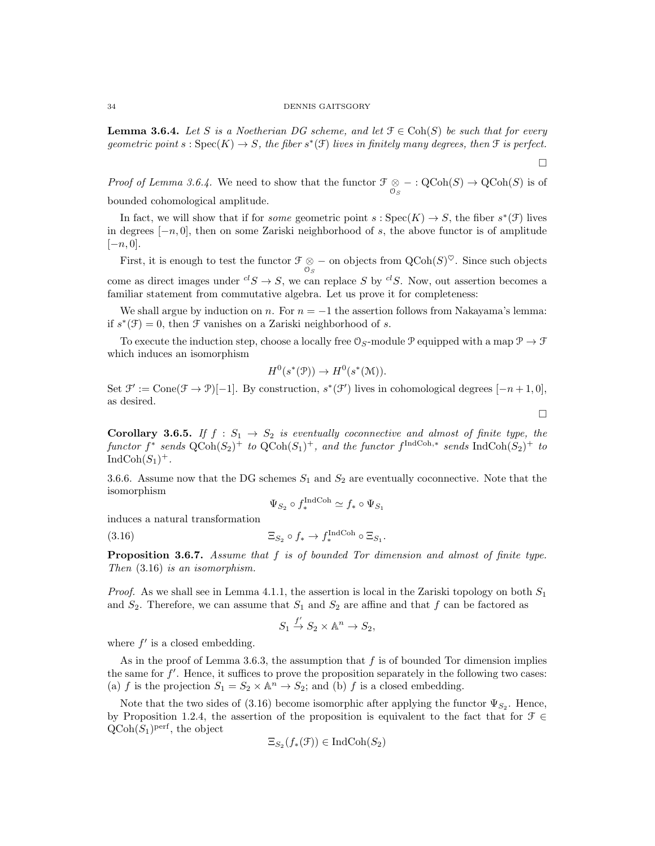**Lemma 3.6.4.** Let S is a Noetherian DG scheme, and let  $\mathcal{F} \in \text{Coh}(S)$  be such that for every geometric point  $s : \text{Spec}(K) \to S$ , the fiber  $s^*(\mathfrak{F})$  lives in finitely many degrees, then  $\mathfrak{F}$  is perfect.

 $\Box$ 

 $\Box$ 

*Proof of Lemma 3.6.4.* We need to show that the functor  $\mathcal{F} \otimes - : \text{QCoh}(S) \to \text{QCoh}(S)$  is of bounded cohomological amplitude.

In fact, we will show that if for *some* geometric point  $s : \text{Spec}(K) \to S$ , the fiber  $s^*(\mathfrak{F})$  lives in degrees  $[-n, 0]$ , then on some Zariski neighborhood of s, the above functor is of amplitude  $[-n, 0].$ 

First, it is enough to test the functor  $\mathcal{F} \otimes -$  on objects from  $\mathrm{QCoh}(S)^\heartsuit$ . Since such objects come as direct images under  ${}^{cl}S \rightarrow S$ , we can replace S by  ${}^{cl}S$ . Now, out assertion becomes a familiar statement from commutative algebra. Let us prove it for completeness:

We shall argue by induction on n. For  $n = -1$  the assertion follows from Nakayama's lemma: if  $s^*(\mathcal{F}) = 0$ , then  $\mathcal F$  vanishes on a Zariski neighborhood of s.

To execute the induction step, choose a locally free  $\mathcal{O}_S$ -module P equipped with a map  $\mathcal{P} \to \mathcal{F}$ which induces an isomorphism

$$
H^0(s^*(\mathfrak{P})) \to H^0(s^*(\mathfrak{M})).
$$

Set  $\mathcal{F}' := \text{Cone}(\mathcal{F} \to \mathcal{P})[-1]$ . By construction,  $s^*(\mathcal{F}')$  lives in cohomological degrees  $[-n+1,0]$ , as desired.

Corollary 3.6.5. If  $f : S_1 \rightarrow S_2$  is eventually coconnective and almost of finite type, the functor  $f^*$  sends  $\text{QCoh}(S_2)^+$  to  $\text{QCoh}(S_1)^+$ , and the functor  $f^{\text{IndCoh},*}$  sends  $\text{IndCoh}(S_2)^+$  to  $\text{IndCoh}(S_1)^+.$ 

3.6.6. Assume now that the DG schemes  $S_1$  and  $S_2$  are eventually coconnective. Note that the isomorphism

$$
\Psi_{S_2} \circ f^{\text{IndCoh}}_* \simeq f_* \circ \Psi_{S_1}
$$

induces a natural transformation

(3.16) 
$$
\Xi_{S_2} \circ f_* \to f_*^{\text{IndCoh}} \circ \Xi_{S_1}.
$$

Proposition 3.6.7. Assume that f is of bounded Tor dimension and almost of finite type. Then (3.16) is an isomorphism.

*Proof.* As we shall see in Lemma 4.1.1, the assertion is local in the Zariski topology on both  $S_1$ and  $S_2$ . Therefore, we can assume that  $S_1$  and  $S_2$  are affine and that f can be factored as

$$
S_1 \xrightarrow{f'} S_2 \times \mathbb{A}^n \to S_2,
$$

where  $f'$  is a closed embedding.

As in the proof of Lemma 3.6.3, the assumption that  $f$  is of bounded Tor dimension implies the same for  $f'$ . Hence, it suffices to prove the proposition separately in the following two cases: (a) f is the projection  $S_1 = S_2 \times \mathbb{A}^n \to S_2$ ; and (b) f is a closed embedding.

Note that the two sides of (3.16) become isomorphic after applying the functor  $\Psi_{S_2}$ . Hence, by Proposition 1.2.4, the assertion of the proposition is equivalent to the fact that for  $\mathcal{F} \in$  $\mathrm{QCoh}(S_1)^\mathrm{perf}$ , the object

$$
\Xi_{S_2}(f_*(\mathfrak{F})) \in \mathrm{IndCoh}(S_2)
$$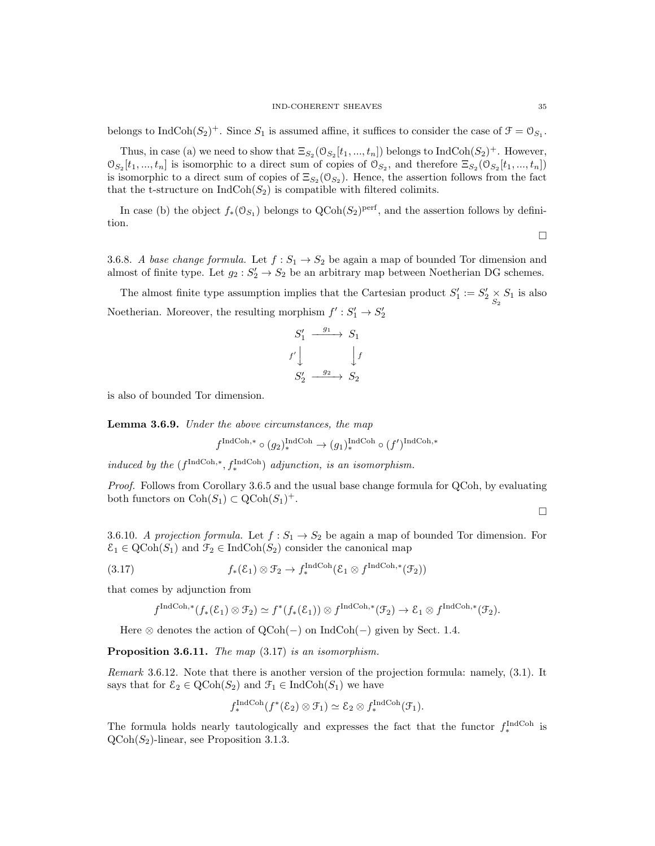belongs to  $\text{IndCoh}(S_2)^+$ . Since  $S_1$  is assumed affine, it suffices to consider the case of  $\mathcal{F} = \mathcal{O}_{S_1}$ .

Thus, in case (a) we need to show that  $\Xi_{S_2}(\mathcal{O}_{S_2}[t_1, ..., t_n])$  belongs to  $\text{IndCoh}(S_2)^+$ . However,  $\mathcal{O}_{S_2}[t_1, ..., t_n]$  is isomorphic to a direct sum of copies of  $\mathcal{O}_{S_2}$ , and therefore  $\Xi_{S_2}(\mathcal{O}_{S_2}[t_1, ..., t_n])$ is isomorphic to a direct sum of copies of  $\Xi_{S_2}(\mathcal{O}_{S_2})$ . Hence, the assertion follows from the fact that the t-structure on  $\text{IndCoh}(S_2)$  is compatible with filtered colimits.

In case (b) the object  $f_*(\mathcal{O}_{S_1})$  belongs to  $\text{QCoh}(S_2)^\text{perf}$ , and the assertion follows by definition.

3.6.8. A base change formula. Let  $f: S_1 \to S_2$  be again a map of bounded Tor dimension and almost of finite type. Let  $g_2: S_2' \to S_2$  be an arbitrary map between Noetherian DG schemes.

The almost finite type assumption implies that the Cartesian product  $S'_1 := S'_2 \underset{S_2}{\times} S_1$  is also Noetherian. Moreover, the resulting morphism  $f': S'_1 \to S'_2$ 

$$
\begin{array}{ccc}\nS_1' & \xrightarrow{g_1} & S_1 \\
f' & & \downarrow f \\
S_2' & \xrightarrow{g_2} & S_2\n\end{array}
$$

is also of bounded Tor dimension.

Lemma 3.6.9. Under the above circumstances, the map

$$
f^{\operatorname{IndCoh},*} \circ (g_2)^{\operatorname{IndCoh}}_*(g_1)^{\operatorname{IndCoh}}_*(f')^{\operatorname{IndCoh},*}
$$

induced by the  $(f^{\text{IndCoh},*}, f^{\text{IndCoh}}_*)$  adjunction, is an isomorphism.

Proof. Follows from Corollary 3.6.5 and the usual base change formula for QCoh, by evaluating both functors on  $\text{Coh}(S_1) \subset \text{QCoh}(S_1)^+$ .

 $\Box$ 

3.6.10. A projection formula. Let  $f: S_1 \to S_2$  be again a map of bounded Tor dimension. For  $\mathcal{E}_1 \in \text{QCoh}(S_1)$  and  $\mathcal{F}_2 \in \text{IndCoh}(S_2)$  consider the canonical map

(3.17) 
$$
f_*(\mathcal{E}_1) \otimes \mathcal{F}_2 \to f_*^{\text{IndCoh}}(\mathcal{E}_1 \otimes f^{\text{IndCoh},*}(\mathcal{F}_2))
$$

that comes by adjunction from

$$
f^{\text{IndCoh},*}(f_*(\mathcal{E}_1) \otimes \mathcal{F}_2) \simeq f^*(f_*(\mathcal{E}_1)) \otimes f^{\text{IndCoh},*}(\mathcal{F}_2) \to \mathcal{E}_1 \otimes f^{\text{IndCoh},*}(\mathcal{F}_2).
$$

Here  $\otimes$  denotes the action of QCoh(-) on IndCoh(-) given by Sect. 1.4.

Proposition 3.6.11. The map  $(3.17)$  is an isomorphism.

Remark 3.6.12. Note that there is another version of the projection formula: namely, (3.1). It says that for  $\mathcal{E}_2 \in \text{QCoh}(S_2)$  and  $\mathcal{F}_1 \in \text{IndCoh}(S_1)$  we have

$$
f_*^{\text{IndCoh}}(f^*(\mathcal{E}_2) \otimes \mathcal{F}_1) \simeq \mathcal{E}_2 \otimes f_*^{\text{IndCoh}}(\mathcal{F}_1).
$$

The formula holds nearly tautologically and expresses the fact that the functor  $f_*^{\text{IndCoh}}$  is  $QCoh(S_2)$ -linear, see Proposition 3.1.3.

 $\Box$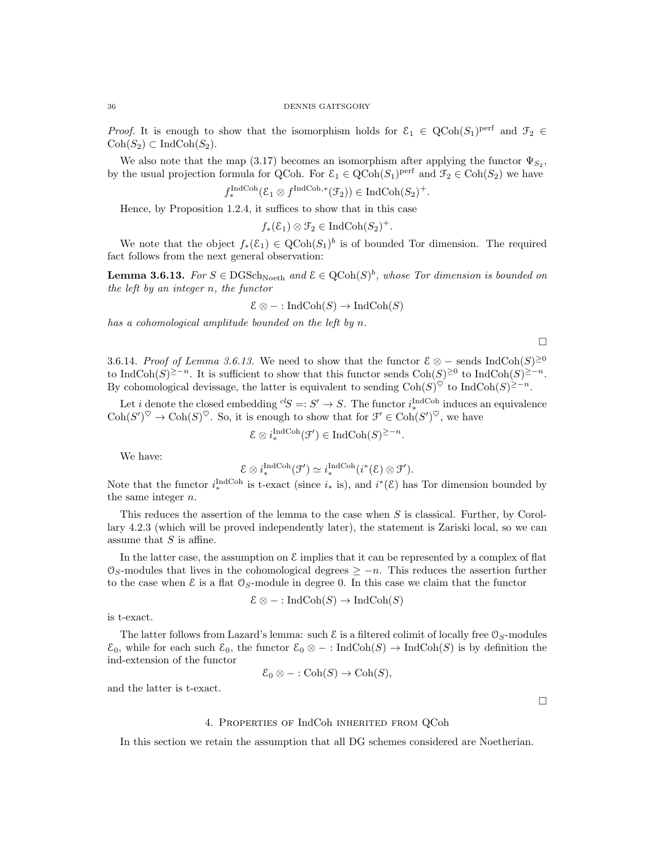*Proof.* It is enough to show that the isomorphism holds for  $\mathcal{E}_1 \in \text{QCoh}(S_1)$ <sup>perf</sup> and  $\mathcal{F}_2 \in$  $\text{Coh}(S_2) \subset \text{IndCoh}(S_2).$ 

We also note that the map (3.17) becomes an isomorphism after applying the functor  $\Psi_{S_2}$ , by the usual projection formula for QCoh. For  $\mathcal{E}_1 \in \text{QCoh}(S_1)^{\text{perf}}$  and  $\mathcal{F}_2 \in \text{Coh}(S_2)$  we have

$$
f_*^{\text{IndCoh}}(\mathcal{E}_1 \otimes f^{\text{IndCoh},*}(\mathcal{F}_2)) \in \text{IndCoh}(S_2)^+.
$$

Hence, by Proposition 1.2.4, it suffices to show that in this case

$$
f_*(\mathcal{E}_1) \otimes \mathcal{F}_2 \in \mathrm{IndCoh}(S_2)^+.
$$

We note that the object  $f_*(\mathcal{E}_1) \in \mathrm{QCoh}(S_1)^b$  is of bounded Tor dimension. The required fact follows from the next general observation:

**Lemma 3.6.13.** For  $S \in \text{DGSch}_{\text{Noeth}}$  and  $\mathcal{E} \in \text{QCoh}(S)^b$ , whose Tor dimension is bounded on the left by an integer n, the functor

$$
\mathcal{E} \otimes - : \text{IndCoh}(S) \to \text{IndCoh}(S)
$$

has a cohomological amplitude bounded on the left by n.

3.6.14. Proof of Lemma 3.6.13. We need to show that the functor  $\mathcal{E} \otimes -$  sends IndCoh(S)<sup>≥0</sup> to IndCoh(S)<sup>≥−n</sup>. It is sufficient to show that this functor sends  $\text{Coh}(S)^{\geq 0}$  to IndCoh(S)<sup>≥−n</sup>. By cohomological devissage, the latter is equivalent to sending  $\text{Coh}(S)^{\heartsuit}$  to  $\text{IndCoh}(S)^{\geq -n}$ .

 $\Box$ 

 $\Box$ 

Let *i* denote the closed embedding  ${}^{cl}S =: S' \rightarrow S$ . The functor  $i_{*}^{\text{IndCoh}}$  induces an equivalence  $\mathrm{Coh}(S')^{\heartsuit} \to \mathrm{Coh}(S)^{\heartsuit}$ . So, it is enough to show that for  $\mathfrak{F}' \in \mathrm{Coh}(S')^{\heartsuit}$ , we have

$$
\mathcal{E} \otimes i^{\text{IndCoh}}_{*}(\mathcal{F}') \in \text{IndCoh}(S)^{\geq -n}
$$

.

We have:

 $\mathcal{E} \otimes i_*^{\text{IndCoh}}(\mathcal{F}') \simeq i_*^{\text{IndCoh}}(i^*(\mathcal{E}) \otimes \mathcal{F}').$ 

Note that the functor  $i^{\text{IndCoh}}_*$  is t-exact (since  $i_*$  is), and  $i^*(\mathcal{E})$  has Tor dimension bounded by the same integer n.

This reduces the assertion of the lemma to the case when S is classical. Further, by Corollary 4.2.3 (which will be proved independently later), the statement is Zariski local, so we can assume that  $S$  is affine.

In the latter case, the assumption on  $\mathcal E$  implies that it can be represented by a complex of flat  $\mathcal{O}_S$ -modules that lives in the cohomological degrees  $\geq -n$ . This reduces the assertion further to the case when  $\mathcal E$  is a flat  $\mathcal O_S$ -module in degree 0. In this case we claim that the functor

$$
\mathcal{E} \otimes - : \text{IndCoh}(S) \to \text{IndCoh}(S)
$$

is t-exact.

The latter follows from Lazard's lemma: such  $\mathcal E$  is a filtered colimit of locally free  $\mathcal O_S$ -modules  $\mathcal{E}_0$ , while for each such  $\mathcal{E}_0$ , the functor  $\mathcal{E}_0 \otimes -$ : IndCoh(S)  $\rightarrow$  IndCoh(S) is by definition the ind-extension of the functor

$$
\mathcal{E}_0 \otimes - : \mathrm{Coh}(S) \to \mathrm{Coh}(S),
$$

and the latter is t-exact.

## 4. Properties of IndCoh inherited from QCoh

In this section we retain the assumption that all DG schemes considered are Noetherian.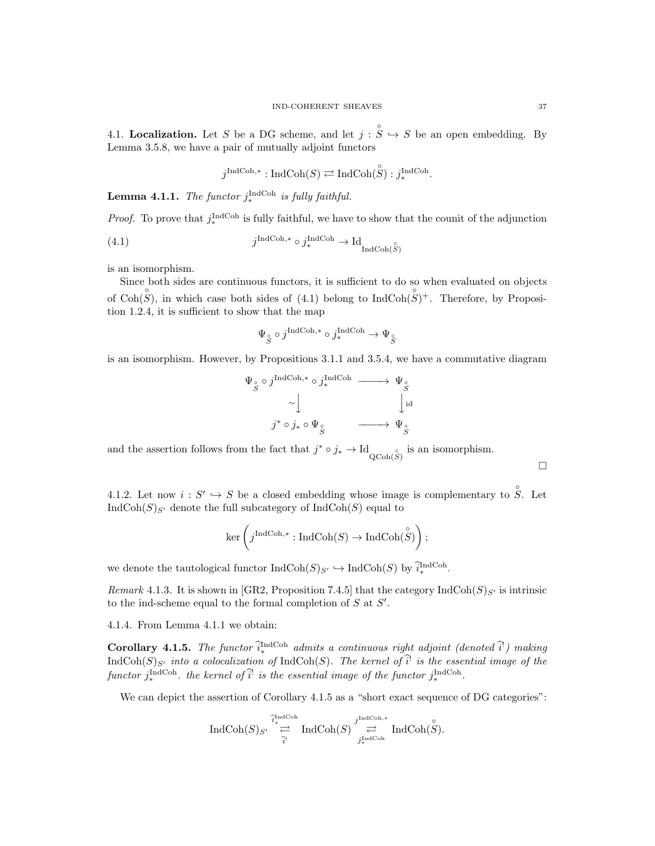4.1. Localization. Let S be a DG scheme, and let  $j : \overset{\circ}{S} \hookrightarrow S$  be an open embedding. By Lemma 3.5.8, we have a pair of mutually adjoint functors

$$
j^{\text{IndCoh},*}: \text{IndCoh}(S) \rightleftarrows \text{IndCoh}(\overset{\circ}{S}) : j^{\text{IndCoh}}_{*}.
$$

**Lemma 4.1.1.** The functor  $j_{*}^{\text{IndCoh}}$  is fully faithful.

*Proof.* To prove that  $j^{\text{IndCoh}}_*$  is fully faithful, we have to show that the counit of the adjunction

(4.1) 
$$
j^{\text{IndCoh},*} \circ j^{\text{IndCoh}}_{*} \to \text{Id}_{\text{IndCoh}(\overset{\circ}{S})}
$$

is an isomorphism.

Since both sides are continuous functors, it is sufficient to do so when evaluated on objects of Coh $(S)$ , in which case both sides of (4.1) belong to IndCoh $(S)$ <sup>+</sup>. Therefore, by Proposition 1.2.4, it is sufficient to show that the map

$$
\Psi_{S} \circ j^{\text{IndCoh},*} \circ j^{\text{IndCoh}}_{*} \to \Psi_{S}^{}
$$

is an isomorphism. However, by Propositions 3.1.1 and 3.5.4, we have a commutative diagram

$$
\Psi_{\overset{\circ}{S}} \circ j^{\text{IndCoh},*} \circ j^{\text{IndCoh}}_{*} \longrightarrow \Psi_{\overset{\circ}{S}} \longrightarrow \bigcup_{j^* \circ j_* \circ \Psi_{\overset{\circ}{S}}} \qquad \qquad \downarrow id
$$

and the assertion follows from the fact that  $j^* \circ j_* \to \mathrm{Id}_{Q\mathrm{Coh}(S)}$  is an isomorphism.

4.1.2. Let now  $i: S' \hookrightarrow S$  be a closed embedding whose image is complementary to  $\hat{S}$ . Let  $\text{IndCoh}(S)_{S'}$  denote the full subcategory of  $\text{IndCoh}(S)$  equal to

$$
\ker\left(j^{\operatorname{IndCoh},*}:\operatorname{IndCoh}(S)\to\operatorname{IndCoh}(\overset{\circ}{ S})\right);
$$

we denote the tautological functor  $\text{IndCoh}(S)_{S'} \hookrightarrow \text{IndCoh}(S)$  by  $\widehat{i}_*^{\text{IndCoh}}$ .

Remark 4.1.3. It is shown in [GR2, Proposition 7.4.5] that the category IndCoh( $S$ )<sub>S'</sub> is intrinsic to the ind-scheme equal to the formal completion of  $S$  at  $S'$ .

4.1.4. From Lemma 4.1.1 we obtain:

**Corollary 4.1.5.** The functor  $\hat{i}_{*}^{\text{IndCoh}}$  admits a continuous right adjoint (denoted  $\hat{i}^{\text{!}}$ ) making  $\text{IndCoh}(S)_{S'}$  into a colocalization of  $\text{IndCoh}(S)$ . The kernel of  $\hat{i}^!$  is the essential image of the functor  $j^{\text{IndCoh}}_*$  the kernel of  $\hat{i}^{\text{l}}$  is the essential image of the functor  $j^{\text{IndCoh}}_*$ .

We can depict the assertion of Corollary 4.1.5 as a "short exact sequence of DG categories":

$$
\textup{Ind}\textup{Coh}(S)_{S'} \stackrel{\widehat{i}^{\textup{Ind}\textup{Coh}}_*}{\rightleftarrows} \textup{Ind}\textup{Coh}(S) \stackrel{j^{\textup{Ind}\textup{Coh},*}}{\rightleftarrows} \textup{Ind}\textup{Coh}(\overset{\circ}{S}).
$$

 $\Box$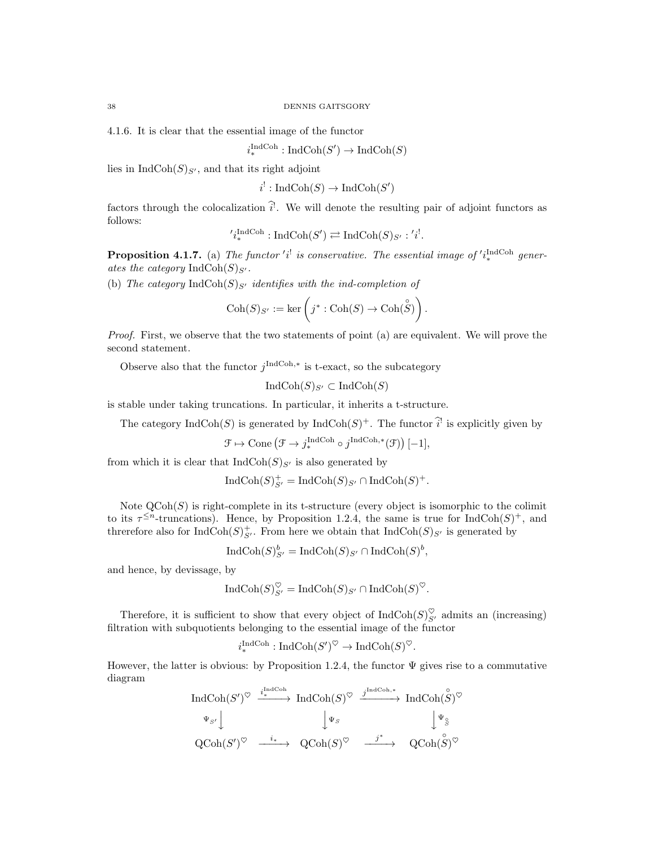4.1.6. It is clear that the essential image of the functor

$$
i^{\text{IndCoh}}_* : \text{IndCoh}(S') \to \text{IndCoh}(S)
$$

lies in  $IndCoh(S)_{S'}$ , and that its right adjoint

 $i^! : \text{IndCoh}(S) \to \text{IndCoh}(S')$ 

factors through the colocalization  $\hat{i}$ . We will denote the resulting pair of adjoint functors as follows:

$$
i_*^{\text{IndCoh}} : \text{IndCoh}(S') \rightleftarrows \text{IndCoh}(S)_{S'} : i'.
$$

**Proposition 4.1.7.** (a) The functor 'i<sup>!</sup> is conservative. The essential image of 'i<sub>\*</sub><sup>ndCoh</sup> generates the category  $\text{IndCoh}(S)_{S'}$ .

(b) The category IndCoh(S)<sub>S'</sub> identifies with the ind-completion of

$$
\mathrm{Coh}(S)_{S'} := \ker \left( j^* : \mathrm{Coh}(S) \to \mathrm{Coh}(\overset{\circ}{S}) \right).
$$

Proof. First, we observe that the two statements of point (a) are equivalent. We will prove the second statement.

Observe also that the functor  $j^{\text{IndCoh},*}$  is t-exact, so the subcategory

$$
IndCoh(S)_{S'} \subset IndCoh(S)
$$

is stable under taking truncations. In particular, it inherits a t-structure.

The category  $\text{IndCoh}(S)$  is generated by  $\text{IndCoh}(S)^+$ . The functor  $\widehat{i}^!$  is explicitly given by

$$
\mathcal{F} \mapsto \text{Cone} \left( \mathcal{F} \to j^{\text{IndCoh}}_{*} \circ j^{\text{IndCoh},*}(\mathcal{F}) \right)[-1],
$$

from which it is clear that  $IndCoh(S)_{S'}$  is also generated by

$$
Ind\text{Coh}(S)_{S'}^+ = Ind\text{Coh}(S)_{S'} \cap Ind\text{Coh}(S)^+.
$$

Note  $\mathrm{QCoh}(S)$  is right-complete in its t-structure (every object is isomorphic to the colimit to its  $\tau^{\leq n}$ -truncations). Hence, by Proposition 1.2.4, the same is true for IndCoh(S)<sup>+</sup>, and threrefore also for  $\text{IndCoh}(S)_{S'}^+$ . From here we obtain that  $\text{IndCoh}(S)_{S'}$  is generated by

$$
\operatorname{IndCoh}(S)_{S'}^b = \operatorname{IndCoh}(S)_{S'} \cap \operatorname{IndCoh}(S)^b,
$$

and hence, by devissage, by

$$
\operatorname{IndCoh}(S)_{S'}^{\heartsuit} = \operatorname{IndCoh}(S)_{S'} \cap \operatorname{IndCoh}(S)^{\heartsuit}.
$$

Therefore, it is sufficient to show that every object of  $\text{IndCoh}(S)_{S'}^{\heartsuit}$  admits an (increasing) filtration with subquotients belonging to the essential image of the functor

$$
i^{\text{IndCoh}}_{*}: \text{IndCoh}(S')^{\heartsuit} \to \text{IndCoh}(S)^{\heartsuit}.
$$

However, the latter is obvious: by Proposition 1.2.4, the functor  $\Psi$  gives rise to a commutative diagram  $\overline{1}$ 

$$
\begin{array}{ccc}\n\operatorname{IndCoh}(S')^{\heartsuit} & \xrightarrow{i_* ^{\operatorname{IndCoh}} } \operatorname{IndCoh}(S)^{\heartsuit} & \xrightarrow{j^{\operatorname{IndCoh},*}} \operatorname{IndCoh}(\overset{\circ}{S})^{\heartsuit} \\
\downarrow \Psi_{S'} \downarrow & \qquad \qquad \downarrow \Psi_{S} & \qquad \qquad \downarrow \Psi_{\overset{\circ}{S}} \\
\operatorname{QCoh}(S')^{\heartsuit} & \xrightarrow{i_*} \quad \operatorname{QCoh}(S)^{\heartsuit} & \xrightarrow{j^*} \quad \operatorname{QCoh}(\overset{\circ}{S})^{\heartsuit}\n\end{array}
$$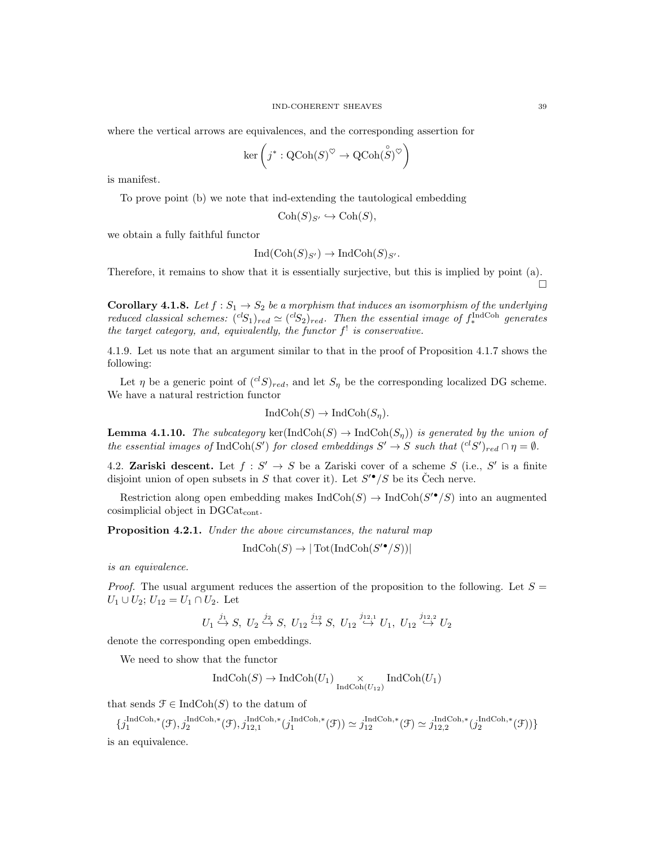where the vertical arrows are equivalences, and the corresponding assertion for

$$
\ker\left(j^*:\operatorname{QCoh}(S)^{\heartsuit}\to\operatorname{QCoh}(\overset{\circ}{S})^{\heartsuit}\right)
$$

is manifest.

To prove point (b) we note that ind-extending the tautological embedding

$$
\mathrm{Coh}(S)_{S'} \hookrightarrow \mathrm{Coh}(S),
$$

we obtain a fully faithful functor

$$
Ind(Coh(S)_{S'}) \to IndCoh(S)_{S'}.
$$

Therefore, it remains to show that it is essentially surjective, but this is implied by point (a). □

**Corollary 4.1.8.** Let  $f : S_1 \to S_2$  be a morphism that induces an isomorphism of the underlying reduced classical schemes:  $({}^{cl}S_1)_{red} \simeq ({}^{cl}S_2)_{red}$ . Then the essential image of  $f_*^{\text{IndCoh}}$  generates the target category, and, equivalently, the functor  $f^!$  is conservative.

4.1.9. Let us note that an argument similar to that in the proof of Proposition 4.1.7 shows the following:

Let  $\eta$  be a generic point of  $({}^{cl}S)_{red}$ , and let  $S_{\eta}$  be the corresponding localized DG scheme. We have a natural restriction functor

$$
IndCoh(S) \to IndCoh(S_{\eta}).
$$

**Lemma 4.1.10.** The subcategory ker(IndCoh(S)  $\rightarrow$  IndCoh(S<sub>n</sub>)) is generated by the union of the essential images of  $\text{IndCoh}(S')$  for closed embeddings  $S' \to S$  such that  $({}^{cl}S')_{red} \cap \eta = \emptyset$ .

4.2. Zariski descent. Let  $f: S' \to S$  be a Zariski cover of a scheme S (i.e., S' is a finite disjoint union of open subsets in S that cover it). Let  $S^{\prime\bullet}/S$  be its Čech nerve.

Restriction along open embedding makes  $\text{IndCoh}(S) \to \text{IndCoh}(S'^{\bullet}/S)$  into an augmented cosimplicial object in DGCat<sub>cont</sub>.

Proposition 4.2.1. Under the above circumstances, the natural map

$$
IndCoh(S) \to | \operatorname{Tot}(\operatorname{IndCoh}(S^{\prime \bullet}/S)) |
$$

is an equivalence.

*Proof.* The usual argument reduces the assertion of the proposition to the following. Let  $S =$  $U_1 \cup U_2$ ;  $U_{12} = U_1 \cap U_2$ . Let

$$
U_1 \stackrel{j_1}{\hookrightarrow} S, \ U_2 \stackrel{j_2}{\hookrightarrow} S, \ U_{12} \stackrel{j_{12}}{\hookrightarrow} S, \ U_{12} \stackrel{j_{12,1}}{\hookrightarrow} U_1, \ U_{12} \stackrel{j_{12,2}}{\hookrightarrow} U_2
$$

denote the corresponding open embeddings.

We need to show that the functor

$$
IndCoh(S) \to IndCoh(U_1) \underset{IndCoh(U_{12})}{\times} IndCoh(U_1)
$$

that sends  $\mathcal{F} \in \text{IndCoh}(S)$  to the datum of

 $\{j_1^{\mathrm{IndCoh}, *}(\mathfrak{F}), j_2^{\mathrm{IndCoh}, *}(\mathfrak{F}), j_{12, 1}^{\mathrm{IndCoh}, *}(\mathfrak{f}_1^{\mathrm{IndCoh}, *}(\mathfrak{F}))\simeq j_{12}^{\mathrm{IndCoh}, *}(\mathfrak{F})\simeq j_{12, 2}^{\mathrm{IndCoh}, *}(\mathfrak{f}_2^{\mathrm{IndCoh}, *}(\mathfrak{F}))\}$ is an equivalence.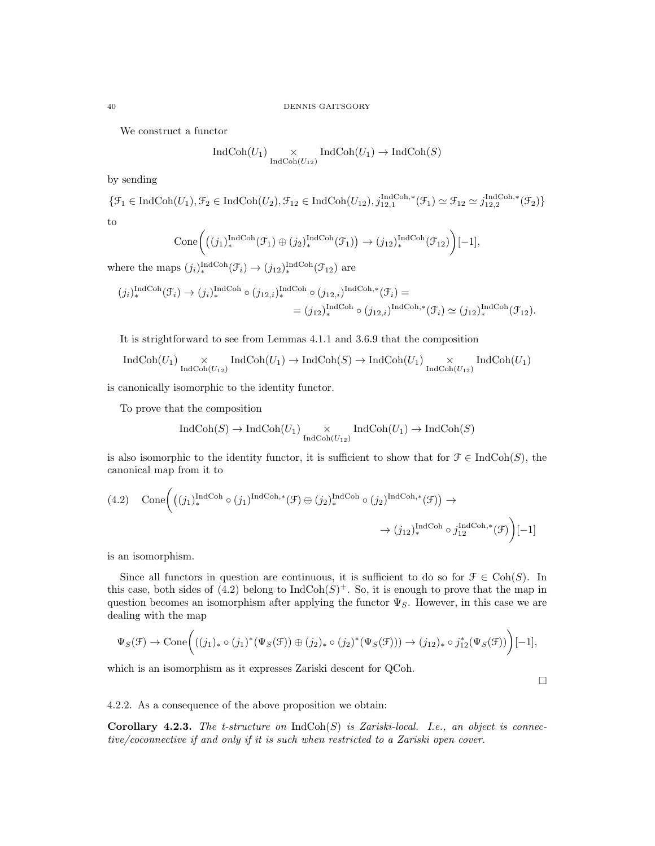We construct a functor

$$
\operatorname{IndCoh}(U_1) \underset{\operatorname{IndCoh}(U_{12})}{\times} \operatorname{IndCoh}(U_1) \to \operatorname{IndCoh}(S)
$$

by sending

$$
\{\mathcal{F}_1 \in \text{IndCoh}(U_1), \mathcal{F}_2 \in \text{IndCoh}(U_2), \mathcal{F}_{12} \in \text{IndCoh}(U_{12}), j_{12,1}^{\text{IndCoh},*}(\mathcal{F}_1) \simeq \mathcal{F}_{12} \simeq j_{12,2}^{\text{IndCoh},*}(\mathcal{F}_2)\}
$$

to

$$
Cone\bigg(\big((j_1)^{\operatorname{IndCoh}}_*(\mathfrak{F}_1)\oplus (j_2)^{\operatorname{IndCoh}}_*(\mathfrak{F}_1)\big)\to (j_{12})_*^{\operatorname{IndCoh}}(\mathfrak{F}_{12})\bigg)[-1],
$$

where the maps  $(j_i)_{*}^{\text{IndCoh}}(\mathcal{F}_i) \to (j_{12})_{*}^{\text{IndCoh}}(\mathcal{F}_{12})$  are

$$
(j_i)_*^{\text{IndCoh}}(\mathcal{F}_i) \to (j_i)_*^{\text{IndCoh}} \circ (j_{12,i})_*^{\text{IndCoh}} \circ (j_{12,i})^{\text{IndCoh},*}(\mathcal{F}_i) =
$$
  

$$
= (j_{12})_*^{\text{IndCoh}} \circ (j_{12,i})^{\text{IndCoh},*}(\mathcal{F}_i) \simeq (j_{12})_*^{\text{IndCoh}}(\mathcal{F}_{12}).
$$

It is strightforward to see from Lemmas 4.1.1 and 3.6.9 that the composition

$$
\operatorname{IndCoh}(U_1) \underset{\operatorname{IndCoh}(U_{12})}{\times} \operatorname{IndCoh}(U_1) \to \operatorname{IndCoh}(S) \to \operatorname{IndCoh}(U_1) \underset{\operatorname{IndCoh}(U_{12})}{\times} \operatorname{IndCoh}(U_1)
$$

is canonically isomorphic to the identity functor.

To prove that the composition

$$
\operatorname{IndCoh}(S)\to\operatorname{IndCoh}(U_1)\underset{\operatorname{IndCoh}(U_{12})}{\times}\operatorname{IndCoh}(U_1)\to\operatorname{IndCoh}(S)
$$

is also isomorphic to the identity functor, it is sufficient to show that for  $\mathcal{F} \in \mathrm{IndCoh}(S)$ , the canonical map from it to

$$
(4.2) \quad \text{Cone}\bigg( ((j_1)^{\text{IndCoh}} \circ (j_1)^{\text{IndCoh},*}(\mathcal{F}) \oplus (j_2)^{\text{IndCoh}} \circ (j_2)^{\text{IndCoh},*}(\mathcal{F})) \to
$$

$$
\to (j_{12})_*^{\text{IndCoh},*} \circ j_{12}^{\text{IndCoh},*}(\mathcal{F}) \bigg)[-1]
$$

is an isomorphism.

Since all functors in question are continuous, it is sufficient to do so for  $\mathcal{F} \in \text{Coh}(S)$ . In this case, both sides of (4.2) belong to  $IndCoh(S)^{+}$ . So, it is enough to prove that the map in question becomes an isomorphism after applying the functor  $\Psi_{S}$ . However, in this case we are dealing with the map

$$
\Psi_S(\mathcal{F}) \to \text{Cone}\bigg(\big((j_1)_*\circ(j_1)^*(\Psi_S(\mathcal{F}))\oplus(j_2)_*\circ(j_2)^*(\Psi_S(\mathcal{F}))\big) \to (j_{12})_*\circ j_{12}^*(\Psi_S(\mathcal{F}))\bigg)[-1],
$$

which is an isomorphism as it expresses Zariski descent for QCoh.

 $\hfill \square$ 

# 4.2.2. As a consequence of the above proposition we obtain:

Corollary 4.2.3. The t-structure on  $\text{IndCoh}(S)$  is Zariski-local. I.e., an object is connective/coconnective if and only if it is such when restricted to a Zariski open cover.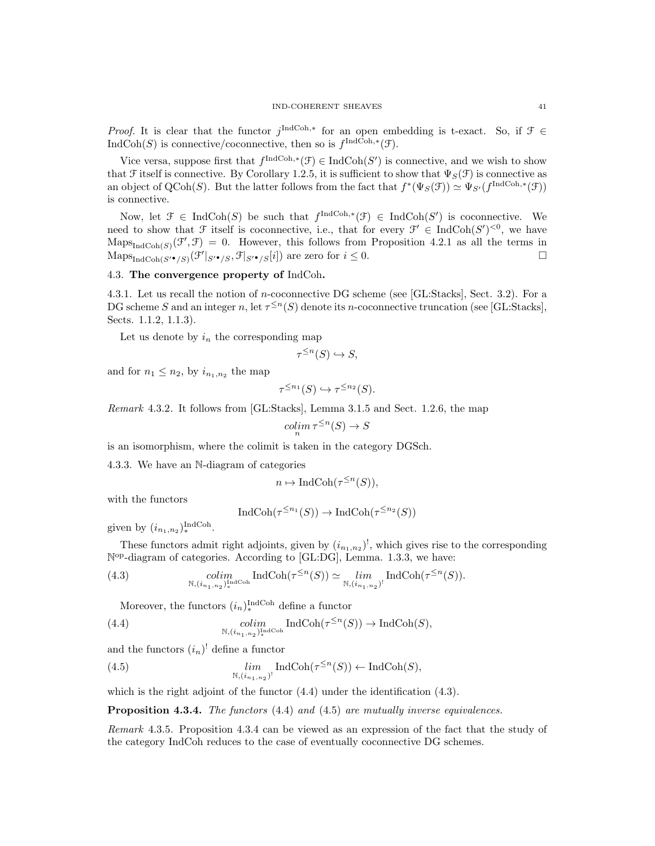*Proof.* It is clear that the functor  $j^{\text{IndCoh},*}$  for an open embedding is t-exact. So, if  $\mathcal{F} \in$ IndCoh(S) is connective/coconnective, then so is  $f^{\text{IndCoh},*}(\mathcal{F})$ .

Vice versa, suppose first that  $f^{\text{IndCoh},*}(\mathcal{F}) \in \text{IndCoh}(S')$  is connective, and we wish to show that F itself is connective. By Corollary 1.2.5, it is sufficient to show that  $\Psi_S(\mathcal{F})$  is connective as an object of QCoh(S). But the latter follows from the fact that  $f^*(\Psi_S(\mathcal{F})) \simeq \Psi_{S'}(f^{\text{IndCoh},*}(\mathcal{F}))$ is connective.

Now, let  $\mathcal{F} \in \text{IndCoh}(S)$  be such that  $f^{\text{IndCoh},*}(\mathcal{F}) \in \text{IndCoh}(S')$  is coconnective. We need to show that  $\mathcal F$  itself is coconnective, i.e., that for every  $\mathcal F' \in \text{IndCoh}(S')^{<0}$ , we have  $\text{Maps}_{\text{IndCoh}(S)}(\mathcal{F}', \mathcal{F}) = 0.$  However, this follows from Proposition 4.2.1 as all the terms in  $\text{Maps}_{\text{IndCoh}(S' \bullet / S)}(\mathcal{F}'|_{S' \bullet / S}, \mathcal{F}|_{S' \bullet / S}[i])$  are zero for  $i \leq 0$ .

#### 4.3. The convergence property of IndCoh.

4.3.1. Let us recall the notion of n-coconnective DG scheme (see [GL:Stacks], Sect. 3.2). For a DG scheme S and an integer n, let  $\tau^{\leq n}(S)$  denote its n-coconnective truncation (see [GL:Stacks], Sects. 1.1.2, 1.1.3).

Let us denote by  $i_n$  the corresponding map

$$
\tau^{\leq n}(S) \hookrightarrow S,
$$

and for  $n_1 \leq n_2$ , by  $i_{n_1,n_2}$  the map

$$
\tau^{\leq n_1}(S) \hookrightarrow \tau^{\leq n_2}(S).
$$

Remark 4.3.2. It follows from [GL:Stacks], Lemma 3.1.5 and Sect. 1.2.6, the map

$$
\operatorname{colim}_n \tau^{\leq n}(S) \to S
$$

is an isomorphism, where the colimit is taken in the category DGSch.

4.3.3. We have an N-diagram of categories

$$
n \mapsto \text{IndCoh}(\tau^{\leq n}(S)),
$$

with the functors

$$
IndCoh(\tau^{\leq n_1}(S)) \to IndCoh(\tau^{\leq n_2}(S))
$$

given by  $(i_{n_1,n_2})_*^{\text{IndCoh}}.$ 

These functors admit right adjoints, given by  $(i_{n_1,n_2})^!$ , which gives rise to the corresponding N<sup>op</sup>-diagram of categories. According to [GL:DG], Lemma. 1.3.3, we have:

(4.3) 
$$
\underset{\mathbb{N}, (i_{n_1,n_2})^{\text{Ind}}_{\ast} \text{Ind}}{\text{colim}} \text{IndCoh}(\tau^{\leq n}(S)) \simeq \underset{\mathbb{N}, (i_{n_1,n_2})^!}{\text{lim}} \text{IndCoh}(\tau^{\leq n}(S)).
$$

Moreover, the functors  $(i_n)_*^{\text{IndCoh}}$  define a functor

(4.4) 
$$
\underset{\mathbb{N}, (i_{n_1,n_2})^{\text{Ind}}_{\ast}}{\text{colim}} \text{IndCoh}(\tau^{\leq n}(S)) \to \text{IndCoh}(S),
$$

and the functors  $(i_n)$ <sup>!</sup> define a functor

(4.5) 
$$
\lim_{\mathbb{N}, (i_{n_1,n_2})^!} \operatorname{IndCoh}(\tau^{\leq n}(S)) \leftarrow \operatorname{IndCoh}(S),
$$

which is the right adjoint of the functor  $(4.4)$  under the identification  $(4.3)$ .

Proposition 4.3.4. The functors (4.4) and (4.5) are mutually inverse equivalences.

Remark 4.3.5. Proposition 4.3.4 can be viewed as an expression of the fact that the study of the category IndCoh reduces to the case of eventually coconnective DG schemes.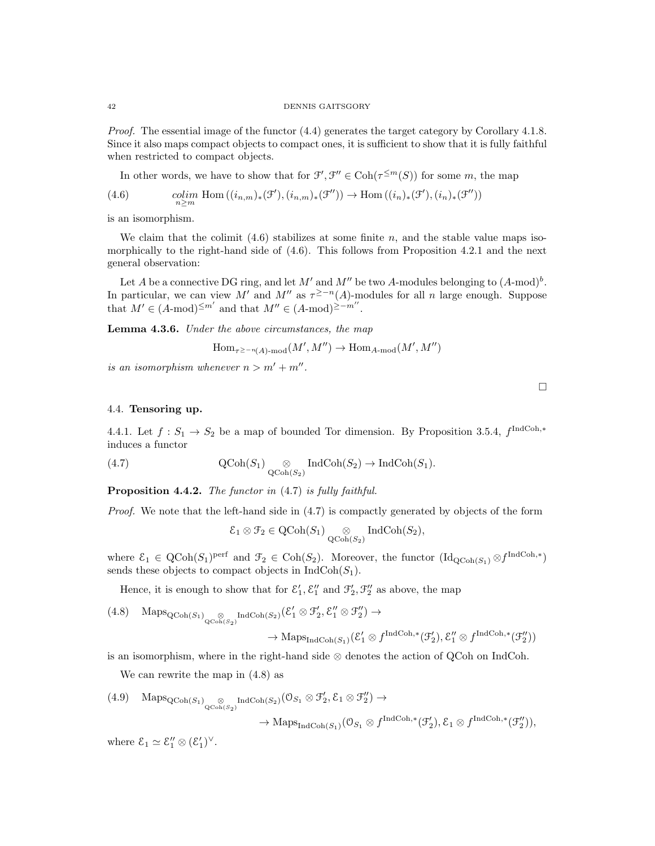Proof. The essential image of the functor  $(4.4)$  generates the target category by Corollary 4.1.8. Since it also maps compact objects to compact ones, it is sufficient to show that it is fully faithful when restricted to compact objects.

In other words, we have to show that for  $\mathcal{F}', \mathcal{F}'' \in \text{Coh}(\tau^{\leq m}(S))$  for some m, the map

(4.6) 
$$
\underset{n\geq m}{colim} \text{ Hom}\left((i_{n,m})_*(\mathcal{F}'),(i_{n,m})_*(\mathcal{F}'')\right) \to \text{Hom}\left((i_n)_*(\mathcal{F}'),(i_n)_*(\mathcal{F}'')\right)
$$

is an isomorphism.

We claim that the colimit  $(4.6)$  stabilizes at some finite n, and the stable value maps isomorphically to the right-hand side of (4.6). This follows from Proposition 4.2.1 and the next general observation:

Let A be a connective DG ring, and let M' and M'' be two A-modules belonging to  $(A\text{-mod})^b$ . In particular, we can view M' and M" as  $\tau^{\geq -n}(A)$ -modules for all n large enough. Suppose that  $M' \in (A\text{-mod})^{\leq m'}$  and that  $M'' \in (A\text{-mod})^{\geq -m''}$ .

Lemma 4.3.6. Under the above circumstances, the map

$$
\operatorname{Hom}\nolimits_{\tau^{\geq -n}(A)\operatorname{\!-mod}\nolimits}(M',M'')\to \operatorname{Hom}\nolimits_{A\operatorname{\!-mod}\nolimits}(M',M'')
$$

is an isomorphism whenever  $n > m' + m''$ .

4.4. Tensoring up.

4.4.1. Let  $f: S_1 \to S_2$  be a map of bounded Tor dimension. By Proposition 3.5.4,  $f^{\text{IndCoh},*}$ induces a functor

(4.7) 
$$
\operatorname{QCoh}(S_1) \underset{\operatorname{QCoh}(S_2)}{\otimes} \operatorname{IndCoh}(S_2) \to \operatorname{IndCoh}(S_1).
$$

Proposition 4.4.2. The functor in  $(4.7)$  is fully faithful.

Proof. We note that the left-hand side in  $(4.7)$  is compactly generated by objects of the form

$$
\mathcal{E}_1\otimes\mathcal{F}_2\in {\rm QCoh}(S_1)\underset{{\rm QCoh}(S_2)}{\otimes}{\rm IndCoh}(S_2),
$$

where  $\mathcal{E}_1 \in \text{QCoh}(S_1)$ <sup>perf</sup> and  $\mathcal{F}_2 \in \text{Coh}(S_2)$ . Moreover, the functor  $(\text{Id}_{\text{QCoh}(S_1)} \otimes f^{\text{IndCoh},*})$ sends these objects to compact objects in  $IndCoh(S_1)$ .

Hence, it is enough to show that for  $\mathcal{E}'_1$ ,  $\mathcal{E}''_1$  and  $\mathcal{F}'_2$ ,  $\mathcal{F}''_2$  as above, the map

(4.8) 
$$
\operatorname{Maps}_{\operatorname{QCoh}(S_1)} \underset{\operatorname{QCoh}(S_2)}{\otimes} \operatorname{IndCoh}(S_2) \left( \mathcal{E}'_1 \otimes \mathcal{F}'_2, \mathcal{E}''_1 \otimes \mathcal{F}''_2 \right) \to
$$

$$
\rightarrow \mathrm{Maps}_{\mathrm{IndCoh}(S_1)}(\mathcal{E}'_1 \otimes f^{\mathrm{IndCoh},*}(\mathcal{F}'_2), \mathcal{E}''_1 \otimes f^{\mathrm{IndCoh},*}(\mathcal{F}''_2))
$$

is an isomorphism, where in the right-hand side  $\otimes$  denotes the action of QCoh on IndCoh.

We can rewrite the map in (4.8) as

(4.9) 
$$
\text{Maps}_{\text{QCoh}(S_1)} \underset{\text{QCoh}(S_2)}{\otimes} \text{IndCoh}(S_2) (\mathcal{O}_{S_1} \otimes \mathcal{F}'_2, \mathcal{E}_1 \otimes \mathcal{F}'_2) \rightarrow
$$
  
 $\rightarrow \text{Maps}_{\text{IndCoh}(S_1)} (\mathcal{O}_{S_1} \otimes f^{\text{IndCoh},*}(\mathcal{F}'_2), \mathcal{E}_1 \otimes f^{\text{IndCoh},*}(\mathcal{F}''_2)),$ 

where  $\mathcal{E}_1 \simeq \mathcal{E}_1'' \otimes (\mathcal{E}_1')^{\vee}$ .

 $\Box$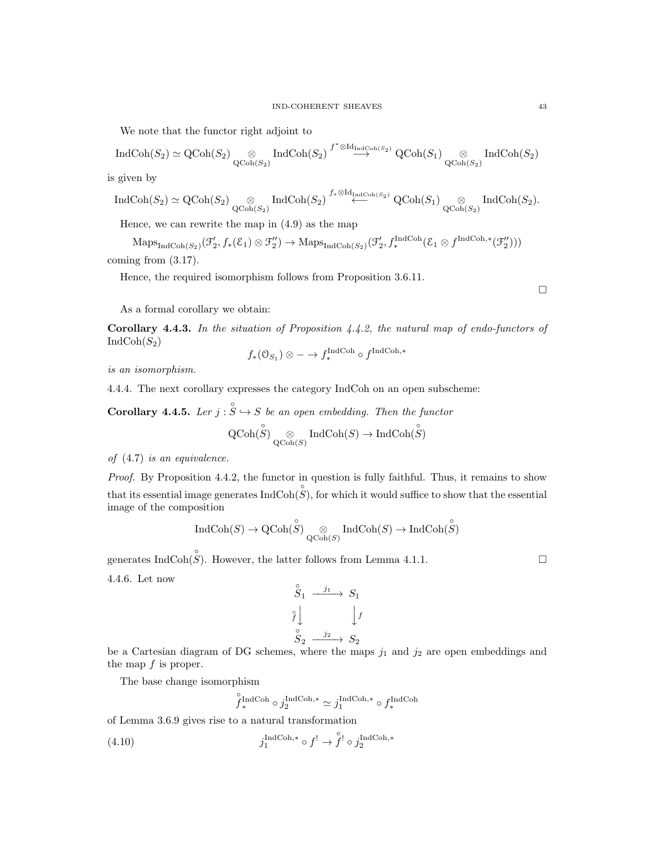We note that the functor right adjoint to

$$
\operatorname{IndCoh}(S_2) \simeq \operatorname{QCoh}(S_2) \underset{\operatorname{QCoh}(S_2)}{\otimes} \operatorname{IndCoh}(S_2) \stackrel{f^* \otimes \operatorname{Id}_{\operatorname{IndCoh}(S_2)}}{\longrightarrow} \operatorname{QCoh}(S_1) \underset{\operatorname{QCoh}(S_2)}{\otimes} \operatorname{IndCoh}(S_2)
$$

is given by

$$
\operatorname{IndCoh}(S_2) \simeq \operatorname{QCoh}(S_2) \underset{\operatorname{QCoh}(S_2)}{\otimes} \operatorname{IndCoh}(S_2) \stackrel{f_* \otimes \operatorname{Id}_{\operatorname{IndCoh}(S_2)}}{\longleftarrow} \operatorname{QCoh}(S_1) \underset{\operatorname{QCoh}(S_2)}{\otimes} \operatorname{IndCoh}(S_2).
$$

Hence, we can rewrite the map in (4.9) as the map

 $\mathrm{Maps}_{\mathrm{IndCoh}(S_2)}(\mathcal{F}_2', f_*(\mathcal{E}_1) \otimes \mathcal{F}_2'') \rightarrow \mathrm{Maps}_{\mathrm{IndCoh}(S_2)}(\mathcal{F}_2', f_*^{\mathrm{IndCoh}}(\mathcal{E}_1 \otimes f^{\mathrm{IndCoh},*}(\mathcal{F}_2'')))$ coming from (3.17).

Hence, the required isomorphism follows from Proposition 3.6.11.

 $\Box$ 

As a formal corollary we obtain:

Corollary 4.4.3. In the situation of Proposition 4.4.2, the natural map of endo-functors of  $IndCoh(S_2)$ 

$$
f_*(\mathcal{O}_{S_1}) \otimes \cdots \to f_*^{\operatorname{IndCoh}} \circ f^{\operatorname{IndCoh}, *}
$$

is an isomorphism.

4.4.4. The next corollary expresses the category IndCoh on an open subscheme:

**Corollary 4.4.5.** Ler  $j : \overset{\circ}{S} \hookrightarrow S$  be an open embedding. Then the functor

$$
\operatorname{QCoh}(\overset{\circ}{ S})\underset{\operatorname{QCoh}(S)}{\otimes}\operatorname{IndCoh}(S)\to\operatorname{IndCoh}(\overset{\circ}{ S})
$$

of (4.7) is an equivalence.

Proof. By Proposition 4.4.2, the functor in question is fully faithful. Thus, it remains to show that its essential image generates  $\text{IndCoh}(\overset{\circ}{S})$ , for which it would suffice to show that the essential image of the composition

$$
\operatorname{IndCoh}(S)\to \operatorname{QCoh}(\overset{\circ}{ S})\underset{\operatorname{QCoh}(S)}{\otimes}\operatorname{IndCoh}(S)\to \operatorname{IndCoh}(\overset{\circ}{ S})
$$

generates IndCoh( $\hat{S}$ ). However, the latter follows from Lemma 4.1.1.

4.4.6. Let now

$$
\begin{array}{ccc}\n\stackrel{\circ}{S}_1 & \xrightarrow{j_1} & S_1 \\
\stackrel{\circ}{f} & & \downarrow f \\
\stackrel{\circ}{S}_2 & \xrightarrow{j_2} & S_2\n\end{array}
$$

be a Cartesian diagram of DG schemes, where the maps  $j_1$  and  $j_2$  are open embeddings and the map  $f$  is proper.

The base change isomorphism

$$
\overset{\mathtt{o}}{f}_*{\rm IndCoh} \circ j_{2}^{{\rm IndCoh},*} \simeq j_{1}^{{\rm IndCoh},*} \circ f_*^{{\rm IndCoh}}
$$

of Lemma 3.6.9 gives rise to a natural transformation

(4.10) 
$$
j_1^{\text{IndCoh},*} \circ f^! \to \overset{\circ}{f}^! \circ j_2^{\text{IndCoh},*}
$$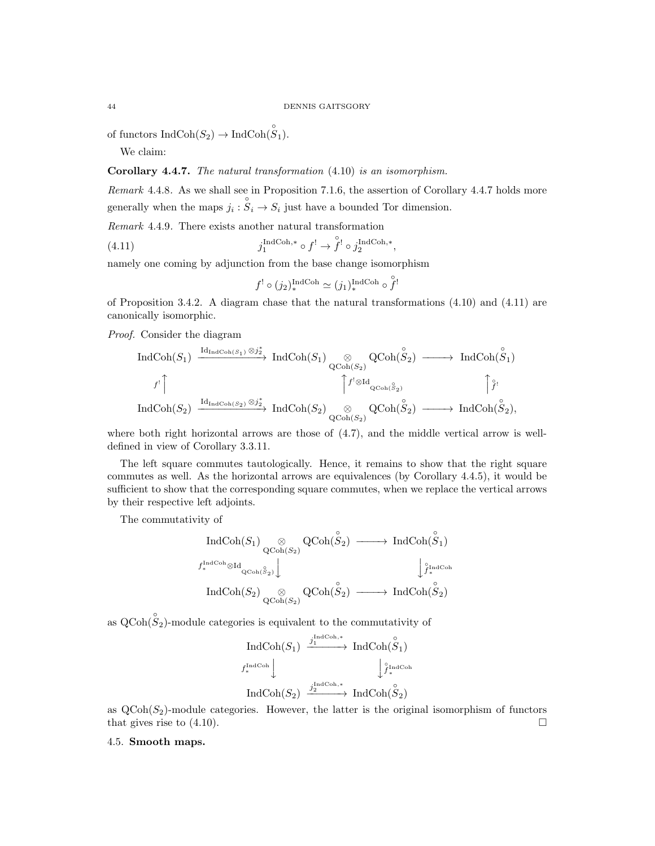of functors  $\text{IndCoh}(S_2) \to \text{IndCoh}(\overset{\circ}{S}_1)$ .

We claim:

# Corollary 4.4.7. The natural transformation (4.10) is an isomorphism.

Remark 4.4.8. As we shall see in Proposition 7.1.6, the assertion of Corollary 4.4.7 holds more generally when the maps  $j_i : \overset{\circ}{S_i} \to \overset{\circ}{S_i}$  just have a bounded Tor dimension.

Remark 4.4.9. There exists another natural transformation

(4.11) 
$$
j_1^{\text{IndCoh},*} \circ f^! \to \overset{\circ}{f}^! \circ j_2^{\text{IndCoh},*},
$$

namely one coming by adjunction from the base change isomorphism

$$
f^! \circ (j_2)^{\text{IndCoh}}_*
$$
  $\simeq (j_1)^{\text{IndCoh}}_*$   $\circ \overset{\circ}{f}^!$ 

of Proposition 3.4.2. A diagram chase that the natural transformations (4.10) and (4.11) are canonically isomorphic.

Proof. Consider the diagram

$$
\operatorname{IndCoh}(S_1) \xrightarrow{\operatorname{Id}_{\operatorname{IndCoh}(S_1)} \otimes j_2^*} \operatorname{IndCoh}(S_1) \underset{\operatorname{QCoh}(S_2)}{\otimes} \operatorname{QCoh}(\overset{\circ}{S}_2) \longrightarrow \operatorname{IndCoh}(\overset{\circ}{S}_1)
$$
\n
$$
f^! \uparrow \qquad \qquad \uparrow f^! \otimes \operatorname{Id}_{\operatorname{QCoh}(S_2)} \uparrow f^! \otimes \operatorname{Id}_{\operatorname{QCoh}(S_2)} \uparrow f^! \otimes \operatorname{Id}_{\operatorname{QCoh}(S_2)} \uparrow f^! \otimes \operatorname{Id}_{\operatorname{QCoh}(S_2)} \uparrow f^! \otimes \operatorname{Id}_{\operatorname{QCoh}(S_2)} \uparrow f^! \otimes \operatorname{Id}_{\operatorname{QCoh}(S_2)} \uparrow f^! \otimes \operatorname{Id}_{\operatorname{QCoh}(S_2)} \uparrow f^! \otimes \operatorname{Id}_{\operatorname{QCoh}(S_2)} \uparrow f^! \otimes \operatorname{Id}_{\operatorname{QCoh}(S_2)} \downarrow f^! \otimes \operatorname{Id}_{\operatorname{QCoh}(S_2)} \downarrow f^! \otimes \operatorname{Id}_{\operatorname{QCoh}(S_2)} \downarrow f^! \otimes \operatorname{Id}_{\operatorname{QCoh}(S_2)} \downarrow f^! \otimes \operatorname{Id}_{\operatorname{QCoh}(S_2)} \downarrow f^! \otimes \operatorname{Id}_{\operatorname{QCoh}(S_2)} \downarrow f^! \otimes \operatorname{Id}_{\operatorname{QCoh}(S_2)} \downarrow f^! \otimes \operatorname{Id}_{\operatorname{QCoh}(S_2)} \downarrow f^! \otimes \operatorname{Id}_{\operatorname{QCoh}(S_2)} \downarrow f^! \otimes \operatorname{Id}_{\operatorname{QCoh}(S_2)} \downarrow f^! \otimes \operatorname{Id}_{\operatorname{QCoh}(S_2)} \downarrow f^! \otimes \operatorname{Id}_{\operatorname{QCoh}(S_2)} \downarrow f^! \otimes \operatorname{Id}_{\operatorname{QCoh}(S_2)} \downarrow f^! \otimes \operatorname{Id}_{\operatorname{QCoh}(S_2)} \downarrow f^! \otimes \operatorname{Id}_{\operatorname{QCoh}(S_2)} \downarrow f^! \otimes \operatorname{Id}_{\operatorname{QCoh}(S_2)} \downarrow f^!
$$

where both right horizontal arrows are those of (4.7), and the middle vertical arrow is welldefined in view of Corollary 3.3.11.

The left square commutes tautologically. Hence, it remains to show that the right square commutes as well. As the horizontal arrows are equivalences (by Corollary 4.4.5), it would be sufficient to show that the corresponding square commutes, when we replace the vertical arrows by their respective left adjoints.

The commutativity of

$$
\begin{array}{ccc}\n\operatorname{IndCoh}(S_1) & \otimes & \operatorname{QCoh}(\overset{\circ}{S}_2) & \xrightarrow{\hspace*{1cm}} \operatorname{IndCoh}(\overset{\circ}{S}_1) \\
\downarrow^{Ind\operatorname{Coh}} \otimes \operatorname{Id}_{\operatorname{QCoh}(\overset{\circ}{S}_2)} \Big\downarrow & & \downarrow^{i_{\operatorname{IndCoh}}}_{f^*\operatorname{Mod}} \\
\operatorname{IndCoh}(S_2) & \otimes & \operatorname{QCoh}(\overset{\circ}{S}_2) & \xrightarrow{\hspace*{1cm}} \operatorname{IndCoh}(\overset{\circ}{S}_2) \\
\end{array}
$$

as  $Q\text{Coh}(\overset{\circ}{ S}_2)$ -module categories is equivalent to the commutativity of

$$
\operatorname{IndCoh}(S_1) \xrightarrow{j_1^{\operatorname{IndCoh},*}} \operatorname{IndCoh}(\overset{\circ}{S}_1)
$$
  
 $f_*^{\operatorname{IndCoh}} \downarrow \qquad \qquad \downarrow \overset{\circ}{f_*^{\operatorname{IndCoh}}} \downarrow$   

$$
\operatorname{IndCoh}(S_2) \xrightarrow{j_2^{\operatorname{IndCoh},*}} \operatorname{IndCoh}(\overset{\circ}{S}_2)
$$

as  $\text{QCoh}(S_2)$ -module categories. However, the latter is the original isomorphism of functors that gives rise to  $(4.10)$ .

## 4.5. Smooth maps.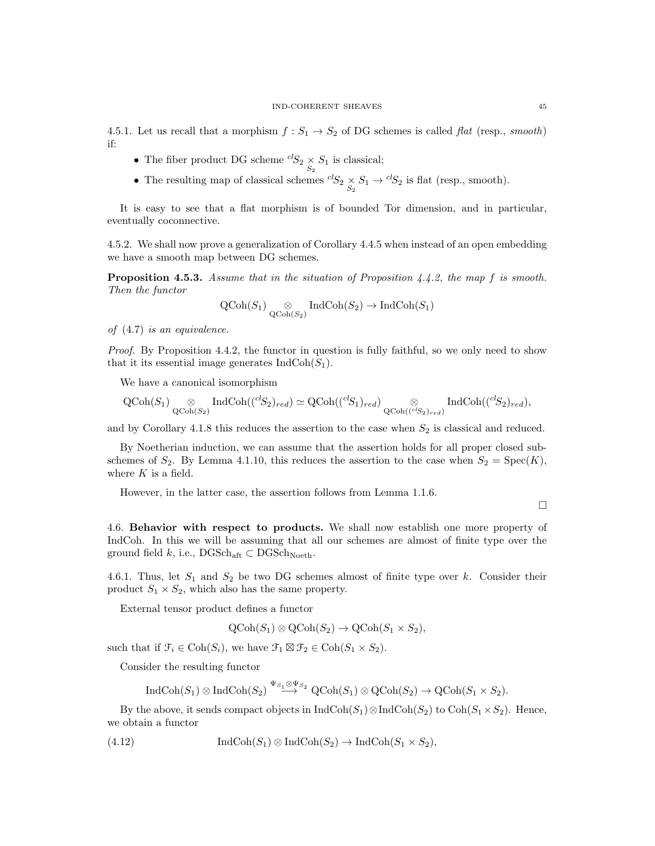4.5.1. Let us recall that a morphism  $f : S_1 \to S_2$  of DG schemes is called *flat* (resp., *smooth*) if:

- The fiber product DG scheme  ${}^{cl}S_2 \underset{S_2}{\times} S_1$  is classical;
- The resulting map of classical schemes  ${}^{cl}S_2 \times S_1 \rightarrow {}^{cl}S_2$  is flat (resp., smooth).

It is easy to see that a flat morphism is of bounded Tor dimension, and in particular, eventually coconnective.

4.5.2. We shall now prove a generalization of Corollary 4.4.5 when instead of an open embedding we have a smooth map between DG schemes.

**Proposition 4.5.3.** Assume that in the situation of Proposition  $4.4.2$ , the map f is smooth. Then the functor

$$
\operatorname{QCoh}(S_1) \underset{\operatorname{QCoh}(S_2)}{\otimes} \operatorname{IndCoh}(S_2) \to \operatorname{IndCoh}(S_1)
$$

of (4.7) is an equivalence.

Proof. By Proposition 4.4.2, the functor in question is fully faithful, so we only need to show that it its essential image generates  $\text{IndCoh}(S_1)$ .

We have a canonical isomorphism

$$
\operatorname{QCoh}(S_1) \underset{\operatorname{QCoh}(S_2)}{\otimes} \operatorname{IndCoh}(\binom{cl_{S_2}}{r_{ed}}) \simeq \operatorname{QCoh}(\binom{cl_{S_1}}{r_{ed}}) \underset{\operatorname{QCoh}(\binom{cl_{S_2}}{r_{ed}})}{\otimes} \operatorname{IndCoh}(\binom{cl_{S_2}}{r_{ed}},
$$

and by Corollary 4.1.8 this reduces the assertion to the case when  $S_2$  is classical and reduced.

By Noetherian induction, we can assume that the assertion holds for all proper closed subschemes of  $S_2$ . By Lemma 4.1.10, this reduces the assertion to the case when  $S_2 = \text{Spec}(K)$ , where  $K$  is a field.

However, in the latter case, the assertion follows from Lemma 1.1.6.

 $\Box$ 

4.6. Behavior with respect to products. We shall now establish one more property of IndCoh. In this we will be assuming that all our schemes are almost of finite type over the ground field k, i.e.,  $\text{DGSch}_{\text{aft}} \subset \text{DGSch}_{\text{Noeth}}$ .

4.6.1. Thus, let  $S_1$  and  $S_2$  be two DG schemes almost of finite type over k. Consider their product  $S_1 \times S_2$ , which also has the same property.

External tensor product defines a functor

$$
\text{QCoh}(S_1) \otimes \text{QCoh}(S_2) \to \text{QCoh}(S_1 \times S_2),
$$

such that if  $\mathcal{F}_i \in \text{Coh}(S_i)$ , we have  $\mathcal{F}_1 \boxtimes \mathcal{F}_2 \in \text{Coh}(S_1 \times S_2)$ .

Consider the resulting functor

$$
\operatorname{IndCoh}(S_1) \otimes \operatorname{IndCoh}(S_2) \stackrel{\Psi_{S_1} \otimes \Psi_{S_2}}{\longrightarrow} \operatorname{QCoh}(S_1) \otimes \operatorname{QCoh}(S_2) \longrightarrow \operatorname{QCoh}(S_1 \times S_2).
$$

By the above, it sends compact objects in  $\text{IndCoh}(S_1) \otimes \text{IndCoh}(S_2)$  to  $\text{Coh}(S_1 \times S_2)$ . Hence, we obtain a functor

(4.12) 
$$
\operatorname{IndCoh}(S_1) \otimes \operatorname{IndCoh}(S_2) \to \operatorname{IndCoh}(S_1 \times S_2),
$$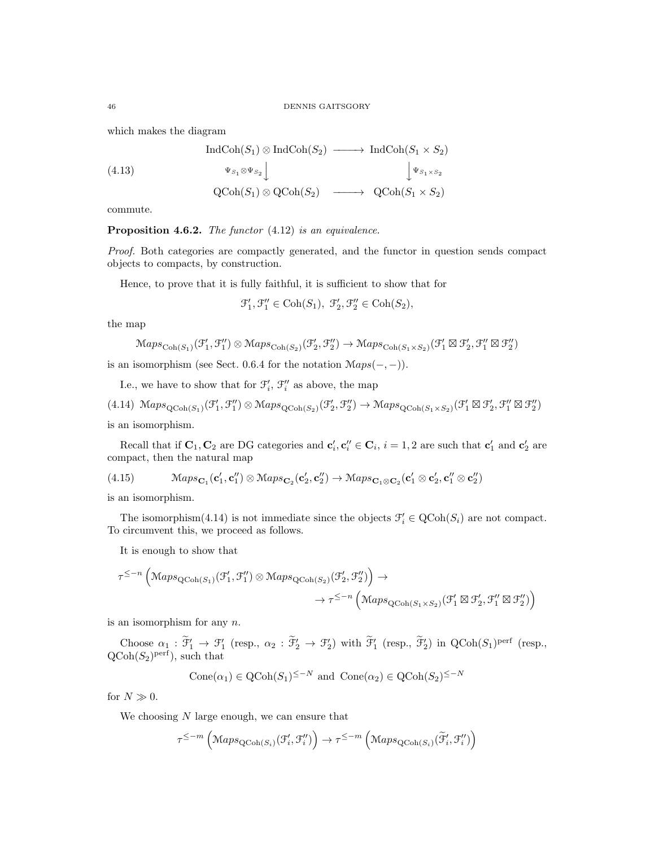which makes the diagram

$$
\text{IndCoh}(S_1) \otimes \text{IndCoh}(S_2) \longrightarrow \text{IndCoh}(S_1 \times S_2)
$$
\n
$$
\begin{array}{c}\n\text{4.13)} \\
\downarrow \Psi_{S_1} \otimes \Psi_{S_2} \\
\downarrow \Psi_{S_1 \times S_2} \\
\downarrow \Psi_{S_1 \times S_2} \\
\downarrow \Psi_{S_1 \times S_2} \\
\downarrow \Psi_{S_1 \times S_2}\n\end{array}
$$

commute.

Proposition 4.6.2. The functor  $(4.12)$  is an equivalence.

Proof. Both categories are compactly generated, and the functor in question sends compact objects to compacts, by construction.

Hence, to prove that it is fully faithful, it is sufficient to show that for

$$
\mathcal{F}_1',\mathcal{F}_1''\in \mathrm{Coh}(S_1),\ \mathcal{F}_2',\mathcal{F}_2''\in \mathrm{Coh}(S_2),
$$

the map

$$
\mathrm{Maps}_{\mathrm{Coh}(S_1)}(\mathcal{F}_1', \mathcal{F}_1'') \otimes \mathrm{Maps}_{\mathrm{Coh}(S_2)}(\mathcal{F}_2', \mathcal{F}_2'') \rightarrow \mathrm{Maps}_{\mathrm{Coh}(S_1 \times S_2)}(\mathcal{F}_1' \boxtimes \mathcal{F}_2', \mathcal{F}_1'' \boxtimes \mathcal{F}_2'')
$$

is an isomorphism (see Sect. 0.6.4 for the notation  $Maps(-, -)$ ).

I.e., we have to show that for  $\mathcal{F}'_i$ ,  $\mathcal{F}''_i$  as above, the map

 $(4.14) \ \mathcal{M}aps_{\text{QCoh}(S_1)}(\mathcal{F}_1', \mathcal{F}_1'') \otimes \mathcal{M}aps_{\text{QCoh}(S_2)}(\mathcal{F}_2', \mathcal{F}_2'') \rightarrow \mathcal{M}aps_{\text{QCoh}(S_1 \times S_2)}(\mathcal{F}_1' \boxtimes \mathcal{F}_2', \mathcal{F}_1'' \boxtimes \mathcal{F}_2'')$ is an isomorphism.

Recall that if  $\mathbf{C}_1, \mathbf{C}_2$  are DG categories and  $\mathbf{c}'_i, \mathbf{c}''_i \in \mathbf{C}_i$ ,  $i = 1, 2$  are such that  $\mathbf{c}'_1$  and  $\mathbf{c}'_2$  are compact, then the natural map

(4.15) 
$$
\mathcal{M}aps_{\mathbf{C}_1}(\mathbf{c}'_1, \mathbf{c}''_1) \otimes \mathcal{M}aps_{\mathbf{C}_2}(\mathbf{c}'_2, \mathbf{c}''_2) \rightarrow \mathcal{M}aps_{\mathbf{C}_1 \otimes \mathbf{C}_2}(\mathbf{c}'_1 \otimes \mathbf{c}'_2, \mathbf{c}''_1 \otimes \mathbf{c}''_2)
$$

is an isomorphism.

The isomorphism(4.14) is not immediate since the objects  $\mathcal{F}'_i \in \text{QCoh}(S_i)$  are not compact. To circumvent this, we proceed as follows.

It is enough to show that

$$
\tau^{\leq -n} \left( \operatorname{Maps}_{\operatorname{QCoh}(S_1)}(\mathcal{F}'_1, \mathcal{F}''_1) \otimes \operatorname{Maps}_{\operatorname{QCoh}(S_2)}(\mathcal{F}'_2, \mathcal{F}''_2) \right) \to \\ \to \tau^{\leq -n} \left( \operatorname{Maps}_{\operatorname{QCoh}(S_1 \times S_2)}(\mathcal{F}'_1 \boxtimes \mathcal{F}'_2, \mathcal{F}''_1 \boxtimes \mathcal{F}''_2) \right)
$$

is an isomorphism for any  $n$ .

Choose  $\alpha_1 : \tilde{\mathcal{F}}'_1 \to \mathcal{F}'_1$  (resp.,  $\alpha_2 : \tilde{\mathcal{F}}'_2 \to \mathcal{F}'_2$ ) with  $\tilde{\mathcal{F}}'_1$  (resp.,  $\tilde{\mathcal{F}}'_2$ ) in QCoh( $S_1$ )<sup>perf</sup> (resp.,  $\text{QCoh}(S_2)^\text{perf}$ , such that

$$
Cone(\alpha_1) \in QCoh(S_1)^{\leq -N} \text{ and } Cone(\alpha_2) \in QCoh(S_2)^{\leq -N}
$$

for  $N \gg 0$ .

We choosing  $N$  large enough, we can ensure that

$$
\tau^{\leq -m}\left(\mathrm{Maps}_{\mathrm{QCoh}(S_i)}(\mathcal{F}'_i, \mathcal{F}''_i)\right) \rightarrow \tau^{\leq -m}\left(\mathrm{Maps}_{\mathrm{QCoh}(S_i)}(\widetilde{\mathcal{F}}'_i, \mathcal{F}''_i)\right)
$$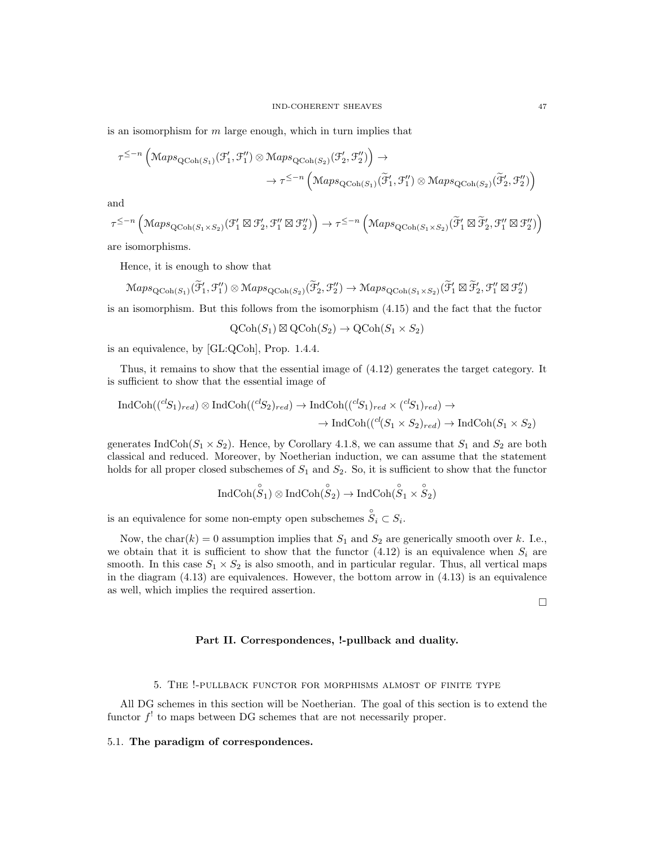is an isomorphism for  $m$  large enough, which in turn implies that

$$
\tau^{\leq -n} \left( \operatorname{Maps}_{\operatorname{QCoh}(S_1)}(\mathcal{F}'_1, \mathcal{F}''_1) \otimes \operatorname{Maps}_{\operatorname{QCoh}(S_2)}(\mathcal{F}'_2, \mathcal{F}''_2) \right) \to \\ \to \tau^{\leq -n} \left( \operatorname{Maps}_{\operatorname{QCoh}(S_1)}(\widetilde{\mathcal{F}}'_1, \mathcal{F}''_1) \otimes \operatorname{Maps}_{\operatorname{QCoh}(S_2)}(\widetilde{\mathcal{F}}'_2, \mathcal{F}''_2) \right)
$$

and

$$
\tau^{\leq -n} \left( \mathsf{Maps}_{\mathsf{QCoh}(S_1 \times S_2)}(\mathcal{F}_1' \boxtimes \mathcal{F}_2', \mathcal{F}_1'' \boxtimes \mathcal{F}_2'') \right) \rightarrow \tau^{\leq -n} \left( \mathsf{Maps}_{\mathsf{QCoh}(S_1 \times S_2)}(\widetilde{\mathcal{F}}_1' \boxtimes \widetilde{\mathcal{F}}_2', \mathcal{F}_1'' \boxtimes \mathcal{F}_2'') \right)
$$

are isomorphisms.

Hence, it is enough to show that

$$
\mathrm{Maps}_{\mathrm{QCoh}(S_1)}(\widetilde{\mathcal{F}}'_1, \mathcal{F}''_1) \otimes \mathrm{Maps}_{\mathrm{QCoh}(S_2)}(\widetilde{\mathcal{F}}'_2, \mathcal{F}''_2) \rightarrow \mathrm{Maps}_{\mathrm{QCoh}(S_1 \times S_2)}(\widetilde{\mathcal{F}}'_1 \boxtimes \widetilde{\mathcal{F}}'_2, \mathcal{F}''_1 \boxtimes \mathcal{F}''_2)
$$

is an isomorphism. But this follows from the isomorphism (4.15) and the fact that the fuctor

 $\mathrm{QCoh}(S_1) \boxtimes \mathrm{QCoh}(S_2) \rightarrow \mathrm{QCoh}(S_1 \times S_2)$ 

is an equivalence, by [GL:QCoh], Prop. 1.4.4.

Thus, it remains to show that the essential image of (4.12) generates the target category. It is sufficient to show that the essential image of

$$
IndCoh((^{cl}S_1)_{red}) \otimes IndCoh((^{cl}S_2)_{red}) \rightarrow IndCoh((^{cl}S_1)_{red} \times {^{cl}S_1})_{red}) \rightarrow
$$

$$
\rightarrow IndCoh((^{cl}S_1 \times S_2)_{red}) \rightarrow IndCoh(S_1 \times S_2)
$$

generates IndCoh( $S_1 \times S_2$ ). Hence, by Corollary 4.1.8, we can assume that  $S_1$  and  $S_2$  are both classical and reduced. Moreover, by Noetherian induction, we can assume that the statement holds for all proper closed subschemes of  $S_1$  and  $S_2$ . So, it is sufficient to show that the functor

$$
\operatorname{IndCoh}(\overset{\circ}{ S}_1) \otimes \operatorname{IndCoh}(\overset{\circ}{ S}_2) \to \operatorname{IndCoh}(\overset{\circ}{ S}_1 \times \overset{\circ}{ S}_2)
$$

is an equivalence for some non-empty open subschemes  $\overset{\circ}{S}_{i} \subset S_{i}$ .

Now, the char(k) = 0 assumption implies that  $S_1$  and  $S_2$  are generically smooth over k. I.e., we obtain that it is sufficient to show that the functor  $(4.12)$  is an equivalence when  $S_i$  are smooth. In this case  $S_1 \times S_2$  is also smooth, and in particular regular. Thus, all vertical maps in the diagram  $(4.13)$  are equivalences. However, the bottom arrow in  $(4.13)$  is an equivalence as well, which implies the required assertion.

 $\Box$ 

# Part II. Correspondences, !-pullback and duality.

#### 5. The !-pullback functor for morphisms almost of finite type

All DG schemes in this section will be Noetherian. The goal of this section is to extend the functor  $f'$  to maps between DG schemes that are not necessarily proper.

#### 5.1. The paradigm of correspondences.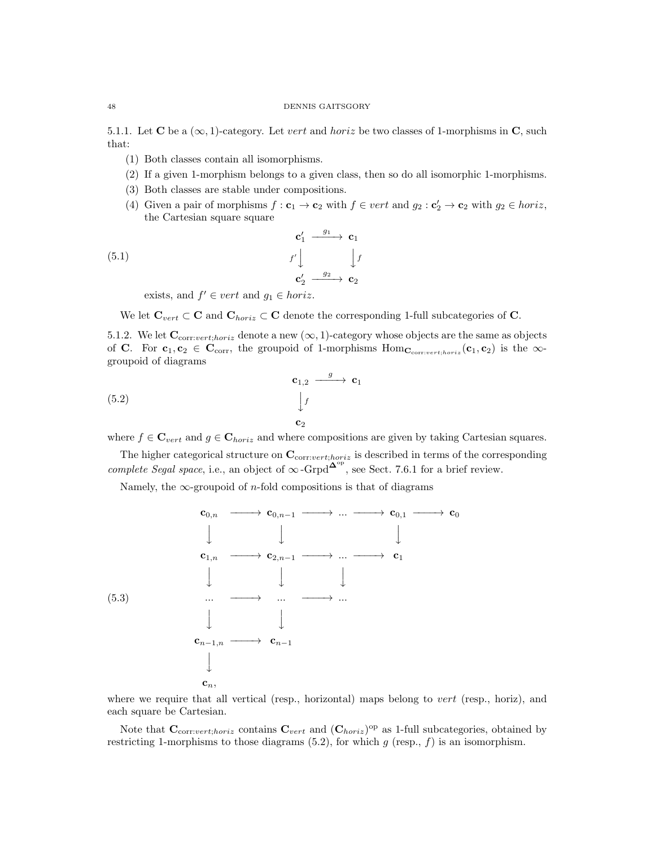# 48 DENNIS GAITSGORY

5.1.1. Let **C** be a  $(\infty, 1)$ -category. Let vert and horiz be two classes of 1-morphisms in **C**, such that:

- (1) Both classes contain all isomorphisms.
- (2) If a given 1-morphism belongs to a given class, then so do all isomorphic 1-morphisms.
- (3) Both classes are stable under compositions.
- (4) Given a pair of morphisms  $f: \mathbf{c}_1 \to \mathbf{c}_2$  with  $f \in vert$  and  $g_2: \mathbf{c}'_2 \to \mathbf{c}_2$  with  $g_2 \in horiz$ , the Cartesian square square

(5.1) 
$$
\mathbf{c}'_1 \xrightarrow{g_1} \mathbf{c}_1
$$

$$
f' \downarrow \qquad \qquad f' \downarrow \qquad \qquad f' \downarrow
$$

$$
\mathbf{c}'_2 \xrightarrow{g_2} \mathbf{c}_2
$$

exists, and  $f' \in vert$  and  $g_1 \in horiz$ .

We let  $\mathbf{C}_{vert} \subset \mathbf{C}$  and  $\mathbf{C}_{horiz} \subset \mathbf{C}$  denote the corresponding 1-full subcategories of  $\mathbf{C}$ .

5.1.2. We let  $\mathbf{C}_{\text{corr:vert,horiz}}$  denote a new  $(\infty, 1)$ -category whose objects are the same as objects of C. For  $c_1, c_2 \in C_{\text{corr}}$ , the groupoid of 1-morphisms  $\text{Hom}_{C_{\text{corr:vert:horiz}}}(c_1, c_2)$  is the  $\infty$ groupoid of diagrams

(5.2) 
$$
\begin{array}{c}\n\mathbf{c}_{1,2} \xrightarrow{g} \mathbf{c}_1 \\
\downarrow f \\
\mathbf{c}_2\n\end{array}
$$

where  $f \in \mathbf{C}_{vert}$  and  $g \in \mathbf{C}_{horiz}$  and where compositions are given by taking Cartesian squares.

The higher categorical structure on  $\mathbf{C}_{\text{corr:vert;horiz}}$  is described in terms of the corresponding complete Segal space, i.e., an object of  $\infty$ -Grpd<sup> $\Delta^{\rm op}$ </sup>, see Sect. 7.6.1 for a brief review.

Namely, the  $\infty$ -groupoid of *n*-fold compositions is that of diagrams



where we require that all vertical (resp., horizontal) maps belong to *vert* (resp., horiz), and each square be Cartesian.

Note that  $\mathbf{C}_{\text{corr:vert;horiz}}$  contains  $\mathbf{C}_{\text{vert}}$  and  $(\mathbf{C}_{\text{horiz}})^{\text{op}}$  as 1-full subcategories, obtained by restricting 1-morphisms to those diagrams  $(5.2)$ , for which g (resp., f) is an isomorphism.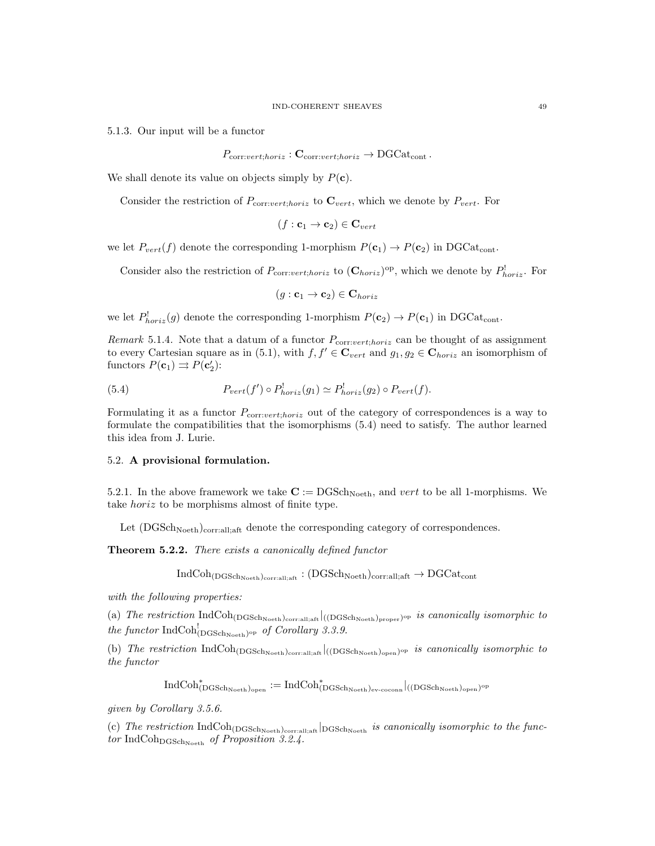5.1.3. Our input will be a functor

$$
P_{\text{corr}:vert;horiz}: \mathbf{C}_{\text{corr}:vert;horiz} \to \text{DGCat}_{\text{cont}}.
$$

We shall denote its value on objects simply by  $P(c)$ .

Consider the restriction of  $P_{\text{corr:}vert, \text{horiz}}$  to  $\mathbf{C}_{vert}$ , which we denote by  $P_{vert}$ . For

$$
(f: \mathbf{c}_1 \to \mathbf{c}_2) \in \mathbf{C}_{vert}
$$

we let  $P_{vert}(f)$  denote the corresponding 1-morphism  $P(c_1) \rightarrow P(c_2)$  in DGCat<sub>cont</sub>.

Consider also the restriction of  $P_{\text{corr:vert;horiz}}$  to  $(\mathbf{C}_{horiz})^{\text{op}}$ , which we denote by  $P_{\text{horiz}}^!$ . For

$$
(g: \mathbf{c}_1 \to \mathbf{c}_2) \in \mathbf{C}_{horiz}
$$

we let  $P_{horiz}^!(g)$  denote the corresponding 1-morphism  $P(\mathbf{c}_2) \to P(\mathbf{c}_1)$  in DGCat<sub>cont</sub>.

Remark 5.1.4. Note that a datum of a functor  $P_{\text{corr:vert,horiz}}$  can be thought of as assignment to every Cartesian square as in (5.1), with  $f, f' \in \mathbf{C}_{vert}$  and  $g_1, g_2 \in \mathbf{C}_{horiz}$  an isomorphism of functors  $P(\mathbf{c}_1) \rightrightarrows P(\mathbf{c}'_2)$ :

(5.4) 
$$
P_{vert}(f') \circ P_{horiz}^{!}(g_1) \simeq P_{horiz}^{!}(g_2) \circ P_{vert}(f).
$$

Formulating it as a functor  $P_{\text{corr:}vert;horiz}$  out of the category of correspondences is a way to formulate the compatibilities that the isomorphisms (5.4) need to satisfy. The author learned this idea from J. Lurie.

### 5.2. A provisional formulation.

5.2.1. In the above framework we take  $\mathbf{C} := \mathrm{DGSch}_{\mathrm{Noeth}}$ , and vert to be all 1-morphisms. We take horiz to be morphisms almost of finite type.

Let  $(DGSch<sub>Noeth</sub>)<sub>corr:all,aff</sub>$  denote the corresponding category of correspondences.

Theorem 5.2.2. There exists a canonically defined functor

 $IndCoh<sub>(DGSchNoeth)</sub>_{\text{corr.all:aff}} : (DGSch<sub>Noeth</sub>)_{\text{corr.all:aff}} \rightarrow DGCat_{\text{cont}}$ 

with the following properties:

(a) The restriction  $IndCoh_{(DGSch_{Noeth})_{\text{corr:all;aff}}}|_{((DGSch_{Noeth})_{\text{proper}})^{\text{op}}}$  is canonically isomorphic to the functor  $\text{IndCoh}^!_{(\text{DGSch}_{\text{Noeth}})^{\text{op}}}$  of Corollary 3.3.9.

(b) The restriction  $IndCoh_{(DGSch_{Noeth})_{corr:all;at}}|_{((DGSch_{Noeth})_{open})^{op}}$  is canonically isomorphic to the functor

 ${\rm IndCoh}^*_{(\rm DGSch_{Noeth})_{\rm open}}:={\rm IndCoh}^*_{(\rm DGSch_{Noeth})_{\rm ev-coconn}}|_{((\rm DGSch_{Noeth})_{\rm open})^{\rm op}}$ 

given by Corollary 3.5.6.

(c) The restriction  $\text{IndCoh}_{(DGSch_{\text{Noeth}})_{\text{corr:all;aff}}}$   $\text{logSch}_{\text{Noeth}}$  is canonically isomorphic to the functor IndCoh $_{\text{DGSch}_{\text{Noeth}}}$  of Proposition 3.2.4.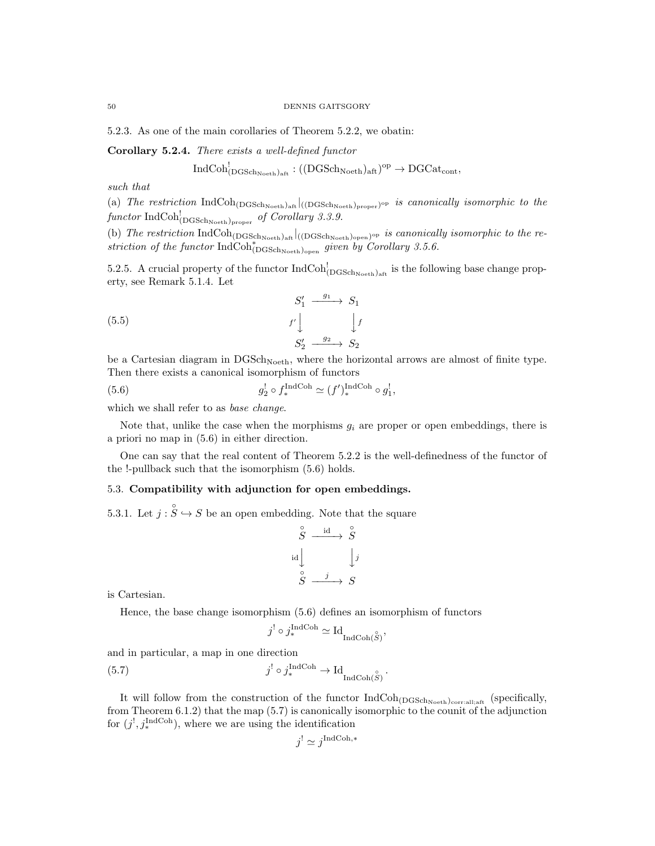5.2.3. As one of the main corollaries of Theorem 5.2.2, we obatin:

Corollary 5.2.4. There exists a well-defined functor

$$
\operatorname{IndCoh}^!_{(\operatorname{DGSch}_{\operatorname{Noeth}})_{\operatorname{aft}}}:((\operatorname{DGSch}_{\operatorname{Noeth}})_{\operatorname{aft}})^{\operatorname{op}}\to \operatorname{DGCat}_{\operatorname{cont}},
$$

such that

(a) The restriction  $IndCoh_{(DGSch_{Noeth})_{\text{aff}}}|_{((DGSch_{Noeth})_{proper})^{op}}$  is canonically isomorphic to the functor  $\text{IndCoh}_{(\text{DGSch}_\text{Noeth})_{\text{proper}}}^!$  of Corollary 3.3.9.

(b) The restriction  $\text{IndCoh}_{(\text{DGSch}_{\text{Noeth}})_{\text{aff}}}$  ((DGSch<sub>Noeth</sub>)<sub>open</sub>)<sup>op</sup> is canonically isomorphic to the restriction of the functor  $\text{IndCoh}^*_{(\text{DGSch}_{\text{Noeth}})_{\text{open}}}$  given by Corollary 3.5.6.

5.2.5. A crucial property of the functor  $IndCoh_{(DGSch<sub>Neth</sub>)<sub>aff</sub>}^!$  is the following base change property, see Remark 5.1.4. Let

(5.5) 
$$
\begin{array}{ccc}\nS_1' & \xrightarrow{g_1} & S_1 \\
f' & & f' \\
S_2' & \xrightarrow{g_2} & S_2\n\end{array}
$$

be a Cartesian diagram in  $DGSch<sub>Noeth</sub>$ , where the horizontal arrows are almost of finite type. Then there exists a canonical isomorphism of functors

(5.6) 
$$
g_2^! \circ f_*^{\text{IndCoh}} \simeq (f')_*^{\text{IndCoh}} \circ g_1^!,
$$

which we shall refer to as *base change*.

Note that, unlike the case when the morphisms  $g_i$  are proper or open embeddings, there is a priori no map in (5.6) in either direction.

One can say that the real content of Theorem 5.2.2 is the well-definedness of the functor of the !-pullback such that the isomorphism (5.6) holds.

# 5.3. Compatibility with adjunction for open embeddings.

5.3.1. Let  $j : \overset{\circ}{S} \hookrightarrow S$  be an open embedding. Note that the square

$$
\begin{array}{ccc}\n\stackrel{\circ}{S} & \xrightarrow{\text{id}} & \stackrel{\circ}{S} \\
\downarrow{\text{id}} & & \downarrow{j} \\
\stackrel{\circ}{S} & \xrightarrow{j} & S\n\end{array}
$$

is Cartesian.

Hence, the base change isomorphism (5.6) defines an isomorphism of functors

$$
j^! \circ j^{\text{IndCoh}}_* \simeq \mathrm{Id}_{\mathrm{IndCoh}(\overset{\circ}{S})},
$$

and in particular, a map in one direction

(5.7) 
$$
j^! \circ j^{\text{IndCoh}}_* \to \text{Id}_{\text{IndCoh}(\overset{\circ}{S})}.
$$

It will follow from the construction of the functor  $IndCoh_{(DGSch_{Noeth})_{\text{corral};\text{aff}}}$  (specifically, from Theorem 6.1.2) that the map (5.7) is canonically isomorphic to the counit of the adjunction for  $(j^!, j^{\text{IndCoh}}_*)$ , where we are using the identification

$$
j' \simeq j^{\text{IndCoh},*}
$$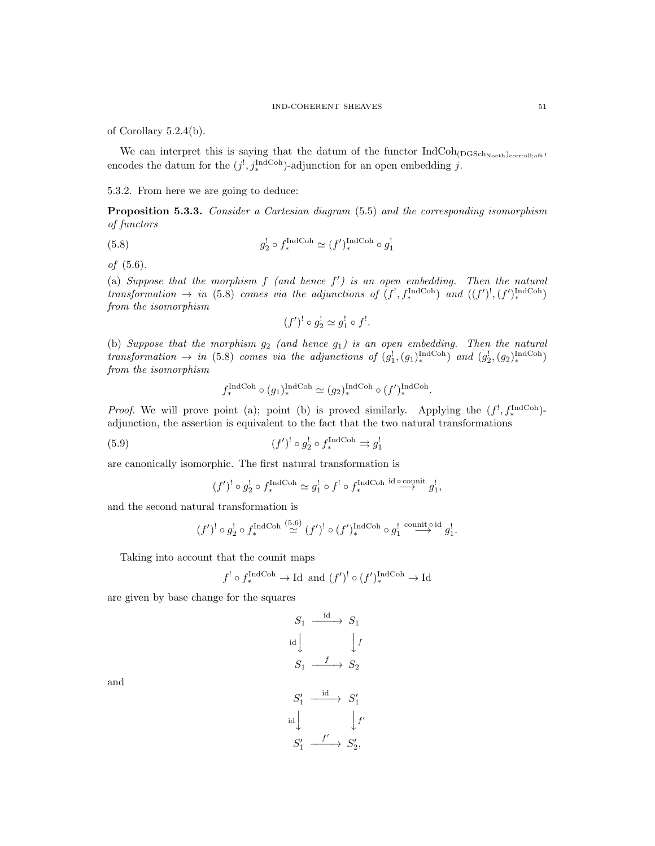of Corollary 5.2.4(b).

We can interpret this is saying that the datum of the functor  $IndCoh_{(DGSch_{Noeth})_{\text{corr:all}};aft}$ , encodes the datum for the  $(j^!, j^{\text{IndCoh}}_*)$ -adjunction for an open embedding j.

### 5.3.2. From here we are going to deduce:

Proposition 5.3.3. Consider a Cartesian diagram (5.5) and the corresponding isomorphism of functors

(5.8) 
$$
g_2^! \circ f_*^{\text{IndCoh}} \simeq (f')_*^{\text{IndCoh}} \circ g_1^!
$$

of (5.6).

(a) Suppose that the morphism  $f$  (and hence  $f'$ ) is an open embedding. Then the natural transformation  $\rightarrow$  in (5.8) comes via the adjunctions of  $(f^!, f^{\text{IndCoh}}_*, \text{and } ((f')^!, (f')^{\text{IndCoh}}_*)$ from the isomorphism

$$
(f')^! \circ g_2^! \simeq g_1^! \circ f^!.
$$

(b) Suppose that the morphism  $g_2$  (and hence  $g_1$ ) is an open embedding. Then the natural transformation  $\rightarrow$  in (5.8) comes via the adjunctions of  $(g_1^1, (g_1)^{\text{IndCoh}}_*,$  and  $(g_2^1, (g_2)^{\text{IndCoh}}_*,$ from the isomorphism

$$
f^{\text{IndCoh}}_*(g_1)^{\text{IndCoh}}_*(g_2)^{\text{IndCoh}}_*(f')^{\text{IndCoh}}_*
$$

*Proof.* We will prove point (a); point (b) is proved similarly. Applying the  $(f^!, f^{\text{IndCoh}}_*)$ adjunction, the assertion is equivalent to the fact that the two natural transformations

(5.9) 
$$
(f')^! \circ g_2^! \circ f_*^{\text{IndCoh}} \rightrightarrows g_1^!
$$

are canonically isomorphic. The first natural transformation is

$$
(f')^! \circ g_2^! \circ f_*^{\text{IndCoh}} \simeq g_1^! \circ f^! \circ f_*^{\text{IndCoh id}} \overset{\circ}{\longrightarrow} g_1^!,
$$

and the second natural transformation is

$$
(f')^! \circ g_2^! \circ f_*^{\text{IndCoh}} \stackrel{(5.6)}{\simeq} (f')^! \circ (f')_*^{\text{IndCoh}} \circ g_1^! \stackrel{\text{count of id}}{\longrightarrow} g_1^!.
$$

Taking into account that the counit maps

$$
f' \circ f_*^{\text{IndCoh}} \to \text{Id} \text{ and } (f')^! \circ (f')_*^{\text{IndCoh}} \to \text{Id}
$$

are given by base change for the squares

$$
S_1 \xrightarrow{\text{id}} S_1
$$
\n
$$
S_1 \xrightarrow{f} S_2
$$
\n
$$
S_1 \xrightarrow{\text{id}} S_2'
$$
\n
$$
S_1' \xrightarrow{\text{id}} S_1'
$$
\n
$$
S_1' \xrightarrow{\text{if}} S_2'
$$

and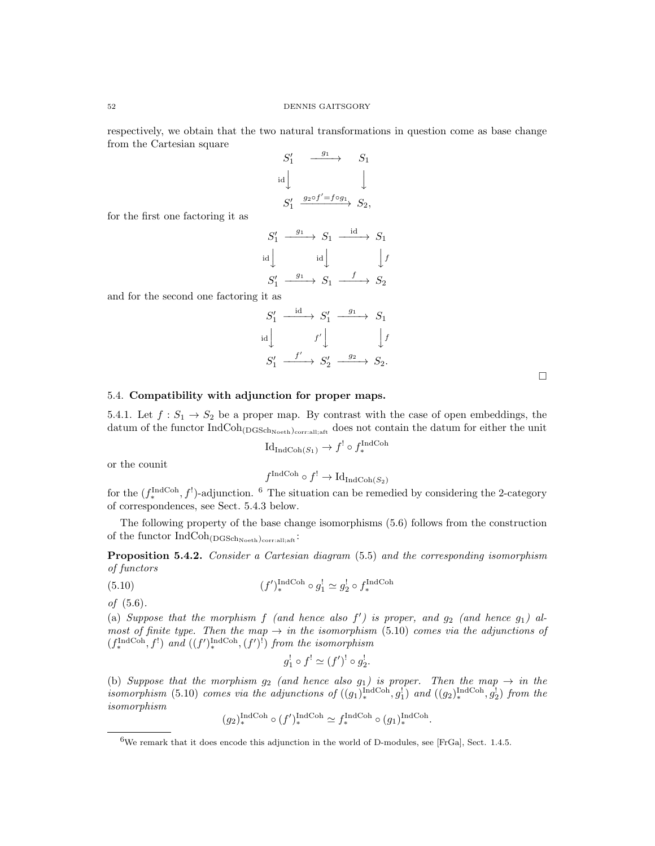respectively, we obtain that the two natural transformations in question come as base change from the Cartesian square

$$
S'_1 \xrightarrow{g_1} S_1
$$
  
\n
$$
S'_1 \xrightarrow{g_2 \circ f' = f \circ g_1} S_2,
$$

id

for the first one factoring it as

$$
S'_1 \xrightarrow{g_1} S_1 \xrightarrow{id} S_1
$$
  
id  

$$
\downarrow id \qquad \qquad \downarrow f
$$
  

$$
S'_1 \xrightarrow{g_1} S_1 \xrightarrow{f} S_2
$$
  
it

and for the second one factoring it as

| $S'_1$                                        | $\stackrel{\text{id}}{\longrightarrow} S'_1 \stackrel{g_1}{\longrightarrow}$ |                   | $S_1$              |
|-----------------------------------------------|------------------------------------------------------------------------------|-------------------|--------------------|
| $\left  \begin{array}{c} \end{array} \right $ | f'                                                                           |                   | $\vert f$          |
| $S_1'$                                        | $\longrightarrow S'_2$                                                       | $\frac{g_2}{g_1}$ | $\rightarrow S_2.$ |

# 5.4. Compatibility with adjunction for proper maps.

5.4.1. Let  $f: S_1 \to S_2$  be a proper map. By contrast with the case of open embeddings, the datum of the functor  $IndCoh<sub>(DGSch<sub>Neeth</sub>)<sub>cor:all:aff</sub></sub>$  does not contain the datum for either the unit

$$
Id_{IndCoh(S_1)} \to f^! \circ f_*^{IndCoh}
$$

or the counit

$$
f^{\text{IndCoh}} \circ f^! \to \text{Id}_{\text{IndCoh}(S_2)}
$$

for the  $(f_*^{\text{IndCoh}}, f^!)$ -adjunction. <sup>6</sup> The situation can be remedied by considering the 2-category of correspondences, see Sect. 5.4.3 below.

The following property of the base change isomorphisms (5.6) follows from the construction of the functor  $\operatorname{IndCoh}_{(\operatorname{DGSch}_\mathrm{Noeth})_{\operatorname{corr:all;aff}}}\colon$ 

Proposition 5.4.2. Consider a Cartesian diagram (5.5) and the corresponding isomorphism of functors

(5.10) 
$$
(f')_*^{\text{IndCoh}} \circ g_1^! \simeq g_2^! \circ f_*^{\text{IndCoh}}
$$

of (5.6).

(a) Suppose that the morphism  $f$  (and hence also  $f'$ ) is proper, and  $g_2$  (and hence  $g_1$ ) almost of finite type. Then the map  $\rightarrow$  in the isomorphism (5.10) comes via the adjunctions of  $(f_*^{\text{IndCoh}}, f')$  and  $((f')_*^{\text{IndCoh}}, (f')^!)$  from the isomorphism

$$
g_1^! \circ f^! \simeq (f')^! \circ g_2^!.
$$

(b) Suppose that the morphism  $g_2$  (and hence also  $g_1$ ) is proper. Then the map  $\rightarrow$  in the isomorphism (5.10) comes via the adjunctions of  $((g_1)_*^{\text{IndCoh}}, g_1^!)$  and  $((g_2)_*^{\text{IndCoh}}, g_2^!)$  from the isomorphism

$$
(g_2)_*^{\text{IndCoh}} \circ (f')_*^{\text{IndCoh}} \simeq f_*^{\text{IndCoh}} \circ (g_1)_*^{\text{IndCoh}}.
$$

<sup>6</sup>We remark that it does encode this adjunction in the world of D-modules, see [FrGa], Sect. 1.4.5.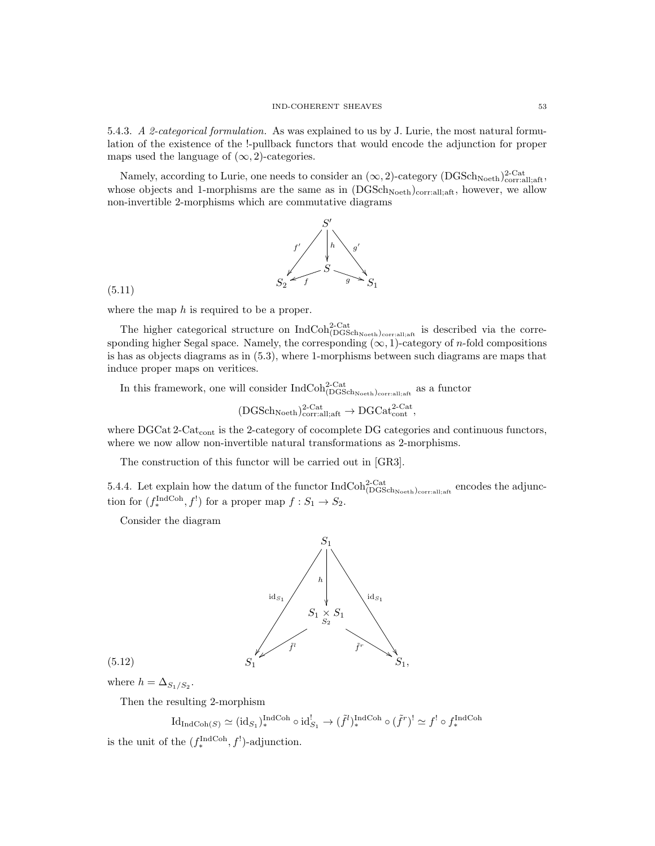5.4.3. A 2-categorical formulation. As was explained to us by J. Lurie, the most natural formulation of the existence of the !-pullback functors that would encode the adjunction for proper maps used the language of  $(\infty, 2)$ -categories.

Namely, according to Lurie, one needs to consider an  $(\infty, 2)$ -category (DGSch<sub>Noeth</sub>)<sup>2-Cat</sup><sub>corr:all;aft</sub>, whose objects and 1-morphisms are the same as in  $(DGSch<sub>Noeth</sub>)<sub>corr.all:aff</sub>$ , however, we allow non-invertible 2-morphisms which are commutative diagrams



(5.11)

where the map  $h$  is required to be a proper.

The higher categorical structure on  $\text{IndCoh}_{\text{DGSch}_{\text{Noeth}}}\text{)_{\text{corrali}}_{\text{,aff}}}$  is described via the corresponding higher Segal space. Namely, the corresponding  $(\infty, 1)$ -category of *n*-fold compositions is has as objects diagrams as in (5.3), where 1-morphisms between such diagrams are maps that induce proper maps on veritices.

In this framework, one will consider  $\text{IndCoh}^{\text{2-Cat}}_{\text{DGSch}_{\text{Noeth}}}\text{)_{\text{corrali},\text{aff}}}$  as a functor

$$
(\mathrm{DGSch}_\mathrm{Noeth})_\mathrm{corr:all;aff}^{2\text{-}\mathrm{Cat}} \to \mathrm{DGCat}_\mathrm{cont}^{2\text{-}\mathrm{Cat}},
$$

where DGCat 2-Cat<sub>cont</sub> is the 2-category of cocomplete DG categories and continuous functors, where we now allow non-invertible natural transformations as 2-morphisms.

The construction of this functor will be carried out in [GR3].

5.4.4. Let explain how the datum of the functor  $IndCoh_{(DGSch_{Noeth})_{\text{corral;aff}}}^{2-Cat}$  encodes the adjunction for  $(f_*^{\text{IndCoh}}, f')$  for a proper map  $f : S_1 \to S_2$ .

Consider the diagram



$$
(5.12)
$$

where  $h = \Delta_{S_1/S_2}$ .

Then the resulting 2-morphism

 $\mathrm{Id}_{\mathrm{IndCoh}(S)} \simeq (\mathrm{id}_{S_1})_*^{\mathrm{IndCoh}} \circ \mathrm{id}_{S_1}^! \to (\tilde{f}^l)_*^{\mathrm{IndCoh}} \circ (\tilde{f}^r)^! \simeq f^! \circ f_*^{\mathrm{IndCoh}}$ 

is the unit of the  $(f_*^{\text{IndCoh}}, f')$ -adjunction.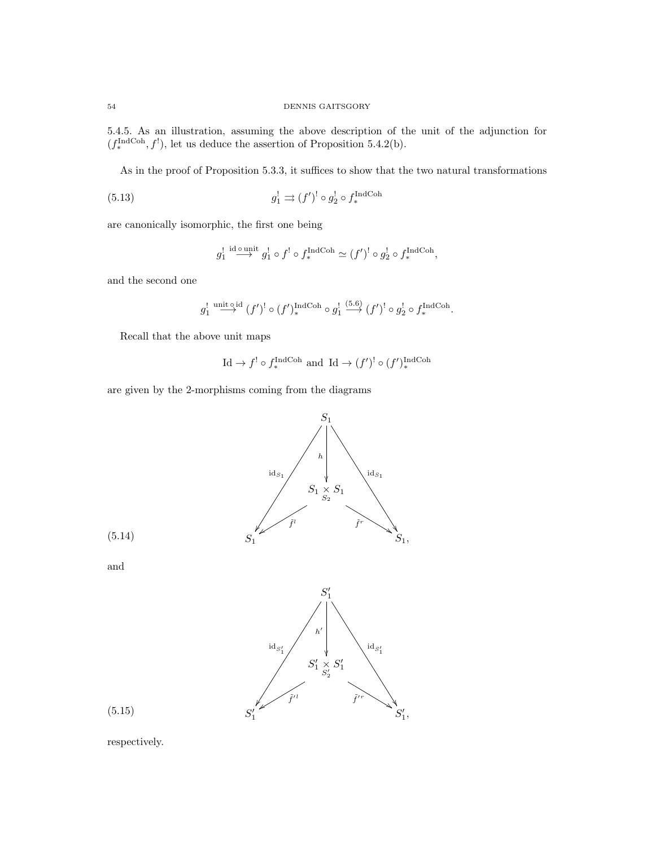5.4.5. As an illustration, assuming the above description of the unit of the adjunction for  $(f_*^{\text{IndCoh}}, f^!)$ , let us deduce the assertion of Proposition 5.4.2(b).

As in the proof of Proposition 5.3.3, it suffices to show that the two natural transformations

(5.13) 
$$
g_1^! \Rightarrow (f')^! \circ g_2^! \circ f_*^{\text{IndCoh}}
$$

are canonically isomorphic, the first one being

$$
g_1^{\rm !}\stackrel{\rm id\, o\, unit}{\longrightarrow} g_1^{\rm !}\circ f^{\rm !}\circ f_*^{\rm IndCoh}\simeq (f')^{\rm !}\circ g_2^{\rm !}\circ f_*^{\rm IndCoh},
$$

and the second one

$$
g_1^!\overset{\text{unit } \circ i}{\longrightarrow} (f')^! \circ (f')_*^{\text{IndCoh}} \circ g_1^! \overset{(5.6)}{\longrightarrow} (f')^! \circ g_2^! \circ f_*^{\text{IndCoh}}.
$$

Recall that the above unit maps

$$
\text{Id} \to f' \circ f_*^{\text{IndCoh}}
$$
 and  $\text{Id} \to (f')^! \circ (f')_*^{\text{IndCoh}}$ 

are given by the 2-morphisms coming from the diagrams





and



(5.15)

respectively.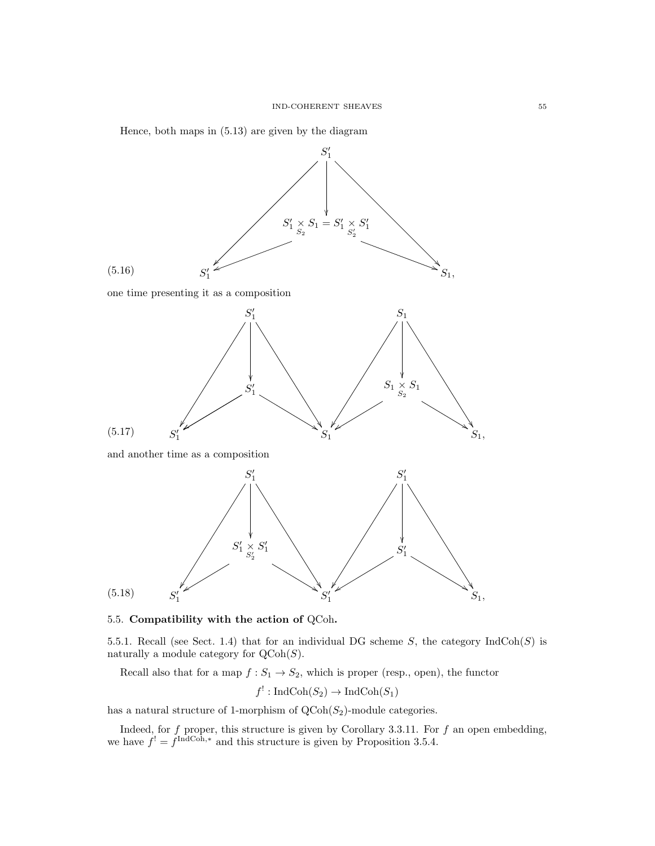

5.5. Compatibility with the action of QCoh.

5.5.1. Recall (see Sect. 1.4) that for an individual DG scheme S, the category  $IndCoh(S)$  is naturally a module category for  $\text{QCoh}(S)$ .

Recall also that for a map  $f: S_1 \to S_2$ , which is proper (resp., open), the functor

$$
f^!: \operatorname{IndCoh}(S_2) \to \operatorname{IndCoh}(S_1)
$$

has a natural structure of 1-morphism of  $Q\text{Coh}(S_2)$ -module categories.

Indeed, for f proper, this structure is given by Corollary 3.3.11. For f an open embedding, we have  $f' = f^{\text{IndCoh},*}$  and this structure is given by Proposition 3.5.4.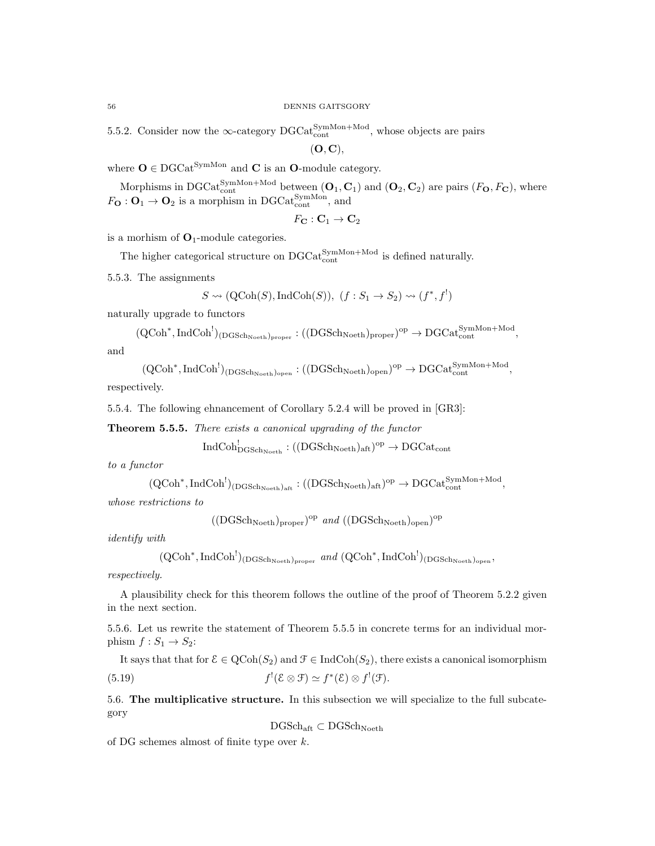5.5.2. Consider now the  $\infty$ -category DGCat<sup>SymMon+Mod</sup>, whose objects are pairs

 $(O, C),$ 

where  $O \in DGCat^{SymMon}$  and C is an O-module category.

Morphisms in DGCat<sup>SymMon+Mod</sup> between  $(O_1, C_1)$  and  $(O_2, C_2)$  are pairs  $(F_O, F_C)$ , where  $F_{\mathbf{O}}: \mathbf{O}_1 \to \mathbf{O}_2$  is a morphism in DGCat<sup>SymMon</sup>, and

$$
F_{\mathbf{C}}: \mathbf{C}_1 \to \mathbf{C}_2
$$

is a morhism of  $O_1$ -module categories.

The higher categorical structure on  $\mathrm{DGCat}_{\mathrm{cont}}^{\mathrm{SymMon+Mod}}$  is defined naturally.

5.5.3. The assignments

$$
S \rightsquigarrow (\text{QCoh}(S), \text{IndCoh}(S)), (f : S_1 \rightarrow S_2) \rightsquigarrow (f^*, f^!)
$$

naturally upgrade to functors

$$
(QCoh^*,IndCoh^!)_{(DGSch_{Noeth})_{proper}}:((DGSch_{Noeth})_{proper})^{op}\to DGCat^{SymMon+Mod}_{cont},
$$
 and

 $(\mathrm{QCoh}^*, \mathrm{IndCoh}^!)_{(\mathrm{DGSch}_{\mathrm{Noeth}})_{\mathrm{open}}} : ((\mathrm{DGSch}_{\mathrm{Noeth}})_{\mathrm{open}})^{\mathrm{op}} \to \mathrm{DGCat}_{\mathrm{cont}}^{\mathrm{SymMon+Mod}},$ 

respectively.

5.5.4. The following ehnancement of Corollary 5.2.4 will be proved in [GR3]:

Theorem 5.5.5. There exists a canonical upgrading of the functor

$$
\operatorname{IndCoh}^!_{\operatorname{DGSch}_{\operatorname{Noeth}}}:((\operatorname{DGSch}_{\operatorname{Noeth}})_{\operatorname{aft}})^{\operatorname{op}}\to \operatorname{DGCat}_{\operatorname{cont}}
$$

to a functor

$$
(\mathrm{QCoh}^* , \mathrm{IndCoh}^!)_{(\mathrm{DGSch}_{\mathrm{Noeth}})_{\mathrm{aff}}} : ((\mathrm{DGSch}_{\mathrm{Noeth}})_{\mathrm{aff}})^{\mathrm{op}} \to \mathrm{DGCat}_{\mathrm{cont}}^{\mathrm{SymMon+Mod}},
$$

whose restrictions to

 $((\text{DGSch}_\text{Noeth})_{\text{proper}})^\text{op}$  and  $((\text{DGSch}_\text{Noeth})_{\text{open}})^\text{op}$ 

identify with

$$
(\text{QCoh}^*, \text{IndCoh}^!)_{(\text{DGSch}_{\text{Noeth}})_{\text{proper}}} \text{ and } (\text{QCoh}^*, \text{IndCoh}^!)_{(\text{DGSch}_{\text{Noeth}})_{\text{open}}},
$$

respectively.

A plausibility check for this theorem follows the outline of the proof of Theorem 5.2.2 given in the next section.

5.5.6. Let us rewrite the statement of Theorem 5.5.5 in concrete terms for an individual morphism  $f: S_1 \rightarrow S_2$ :

It says that that for  $\mathcal{E} \in \text{QCoh}(S_2)$  and  $\mathcal{F} \in \text{IndCoh}(S_2)$ , there exists a canonical isomorphism  $(5.19)$  $f'(\mathcal{E} \otimes \mathcal{F}) \simeq f^*(\mathcal{E}) \otimes f'(\mathcal{F}).$ 

5.6. The multiplicative structure. In this subsection we will specialize to the full subcategory

 $\mathrm{DGSch}_{\mathrm{aft}}\subset \mathrm{DGSch}_{\mathrm{Noeth}}$ 

of DG schemes almost of finite type over k.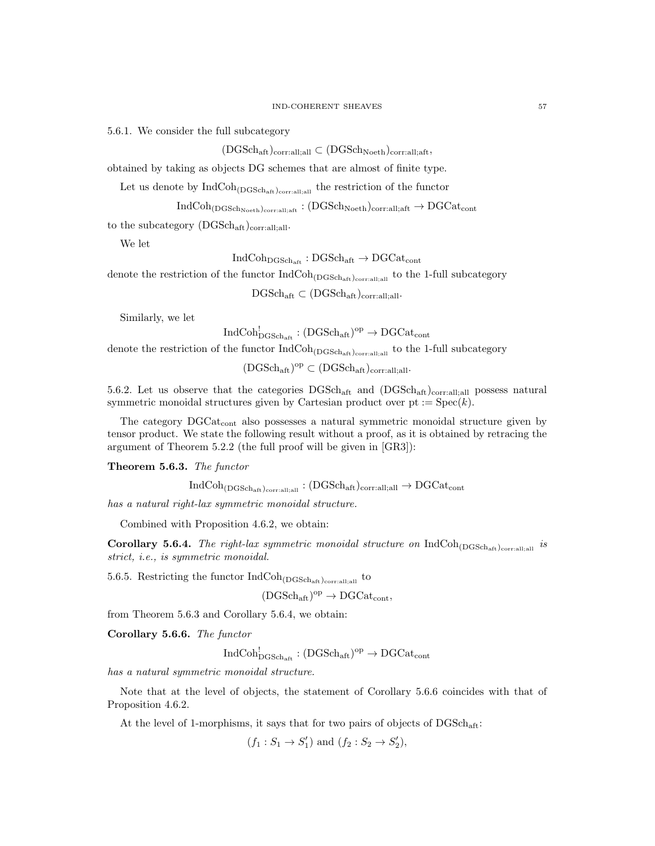5.6.1. We consider the full subcategory

 $(DGSch<sub>aff</sub>)<sub>corr:all;all</sub> \subset (DGSch<sub>Noeth</sub>)<sub>corr:all;aff</sub>$ 

obtained by taking as objects DG schemes that are almost of finite type.

Let us denote by  $\text{IndCoh}_{(DGSch_{\text{aff}})_{\text{corr:all;all}}}$  the restriction of the functor

 $IndCoh<sub>(DGSch<sub>Noeth</sub>)<sub>corr:all:aff</sub></sub> : (DGSch<sub>Noeth</sub>)<sub>corr:all:aff</sub> \rightarrow DGCat<sub>cont</sub>$ 

to the subcategory  $(DGSch<sub>aff</sub>)_{\text{corr:all:all}}$ .

We let

 $IndCoh<sub>DGSch<sub>aff</sub></sub> : DGSch<sub>aff</sub> \rightarrow DGCat<sub>cont</sub>$ 

denote the restriction of the functor  $IndCoh_{(DGSch_{aff})_{\text{corr:all,all}}}$  to the 1-full subcategory

 $\mathrm{DGSch}_{\mathrm{aft}} \subset (\mathrm{DGSch}_{\mathrm{aft}})_{\mathrm{corr:all;all}}.$ 

Similarly, we let

 $\mathrm{IndCoh}^!_{\mathrm{DGSch}_\mathrm{aft}} : (\mathrm{DGSch}_\mathrm{aft})^\mathrm{op} \to \mathrm{DGCat}_\mathrm{cont}$ 

denote the restriction of the functor  $\rm IndCoh_{(DGSch_{aff})_{\rm corr:all;all}}$  to the 1-full subcategory

 $(DGSch_{\text{aff}})^{\text{op}} \subset (DGSch_{\text{aff}})_{\text{corr:all;all}}.$ 

5.6.2. Let us observe that the categories  $DGSch_{\text{aff}}$  and  $(DGSch_{\text{aff}})_{\text{corr,all,all}}$  possess natural symmetric monoidal structures given by Cartesian product over  $pt := Spec(k)$ .

The category  $DGCat_{cont}$  also possesses a natural symmetric monoidal structure given by tensor product. We state the following result without a proof, as it is obtained by retracing the argument of Theorem 5.2.2 (the full proof will be given in [GR3]):

Theorem 5.6.3. The functor

$$
\rm IndCoh_{(DGSch_{aft})_{\rm corr: all; all}}: (DGSch_{aft})_{\rm corr: all; all} \rightarrow DGCat_{\rm cont}
$$

has a natural right-lax symmetric monoidal structure.

Combined with Proposition 4.6.2, we obtain:

Corollary 5.6.4. The right-lax symmetric monoidal structure on  $IndCoh_{(DGSch<sub>aff</sub>)<sub>corralial</sub>}$  is strict, i.e., is symmetric monoidal.

5.6.5. Restricting the functor  $\operatorname{IndCoh}_{(\operatorname{DGSch}_{\operatorname{aff}})_{\operatorname{corr:all},\operatorname{all}}}$  to

 $(DGSch_{\text{aft}})^{\text{op}} \to DGCat_{\text{cont}}$ 

from Theorem 5.6.3 and Corollary 5.6.4, we obtain:

Corollary 5.6.6. The functor

 $\mathrm{IndCoh}^!_{\mathrm{DGSch}_\mathrm{aft}} : (\mathrm{DGSch}_\mathrm{aft})^\mathrm{op} \to \mathrm{DGCat}_\mathrm{cont}$ 

has a natural symmetric monoidal structure.

Note that at the level of objects, the statement of Corollary 5.6.6 coincides with that of Proposition 4.6.2.

At the level of 1-morphisms, it says that for two pairs of objects of  $DGSch_{\text{aft}}$ :

 $(f_1: S_1 \to S'_1)$  and  $(f_2: S_2 \to S'_2)$ ,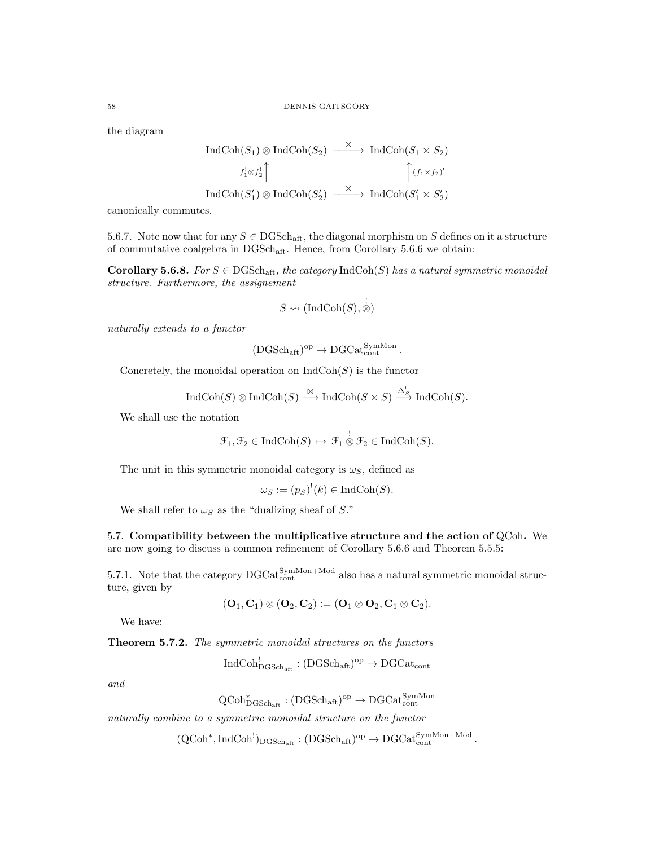the diagram

$$
\text{IndCoh}(S_1) \otimes \text{IndCoh}(S_2) \xrightarrow{\boxtimes} \text{IndCoh}(S_1 \times S_2)
$$

$$
f_1^! \otimes f_2^! \uparrow \qquad \qquad \uparrow (f_1 \times f_2)^!
$$

$$
\text{IndCoh}(S'_1) \otimes \text{IndCoh}(S'_2) \xrightarrow{\boxtimes} \text{IndCoh}(S'_1 \times S'_2)
$$

canonically commutes.

5.6.7. Note now that for any  $S \in \text{DGSch}_{\text{aff}}$ , the diagonal morphism on S defines on it a structure of commutative coalgebra in  $DGSch_{\text{aft}}$ . Hence, from Corollary 5.6.6 we obtain:

Corollary 5.6.8. For  $S \in \text{DGSch}_{\text{aff}}$ , the category  $\text{IndCoh}(S)$  has a natural symmetric monoidal structure. Furthermore, the assignement

$$
S \rightsquigarrow (\text{IndCoh}(S), \overset{!}{\otimes})
$$

naturally extends to a functor

$$
(\mathrm{DGSch}_\mathrm{aft})^\mathrm{op} \to \mathrm{DGCat}^\mathrm{SymMon}_\mathrm{cont}.
$$

Concretely, the monoidal operation on  $\text{IndCoh}(S)$  is the functor

$$
\operatorname{IndCoh}(S) \otimes \operatorname{IndCoh}(S) \xrightarrow{\boxtimes} \operatorname{IndCoh}(S \times S) \xrightarrow{\Delta^!_{S}} \operatorname{IndCoh}(S).
$$

We shall use the notation

$$
\mathcal{F}_1, \mathcal{F}_2 \in \mathrm{IndCoh}(S) \, \mapsto \, \mathcal{F}_1 \overset{!}{\otimes} \mathcal{F}_2 \in \mathrm{IndCoh}(S).
$$

The unit in this symmetric monoidal category is  $\omega<sub>S</sub>$ , defined as

$$
\omega_S := (p_S)^!(k) \in \text{IndCoh}(S).
$$

We shall refer to  $\omega_S$  as the "dualizing sheaf of S."

5.7. Compatibility between the multiplicative structure and the action of QCoh. We are now going to discuss a common refinement of Corollary 5.6.6 and Theorem 5.5.5:

5.7.1. Note that the category  $\text{DGCat}_{\text{cont}}^{\text{SymMon+Mod}}$  also has a natural symmetric monoidal structure, given by

$$
(\mathbf{O}_1,\mathbf{C}_1)\otimes (\mathbf{O}_2,\mathbf{C}_2):=(\mathbf{O}_1\otimes \mathbf{O}_2,\mathbf{C}_1\otimes \mathbf{C}_2).
$$

We have:

Theorem 5.7.2. The symmetric monoidal structures on the functors

$$
\mathrm{IndCoh}^!_{\mathrm{DGSch}_{\mathrm{aff}}} : (\mathrm{DGSch}_{\mathrm{aff}})^{\mathrm{op}} \to \mathrm{DGCat}_{\mathrm{cont}}
$$

and

 $\mathrm{QCoh}^*_{\mathrm{DGSch}_\mathrm{aft}} : (\mathrm{DGSch}_\mathrm{aft})^\mathrm{op} \to \mathrm{DGCat}^\mathrm{SymMon}_\mathrm{cont}$ 

naturally combine to a symmetric monoidal structure on the functor

 $(\mathrm{QCoh}^*, \mathrm{IndCoh}^!)_{\mathrm{DGSch}_{\mathrm{aft}}} : (\mathrm{DGSch}_{\mathrm{aft}})^{\mathrm{op}} \to \mathrm{DGCat}_{\mathrm{cont}}^{\mathrm{SymMon+Mod}}$ .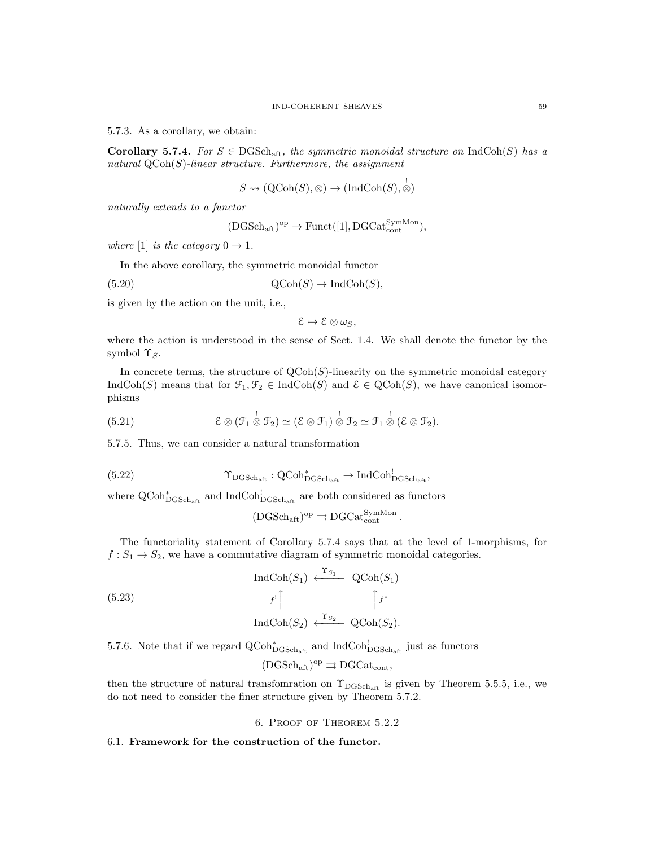5.7.3. As a corollary, we obtain:

**Corollary 5.7.4.** For  $S \in \text{DGSch}_{\text{aff}}$ , the symmetric monoidal structure on IndCoh(S) has a natural  $QCoh(S)$ -linear structure. Furthermore, the assignment

$$
S \rightsquigarrow (\text{QCoh}(S), \otimes) \rightarrow (\text{IndCoh}(S), \overset{!}{\otimes})
$$

naturally extends to a functor

$$
(\mathrm{DGSch}_{\mathrm{aft}})^{\mathrm{op}} \to \mathrm{Funct}([1], \mathrm{DGCat}_{\mathrm{cont}}^{\mathrm{SymMon}}),
$$

where [1] is the category  $0 \rightarrow 1$ .

In the above corollary, the symmetric monoidal functor

$$
(5.20) \t QCoh(S) \to \text{IndCoh}(S),
$$

is given by the action on the unit, i.e.,

$$
\mathcal{E}\mapsto \mathcal{E}\otimes \omega_S,
$$

where the action is understood in the sense of Sect. 1.4. We shall denote the functor by the symbol  $\Upsilon_S$ .

In concrete terms, the structure of  $QCoh(S)$ -linearity on the symmetric monoidal category IndCoh(S) means that for  $\mathcal{F}_1, \mathcal{F}_2 \in \text{IndCoh}(S)$  and  $\mathcal{E} \in \text{QCoh}(S)$ , we have canonical isomorphisms

(5.21) 
$$
\mathcal{E}\otimes(\mathcal{F}_1\overset{!}{\otimes}\mathcal{F}_2)\simeq(\mathcal{E}\otimes\mathcal{F}_1)\overset{!}{\otimes}\mathcal{F}_2\simeq\mathcal{F}_1\overset{!}{\otimes}(\mathcal{E}\otimes\mathcal{F}_2).
$$

5.7.5. Thus, we can consider a natural transformation

$$
(5.22)\qquad \qquad \Upsilon_{\rm DGSch_{\rm afft}}: {\rm QCoh}^*_{\rm DGSch_{\rm aff}} \to {\rm IndCoh}^!_{\rm DGSch_{\rm afft}},
$$

where  $\operatorname{QCoh}_{\operatorname{DGSch}_{\text{aff}}}^*$  and  $\operatorname{IndCoh}_{\operatorname{DGSch}_{\text{aff}}}^!$  are both considered as functors

$$
(\mathrm{DGSch}_\mathrm{aft})^\mathrm{op}\rightrightarrows \mathrm{DGCat}^\mathrm{SymMon}_\mathrm{cont}.
$$

The functoriality statement of Corollary 5.7.4 says that at the level of 1-morphisms, for  $f: S_1 \to S_2$ , we have a commutative diagram of symmetric monoidal categories.

$$
\operatorname{IndCoh}(S_1) \xleftarrow{ \mathcal{T}_{S_1}} \operatorname{QCoh}(S_1)
$$
\n
$$
f' \uparrow \qquad \qquad \uparrow f^*
$$
\n
$$
\operatorname{IndCoh}(S_2) \xleftarrow{\mathcal{T}_{S_2}} \operatorname{QCoh}(S_2).
$$

5.7.6. Note that if we regard  $\text{QCoh}_{\text{DGSch}_{\text{aff}}}^*$  and  $\text{IndCoh}_{\text{DGSch}_{\text{aff}}}^!$  just as functors

$$
(\mathrm{DGSch}_{\mathrm{aft}})^{\mathrm{op}} \rightrightarrows \mathrm{DGCat}_{\mathrm{cont}},
$$

then the structure of natural transfomration on  $\Upsilon_{\text{DGSch}_{\text{aff}}}$  is given by Theorem 5.5.5, i.e., we do not need to consider the finer structure given by Theorem 5.7.2.

6. Proof of Theorem 5.2.2

#### 6.1. Framework for the construction of the functor.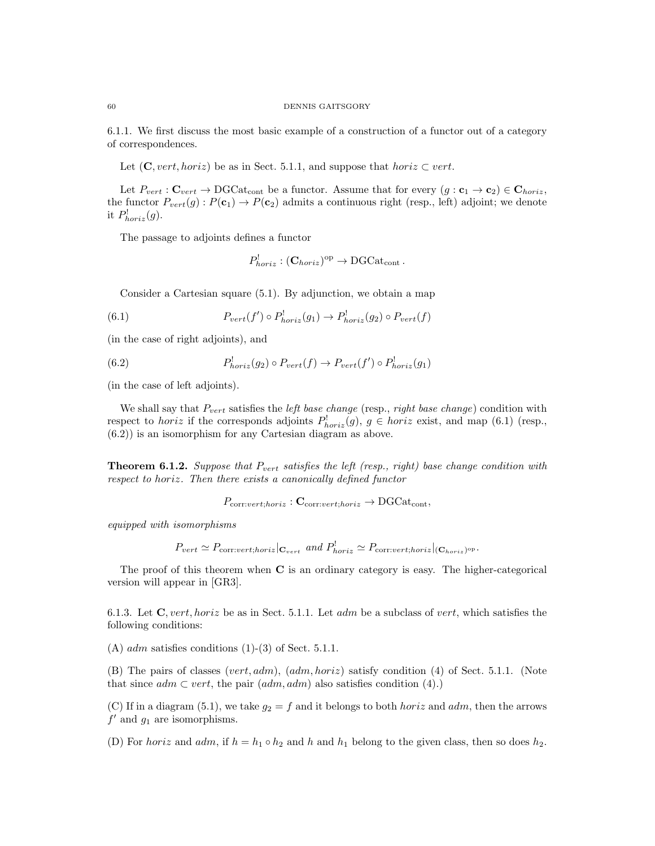6.1.1. We first discuss the most basic example of a construction of a functor out of a category of correspondences.

Let  $(C, vert, horiz)$  be as in Sect. 5.1.1, and suppose that  $horiz \subset vert$ .

Let  $P_{vert} : \mathbf{C}_{vert} \to \mathrm{DGCat}_{cont}$  be a functor. Assume that for every  $(g : \mathbf{c}_1 \to \mathbf{c}_2) \in \mathbf{C}_{horiz}$ , the functor  $P_{vert}(g): P(c_1) \to P(c_2)$  admits a continuous right (resp., left) adjoint; we denote it  $P_{horiz}^!(g)$ .

The passage to adjoints defines a functor

$$
P_{horiz}^! : (\mathbf{C}_{horiz})^{\mathrm{op}} \to \mathrm{DGCat}_{\mathrm{cont}}.
$$

Consider a Cartesian square (5.1). By adjunction, we obtain a map

(6.1) 
$$
P_{vert}(f') \circ P_{horiz}^!(g_1) \to P_{horiz}^!(g_2) \circ P_{vert}(f)
$$

(in the case of right adjoints), and

(6.2) 
$$
P_{horiz}^!(g_2) \circ P_{vert}(f) \to P_{vert}(f') \circ P_{horiz}^!(g_1)
$$

(in the case of left adjoints).

We shall say that  $P_{vert}$  satisfies the *left base change* (resp., *right base change*) condition with respect to *horiz* if the corresponds adjoints  $P_{horiz}^{\perp}(g)$ ,  $g \in horiz$  exist, and map (6.1) (resp., (6.2)) is an isomorphism for any Cartesian diagram as above.

**Theorem 6.1.2.** Suppose that  $P_{vert}$  satisfies the left (resp., right) base change condition with respect to horiz. Then there exists a canonically defined functor

 $P_{\text{corr}:vert;horiz}:$   $\mathbf{C}_{\text{corr}:vert;horiz} \rightarrow \text{DGCat}_{\text{cont}},$ 

equipped with isomorphisms

$$
P_{vert} \simeq P_{\text{corr:}vert;horiz}|_{\mathbf{C}_{vert}}
$$
 and  $P_{horiz}^!$   $\simeq P_{\text{corr:}vert;horiz}|_{(\mathbf{C}_{horiz})^{\text{op}}}.$ 

The proof of this theorem when C is an ordinary category is easy. The higher-categorical version will appear in [GR3].

6.1.3. Let  $C$ , vert, horiz be as in Sect. 5.1.1. Let adm be a subclass of vert, which satisfies the following conditions:

(A)  $adm$  satisfies conditions  $(1)-(3)$  of Sect. 5.1.1.

(B) The pairs of classes (vert,  $adm$ ),  $(adm, horiz)$  satisfy condition (4) of Sect. 5.1.1. (Note that since  $adm \subset vert$ , the pair  $(adm, adm)$  also satisfies condition (4).)

(C) If in a diagram (5.1), we take  $g_2 = f$  and it belongs to both *horiz* and *adm*, then the arrows  $f'$  and  $g_1$  are isomorphisms.

(D) For horiz and adm, if  $h = h_1 \circ h_2$  and h and  $h_1$  belong to the given class, then so does  $h_2$ .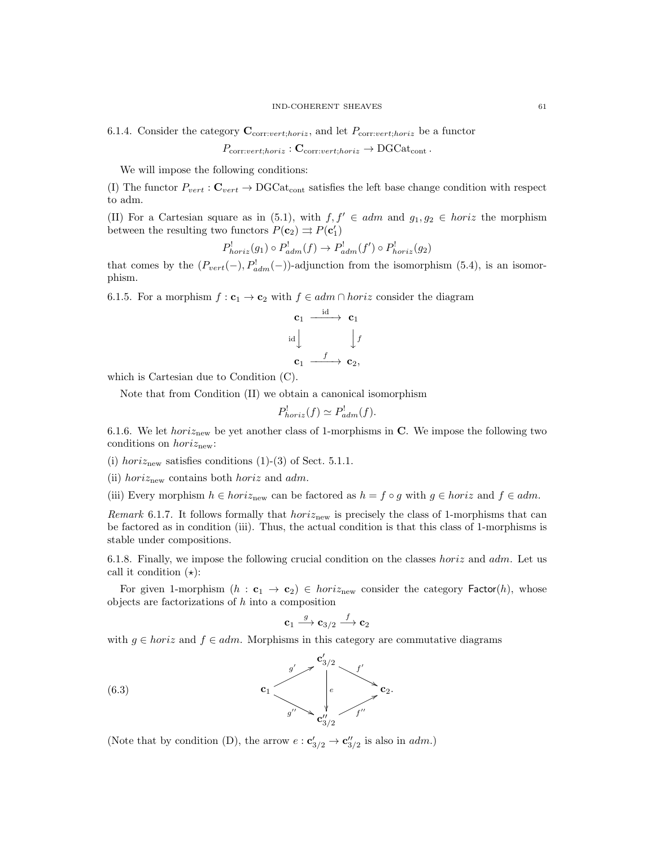6.1.4. Consider the category  $\mathbf{C}_{\text{corr:vert:horiz}}$ , and let  $P_{\text{corr:vert:horiz}}$  be a functor

$$
P_{\text{corr}:vert;horiz}: \mathbf{C}_{\text{corr}:vert;horiz} \to \text{DGCat}_{\text{cont}}.
$$

We will impose the following conditions:

(I) The functor  $P_{vert}$ :  $\mathbf{C}_{vert} \rightarrow \text{DGCat}_{cont}$  satisfies the left base change condition with respect to adm.

(II) For a Cartesian square as in (5.1), with  $f, f' \in adm$  and  $g_1, g_2 \in horiz$  the morphism between the resulting two functors  $P(\mathbf{c}_2) \rightrightarrows P(\mathbf{c}'_1)$ 

$$
P_{horiz}^!(g_1) \circ P_{adm}^!(f) \to P_{adm}^!(f') \circ P_{horiz}^!(g_2)
$$

that comes by the  $(P_{vert}(-), P_{adm}^!(-))$ -adjunction from the isomorphism (5.4), is an isomorphism.

6.1.5. For a morphism  $f: \mathbf{c}_1 \to \mathbf{c}_2$  with  $f \in adm \cap horiz$  consider the diagram

$$
\begin{array}{ccc}\n\mathbf{c}_1 & \xrightarrow{\mathrm{id}} & \mathbf{c}_1 \\
\downarrow{\mathrm{id}} & & \downarrow{f} \\
\mathbf{c}_1 & \xrightarrow{f} & \mathbf{c}_2, \n\end{array}
$$

which is Cartesian due to Condition (C).

Note that from Condition (II) we obtain a canonical isomorphism

$$
P_{horiz}^!(f) \simeq P_{adm}^!(f).
$$

6.1.6. We let *horiz<sub>new</sub>* be yet another class of 1-morphisms in C. We impose the following two conditions on  $horiz_{\text{new}}$ :

(i) horiz<sub>new</sub> satisfies conditions  $(1)-(3)$  of Sect. 5.1.1.

(ii) horiz<sub>new</sub> contains both *horiz* and *adm*.

(iii) Every morphism  $h \in horiz_{\text{new}}$  can be factored as  $h = f \circ g$  with  $g \in horiz$  and  $f \in adm$ .

*Remark* 6.1.7. It follows formally that  $hori_{\text{new}}$  is precisely the class of 1-morphisms that can be factored as in condition (iii). Thus, the actual condition is that this class of 1-morphisms is stable under compositions.

6.1.8. Finally, we impose the following crucial condition on the classes *horiz* and  $adm$ . Let us call it condition  $(\star)$ :

For given 1-morphism  $(h : c_1 \rightarrow c_2) \in horiz_{\text{new}}$  consider the category Factor $(h)$ , whose objects are factorizations of  $h$  into a composition

$$
\mathbf{c}_1 \stackrel{g}{\longrightarrow} \mathbf{c}_{3/2} \stackrel{f}{\longrightarrow} \mathbf{c}_2
$$

with  $g \in horiz$  and  $f \in adm$ . Morphisms in this category are commutative diagrams



(Note that by condition (D), the arrow  $e : \mathbf{c}'_{3/2} \to \mathbf{c}''_{3/2}$  is also in  $adm$ .)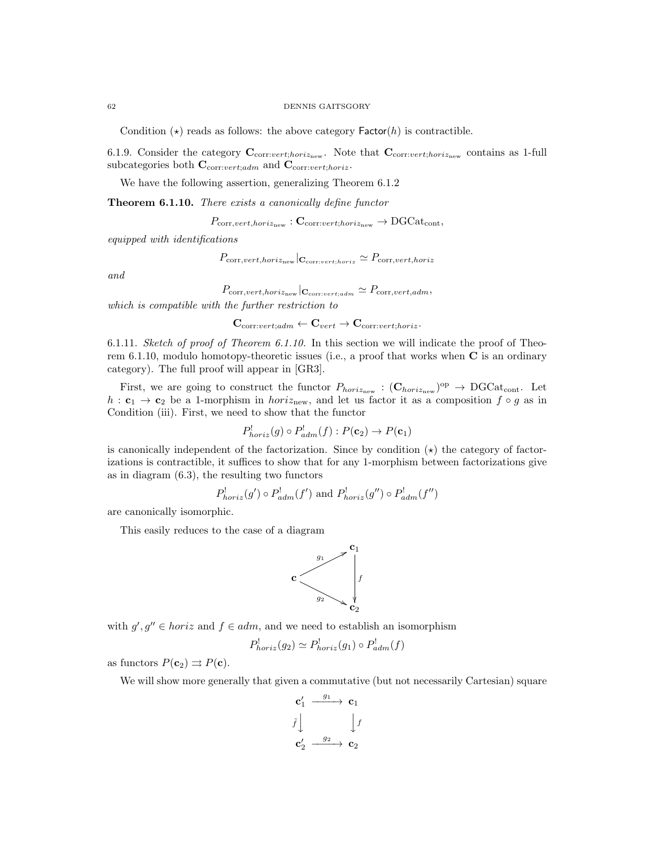#### 62 DENNIS GAITSGORY

Condition  $(\star)$  reads as follows: the above category Factor(h) is contractible.

6.1.9. Consider the category  $\mathbf{C}_{\text{corr:vert,horiz<sub>new</sub>}}$ . Note that  $\mathbf{C}_{\text{corr:vert,horiz<sub>new</sub>}}$  contains as 1-full subcategories both  $\mathbf{C}_{\text{corr:}vert:adm}$  and  $\mathbf{C}_{\text{corr:}vert:horiz}$ .

We have the following assertion, generalizing Theorem 6.1.2

Theorem 6.1.10. There exists a canonically define functor

 $P_{\text{corr},vert,horiz_{\text{new}}}$ :  $\mathbf{C}_{\text{corr:vert,horiz_{\text{new}}}} \rightarrow \text{DGCat}_{\text{cont}},$ 

equipped with identifications

 $P_{\mathrm{corr},vert,horiz_{\mathrm{new}}}|_{\mathbf{C}_{\mathrm{corr},vert,horiz}} \simeq P_{\mathrm{corr},vert,horiz}$ 

and

 $P_{\mathrm{corr},vert,horiz_{\mathrm{new}}}\vert_{\mathbf{C}_{\mathrm{corr}:\mathrm{vert},adm}} \simeq P_{\mathrm{corr},vert,adm},$ 

which is compatible with the further restriction to

 $\mathbf{C}_{\text{corr:vert:adm}} \leftarrow \mathbf{C}_{\text{vert}} \rightarrow \mathbf{C}_{\text{corr:vert:horiz}}.$ 

6.1.11. Sketch of proof of Theorem 6.1.10. In this section we will indicate the proof of Theorem 6.1.10, modulo homotopy-theoretic issues (i.e., a proof that works when  $C$  is an ordinary category). The full proof will appear in [GR3].

First, we are going to construct the functor  $P_{horiz_{new}} : (\mathbf{C}_{horiz_{new}})^{op} \to DGCat_{cont}.$  Let h :  $c_1 \rightarrow c_2$  be a 1-morphism in horiz<sub>new</sub>, and let us factor it as a composition  $f \circ g$  as in Condition (iii). First, we need to show that the functor

$$
P_{horiz}^!(g) \circ P_{adm}^!(f) : P(\mathbf{c}_2) \to P(\mathbf{c}_1)
$$

is canonically independent of the factorization. Since by condition  $(\star)$  the category of factorizations is contractible, it suffices to show that for any 1-morphism between factorizations give as in diagram (6.3), the resulting two functors

$$
P_{horiz}^!(g') \circ P_{adm}^!(f')
$$
 and  $P_{horiz}^!(g'') \circ P_{adm}^!(f'')$ 

are canonically isomorphic.

This easily reduces to the case of a diagram



with  $g', g'' \in horiz$  and  $f \in adm$ , and we need to establish an isomorphism

$$
P_{horiz}^!(g_2) \simeq P_{horiz}^!(g_1) \circ P_{adm}^!(f)
$$

as functors  $P(\mathbf{c}_2) \rightrightarrows P(\mathbf{c})$ .

We will show more generally that given a commutative (but not necessarily Cartesian) square

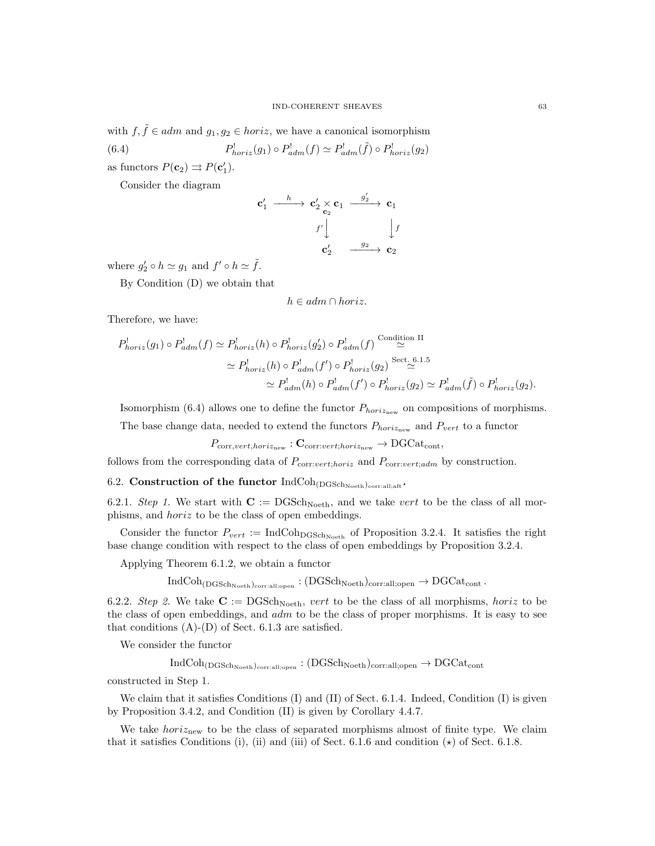with  $f, \tilde{f} \in adm$  and  $g_1, g_2 \in horiz$ , we have a canonical isomorphism

(6.4) 
$$
P_{horiz}^!(g_1) \circ P_{adm}^!(f) \simeq P_{adm}^!(\tilde{f}) \circ P_{horiz}^!(g_2)
$$

as functors  $P(\mathbf{c}_2) \rightrightarrows P(\mathbf{c}'_1)$ .

Consider the diagram

c 0 1 h −−−−→ c 0 <sup>2</sup> × c2 c1 g 0 <sup>2</sup> −−−−→ c<sup>1</sup> f 0 y yf c 0 2 <sup>g</sup><sup>2</sup> −−−−→ <sup>c</sup><sup>2</sup>

where  $g'_2 \circ h \simeq g_1$  and  $f' \circ h \simeq \tilde{f}$ .

By Condition (D) we obtain that

$$
h \in \mathit{adm} \cap \mathit{horiz}.
$$

Therefore, we have:

$$
P_{horiz}^{\perp}(g_1) \circ P_{adm}^{\perp}(f) \simeq P_{horiz}^{\perp}(h) \circ P_{horiz}^{\perp}(g_2') \circ P_{adm}^{\perp}(f) \stackrel{\text{Condition II}}{\simeq}
$$
  

$$
\simeq P_{horiz}^{\perp}(h) \circ P_{adm}^{\perp}(f') \circ P_{horiz}^{\perp}(g_2) \stackrel{\text{Sect. 6.1.5}}{\simeq}
$$
  

$$
\simeq P_{adm}^{\perp}(h) \circ P_{adm}^{\perp}(f') \circ P_{horiz}^{\perp}(g_2) \simeq P_{adm}^{\perp}(\tilde{f}) \circ P_{horiz}^{\perp}(g_2).
$$

Isomorphism (6.4) allows one to define the functor  $P_{horiz_{\text{new}}}$  on compositions of morphisms.

The base change data, needed to extend the functors  $P_{horiz<sub>new</sub>}$  and  $P_{vert}$  to a functor

 $P_{\mathrm{corr},vert,horiz_{\mathrm{new}}}:\mathbf{C}_{\mathrm{corr}:vert,horiz_{\mathrm{new}}}\to \mathrm{DGCat}_{\mathrm{cont}},$ 

follows from the corresponding data of  $P_{\text{corr:}vert:horiz}$  and  $P_{\text{corr:}vert:adm}$  by construction.

# 6.2. Construction of the functor  $IndCoh_{(DGSch_{Noeth})_{\text{corr:all};\text{aff}}}.$

6.2.1. Step 1. We start with  $\mathbf{C} := \mathrm{DGSch}_{\mathrm{Noeth}}$ , and we take vert to be the class of all morphisms, and horiz to be the class of open embeddings.

Consider the functor  $P_{vert} := \text{IndCoh}_{\text{DGSch}_{\text{Noeth}}}$  of Proposition 3.2.4. It satisfies the right base change condition with respect to the class of open embeddings by Proposition 3.2.4.

Applying Theorem 6.1.2, we obtain a functor

 $IndCoh<sub>(DGSchNeeth)</sub>$ <sub>corr:all;open</sub> :  $(DGSch<sub>Noeth</sub>)$ <sub>corr:all;open</sub>  $\rightarrow DGCat<sub>cont</sub>$ .

6.2.2. Step 2. We take  $C := DGSch<sub>Noeth</sub>$ , vert to be the class of all morphisms, horiz to be the class of open embeddings, and  $adm$  to be the class of proper morphisms. It is easy to see that conditions  $(A)$ - $(D)$  of Sect. 6.1.3 are satisfied.

We consider the functor

 $IndCoh_{(DGSch_{Noeth})_{corr:all;open}}: (DGSch_{Noeth})_{corr:all;open} \rightarrow DGCat_{cont}$ 

constructed in Step 1.

We claim that it satisfies Conditions (I) and (II) of Sect. 6.1.4. Indeed, Condition (I) is given by Proposition 3.4.2, and Condition (II) is given by Corollary 4.4.7.

We take *horiznew* to be the class of separated morphisms almost of finite type. We claim that it satisfies Conditions (i), (ii) and (iii) of Sect. 6.1.6 and condition  $(\star)$  of Sect. 6.1.8.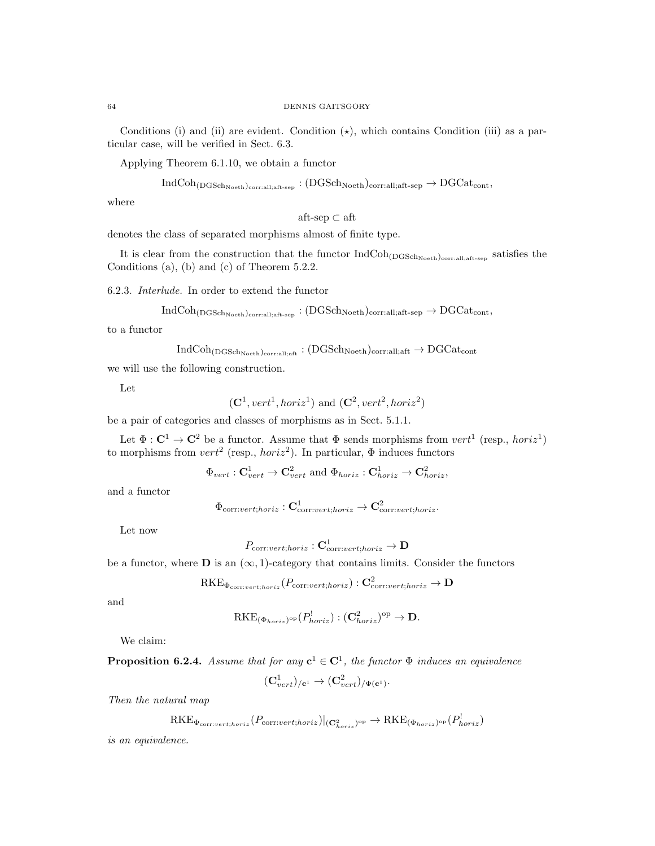Conditions (i) and (ii) are evident. Condition  $(\star)$ , which contains Condition (iii) as a particular case, will be verified in Sect. 6.3.

Applying Theorem 6.1.10, we obtain a functor

 $IndCoh<sub>(DGSchNoeth)</sub>_{corr:all;aff-sep}: (DGSch<sub>Noeth</sub>)_{corr:all;aff-sep} \rightarrow DGCat<sub>cont</sub>$ 

where

aft-sep $\subset$ aft

denotes the class of separated morphisms almost of finite type.

It is clear from the construction that the functor  $IndCoh_{(DGSch<sub>Neeth</sub>)<sub>corr:all:aff-sep</sub>}$  satisfies the Conditions (a), (b) and (c) of Theorem 5.2.2.

6.2.3. Interlude. In order to extend the functor

$$
IndCoh_{(DGSch_{Noeth})_{\text{corr:all;aff-sep}}}: (DGSch_{Noeth})_{\text{corr:all;aff-sep}} \rightarrow DGCat_{\text{cont}},
$$

to a functor

$$
\rm IndCoh_{(DGSch_{Noeth})_{\rm corr: all;aff}}: (DGSch_{Noeth})_{\rm corr: all;aff} \rightarrow DGCat_{\rm cont}
$$

we will use the following construction.

Let

$$
(\mathbf{C}^1, vert^1, horiz^1)
$$
 and  $(\mathbf{C}^2, vert^2, horiz^2)$ 

be a pair of categories and classes of morphisms as in Sect. 5.1.1.

Let  $\Phi : \mathbf{C}^1 \to \mathbf{C}^2$  be a functor. Assume that  $\Phi$  sends morphisms from  $vert^1$  (resp.,  $horiz^1$ ) to morphisms from  $vert^2$  (resp.,  $horiz^2$ ). In particular,  $\Phi$  induces functors

$$
\Phi_{vert}: \mathbf{C}_{vert}^1 \to \mathbf{C}_{vert}^2
$$
 and  $\Phi_{horiz}: \mathbf{C}_{horiz}^1 \to \mathbf{C}_{horiz}^2$ ,

and a functor

$$
\Phi_{\mathrm{corr}:\textit{vert};horiz}: \mathbf{C}^1_{\mathrm{corr}:\textit{vert};horiz} \rightarrow \mathbf{C}^2_{\mathrm{corr}:\textit{vert};horiz}.
$$

Let now

$$
P_{\mathrm{corr:}vert;horiz}: \mathbf{C}^1_{\mathrm{corr:}vert;horiz} \to \mathbf{D}
$$

be a functor, where  $\bf{D}$  is an  $(\infty, 1)$ -category that contains limits. Consider the functors

$$
\mathrm{RKE}_{\Phi_{\mathrm{corr:} \text{vert}; horiz}}(P_{\mathrm{corr:} \text{vert}; horiz}) : \mathbf{C}^2_{\mathrm{corr:} \text{vert}; horiz} \to \mathbf{D}
$$

and

$$
\mathrm{RKE}_{(\Phi_{horiz})^{\mathrm{op}}}(P_{horiz}^!): (\mathbf{C}_{horiz}^2)^{\mathrm{op}} \to \mathbf{D}.
$$

We claim:

**Proposition 6.2.4.** Assume that for any 
$$
c^1 \in C^1
$$
, the functor  $\Phi$  induces an equivalence

$$
(\mathbf{C}^1_{vert})_{/\mathbf{c}^1} \rightarrow (\mathbf{C}^2_{vert})_{/\Phi(\mathbf{c}^1)}.
$$

Then the natural map

$$
\mathrm{RKE}_{\Phi_{\mathrm{corr}:vert;horiz}}(P_{\mathrm{corr}:vert;horiz})|_{(\mathbf{C}^2_{horiz})^{\mathrm{op}}} \to \mathrm{RKE}_{(\Phi_{horiz})^{\mathrm{op}}}(P^!_{horiz})
$$

is an equivalence.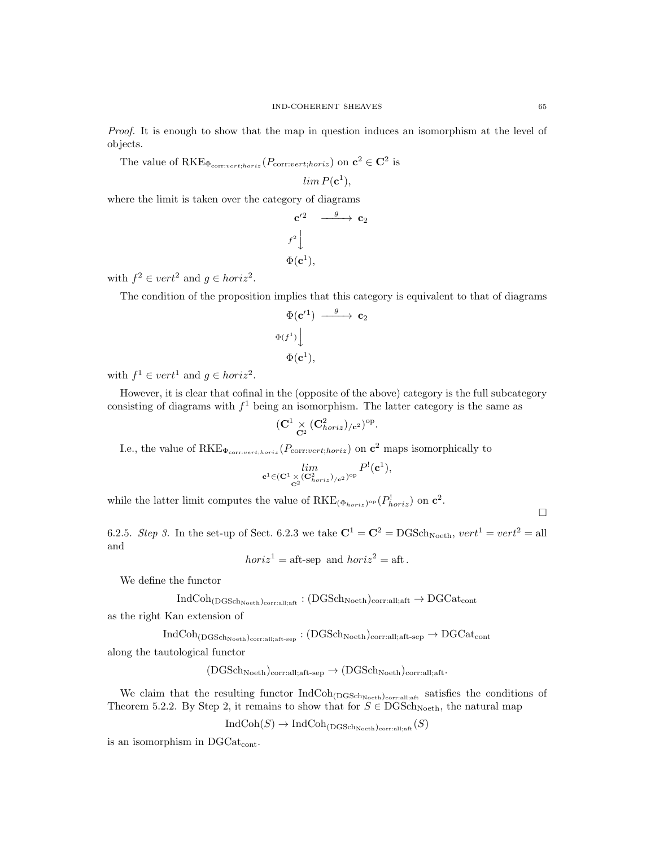Proof. It is enough to show that the map in question induces an isomorphism at the level of objects.

The value of RKE<sub> $\Phi_{\text{corr:vert,horiz}}(P_{\text{corr:vert;horiz}})$  on  $\mathbf{c}^2 \in \mathbf{C}^2$  is</sub>

 $\lim P(\mathbf{c}^1),$ 

where the limit is taken over the category of diagrams

$$
\begin{array}{ccc}\n\mathbf{c}'^2 & \xrightarrow{g} & \mathbf{c}_2 \\
\downarrow^{f^2} & & \\
\Phi(\mathbf{c}^1), & & \n\end{array}
$$

with  $f^2 \in vert^2$  and  $g \in horiz^2$ .

The condition of the proposition implies that this category is equivalent to that of diagrams

$$
\begin{array}{c}\n\Phi(\mathbf{c}'^1) \xrightarrow{g} \mathbf{c}_2 \\
\Phi(f^1) \downarrow \\
\Phi(\mathbf{c}^1),\n\end{array}
$$

with  $f^1 \in vert^1$  and  $g \in horiz^2$ .

However, it is clear that cofinal in the (opposite of the above) category is the full subcategory consisting of diagrams with  $f<sup>1</sup>$  being an isomorphism. The latter category is the same as

$$
(\mathbf{C}^1 \underset{\mathbf{C}^2}{\times} (\mathbf{C}^2_{\mathit{horiz}})_{/ \mathbf{c}^2})^{\mathrm{op}}.
$$

I.e., the value of  $RKE_{\Phi_{corr:vert,horiz}}(P_{corr:vert,horiz})$  on  $c^2$  maps isomorphically to

$$
\underset{\mathbf{c}^1\in (\mathbf{C}^1\times (\mathbf{C}^2_{\mathit{horiz}})_{/\mathbf{c}^2})^{\mathrm{op}}}{\mathit{lim}} P^!(\mathbf{c}^1),
$$

while the latter limit computes the value of  $RKE_{(\Phi_{horiz})}$  or  $\mathbf{c}^2$ .

6.2.5. Step 3. In the set-up of Sect. 6.2.3 we take  $\mathbf{C}^1 = \mathbf{C}^2 = \text{DGSch}_{\text{Noeth}}$ ,  $vert^1 = vert^2 = \text{all}$ 

$$
horiz1 = aft-sep and horiz2 = aft.
$$

We define the functor

and

$$
\rm IndCoh_{(DGSch_{Noeth})_{\rm corr: all;aff}}: (DGSch_{Noeth})_{\rm corr: all;aff} \rightarrow DGCat_{\rm cont}
$$

as the right Kan extension of

 $IndCoh_{(DGSch_{Noeth})_{\text{corral}:aff-sep}}: (DGSch_{Noeth})_{\text{corral}:aff-sep} \rightarrow DGCat_{\text{cont}}$ 

along the tautological functor

$$
(DGSch_{Noeth})_{\text{corr:all;aff-sep}} \rightarrow (DGSch_{Noeth})_{\text{corr:all;aff}}.
$$

We claim that the resulting functor  $IndCoh_{(DGSch_{Noeth})_{\text{corr:all;aff}}}$  satisfies the conditions of Theorem 5.2.2. By Step 2, it remains to show that for  $S \in \text{DGSch}_{\text{Noeth}}$ , the natural map

 $IndCoh(S) \to IndCoh_{(DGSch_{Noeth})_{\text{corrali}}}(S)$ 

is an isomorphism in  $DGCat_{cont.}$ 

 $\Box$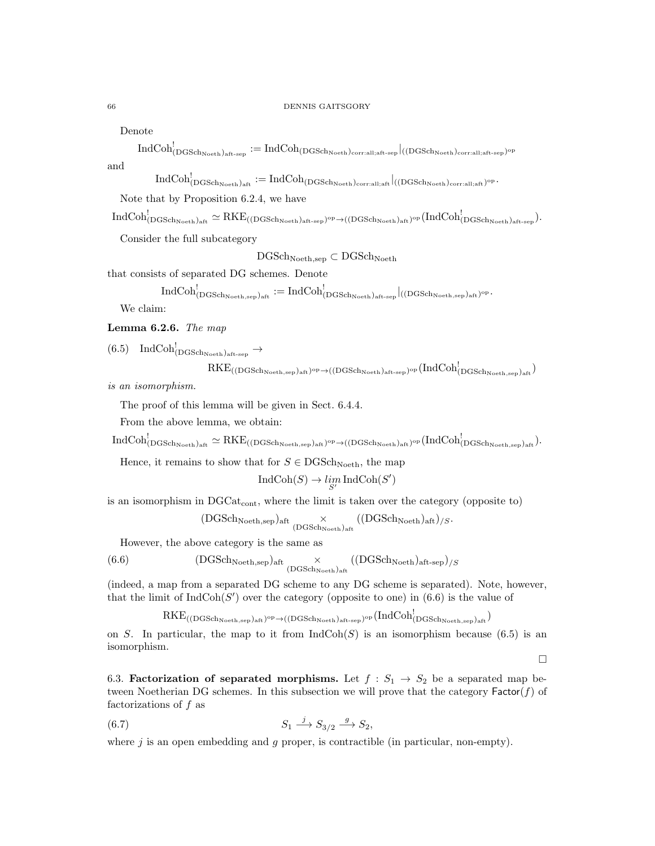#### 66 DENNIS GAITSGORY

Denote

 ${\rm IndCoh}^!_{(\rm DGSch_{Noeth})_{\rm aft-sep}}:={\rm IndCoh}_{(\rm DGSch_{Noeth})_{\rm corr:all;aff-sep}}|_{((\rm DGSch_{Noeth})_{\rm corr:all;aff-sep}})^\text{\rm op}}$ and

 ${\rm IndCoh}^!_{(\rm DGSch_{Noeth})_{\rm aft}}:={\rm IndCoh}_{(\rm DGSch_{Noeth})_{\rm corr:all;aff}}|_{(({\rm DGSch}_{Noeth})_{\rm corr:all;aff})^{\rm op}}.$ 

Note that by Proposition 6.2.4, we have

 $\mathrm{IndCoh}^!_{(\mathrm{DGSch}_{\mathrm{Noeth}})_{\mathrm{aff}}}\simeq \mathrm{RKE}_{((\mathrm{DGSch}_{\mathrm{Noeth}})_{\mathrm{aff}\text{-}\mathrm{sep}})\mathrm{^{op}} \to ((\mathrm{DGSch}_{\mathrm{Noeth}})_{\mathrm{aff}})_{\mathrm{op}}}\mathrm{(IndCoh}^!_{(\mathrm{DGSch}_{\mathrm{Noeth}})_{\mathrm{aff}\text{-}\mathrm{sep}}}).$ 

Consider the full subcategory

 $\rm{DGSch}_{\rm Noeth,sep} \subset \rm{DGSch}_{\rm Noeth}$ 

that consists of separated DG schemes. Denote

$$
\mathrm{IndCoh}^!_{(\mathrm{DGSch}_{\mathrm{Noeth}, \mathrm{sep}})_{\mathrm{aff}}}\mathrel{:=}\mathrm{IndCoh}^!_{(\mathrm{DGSch}_{\mathrm{Noeth}})_{\mathrm{aff}\text{-sep}}}|_{((\mathrm{DGSch}_{\mathrm{Noeth}, \mathrm{sep}})_{\mathrm{aff}})^{\mathrm{op}}}.
$$

We claim:

Lemma 6.2.6. The map

 $(6.5) \quad \text{IndCoh}^!_{(\text{DGSch}_\text{Noeth})_{\text{aft-sep}}}\to$ 

$$
RKE_{((DGSch_{Noeth,sep})_{aft})^{op}\rightarrow ((DGSch_{Noeth})_{aft-sep})^{op}}(IndCoh_{(DGSch_{Noeth,sep})_{aft}}^{!})
$$

is an isomorphism.

The proof of this lemma will be given in Sect. 6.4.4.

From the above lemma, we obtain:

 $\mathrm{IndCoh}^!_{(\mathrm{DGSch}_\mathrm{Noeth})_\mathrm{aft}}\simeq \mathrm{RKE}_{((\mathrm{DGSch}_\mathrm{Noeth}, \mathrm{sep})_\mathrm{aft})^\mathrm{op}\rightarrow ((\mathrm{DGSch}_\mathrm{Noeth})_\mathrm{aft})^\mathrm{op}}(\mathrm{IndCoh}^!_{(\mathrm{DGSch}_\mathrm{Noeth}, \mathrm{sep})_\mathrm{aft}}).$ 

Hence, it remains to show that for  $S \in \text{DGSch}_{\text{Noeth}}$ , the map

$$
IndCoh(S) \to \lim_{S'} IndCoh(S')
$$

is an isomorphism in  $DGCat_{cont}$ , where the limit is taken over the category (opposite to)

$$
(\rm DGSch_{Noeth,sep})_{aff} \underset{(\rm DGSch_{Noeth})_{aff}}{\times} ((\rm DGSch_{Noeth})_{aff})_{/S}.
$$

However, the above category is the same as

(6.6) 
$$
(DGSch_{Noeth,sep})_{\text{aff}} \underset{(DGSch_{Noeth})_{\text{aff}}}{\times} ((DGSch_{Noeth})_{\text{aff-sep}})_{/S}
$$

(indeed, a map from a separated DG scheme to any DG scheme is separated). Note, however, that the limit of  $IndCoh(S')$  over the category (opposite to one) in (6.6) is the value of

$$
RKE_{((DGSch_{Noeth,sep})_{aff})^{op}\rightarrow ((DGSch_{Noeth})_{aff\text{-}sep})^{op}}(IndCoh_{(DGSch_{Noeth,sep})_{aff}}^{!})
$$

on S. In particular, the map to it from  $\text{IndCoh}(S)$  is an isomorphism because (6.5) is an isomorphism.

 $\Box$ 

6.3. **Factorization of separated morphisms.** Let  $f : S_1 \rightarrow S_2$  be a separated map between Noetherian DG schemes. In this subsection we will prove that the category  $\mathsf{Factor}(f)$  of factorizations of f as

$$
(6.7) \t\t S_1 \xrightarrow{j} S_{3/2} \xrightarrow{g} S_2,
$$

where  $j$  is an open embedding and  $q$  proper, is contractible (in particular, non-empty).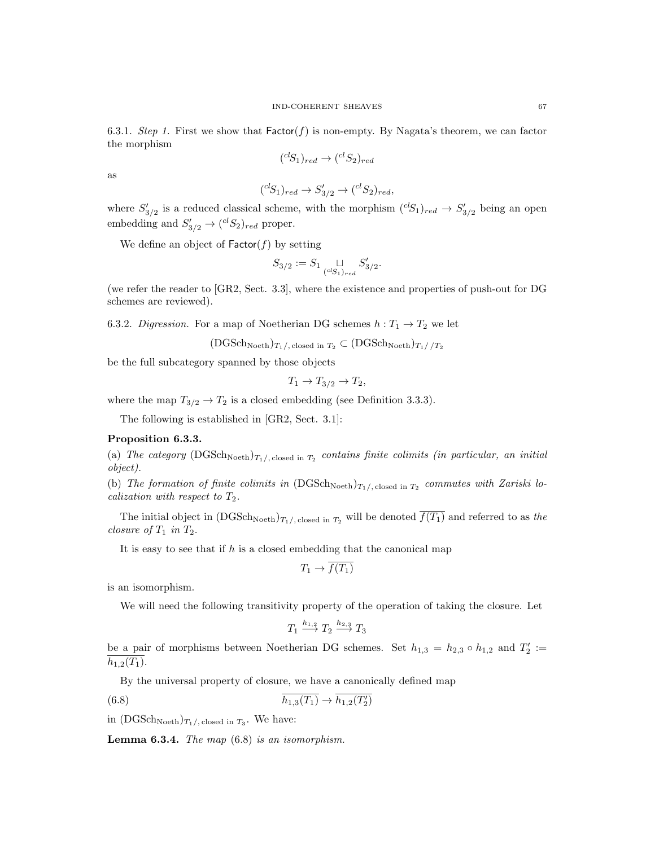6.3.1. Step 1. First we show that  $Factor(f)$  is non-empty. By Nagata's theorem, we can factor the morphism

$$
({}^{cl}S_1)_{red} \rightarrow ({}^{cl}S_2)_{red}
$$

as

$$
({}^{cl}S_1)_{red} \rightarrow S'_{3/2} \rightarrow ({}^{cl}S_2)_{red},
$$

where  $S'_{3/2}$  is a reduced classical scheme, with the morphism  $({}^{cl}S_1)_{red} \rightarrow S'_{3/2}$  being an open embedding and  $S'_{3/2} \rightarrow ({}^{cl}S_2)_{red}$  proper.

We define an object of  $\mathsf{Factor}(f)$  by setting

$$
S_{3/2} := S_1 \underset{(^{cl}S_1)_{red}}{\sqcup} S'_{3/2}.
$$

(we refer the reader to [GR2, Sect. 3.3], where the existence and properties of push-out for DG schemes are reviewed).

6.3.2. Digression. For a map of Noetherian DG schemes  $h: T_1 \rightarrow T_2$  we let

$$
(\text{DGSch}_\text{Noeth})_{T_1/}
$$
, closed in  $T_2 \subset (\text{DGSch}_\text{Noeth})_{T_1//T_2}$ 

be the full subcategory spanned by those objects

$$
T_1 \to T_{3/2} \to T_2,
$$

where the map  $T_{3/2} \rightarrow T_2$  is a closed embedding (see Definition 3.3.3).

The following is established in [GR2, Sect. 3.1]:

# Proposition 6.3.3.

(a) The category  $(DGSch<sub>Noeth</sub>)_{T_1/$ , closed in  $T_2$  contains finite colimits (in particular, an initial object).

(b) The formation of finite colimits in  $(DGSch<sub>Noeth</sub>)_{T_1/, \text{closed in } T_2}$  commutes with Zariski localization with respect to  $T_2$ .

The initial object in  $(DGSch<sub>Noeth</sub>)_{T_1/$ , closed in  $T_2$  will be denoted  $\overline{f(T_1)}$  and referred to as the closure of  $T_1$  in  $T_2$ .

It is easy to see that if  $h$  is a closed embedding that the canonical map

$$
T_1 \to \overline{f(T_1)}
$$

is an isomorphism.

We will need the following transitivity property of the operation of taking the closure. Let

$$
T_1 \stackrel{h_{1,2}}{\longrightarrow} T_2 \stackrel{h_{2,3}}{\longrightarrow} T_3
$$

be a pair of morphisms between Noetherian DG schemes. Set  $h_{1,3} = h_{2,3} \circ h_{1,2}$  and  $T_2' :=$  $h_{1,2}(T_1)$ .

By the universal property of closure, we have a canonically defined map

$$
(6.8)\qquad \qquad \overline{h_{1,3}(T_1)} \to \overline{h_{1,2}(T_2')}
$$

in  $(DGSch<sub>Noeth</sub>)_{T_1/$ , closed in  $T_3$ . We have:

**Lemma 6.3.4.** The map  $(6.8)$  is an isomorphism.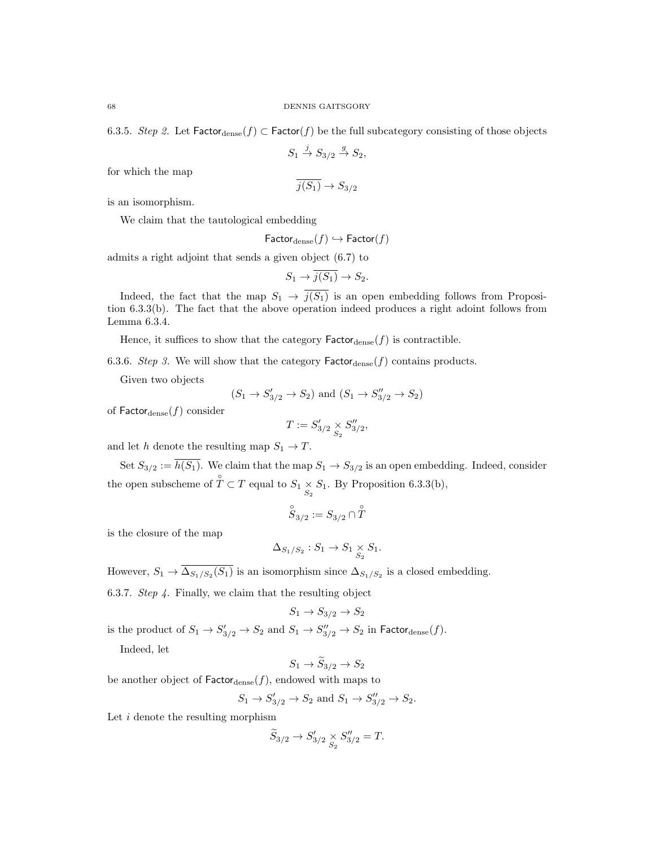6.3.5. Step 2. Let  $\mathsf{Factor}_{\text{dense}}(f) \subset \mathsf{Factor}(f)$  be the full subcategory consisting of those objects

$$
S_1 \xrightarrow{j} S_{3/2} \xrightarrow{g} S_2,
$$

for which the map

$$
\overline{j(S_1)} \to S_{3/2}
$$

is an isomorphism.

We claim that the tautological embedding

$$
\mathsf{Factor}_{\text{dense}}(f) \hookrightarrow \mathsf{Factor}(f)
$$

admits a right adjoint that sends a given object (6.7) to

$$
S_1 \to \overline{j(S_1)} \to S_2.
$$

Indeed, the fact that the map  $S_1 \rightarrow \overline{j(S_1)}$  is an open embedding follows from Proposition 6.3.3(b). The fact that the above operation indeed produces a right adoint follows from Lemma 6.3.4.

Hence, it suffices to show that the category  $\mathsf{Factor}_{\text{dense}}(f)$  is contractible.

6.3.6. Step 3. We will show that the category  $\mathsf{Factor}_{\text{dense}}(f)$  contains products.

Given two objects

$$
(S_1 \rightarrow S'_{3/2} \rightarrow S_2)
$$
 and  $(S_1 \rightarrow S''_{3/2} \rightarrow S_2)$ 

of  $\mathsf{Factor}_{\text{dense}}(f)$  consider

$$
T := S'_{3/2} \underset{S_2}{\times} S''_{3/2},
$$

and let h denote the resulting map  $S_1 \to T$ .

Set  $S_{3/2} := \overline{h(S_1)}$ . We claim that the map  $S_1 \to S_{3/2}$  is an open embedding. Indeed, consider the open subscheme of  $\hat{T} \subset T$  equal to  $S_1 \times S_1$ . By Proposition 6.3.3(b),

$$
\overset{\circ}{S}_{3/2}:=S_{3/2}\cap \overset{\circ}{T}
$$

is the closure of the map

$$
\Delta_{S_1/S_2}: S_1 \to S_1 \underset{S_2}{\times} S_1.
$$

However,  $S_1 \to \Delta_{S_1/S_2}(S_1)$  is an isomorphism since  $\Delta_{S_1/S_2}$  is a closed embedding.

6.3.7. Step 4. Finally, we claim that the resulting object

$$
S_1 \to S_{3/2} \to S_2
$$

is the product of  $S_1 \to S'_{3/2} \to S_2$  and  $S_1 \to S''_{3/2} \to S_2$  in  $\mathsf{Factor}_{\text{dense}}(f)$ .

Indeed, let

$$
S_1 \to S_{3/2} \to S_2
$$

be another object of  $\mathsf{Factor}_{\text{dense}}(f)$ , endowed with maps to

$$
S_1 \to S'_{3/2} \to S_2
$$
 and  $S_1 \to S''_{3/2} \to S_2$ .

Let  $i$  denote the resulting morphism

$$
\widetilde{S}_{3/2}\rightarrow S'_{3/2}\underset{S_2}{\times}S''_{3/2}=T.
$$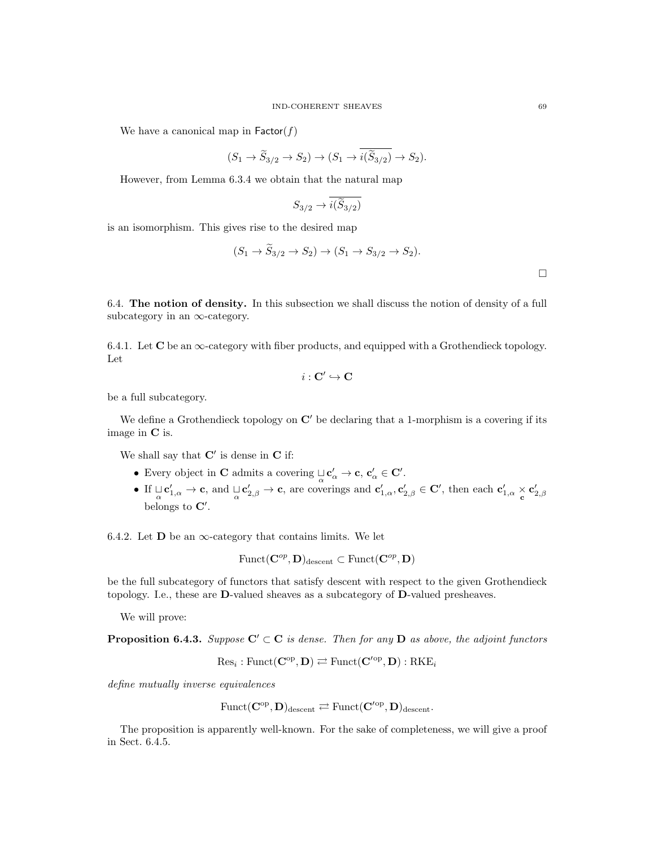We have a canonical map in  $\mathsf{Factor}(f)$ 

$$
(S_1 \to \widetilde{S}_{3/2} \to S_2) \to (S_1 \to \widetilde{i(\widetilde{S}_{3/2})} \to S_2).
$$

However, from Lemma 6.3.4 we obtain that the natural map

$$
S_{3/2}\rightarrow \overline{i(\widetilde{S}_{3/2})}
$$

is an isomorphism. This gives rise to the desired map

$$
(S_1 \to S_{3/2} \to S_2) \to (S_1 \to S_{3/2} \to S_2).
$$

6.4. The notion of density. In this subsection we shall discuss the notion of density of a full subcategory in an  $\infty$ -category.

6.4.1. Let  $\bf{C}$  be an  $\infty$ -category with fiber products, and equipped with a Grothendieck topology. Let

$$
i:\mathbf{C}'\hookrightarrow \mathbf{C}
$$

be a full subcategory.

We define a Grothendieck topology on  $\mathbb{C}'$  be declaring that a 1-morphism is a covering if its image in C is.

We shall say that  $C'$  is dense in  $C$  if:

- Every object in **C** admits a covering  $\mathcal{L}_{\alpha} \to \mathbf{c}, \, \mathbf{c}'_{\alpha} \in \mathbf{C}'$ .
- If  $\sqcup_{\alpha} C'_{1,\alpha} \to c$ , and  $\sqcup_{\alpha} C'_{2,\beta} \to c$ , are coverings and  $c'_{1,\alpha}, c'_{2,\beta} \in \mathbb{C}'$ , then each  $c'_{1,\alpha} \times c'_{2,\beta}$ belongs to  $\mathbf{C}'$ .

6.4.2. Let  $\bf{D}$  be an  $\infty$ -category that contains limits. We let

$$
\mathrm{Funct}(\mathbf{C}^{op},\mathbf{D})_{\mathrm{descent}}\subset \mathrm{Funct}(\mathbf{C}^{op},\mathbf{D})
$$

be the full subcategory of functors that satisfy descent with respect to the given Grothendieck topology. I.e., these are D-valued sheaves as a subcategory of D-valued presheaves.

We will prove:

**Proposition 6.4.3.** Suppose  $C' \subset C$  is dense. Then for any D as above, the adjoint functors

$$
\mathrm{Res}_i: \mathrm{Funct}(\mathbf{C}^{\mathrm{op}}, \mathbf{D}) \rightleftarrows \mathrm{Funct}(\mathbf{C}'^{\mathrm{op}}, \mathbf{D}): \mathrm{RKE}_i
$$

define mutually inverse equivalences

$$
\mathrm{Funct}(\mathbf{C}^{\mathrm{op}},\mathbf{D})_{\mathrm{descent}} \rightleftarrows \mathrm{Funct}(\mathbf{C}'^{\mathrm{op}},\mathbf{D})_{\mathrm{descent}}.
$$

The proposition is apparently well-known. For the sake of completeness, we will give a proof in Sect. 6.4.5.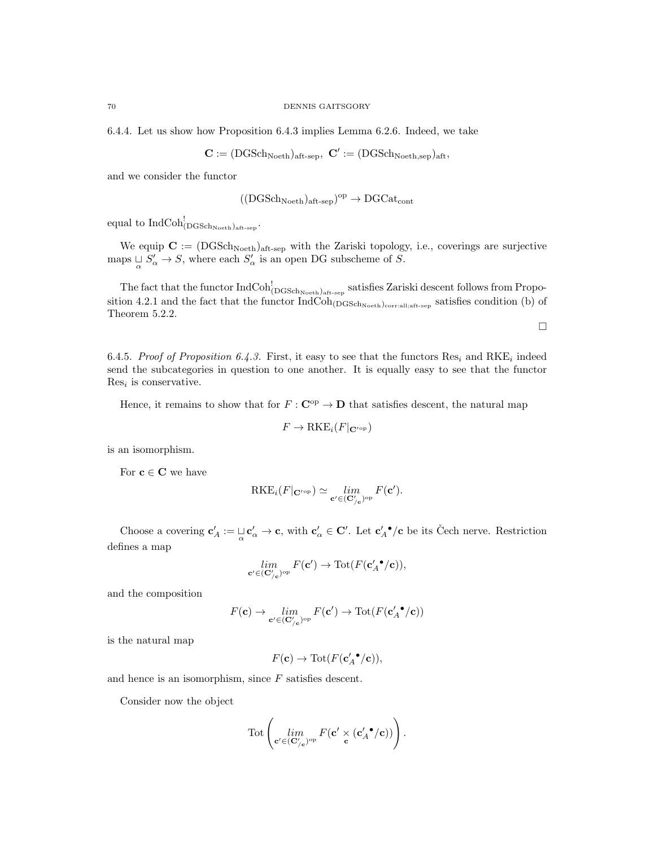6.4.4. Let us show how Proposition 6.4.3 implies Lemma 6.2.6. Indeed, we take

$$
\mathbf{C} := (\mathrm{DGSch}_{\mathrm{Noeth}})_{\mathrm{aft\text{-}sep}}, \ \mathbf{C}' := (\mathrm{DGSch}_{\mathrm{Noeth},sep})_{\mathrm{aft}},
$$

and we consider the functor

$$
((\mathrm{DGSch}_{\mathrm{Noeth}})_{\mathrm{aft\text{-}sep}})^{\mathrm{op}}\to \mathrm{DGCat}_{\mathrm{cont}}
$$

 $\text{equal to } \text{IndCoh}_{(\text{DGSch}_\text{Noeth})_\text{aff-sep}}^{!}.$ 

We equip  $C := (DGSch_{Noeth})_{aff-sep}$  with the Zariski topology, i.e., coverings are surjective maps  $\bigcup_{\alpha} S'_{\alpha} \to S$ , where each  $S'_{\alpha}$  is an open DG subscheme of S.

The fact that the functor  $IndCoh_{(DGSchNoeth)_{aff-sep}}^!$  satisfies Zariski descent follows from Proposition 4.2.1 and the fact that the functor  $IndCoh_{(DGSch_{Noeth})_{\text{corrall}};aft-sep}}$  satisfies condition (b) of Theorem 5.2.2.

 $\Box$ 

6.4.5. Proof of Proposition 6.4.3. First, it easy to see that the functors  $\text{Res}_i$  and  $\text{RKE}_i$  indeed send the subcategories in question to one another. It is equally easy to see that the functor  $Res<sub>i</sub>$  is conservative.

Hence, it remains to show that for  $F : \mathbf{C}^{\mathrm{op}} \to \mathbf{D}$  that satisfies descent, the natural map

$$
F \to \text{RKE}_i(F|_{\mathbf{C}^{\prime \text{op}}})
$$

is an isomorphism.

For  $c \in C$  we have

$$
RKE_i(F|_{\mathbf{C}^{\prime \mathrm{op}}}) \simeq \lim_{\mathbf{c}' \in (\mathbf{C}'_{/\mathbf{c}})^{\mathrm{op}}} F(\mathbf{c}').
$$

Choose a covering  $\mathbf{c}'_A := \bigsqcup_{\alpha} \mathbf{c}'_{\alpha} \to \mathbf{c}$ , with  $\mathbf{c}'_{\alpha} \in \mathbf{C}'$ . Let  $\mathbf{c}'_A \bullet / \mathbf{c}$  be its Čech nerve. Restriction defines a map

$$
\lim_{\mathbf{c}' \in (\mathbf{C}'_{/\mathbf{c}})^{\mathrm{op}}} F(\mathbf{c}') \to \mathrm{Tot}(F(\mathbf{c}'_{A} \bullet / \mathbf{c})),
$$

and the composition

$$
F(\mathbf{c}) \to \lim_{\mathbf{c}' \in (\mathbf{C}'_{/\mathbf{c}})^{\mathrm{op}}} F(\mathbf{c}') \to \mathrm{Tot}(F(\mathbf{c}'_{A} \bullet / \mathbf{c}))
$$

is the natural map

 $F(\mathbf{c}) \to \text{Tot}(F(\mathbf{c}'_{A} \bullet / \mathbf{c})),$ 

and hence is an isomorphism, since F satisfies descent.

Consider now the object

$$
\text{Tot}\left(\lim_{\mathbf{c}' \in (\mathbf{C}'_{/\mathbf{c}})^{\text{op}}} F(\mathbf{c}' \underset{\mathbf{c}}{\times} (\mathbf{c}'_{A} \bullet / \mathbf{c}))\right).
$$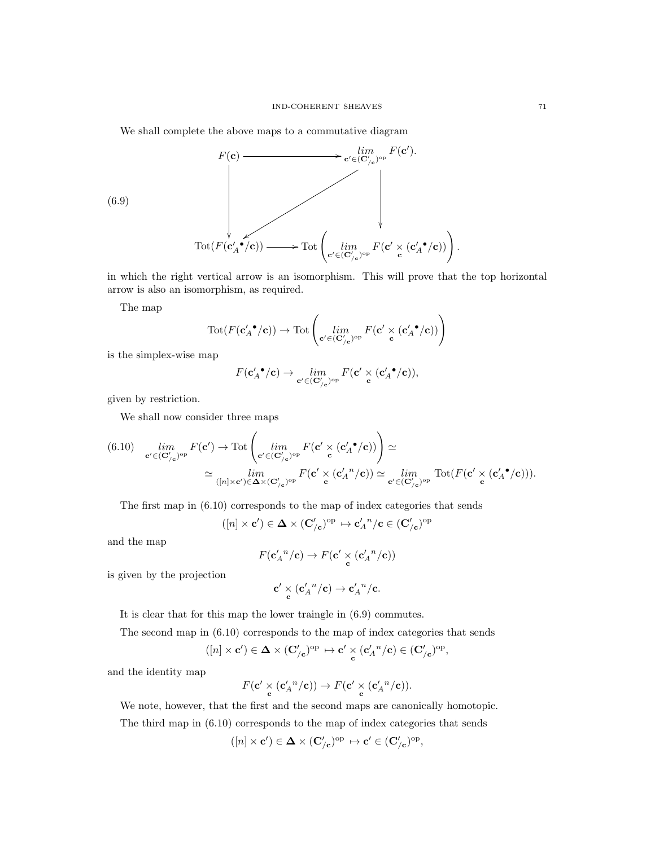We shall complete the above maps to a commutative diagram

$$
F(\mathbf{c}) \longrightarrow \underset{\mathbf{C}' \in (\mathbf{C}'_{/\mathbf{c}})^{\mathrm{op}}}{}^{\lim} F(\mathbf{c}').
$$
\n
$$
(6.9) \longrightarrow \mathrm{Tot}(F(\mathbf{c}'_{A} \bullet)'(\mathbf{c})) \longrightarrow \mathrm{Tot}\left(\underset{\mathbf{c}' \in (\mathbf{C}'_{/\mathbf{c}})^{\mathrm{op}}}{}^{\lim} F(\mathbf{c}' \times (\mathbf{c}'_{A} \bullet'(\mathbf{c})))\right)
$$

in which the right vertical arrow is an isomorphism. This will prove that the top horizontal arrow is also an isomorphism, as required.

The map

$$
\mathrm{Tot}(F(\mathbf{c}'_{A} \bullet / \mathbf{c})) \to \mathrm{Tot}\left(\underset{\mathbf{c}' \in (\mathbf{C}'_{/\mathbf{c}})^{\mathrm{op}}}{\lim} F(\mathbf{c}' \underset{\mathbf{c}}{\times} (\mathbf{c}'_{A} \bullet / \mathbf{c}))\right)
$$

is the simplex-wise map

$$
F(\mathbf{c}'_{A} \text{ }^{\bullet}/\mathbf{c}) \rightarrow \lim_{\mathbf{c}' \in (\mathbf{C}'_{/\mathbf{c}})^{\mathrm{op}}} F(\mathbf{c}' \times (\mathbf{c}'_{A} \text{ }^{\bullet}/\mathbf{c})),
$$

given by restriction.

We shall now consider three maps

$$
(6.10) \quad \lim_{\mathbf{c}' \in (\mathbf{C}_{/\mathbf{c}}')^{\mathrm{op}}} F(\mathbf{c}') \to \mathrm{Tot} \left( \lim_{\mathbf{c}' \in (\mathbf{C}_{/\mathbf{c}}')^{\mathrm{op}}} F(\mathbf{c}' \times (\mathbf{c}'_{\mathbf{a}} \cdot \mathbf{c})) \right) \simeq
$$

$$
\simeq \lim_{([n] \times \mathbf{c}') \in \mathbf{\Delta} \times (\mathbf{C}_{/\mathbf{c}}')^{\mathrm{op}}} F(\mathbf{c}' \times (\mathbf{c}'_{\mathbf{a}} \cdot \mathbf{c}') \simeq \lim_{\mathbf{c}' \in (\mathbf{C}_{/\mathbf{c}}')^{\mathrm{op}}} \mathrm{Tot} (F(\mathbf{c}' \times (\mathbf{c}'_{\mathbf{a}} \cdot \mathbf{c}))) .
$$

The first map in (6.10) corresponds to the map of index categories that sends

$$
([n] \times \mathbf{c}') \in \mathbf{\Delta} \times (\mathbf{C}'_{/\mathbf{c}})^{\mathrm{op}} \mapsto \mathbf{c}'_{A}{}^{n}/\mathbf{c} \in (\mathbf{C}'_{/\mathbf{c}})^{\mathrm{op}}
$$

and the map

$$
F(\mathbf{c}'_{A}{}^{n}/\mathbf{c}) \to F(\mathbf{c}' \times \left(\mathbf{c}'_{A}{}^{n}/\mathbf{c}\right))
$$

is given by the projection

$$
\mathbf{c}' \underset{\mathbf{c}}{\times} (\mathbf{c}'_{A}{}^{n}/\mathbf{c}) \to \mathbf{c}'_{A}{}^{n}/\mathbf{c}.
$$

It is clear that for this map the lower traingle in (6.9) commutes.

The second map in (6.10) corresponds to the map of index categories that sends

$$
([n] \times \mathbf{c}') \in \mathbf{\Delta} \times (\mathbf{C}'_{/\mathbf{c}})^{\mathrm{op}} \mapsto \mathbf{c}' \times_{\mathbf{c}} (\mathbf{c}'_{A}{}^{n}/\mathbf{c}) \in (\mathbf{C}'_{/\mathbf{c}})^{\mathrm{op}},
$$

and the identity map

$$
F(\mathbf{c}' \underset{\mathbf{c}}{\times} (\mathbf{c}'_{A}{}^{n}/\mathbf{c})) \to F(\mathbf{c}' \underset{\mathbf{c}}{\times} (\mathbf{c}'_{A}{}^{n}/\mathbf{c})).
$$

We note, however, that the first and the second maps are canonically homotopic. The third map in (6.10) corresponds to the map of index categories that sends

$$
([n] \times \mathbf{c}') \in \mathbf{\Delta} \times (\mathbf{C}'_{/\mathbf{c}})^{\mathrm{op}} \mapsto \mathbf{c}' \in (\mathbf{C}'_{/\mathbf{c}})^{\mathrm{op}},
$$

.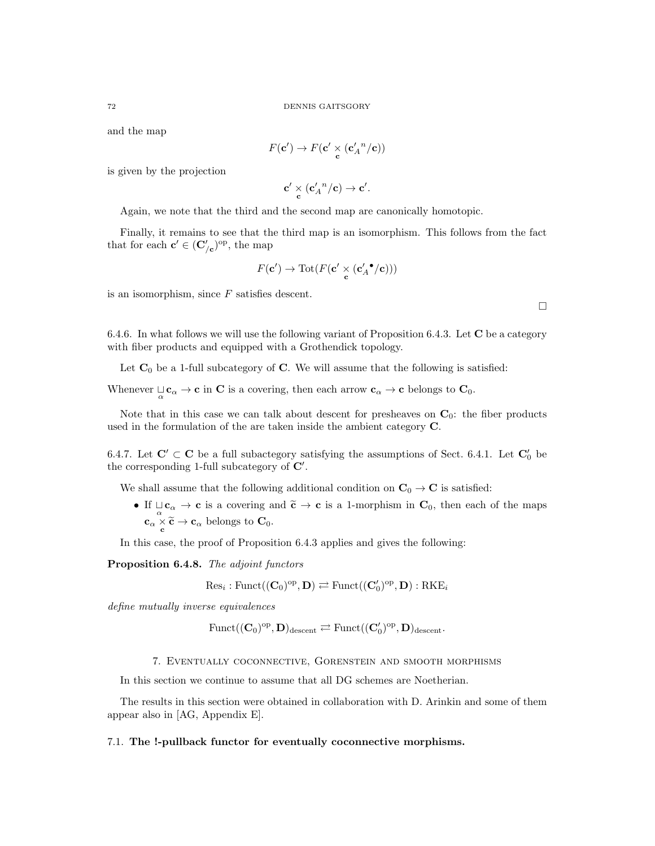and the map

$$
F(\mathbf{c}') \to F(\mathbf{c}' \times (\mathbf{c}'_{A}{}^{n}/c))
$$

is given by the projection

$$
\mathbf{c}' \underset{\mathbf{c}}{\times} (\mathbf{c}'_{A}{}^{n}/\mathbf{c}) \to \mathbf{c}'.
$$

Again, we note that the third and the second map are canonically homotopic.

Finally, it remains to see that the third map is an isomorphism. This follows from the fact that for each  $\mathbf{c}' \in (\mathbf{C}'_{/\mathbf{c}})^{\mathrm{op}},$  the map

$$
F(\mathbf{c}') \to \mathrm{Tot}(F(\mathbf{c}' \underset{\mathbf{c}}{\times} (\mathbf{c}'_{A} \cdot / \mathbf{c})))
$$

is an isomorphism, since  $F$  satisfies descent.

6.4.6. In what follows we will use the following variant of Proposition 6.4.3. Let C be a category with fiber products and equipped with a Grothendick topology.

Let  $\mathbf{C}_0$  be a 1-full subcategory of  $\mathbf{C}$ . We will assume that the following is satisfied:

Whenever  $\mathcal{L}_{\alpha} \to \mathbf{c}$  in C is a covering, then each arrow  $\mathbf{c}_{\alpha} \to \mathbf{c}$  belongs to  $\mathbf{C}_0$ .

Note that in this case we can talk about descent for presheaves on  $\mathbf{C}_0$ : the fiber products used in the formulation of the are taken inside the ambient category C.

6.4.7. Let  $\mathbf{C}' \subset \mathbf{C}$  be a full subactegory satisfying the assumptions of Sect. 6.4.1. Let  $\mathbf{C}'_0$  be the corresponding 1-full subcategory of  $\mathbf{C}'$ .

We shall assume that the following additional condition on  $C_0 \rightarrow C$  is satisfied:

• If  $\bigcup_{\alpha} \mathbf{c}_{\alpha} \to \mathbf{c}$  is a covering and  $\widetilde{\mathbf{c}} \to \mathbf{c}$  is a 1-morphism in  $\mathbf{C}_0$ , then each of the maps  $\mathbf{c}_{\alpha} \times \widetilde{\mathbf{c}} \to \mathbf{c}_{\alpha}$  belongs to  $\mathbf{C}_0$ .

In this case, the proof of Proposition 6.4.3 applies and gives the following:

Proposition 6.4.8. The adjoint functors

$$
\mathrm{Res}_i: \mathrm{Funct}((\mathbf{C}_0)^{\mathrm{op}}, \mathbf{D}) \rightleftarrows \mathrm{Funct}((\mathbf{C}'_0)^{\mathrm{op}}, \mathbf{D}): \mathrm{RKE}_i
$$

define mutually inverse equivalences

$$
\mathrm{Funct}((\mathbf{C}_0)^{\mathrm{op}}, \mathbf{D})_{\mathrm{descent}} \rightleftarrows \mathrm{Funct}((\mathbf{C}'_0)^{\mathrm{op}}, \mathbf{D})_{\mathrm{descent}}.
$$

7. Eventually coconnective, Gorenstein and smooth morphisms

In this section we continue to assume that all DG schemes are Noetherian.

The results in this section were obtained in collaboration with D. Arinkin and some of them appear also in [AG, Appendix E].

#### 7.1. The !-pullback functor for eventually coconnective morphisms.

 $\Box$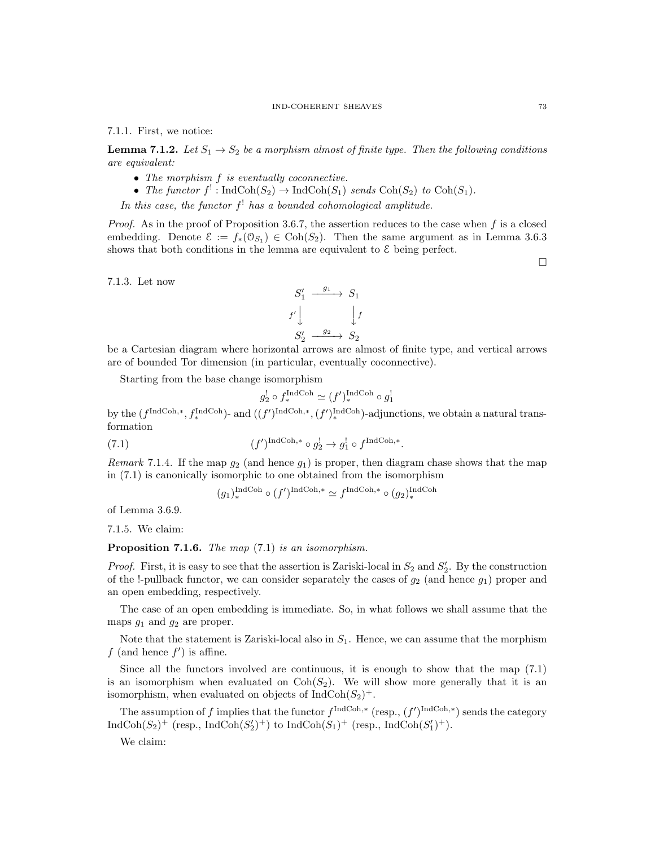7.1.1. First, we notice:

**Lemma 7.1.2.** Let  $S_1 \rightarrow S_2$  be a morphism almost of finite type. Then the following conditions are equivalent:

- The morphism f is eventually coconnective.
- The functor  $f'$ : IndCoh( $S_2$ )  $\rightarrow$  IndCoh( $S_1$ ) sends Coh( $S_2$ ) to Coh( $S_1$ ).

In this case, the functor  $f<sup>!</sup>$  has a bounded cohomological amplitude.

*Proof.* As in the proof of Proposition 3.6.7, the assertion reduces to the case when f is a closed embedding. Denote  $\mathcal{E} := f_*(\mathcal{O}_{S_1}) \in \text{Coh}(S_2)$ . Then the same argument as in Lemma 3.6.3 shows that both conditions in the lemma are equivalent to  $\mathcal E$  being perfect.

7.1.3. Let now



be a Cartesian diagram where horizontal arrows are almost of finite type, and vertical arrows are of bounded Tor dimension (in particular, eventually coconnective).

Starting from the base change isomorphism

$$
g_2^! \circ f_*^{\text{IndCoh}} \simeq (f')_*^{\text{IndCoh}} \circ g_1^!
$$

by the  $(f^{\text{IndCoh},*}, f_*^{\text{IndCoh}})$ - and  $((f')^{\text{IndCoh},*}, (f')_*^{\text{IndCoh}})$ -adjunctions, we obtain a natural transformation

(7.1) 
$$
(f')^{\text{IndCoh},*} \circ g_2^! \to g_1^! \circ f^{\text{IndCoh},*}.
$$

Remark 7.1.4. If the map  $g_2$  (and hence  $g_1$ ) is proper, then diagram chase shows that the map in (7.1) is canonically isomorphic to one obtained from the isomorphism

$$
(g_1)^{\operatorname{IndCoh}}_* \circ (f')^{\operatorname{IndCoh}, *} \simeq f^{\operatorname{IndCoh}, *} \circ (g_2)^{\operatorname{IndCoh}}_*
$$

of Lemma 3.6.9.

7.1.5. We claim:

Proposition 7.1.6. The map  $(7.1)$  is an isomorphism.

*Proof.* First, it is easy to see that the assertion is Zariski-local in  $S_2$  and  $S'_2$ . By the construction of the !-pullback functor, we can consider separately the cases of  $g_2$  (and hence  $g_1$ ) proper and an open embedding, respectively.

The case of an open embedding is immediate. So, in what follows we shall assume that the maps  $g_1$  and  $g_2$  are proper.

Note that the statement is Zariski-local also in  $S_1$ . Hence, we can assume that the morphism  $f$  (and hence  $f'$ ) is affine.

Since all the functors involved are continuous, it is enough to show that the map (7.1) is an isomorphism when evaluated on  $Coh(S_2)$ . We will show more generally that it is an isomorphism, when evaluated on objects of  $\text{IndCoh}(S_2)^+$ .

The assumption of f implies that the functor  $f^{\text{IndCoh},*}$  (resp.,  $(f')^{\text{IndCoh},*}$ ) sends the category  $\text{IndCoh}(S_2)^+$  (resp.,  $\text{IndCoh}(S_2')^+$ ) to  $\text{IndCoh}(S_1)^+$  (resp.,  $\text{IndCoh}(S_1')^+$ ).

We claim: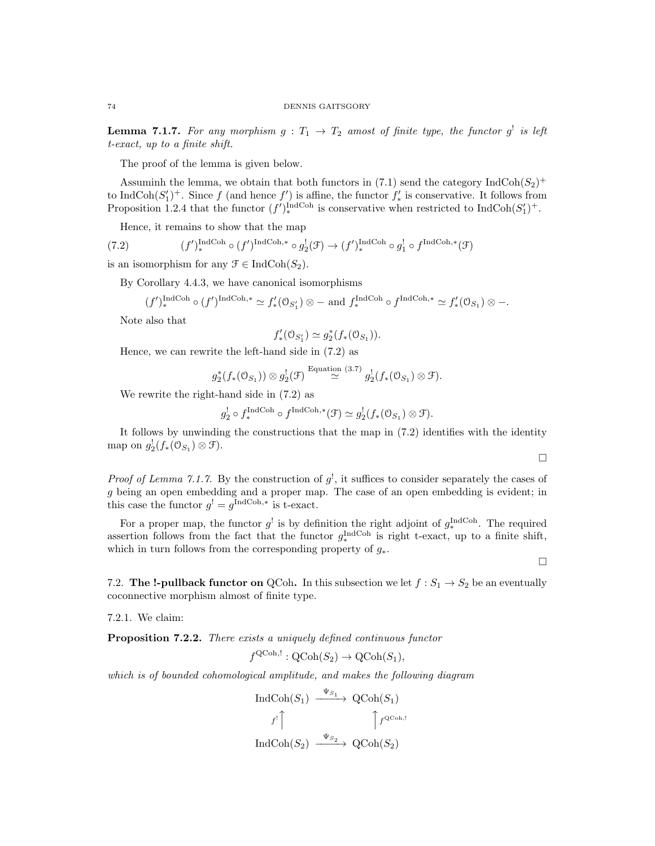**Lemma 7.1.7.** For any morphism  $g: T_1 \rightarrow T_2$  amost of finite type, the functor  $g^!$  is left t-exact, up to a finite shift.

The proof of the lemma is given below.

Assuminh the lemma, we obtain that both functors in (7.1) send the category  $\text{IndCoh}(S_2)^+$ to IndCoh $(S'_1)^+$ . Since f (and hence f') is affine, the functor  $f'_*$  is conservative. It follows from Proposition 1.2.4 that the functor  $(f')_*^{\text{IndCoh}}$  is conservative when restricted to  $\text{IndCoh}(S'_1)^+$ .

Hence, it remains to show that the map

(7.2) 
$$
(f')_*^{\text{IndCoh}} \circ (f')^{\text{IndCoh},*} \circ g_2^!(\mathcal{F}) \to (f')_*^{\text{IndCoh}} \circ g_1^! \circ f^{\text{IndCoh},*}(\mathcal{F})
$$

is an isomorphism for any  $\mathfrak{F} \in \text{IndCoh}(S_2)$ .

By Corollary 4.4.3, we have canonical isomorphisms

$$
(f')_*^{\text{IndCoh}} \circ (f')^{\text{IndCoh},*} \simeq f'_*(0_{S'_1}) \otimes - \text{ and } f_*^{\text{IndCoh}} \circ f^{\text{IndCoh},*} \simeq f'_*(0_{S_1}) \otimes -.
$$

Note also that

$$
f'_*(\mathcal{O}_{S'_1}) \simeq g_2^*(f_*(\mathcal{O}_{S_1})).
$$

Hence, we can rewrite the left-hand side in (7.2) as

$$
g_2^*(f_*(\mathcal{O}_{S_1})) \otimes g_2^!(\mathcal{F}) \stackrel{\text{Equation (3.7)}}{\simeq} g_2^!(f_*(\mathcal{O}_{S_1}) \otimes \mathcal{F}).
$$

We rewrite the right-hand side in (7.2) as

$$
g_2^! \circ f^{\text{IndCoh}}_* \circ f^{\text{IndCoh},*}(\mathcal{F}) \simeq g_2^! (f_*(\mathcal{O}_{S_1}) \otimes \mathcal{F}).
$$

It follows by unwinding the constructions that the map in (7.2) identifies with the identity map on  $g_2^!(f_*(\mathfrak{O}_{S_1}) \otimes \mathfrak{F}).$ 

 $\Box$ 

 $\Box$ 

*Proof of Lemma 7.1.7.* By the construction of  $g^1$ , it suffices to consider separately the cases of g being an open embedding and a proper map. The case of an open embedding is evident; in this case the functor  $g^! = g^{\text{IndCoh},*}$  is t-exact.

For a proper map, the functor  $g^!$  is by definition the right adjoint of  $g_*^{\text{IndCoh}}$ . The required assertion follows from the fact that the functor  $g_*^{\text{IndCoh}}$  is right t-exact, up to a finite shift, which in turn follows from the corresponding property of  $g_*$ .

7.2. The !-pullback functor on QCoh. In this subsection we let  $f : S_1 \to S_2$  be an eventually coconnective morphism almost of finite type.

7.2.1. We claim:

**Proposition 7.2.2.** There exists a uniquely defined continuous functor

$$
f^{\text{QCoh},!} : \text{QCoh}(S_2) \to \text{QCoh}(S_1),
$$

which is of bounded cohomological amplitude, and makes the following diagram

$$
\operatorname{IndCoh}(S_1) \xrightarrow{\Psi_{S_1}} \operatorname{QCoh}(S_1)
$$

$$
f' \uparrow \qquad \qquad \uparrow f^{\operatorname{QCoh},!}
$$

$$
\operatorname{IndCoh}(S_2) \xrightarrow{\Psi_{S_2}} \operatorname{QCoh}(S_2)
$$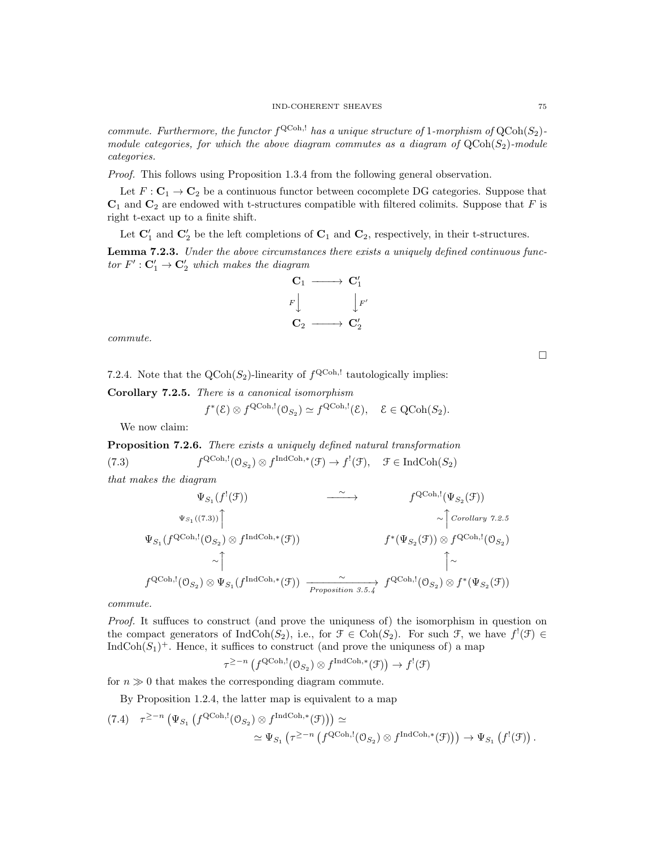commute. Furthermore, the functor  $f^{\text{QCoh},!}$  has a unique structure of 1-morphism of  $\text{QCoh}(S_2)$ module categories, for which the above diagram commutes as a diagram of  $QCoh(S_2)$ -module categories.

Proof. This follows using Proposition 1.3.4 from the following general observation.

Let  $F: \mathbf{C}_1 \to \mathbf{C}_2$  be a continuous functor between cocomplete DG categories. Suppose that  $\mathbf{C}_1$  and  $\mathbf{C}_2$  are endowed with t-structures compatible with filtered colimits. Suppose that F is right t-exact up to a finite shift.

Let  $\mathbf{C}'_1$  and  $\mathbf{C}'_2$  be the left completions of  $\mathbf{C}_1$  and  $\mathbf{C}_2$ , respectively, in their t-structures.

Lemma 7.2.3. Under the above circumstances there exists a uniquely defined continuous functor  $F': \mathbf{C}'_1 \to \mathbf{C}'_2$  which makes the diagram



commute.

 $\Box$ 

7.2.4. Note that the  $\text{QCoh}(S_2)$ -linearity of  $f^{\text{QCoh},!}$  tautologically implies:

Corollary 7.2.5. There is a canonical isomorphism

$$
f^*(\mathcal{E}) \otimes f^{\text{QCoh},!}(\mathcal{O}_{S_2}) \simeq f^{\text{QCoh},!}(\mathcal{E}), \quad \mathcal{E} \in \text{QCoh}(S_2).
$$

We now claim:

Proposition 7.2.6. There exists a uniquely defined natural transformation  $(7.3)$  ${}^{\text{QCoh},!}(\mathcal{O}_{S_2}) \otimes f^{\text{IndCoh},*}(\mathcal{F}) \to f^!(\mathcal{F}), \quad \mathcal{F} \in \text{IndCoh}(S_2)$ 

that makes the diagram

$$
\Psi_{S_1}(f^{!}(\mathcal{F})) \longrightarrow f^{QCoh,!}(\Psi_{S_2}(\mathcal{F}))
$$
\n
$$
\Psi_{S_1}((7.3)) \longrightarrow \text{Corollary 7.2.5}
$$
\n
$$
\Psi_{S_1}(f^{QCoh,!}(0_{S_2}) \otimes f^{IndCoh,*}(\mathcal{F})) \longrightarrow f^{*}(\Psi_{S_2}(\mathcal{F})) \otimes f^{QCoh,!}(0_{S_2})
$$
\n
$$
\sim \uparrow \qquad \qquad \uparrow \sim \qquad \qquad \uparrow
$$
\n
$$
f^{QCoh,!}(0_{S_2}) \otimes \Psi_{S_1}(f^{IndCoh,*}(\mathcal{F})) \longrightarrow \text{Proposition 3.5.4} f^{QCoh,!}(0_{S_2}) \otimes f^{*}(\Psi_{S_2}(\mathcal{F}))
$$

commute.

Proof. It suffuces to construct (and prove the uniquness of) the isomorphism in question on the compact generators of  $\text{IndCoh}(S_2)$ , i.e., for  $\mathcal{F} \in \text{Coh}(S_2)$ . For such  $\mathcal{F}$ , we have  $f'(\mathcal{F}) \in$  $\text{IndCoh}(S_1)^+$ . Hence, it suffices to construct (and prove the uniquness of) a map

$$
\tau^{\geq -n} \left( f^{\text{QCoh},!}(\mathfrak{O}_{S_2}) \otimes f^{\text{IndCoh},*}(\mathfrak{F}) \right) \to f^!(\mathfrak{F})
$$

for  $n \gg 0$  that makes the corresponding diagram commute.

By Proposition 1.2.4, the latter map is equivalent to a map

$$
(7.4) \quad \tau^{\geq -n} \left( \Psi_{S_1} \left( f^{\text{QCoh},!}(\mathbb{O}_{S_2}) \otimes f^{\text{IndCoh},*}(\mathcal{F}) \right) \right) \simeq
$$
  

$$
\simeq \Psi_{S_1} \left( \tau^{\geq -n} \left( f^{\text{QCoh},!}(\mathbb{O}_{S_2}) \otimes f^{\text{IndCoh},*}(\mathcal{F}) \right) \right) \to \Psi_{S_1} \left( f^{!}(\mathcal{F}) \right).
$$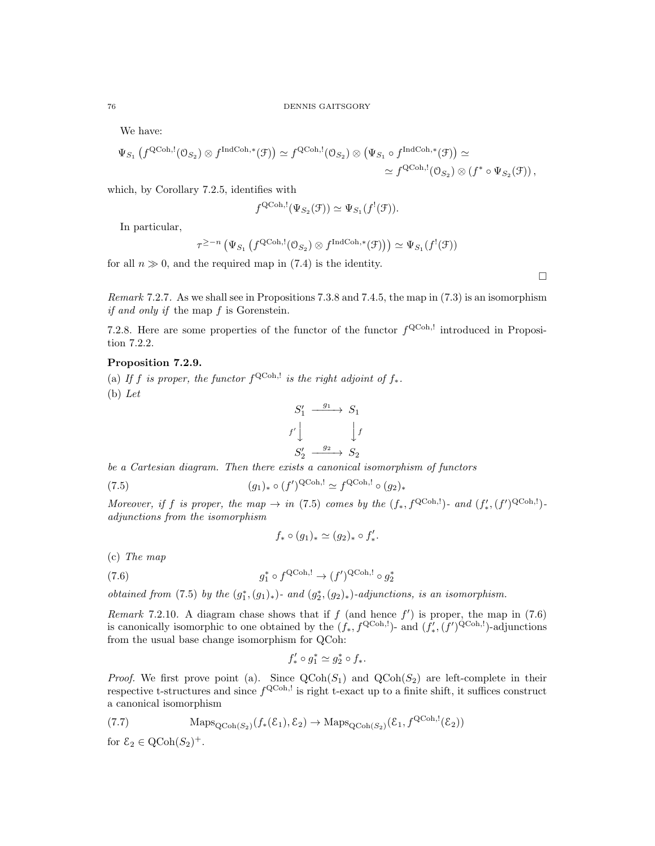We have:

$$
\Psi_{S_1} \left( f^{\text{QCoh},!}(\mathcal{O}_{S_2}) \otimes f^{\text{IndCoh},*}(\mathcal{F}) \right) \simeq f^{\text{QCoh},!}(\mathcal{O}_{S_2}) \otimes \left( \Psi_{S_1} \circ f^{\text{IndCoh},*}(\mathcal{F}) \right) \simeq \\
 \simeq f^{\text{QCoh},!}(\mathcal{O}_{S_2}) \otimes \left( f^* \circ \Psi_{S_2}(\mathcal{F}) \right),
$$

which, by Corollary 7.2.5, identifies with

$$
f^{\text{QCoh},!}(\Psi_{S_2}(\mathcal{F})) \simeq \Psi_{S_1}(f^{!}(\mathcal{F})).
$$

In particular,

$$
\tau^{\geq -n} \left( \Psi_{S_1} \left( f^{\text{QCoh},!}(\mathbb{O}_{S_2}) \otimes f^{\text{IndCoh},*}(\mathcal{F}) \right) \right) \simeq \Psi_{S_1}(f^{!}(\mathcal{F}))
$$

for all  $n \gg 0$ , and the required map in (7.4) is the identity.

 $\Box$ 

Remark 7.2.7. As we shall see in Propositions 7.3.8 and 7.4.5, the map in (7.3) is an isomorphism if and only if the map f is Gorenstein.

7.2.8. Here are some properties of the functor of the functor  $f^{\text{QCoh},!}$  introduced in Proposition 7.2.2.

# Proposition 7.2.9.

(a) If f is proper, the functor  $f^{\text{QCoh},!}$  is the right adjoint of  $f_*$ . (b) Let

$$
S'_1 \xrightarrow{g_1} S_1
$$
  

$$
f' \downarrow \qquad \qquad \downarrow f
$$
  

$$
S'_2 \xrightarrow{g_2} S_2
$$

be a Cartesian diagram. Then there exists a canonical isomorphism of functors

(7.5) 
$$
(g_1)_* \circ (f')^{\text{QCoh},!} \simeq f^{\text{QCoh},!} \circ (g_2)_*
$$

Moreover, if f is proper, the map  $\rightarrow$  in (7.5) comes by the  $(f_*, f^{\text{QCoh},!})$ - and  $(f'_*, (f')^{\text{QCoh},!})$ adjunctions from the isomorphism

$$
f_*\circ (g_1)_*\simeq (g_2)_*\circ f'_*.
$$

(c) The map

(7.6) 
$$
g_1^* \circ f^{\text{QCoh},!} \to (f')^{\text{QCoh},!} \circ g_2^*
$$

obtained from (7.5) by the  $(g_1^*, (g_1)_*)$ - and  $(g_2^*, (g_2)_*)$ -adjunctions, is an isomorphism.

Remark 7.2.10. A diagram chase shows that if  $f$  (and hence  $f'$ ) is proper, the map in (7.6) is canonically isomorphic to one obtained by the  $(f_*, f^{\text{QCoh},!})$ - and  $(f'_*, (f')^{\text{QCoh},!})$ -adjunctions from the usual base change isomorphism for QCoh:

$$
f'_* \circ g_1^* \simeq g_2^* \circ f_*.
$$

*Proof.* We first prove point (a). Since  $QCoh(S_1)$  and  $QCoh(S_2)$  are left-complete in their respective t-structures and since  $f^{\text{QCoh},!}$  is right t-exact up to a finite shift, it suffices construct a canonical isomorphism

(7.7) 
$$
\mathrm{Maps}_{\mathrm{QCoh}(S_2)}(f_*(\mathcal{E}_1), \mathcal{E}_2) \to \mathrm{Maps}_{\mathrm{QCoh}(S_2)}(\mathcal{E}_1, f^{\mathrm{QCoh},!}(\mathcal{E}_2))
$$

for  $\mathcal{E}_2 \in \mathrm{QCoh}(S_2)^+$ .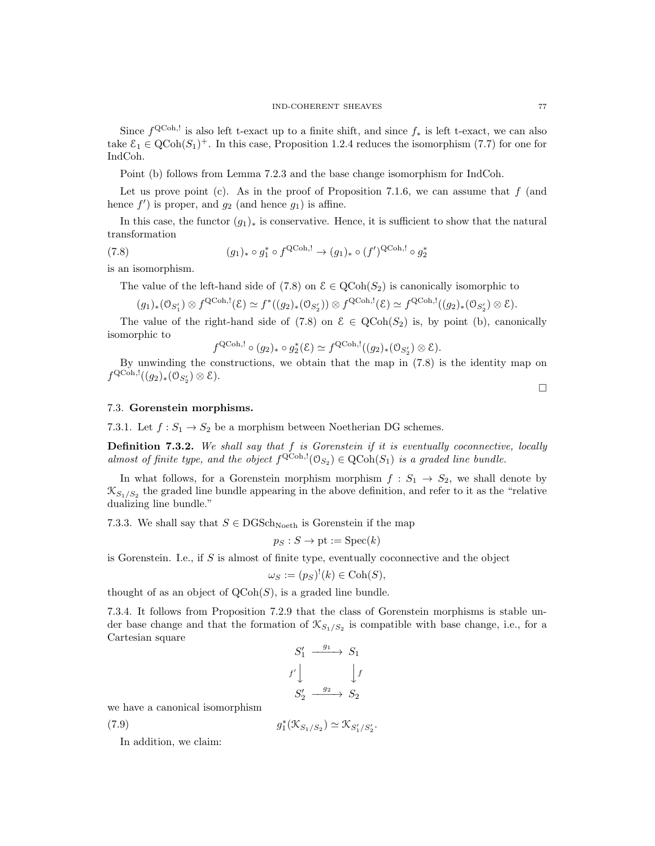Since  $f^{\text{QCoh},!}$  is also left t-exact up to a finite shift, and since  $f_*$  is left t-exact, we can also take  $\mathcal{E}_1 \in \text{QCoh}(S_1)^+$ . In this case, Proposition 1.2.4 reduces the isomorphism (7.7) for one for IndCoh.

Point (b) follows from Lemma 7.2.3 and the base change isomorphism for IndCoh.

Let us prove point (c). As in the proof of Proposition 7.1.6, we can assume that  $f$  (and hence  $f'$ ) is proper, and  $g_2$  (and hence  $g_1$ ) is affine.

In this case, the functor  $(g_1)_*$  is conservative. Hence, it is sufficient to show that the natural transformation

(7.8) 
$$
(g_1)_* \circ g_1^* \circ f^{\text{QCoh},!} \to (g_1)_* \circ (f')^{\text{QCoh},!} \circ g_2^*
$$

is an isomorphism.

The value of the left-hand side of (7.8) on  $\mathcal{E} \in \text{QCoh}(S_2)$  is canonically isomorphic to

$$
(g_1)_*(\mathfrak{O}_{S'_1}) \otimes f^{\text{QCoh},!}(\mathcal{E}) \simeq f^*((g_2)_*(\mathfrak{O}_{S'_2})) \otimes f^{\text{QCoh},!}(\mathcal{E}) \simeq f^{\text{QCoh},!}((g_2)_*(\mathfrak{O}_{S'_2}) \otimes \mathcal{E}).
$$

The value of the right-hand side of (7.8) on  $\mathcal{E} \in \text{QCoh}(S_2)$  is, by point (b), canonically isomorphic to

$$
f^{\text{QCoh},!} \circ (g_2)_* \circ g_2^*(\mathcal{E}) \simeq f^{\text{QCoh},!}((g_2)_*(\mathcal{O}_{S_2'}) \otimes \mathcal{E}).
$$

By unwinding the constructions, we obtain that the map in (7.8) is the identity map on  $f^{\text{QCoh},!}((g_2)_*(\mathcal{O}_{S_2'})\otimes \mathcal{E}).$ 

# 7.3. Gorenstein morphisms.

7.3.1. Let  $f: S_1 \to S_2$  be a morphism between Noetherian DG schemes.

**Definition 7.3.2.** We shall say that  $f$  is Gorenstein if it is eventually coconnective, locally almost of finite type, and the object  $f^{\text{QCoh},!}(\mathcal{O}_{S_2}) \in \text{QCoh}(S_1)$  is a graded line bundle.

In what follows, for a Gorenstein morphism morphism  $f: S_1 \rightarrow S_2$ , we shall denote by  $\mathcal{K}_{S_1/S_2}$  the graded line bundle appearing in the above definition, and refer to it as the "relative" dualizing line bundle."

7.3.3. We shall say that  $S \in \text{DGSch}_{\text{Noeth}}$  is Gorenstein if the map

$$
p_S : S \to \text{pt} := \text{Spec}(k)
$$

is Gorenstein. I.e., if  $S$  is almost of finite type, eventually coconnective and the object

$$
\omega_S := (p_S)^!(k) \in \mathrm{Coh}(S),
$$

thought of as an object of  $\mathrm{QCoh}(S)$ , is a graded line bundle.

7.3.4. It follows from Proposition 7.2.9 that the class of Gorenstein morphisms is stable under base change and that the formation of  $\mathcal{K}_{S_1/S_2}$  is compatible with base change, i.e., for a Cartesian square

$$
S'_1 \xrightarrow{g_1} S_1
$$
  

$$
f' \downarrow \qquad \qquad \downarrow f
$$
  

$$
S'_2 \xrightarrow{g_2} S_2
$$

we have a canonical isomorphism

(7.9) 
$$
g_1^*(\mathcal{K}_{S_1/S_2}) \simeq \mathcal{K}_{S_1'/S_2'}.
$$

In addition, we claim: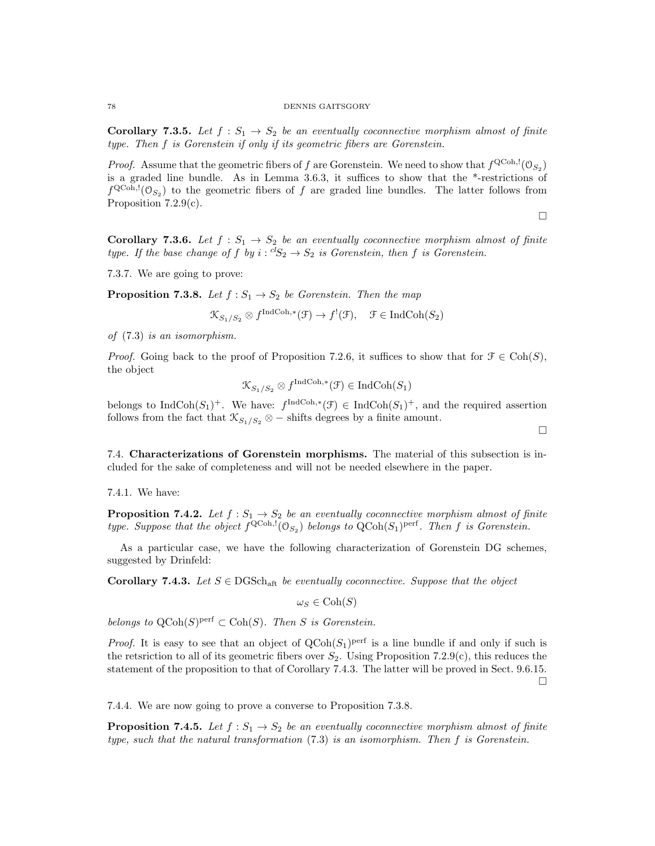**Corollary 7.3.5.** Let  $f : S_1 \to S_2$  be an eventually coconnective morphism almost of finite type. Then f is Gorenstein if only if its geometric fibers are Gorenstein.

*Proof.* Assume that the geometric fibers of f are Gorenstein. We need to show that  $f^{\text{QCoh},!}(\mathcal{O}_{S_2})$ is a graded line bundle. As in Lemma 3.6.3, it suffices to show that the \*-restrictions of  $f^{\text{QCoh},!}(\mathcal{O}_{S_2})$  to the geometric fibers of f are graded line bundles. The latter follows from Proposition 7.2.9(c).

 $\Box$ 

 $\Box$ 

**Corollary 7.3.6.** Let  $f : S_1 \to S_2$  be an eventually coconnective morphism almost of finite type. If the base change of f by  $i: {}^{cl}S_2 \rightarrow S_2$  is Gorenstein, then f is Gorenstein.

7.3.7. We are going to prove:

**Proposition 7.3.8.** Let  $f : S_1 \to S_2$  be Gorenstein. Then the map

$$
\mathcal{K}_{S_1/S_2} \otimes f^{\text{IndCoh},*}(\mathcal{F}) \to f^!(\mathcal{F}), \quad \mathcal{F} \in \text{IndCoh}(S_2)
$$

of (7.3) is an isomorphism.

*Proof.* Going back to the proof of Proposition 7.2.6, it suffices to show that for  $\mathcal{F} \in \text{Coh}(S)$ , the object

$$
\mathcal{K}_{S_1/S_2} \otimes f^{\text{IndCoh},*}(\mathcal{F}) \in \text{IndCoh}(S_1)
$$

belongs to IndCoh $(S_1)^+$ . We have:  $f^{\text{IndCoh},*}(\mathcal{F}) \in \text{IndCoh}(S_1)^+$ , and the required assertion follows from the fact that  $\mathcal{K}_{S_1/S_2} \otimes -$  shifts degrees by a finite amount.

7.4. Characterizations of Gorenstein morphisms. The material of this subsection is included for the sake of completeness and will not be needed elsewhere in the paper.

7.4.1. We have:

**Proposition 7.4.2.** Let  $f : S_1 \to S_2$  be an eventually coconnective morphism almost of finite type. Suppose that the object  $f^{\text{QCoh},!}(\mathcal{O}_{S_2})$  belongs to  $\text{QCoh}(S_1)^\text{perf}$ . Then f is Gorenstein.

As a particular case, we have the following characterization of Gorenstein DG schemes, suggested by Drinfeld:

Corollary 7.4.3. Let  $S \in \text{DGSch}_{\text{aff}}$  be eventually coconnective. Suppose that the object

 $\omega_S \in \text{Coh}(S)$ 

belongs to  $\text{QCoh}(S)^\text{perf} \subset \text{Coh}(S)$ . Then S is Gorenstein.

*Proof.* It is easy to see that an object of  $QCoh(S_1)$ <sup>perf</sup> is a line bundle if and only if such is the retsriction to all of its geometric fibers over  $S_2$ . Using Proposition 7.2.9(c), this reduces the statement of the proposition to that of Corollary 7.4.3. The latter will be proved in Sect. 9.6.15.  $\Box$ 

7.4.4. We are now going to prove a converse to Proposition 7.3.8.

**Proposition 7.4.5.** Let  $f: S_1 \to S_2$  be an eventually coconnective morphism almost of finite type, such that the natural transformation (7.3) is an isomorphism. Then f is Gorenstein.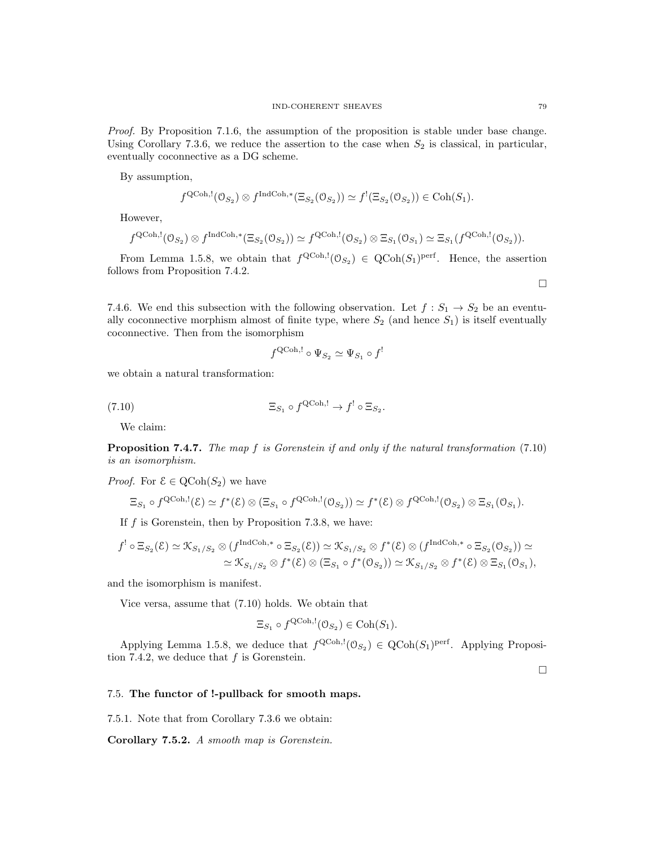By assumption,

$$
f^{\text{QCoh},!}(\mathcal{O}_{S_2}) \otimes f^{\text{IndCoh},*}(\Xi_{S_2}(\mathcal{O}_{S_2})) \simeq f^!(\Xi_{S_2}(\mathcal{O}_{S_2})) \in \text{Coh}(S_1).
$$

However,

$$
f^{\text{QCoh},!}(\mathcal{O}_{S_2}) \otimes f^{\text{IndCoh},*}(\Xi_{S_2}(\mathcal{O}_{S_2})) \simeq f^{\text{QCoh},!}(\mathcal{O}_{S_2}) \otimes \Xi_{S_1}(\mathcal{O}_{S_1}) \simeq \Xi_{S_1}(f^{\text{QCoh},!}(\mathcal{O}_{S_2})).
$$

From Lemma 1.5.8, we obtain that  $f^{\text{QCoh},!}(\mathcal{O}_{S_2}) \in \text{QCoh}(S_1)^{\text{perf}}$ . Hence, the assertion follows from Proposition 7.4.2.

7.4.6. We end this subsection with the following observation. Let  $f: S_1 \rightarrow S_2$  be an eventually coconnective morphism almost of finite type, where  $S_2$  (and hence  $S_1$ ) is itself eventually coconnective. Then from the isomorphism

$$
f^{\text{QCoh},!} \circ \Psi_{S_2} \simeq \Psi_{S_1} \circ f^!
$$

we obtain a natural transformation:

(7.10) 
$$
\Xi_{S_1} \circ f^{\text{QCoh},!} \to f^! \circ \Xi_{S_2}.
$$

We claim:

Proposition 7.4.7. The map f is Gorenstein if and only if the natural transformation (7.10) is an isomorphism.

*Proof.* For  $\mathcal{E} \in \mathrm{QCoh}(S_2)$  we have

$$
\Xi_{S_1} \circ f^{\text{QCoh},!}(\mathcal{E}) \simeq f^*(\mathcal{E}) \otimes (\Xi_{S_1} \circ f^{\text{QCoh},!}(\mathcal{O}_{S_2})) \simeq f^*(\mathcal{E}) \otimes f^{\text{QCoh},!}(\mathcal{O}_{S_2}) \otimes \Xi_{S_1}(\mathcal{O}_{S_1}).
$$

If  $f$  is Gorenstein, then by Proposition 7.3.8, we have:

$$
f^{!} \circ \Xi_{S_2}(\mathcal{E}) \simeq \mathcal{K}_{S_1/S_2} \otimes (f^{\text{IndCoh},*} \circ \Xi_{S_2}(\mathcal{E})) \simeq \mathcal{K}_{S_1/S_2} \otimes f^*(\mathcal{E}) \otimes (f^{\text{IndCoh},*} \circ \Xi_{S_2}(\mathcal{O}_{S_2})) \simeq
$$
  

$$
\simeq \mathcal{K}_{S_1/S_2} \otimes f^*(\mathcal{E}) \otimes (\Xi_{S_1} \circ f^*(\mathcal{O}_{S_2})) \simeq \mathcal{K}_{S_1/S_2} \otimes f^*(\mathcal{E}) \otimes \Xi_{S_1}(\mathcal{O}_{S_1}),
$$

and the isomorphism is manifest.

Vice versa, assume that (7.10) holds. We obtain that

$$
\Xi_{S_1} \circ f^{\text{QCoh},!}(\mathcal{O}_{S_2}) \in \text{Coh}(S_1).
$$

Applying Lemma 1.5.8, we deduce that  $f^{\text{QCoh},!}(\mathcal{O}_{S_2}) \in \text{QCoh}(S_1)^{\text{perf}}$ . Applying Proposition 7.4.2, we deduce that  $f$  is Gorenstein.

 $\Box$ 

#### 7.5. The functor of !-pullback for smooth maps.

7.5.1. Note that from Corollary 7.3.6 we obtain:

Corollary 7.5.2. A smooth map is Gorenstein.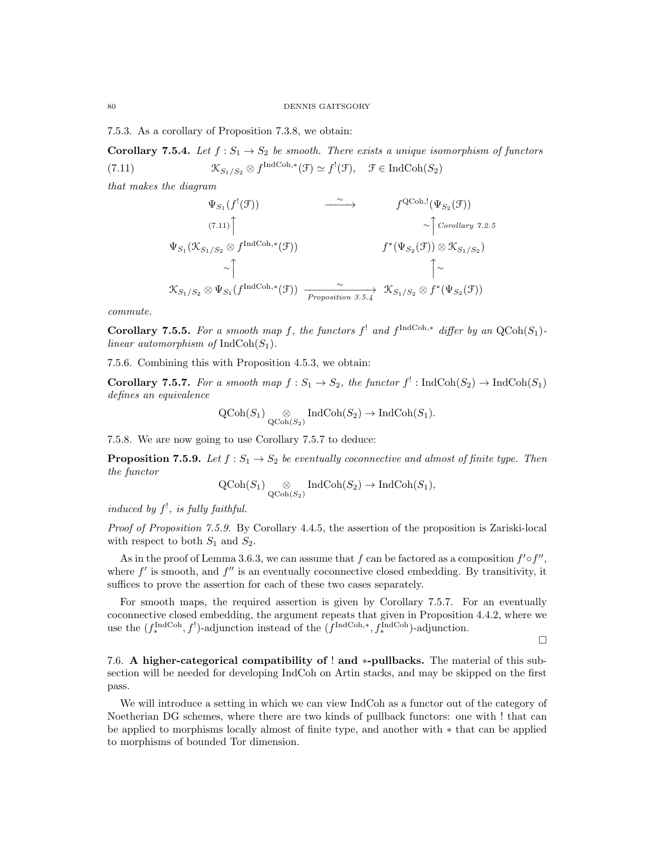7.5.3. As a corollary of Proposition 7.3.8, we obtain:

**Corollary 7.5.4.** Let  $f : S_1 \to S_2$  be smooth. There exists a unique isomorphism of functors (7.11)  $\mathcal{K}_{S_1/S_2} \otimes f^{\text{IndCoh},*}(\mathcal{F}) \simeq f^!(\mathcal{F}), \quad \mathcal{F} \in \text{IndCoh}(S_2)$ 

that makes the diagram

$$
\Psi_{S_1}(f^{!}(\mathcal{F})) \longrightarrow f^{QCoh,!}(\Psi_{S_2}(\mathcal{F}))
$$
\n
$$
\Psi_{S_1}(\mathcal{K}_{S_1/S_2} \otimes f^{\text{IndCoh},*}(\mathcal{F})) \longrightarrow f^{*}(\Psi_{S_2}(\mathcal{F})) \otimes \mathcal{K}_{S_1/S_2})
$$
\n
$$
\sim \uparrow \qquad \qquad \uparrow \qquad \qquad \uparrow \qquad \qquad \uparrow \qquad \qquad \uparrow \qquad \qquad \uparrow \qquad \qquad \uparrow \qquad \qquad \uparrow \qquad \qquad \uparrow \qquad \qquad \uparrow \qquad \qquad \uparrow \qquad \qquad \uparrow \qquad \qquad \uparrow \qquad \qquad \uparrow \qquad \qquad \uparrow \qquad \qquad \uparrow \qquad \qquad \uparrow \qquad \qquad \uparrow \qquad \qquad \uparrow \qquad \qquad \uparrow \qquad \qquad \uparrow \qquad \qquad \uparrow \qquad \qquad \uparrow \qquad \qquad \uparrow \qquad \qquad \uparrow \qquad \qquad \uparrow \qquad \qquad \uparrow \qquad \qquad \uparrow \qquad \qquad \uparrow \qquad \qquad \uparrow \qquad \qquad \uparrow \qquad \qquad \uparrow \qquad \qquad \uparrow \qquad \qquad \uparrow \qquad \qquad \uparrow \qquad \qquad \uparrow \qquad \qquad \uparrow \qquad \qquad \uparrow \qquad \qquad \uparrow \qquad \qquad \uparrow \qquad \qquad \uparrow \qquad \qquad \uparrow \qquad \qquad \uparrow \qquad \qquad \uparrow \qquad \qquad \uparrow \qquad \qquad \uparrow \qquad \qquad \uparrow \qquad \qquad \uparrow \qquad \qquad \uparrow \qquad \qquad \uparrow \qquad \qquad \uparrow \qquad \qquad \uparrow \qquad \qquad \uparrow \qquad \qquad \uparrow \qquad \qquad \uparrow \qquad \qquad \uparrow \qquad \qquad \uparrow \qquad \qquad \uparrow \qquad \qquad \uparrow \qquad \qquad \uparrow \qquad \qquad \uparrow \qquad \qquad \uparrow \qquad \qquad \uparrow \qquad \qquad \uparrow \qquad \qquad \uparrow \qquad \qquad \uparrow \qquad \qquad \uparrow \qquad \qquad \uparrow \qquad \qquad \uparrow \qquad \qquad \uparrow \
$$

commute.

**Corollary 7.5.5.** For a smooth map f, the functors  $f^!$  and  $f^{\text{IndCoh},*}$  differ by an  $\text{QCoh}(S_1)$ linear automorphism of  $IndCoh(S_1)$ .

7.5.6. Combining this with Proposition 4.5.3, we obtain:

**Corollary 7.5.7.** For a smooth map  $f : S_1 \to S_2$ , the functor  $f' : \text{IndCoh}(S_2) \to \text{IndCoh}(S_1)$ defines an equivalence

$$
\operatorname{QCoh}(S_1) \underset{\operatorname{QCoh}(S_2)}{\otimes} \operatorname{IndCoh}(S_2) \to \operatorname{IndCoh}(S_1).
$$

7.5.8. We are now going to use Corollary 7.5.7 to deduce:

**Proposition 7.5.9.** Let  $f : S_1 \to S_2$  be eventually coconnective and almost of finite type. Then the functor

$$
Q\text{Coh}(S_1)
$$
  $\underset{Q\text{Coh}(S_2)}{\otimes} \text{IndCoh}(S_2) \to \text{IndCoh}(S_1),$ 

induced by  $f^!$ , is fully faithful.

Proof of Proposition 7.5.9. By Corollary 4.4.5, the assertion of the proposition is Zariski-local with respect to both  $S_1$  and  $S_2$ .

As in the proof of Lemma 3.6.3, we can assume that f can be factored as a composition  $f' \circ f''$ , where  $f'$  is smooth, and  $f''$  is an eventually coconnective closed embedding. By transitivity, it suffices to prove the assertion for each of these two cases separately.

For smooth maps, the required assertion is given by Corollary 7.5.7. For an eventually coconnective closed embedding, the argument repeats that given in Proposition 4.4.2, where we use the  $(f_*^{\text{IndCoh}}, f')$ -adjunction instead of the  $(f^{\text{IndCoh},*}, f_*^{\text{IndCoh}})$ -adjunction.

 $\Box$ 

7.6. A higher-categorical compatibility of ! and \*-pullbacks. The material of this subsection will be needed for developing IndCoh on Artin stacks, and may be skipped on the first pass.

We will introduce a setting in which we can view IndCoh as a functor out of the category of Noetherian DG schemes, where there are two kinds of pullback functors: one with ! that can be applied to morphisms locally almost of finite type, and another with ∗ that can be applied to morphisms of bounded Tor dimension.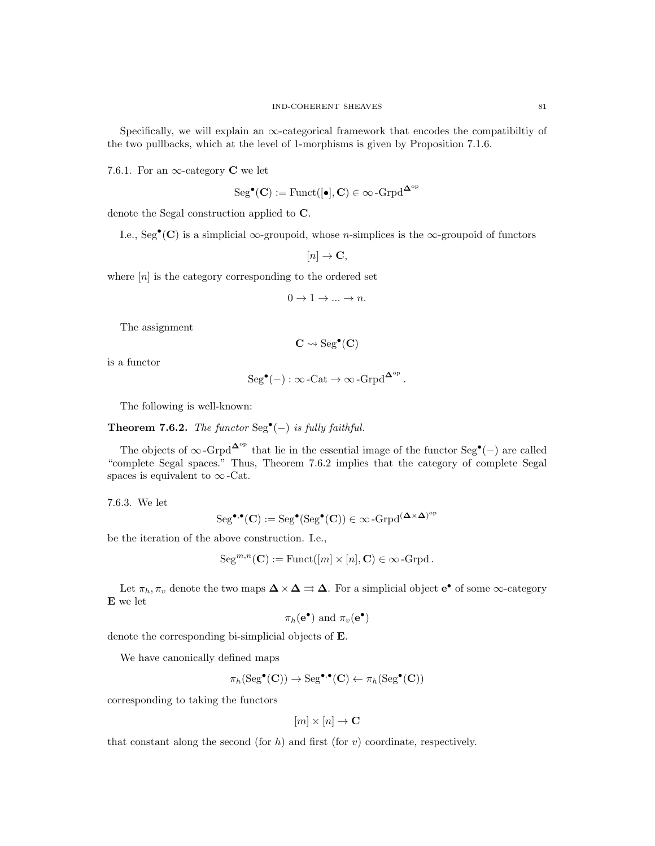Specifically, we will explain an  $\infty$ -categorical framework that encodes the compatibiltiy of the two pullbacks, which at the level of 1-morphisms is given by Proposition 7.1.6.

7.6.1. For an  $\infty$ -category **C** we let

$$
\rm Seg^\bullet({\bf C}):=\rm Funct([\bullet],{\bf C})\in\infty\text{-}\rm Grpd^\Delta^{\rm op}
$$

denote the Segal construction applied to C.

I.e., Seg<sup>•</sup>(C) is a simplicial  $\infty$ -groupoid, whose *n*-simplices is the  $\infty$ -groupoid of functors

$$
[n] \to \mathbf{C},
$$

where  $[n]$  is the category corresponding to the ordered set

$$
0\rightarrow 1\rightarrow \ldots \rightarrow n.
$$

The assignment

$$
\mathbf{C} \leadsto \mathrm{Seg}^\bullet(\mathbf{C})
$$

is a functor

$$
\mathrm{Seg}^{\bullet}(-): \infty\text{-}\mathrm{Cat} \to \infty\text{-}\mathrm{Grpd}^{\mathbf{\Delta}^{\mathrm{op}}} \, .
$$

The following is well-known:

Theorem 7.6.2. The functor  $\text{Seg}^{\bullet}(-)$  is fully faithful.

The objects of  $\infty$ -Grpd<sup> $\Delta^{\rm op}$ </sup> that lie in the essential image of the functor Seg<sup>•</sup>(-) are called "complete Segal spaces." Thus, Theorem 7.6.2 implies that the category of complete Segal spaces is equivalent to  $\infty$ -Cat.

7.6.3. We let

$$
\mathrm{Seg}^{\bullet,\bullet}(C):=\mathrm{Seg}^{\bullet}(\mathrm{Seg}^{\bullet}(C))\in \infty\operatorname{-Grpd}\nolimits^{(\Delta\times \Delta)^{\mathrm{op}}}
$$

be the iteration of the above construction. I.e.,

$$
Seg^{m,n}(\mathbf{C}) := \mathrm{Funct}([m] \times [n], \mathbf{C}) \in \infty\text{-}\mathrm{Grpd}.
$$

Let  $\pi_h, \pi_v$  denote the two maps  $\Delta \times \Delta \rightrightarrows \Delta$ . For a simplicial object  $e^{\bullet}$  of some  $\infty$ -category E we let

$$
\pi_h(\mathbf{e}^{\bullet})
$$
 and  $\pi_v(\mathbf{e}^{\bullet})$ 

denote the corresponding bi-simplicial objects of E.

We have canonically defined maps

$$
\pi_h(\operatorname{Seg}^{\bullet}(\mathbf{C})) \to \operatorname{Seg}^{\bullet,\bullet}(\mathbf{C}) \leftarrow \pi_h(\operatorname{Seg}^{\bullet}(\mathbf{C}))
$$

corresponding to taking the functors

$$
[m] \times [n] \to \mathbf{C}
$$

that constant along the second (for h) and first (for  $v$ ) coordinate, respectively.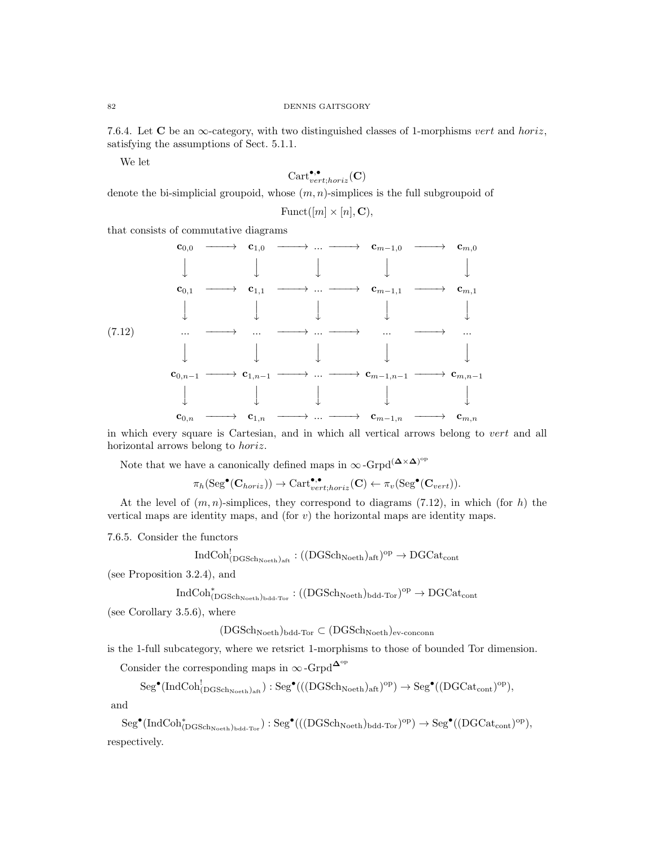7.6.4. Let  $\bf{C}$  be an  $\infty$ -category, with two distinguished classes of 1-morphisms vert and horiz, satisfying the assumptions of Sect. 5.1.1.

We let

$$
\text{Cart}^{\bullet,\bullet}_{vert;horiz}(\mathbf{C})
$$

denote the bi-simplicial groupoid, whose  $(m, n)$ -simplices is the full subgroupoid of

$$
\text{Funct}([m]\times[n],\mathbf{C})
$$

that consists of commutative diagrams



in which every square is Cartesian, and in which all vertical arrows belong to vert and all horizontal arrows belong to horiz.

Note that we have a canonically defined maps in  $\infty$ -Grpd<sup>( $\mathbf{\Delta} \times \mathbf{\Delta}$ )<sup>op</sup></sup>

$$
\pi_h(\mathrm{Seg}^\bullet(\mathbf{C}_{horiz}))\rightarrow \mathrm{Cart}_{vert;horiz}^{\bullet,\bullet}(\mathbf{C}) \leftarrow \pi_v(\mathrm{Seg}^\bullet(\mathbf{C}_{vert})).
$$

At the level of  $(m, n)$ -simplices, they correspond to diagrams (7.12), in which (for h) the vertical maps are identity maps, and (for  $v$ ) the horizontal maps are identity maps.

7.6.5. Consider the functors

$$
\mathrm{IndCoh}^!_{(\mathrm{DGSch}_\mathrm{Noeth})_\mathrm{aff}}:((\mathrm{DGSch}_\mathrm{Noeth})_\mathrm{aff})^\mathrm{op}\to\mathrm{DGCat}_\mathrm{cont}
$$

(see Proposition 3.2.4), and

$$
\rm IndCoh^*_{(DGSch_{Noeth})_{bdd-Tor}}: ((DGSch_{Noeth})_{bdd-Tor})^{op} \to DGCat_{cont}
$$

(see Corollary 3.5.6), where

 $(DGSch<sub>Noeth</sub>)_{bdd-Tor} \subset (DGSch<sub>Noeth</sub>)_{ev-conconn}$ 

is the 1-full subcategory, where we retsrict 1-morphisms to those of bounded Tor dimension.

Consider the corresponding maps in  $\infty$ -Grpd<sup> $\Delta^{\circ p}$ </sup>

$$
\mathrm{Seg}^\bullet(\mathrm{IndCoh}^!_{(\mathrm{DGSch}_{\mathrm{Noeth}})_{\mathrm{aff}}}): \mathrm{Seg}^\bullet(((\mathrm{DGSch}_{\mathrm{Noeth}})_{\mathrm{aff}})^\mathrm{op}) \to \mathrm{Seg}^\bullet((\mathrm{DGCat}_{\mathrm{cont}})^\mathrm{op}),
$$

and

 $\mathrm{Seg}^{\bullet}(\mathrm{IndCoh}^*_{(\mathrm{DGSch}_\mathrm{Noeth})_\mathrm{bdd-Tor}}):\mathrm{Seg}^{\bullet}((\mathrm{(DGSch}_\mathrm{Noeth})_\mathrm{bdd-Tor})^\mathrm{op})\to \mathrm{Seg}^{\bullet}((\mathrm{DGCat}_\mathrm{cont})^\mathrm{op}),$ respectively.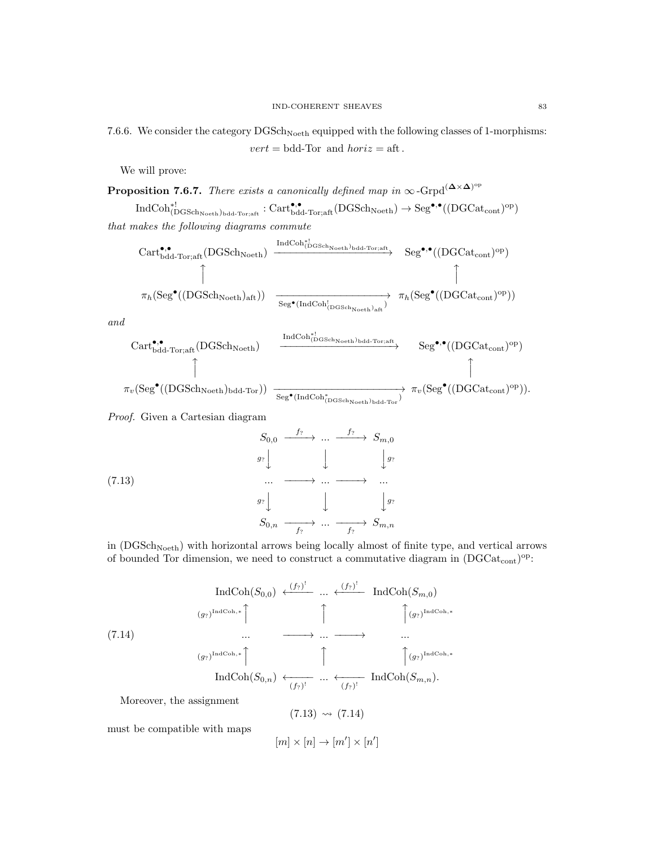7.6.6. We consider the category  $DGSch_{Noeth}$  equipped with the following classes of 1-morphisms:  $vert = bdd-Tor$  and  $horiz = aft$ .

We will prove:

**Proposition 7.6.7.** There exists a canonically defined map in  $\infty$ -Grpd<sup>( $\Delta \times \Delta$ )<sup>op</sup></sup>

 $\mathrm{IndCoh}_{(\mathrm{DGSch}_{\mathrm{Noeth}})_{\mathrm{bdd}\text{-}\mathrm{Tor};\mathrm{aft}}^{\bullet,\bullet}:\mathrm{Cart}^{\bullet,\bullet}_{\mathrm{bdd}\text{-}\mathrm{Tor};\mathrm{aft}}(\mathrm{DGSch}_{\mathrm{Noeth}})\to \mathrm{Seg}^{\bullet,\bullet}((\mathrm{DGCat}_\mathrm{cont})^{\mathrm{op}})$ that makes the following diagrams commute

$$
\begin{array}{ccc}\n \text{Cart}^{\bullet,\bullet}_{\text{bdd-Tor;aff}}(\text{DGSch}_{\text{Noeth}}) & \xrightarrow{\text{IndCoh}_{(\text{DGSch}_{\text{Noeth}})_{\text{bdd-Tor;aff}}}} & \text{Seg}^{\bullet,\bullet}((\text{DGCat}_{\text{cont}})^{\text{op}}) \\
 \uparrow & & \uparrow & \uparrow \\
 \pi_{h}(\text{Seg}^{\bullet}((\text{DGSch}_{\text{Noeth}})_{\text{aff}})) & \xrightarrow{\text{Seg}^{\bullet}(\text{IndCoh}_{(\text{DGSch}_{\text{Noeth}})_{\text{aff}})}} & \pi_{h}(\text{Seg}^{\bullet}((\text{DGCat}_{\text{cont}})^{\text{op}}))\n \end{array}
$$

and

$$
\begin{array}{ccc}\n \text{Cart}_{\text{bdd-Tor;aff}}^{\bullet,\bullet}(\text{DGSch}_{\text{Noeth}}) & \xrightarrow{\text{IndCoh}_{(\text{DGSch}_{\text{Noeth}})_{\text{bdd-Tor;aff}}}} & \text{Seg}^{\bullet,\bullet}((\text{DGCat}_{\text{cont}})^{\text{op}})\\ \uparrow & & \uparrow\\ \pi_v(\text{Seg}^{\bullet}((\text{DGSch}_{\text{Noeth}})_{\text{bdd-Tor}})) & \xrightarrow{\text{Seg}^{\bullet}(\text{IndCoh}_{(\text{DGSch}_{\text{Noeth}})_{\text{bdd-Tor}})}} & \pi_v(\text{Seg}^{\bullet}((\text{DGCat}_{\text{cont}})^{\text{op}})).\n \end{array}
$$

Proof. Given a Cartesian diagram

$$
S_{0,0} \xrightarrow{f_?} \cdots \xrightarrow{f_?} S_{m,0}
$$
\n
$$
g_? \downarrow \qquad \downarrow \qquad \downarrow g_? \qquad \downarrow g_? \qquad \downarrow g_? \qquad \downarrow g_? \qquad \downarrow g_? \qquad \downarrow g_? \qquad \downarrow g_? \qquad \downarrow g_? \qquad \downarrow g_? \qquad \downarrow g_? \qquad \downarrow g_? \qquad \downarrow g_? \qquad \downarrow g_? \qquad \downarrow g_? \qquad \downarrow g_? \qquad \downarrow g_? \qquad \downarrow g_? \qquad \downarrow g_? \qquad \downarrow g_? \qquad \downarrow g_? \qquad \downarrow g_? \qquad \downarrow g_? \qquad \downarrow g_? \qquad \downarrow g_? \qquad \downarrow g_? \qquad \downarrow g_? \qquad \downarrow g_? \qquad \downarrow g_? \qquad \downarrow g_? \qquad \downarrow g_? \qquad \downarrow g_? \qquad \downarrow g_? \qquad \downarrow g_? \qquad \downarrow g_? \qquad \downarrow g_? \qquad \downarrow g_? \qquad \downarrow g_? \qquad \downarrow g_? \qquad \downarrow g_? \qquad \downarrow g_? \qquad \downarrow g_? \qquad \downarrow g_? \qquad \downarrow g_? \qquad \downarrow g_? \qquad \downarrow g_? \qquad \downarrow g_? \qquad \downarrow g_? \qquad \downarrow g_? \qquad \downarrow g_? \qquad \downarrow g_? \qquad \downarrow g_? \qquad \downarrow g_? \qquad \downarrow g_? \qquad \downarrow g_? \qquad \downarrow g_? \qquad \downarrow g_? \qquad \downarrow g_? \qquad \downarrow g_? \qquad \downarrow g_? \qquad \downarrow g_? \qquad \downarrow g_? \qquad \downarrow g_? \qquad \downarrow g_? \qquad \downarrow g_? \qquad \downarrow g_? \qquad \downarrow g_? \qquad \downarrow g_? \qquad \downarrow g_? \qquad \downarrow g_? \qquad \downarrow g_? \qquad \downarrow g_? \qquad \downarrow g_? \qquad \downarrow g_? \qquad \downarrow g_? \qquad \downarrow g_? \qquad \downarrow g_? \qquad \downarrow g_? \qquad \downarrow g_? \qquad \down
$$

in (DGSch<sub>Noeth</sub>) with horizontal arrows being locally almost of finite type, and vertical arrows of bounded Tor dimension, we need to construct a commutative diagram in  $(DGCat_{cont})^{\text{op}}$ :

(7.14) IndCoh(S0,0) (f?) ! ←−−−− ... (f?) ! ←−−−− IndCoh(Sm,0) (g?) IndCoh,∗ x x x (g?) IndCoh,∗ ... −−−−→ ... −−−−→ ... (g?) IndCoh,∗ x x x (g?) IndCoh,∗ IndCoh(S0,n) ←−−−− (f?) ! ... ←−−−− (f?) ! IndCoh(Sm,n).

Moreover, the assignment

$$
(7.13) \rightsquigarrow (7.14)
$$

must be compatible with maps

 $[m] \times [n] \rightarrow [m'] \times [n']$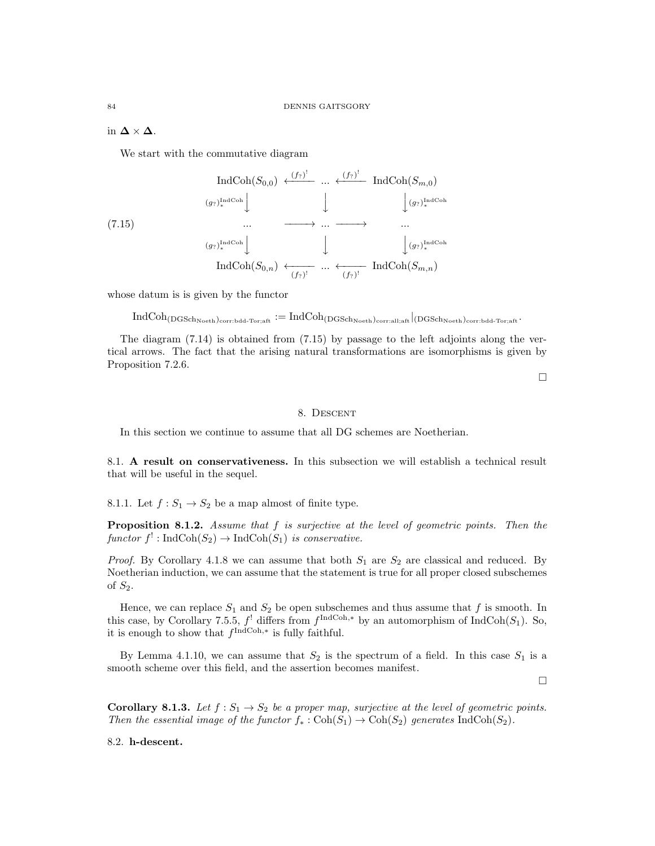in  $\Delta \times \Delta$ .

We start with the commutative diagram

$$
(7.15)
$$
\n
$$
(g_{?})_{*}^{\text{IndCoh}}(S_{0,0}) \xleftarrow{(f_{?})^{!}} \cdots \xleftarrow{(f_{?})^{!}} \text{IndCoh}(S_{m,0})
$$
\n
$$
\cdots \xrightarrow{(g_{?})_{*}^{\text{IndCoh}}}
$$
\n
$$
\cdots \xrightarrow{(g_{?})_{*}^{\text{IndCoh}}}
$$
\n
$$
\cdots \xrightarrow{(f_{?})^{!}} \cdots \xleftarrow{(f_{?})^{!}} \text{IndCoh}(S_{m,n})
$$

whose datum is is given by the functor

 $\text{IndCoh}_{(DGSch_{Noeth})_{\text{corr:bdd-Tor:aff}}}: = \text{IndCoh}_{(DGSch_{Noeth})_{\text{corr:all:aff}}}|_{(DGSch_{Noeth})_{\text{corr:bdd-Tor:aff}}}.$ 

The diagram (7.14) is obtained from (7.15) by passage to the left adjoints along the vertical arrows. The fact that the arising natural transformations are isomorphisms is given by Proposition 7.2.6.

 $\Box$ 

## 8. Descent

In this section we continue to assume that all DG schemes are Noetherian.

8.1. A result on conservativeness. In this subsection we will establish a technical result that will be useful in the sequel.

8.1.1. Let  $f: S_1 \to S_2$  be a map almost of finite type.

**Proposition 8.1.2.** Assume that  $f$  is surjective at the level of geometric points. Then the functor  $f'$ : IndCoh $(S_2) \to \text{IndCoh}(S_1)$  is conservative.

*Proof.* By Corollary 4.1.8 we can assume that both  $S_1$  are  $S_2$  are classical and reduced. By Noetherian induction, we can assume that the statement is true for all proper closed subschemes of  $S_2$ .

Hence, we can replace  $S_1$  and  $S_2$  be open subschemes and thus assume that f is smooth. In this case, by Corollary 7.5.5,  $f'$  differs from  $f^{\text{IndCoh},*}$  by an automorphism of IndCoh $(S_1)$ . So, it is enough to show that  $f^{\text{IndCoh},*}$  is fully faithful.

By Lemma 4.1.10, we can assume that  $S_2$  is the spectrum of a field. In this case  $S_1$  is a smooth scheme over this field, and the assertion becomes manifest.

 $\Box$ 

**Corollary 8.1.3.** Let  $f : S_1 \to S_2$  be a proper map, surjective at the level of geometric points. Then the essential image of the functor  $f_* : \text{Coh}(S_1) \to \text{Coh}(S_2)$  generates IndCoh( $S_2$ ).

8.2. h-descent.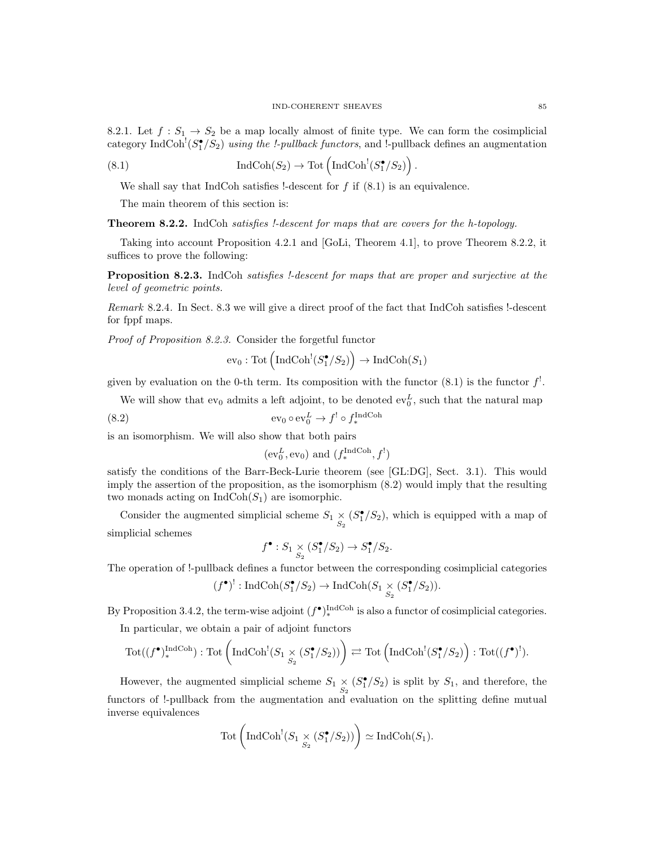8.2.1. Let  $f: S_1 \to S_2$  be a map locally almost of finite type. We can form the cosimplicial category IndCoh<sup>!</sup> $(S_1^{\bullet}/S_2)$  using the !-pullback functors, and !-pullback defines an augmentation

.

(8.1) 
$$
\operatorname{IndCoh}(S_2) \to \operatorname{Tot}\left(\operatorname{IndCoh}^!(S_1^{\bullet}/S_2)\right)
$$

We shall say that IndCoh satisfies !-descent for  $f$  if  $(8.1)$  is an equivalence.

The main theorem of this section is:

Theorem 8.2.2. IndCoh satisfies !-descent for maps that are covers for the h-topology.

Taking into account Proposition 4.2.1 and [GoLi, Theorem 4.1], to prove Theorem 8.2.2, it suffices to prove the following:

Proposition 8.2.3. IndCoh satisfies !-descent for maps that are proper and surjective at the level of geometric points.

Remark 8.2.4. In Sect. 8.3 we will give a direct proof of the fact that IndCoh satisfies !-descent for fppf maps.

Proof of Proposition 8.2.3. Consider the forgetful functor

$$
ev_0: \mathrm{Tot}\left(\mathrm{IndCoh}^!(S_1^\bullet/S_2)\right) \to \mathrm{IndCoh}(S_1)
$$

given by evaluation on the 0-th term. Its composition with the functor  $(8.1)$  is the functor  $f'$ .

We will show that  $ev_0$  admits a left adjoint, to be denoted  $ev_0^L$ , such that the natural map

(8.2) 
$$
ev_0 \circ ev_0^L \to f^! \circ f_*^{\text{IndCoh}}
$$

is an isomorphism. We will also show that both pairs

$$
(ev_0^L, ev_0)
$$
 and  $(f_*^{\text{IndCoh}}, f')$ 

satisfy the conditions of the Barr-Beck-Lurie theorem (see [GL:DG], Sect. 3.1). This would imply the assertion of the proposition, as the isomorphism (8.2) would imply that the resulting two monads acting on  $IndCoh(S_1)$  are isomorphic.

Consider the augmented simplicial scheme  $S_1 \underset{S_2}{\times} (S_1^{\bullet}/S_2)$ , which is equipped with a map of simplicial schemes

$$
f^{\bullet}: S_1 \underset{S_2}{\times} (S_1^{\bullet}/S_2) \to S_1^{\bullet}/S_2.
$$

The operation of !-pullback defines a functor between the corresponding cosimplicial categories

$$
(f^{\bullet})^!: \operatorname{IndCoh}(S_1^{\bullet}/S_2) \to \operatorname{IndCoh}(S_1 \underset{S_2}{\times} (S_1^{\bullet}/S_2)).
$$

By Proposition 3.4.2, the term-wise adjoint  $(f^{\bullet})_*^{\text{IndCoh}}$  is also a functor of cosimplicial categories.

In particular, we obtain a pair of adjoint functors

$$
\mathrm{Tot}((f^{\bullet})_{*}^{\mathrm{IndCoh}}): \mathrm{Tot}\left(\mathrm{IndCoh}^{!}(S_{1 \times_{S_{2}}} (S_{1}^{\bullet}/S_{2})) \right) \rightleftarrows \mathrm{Tot}\left(\mathrm{IndCoh}^{!}(S_{1}^{\bullet}/S_{2}) \right): \mathrm{Tot}((f^{\bullet})^{!}).
$$

However, the augmented simplicial scheme  $S_1 \underset{S_2}{\times} (S_1^{\bullet}/S_2)$  is split by  $S_1$ , and therefore, the functors of !-pullback from the augmentation and evaluation on the splitting define mutual inverse equivalences

$$
Tot\left( IndCoh1(S1 \underset{S_2}{\times} (S_1^{\bullet}/S_2)) \right) \simeq IndCoh(S_1).
$$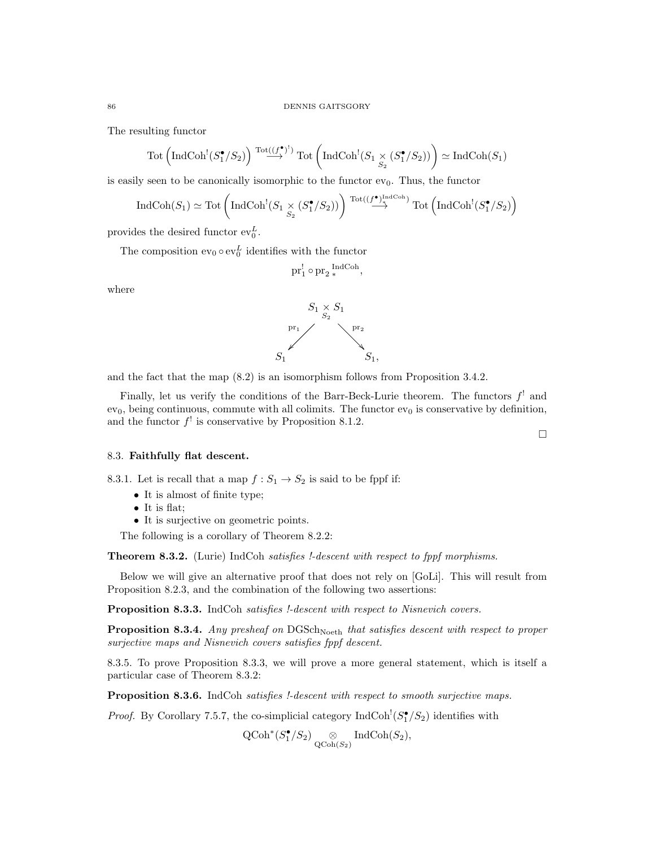The resulting functor

$$
\operatorname{Tot}\left(\operatorname{IndCoh}^!(S_1^\bullet/S_2)\right) \stackrel{\operatorname{Tot}\left((f^\bullet)^\dagger\right)}{\longrightarrow} \operatorname{Tot}\left(\operatorname{IndCoh}^!(S_1 \underset{S_2}{\times} (S_1^\bullet/S_2))\right) \simeq \operatorname{IndCoh}(S_1)
$$

is easily seen to be canonically isomorphic to the functor  $ev_0$ . Thus, the functor

$$
\operatorname{IndCoh}(S_1) \simeq \operatorname{Tot}\left(\operatorname{IndCoh}^!(S_1 \underset{S_2}{\times} (S_1^{\bullet}/S_2))\right) \xrightarrow{\operatorname{Tot}((f^{\bullet})_+^{\operatorname{IndCoh}})} \operatorname{Tot}\left(\operatorname{IndCoh}^!(S_1^{\bullet}/S_2)\right)
$$

provides the desired functor  $ev_0^L$ .

The composition  $ev_0 \circ ev_0^L$  identifies with the functor

$$
\text{pr}_1^!\circ \text{pr}_2\, {}_*^{\operatorname{IndCoh}},
$$

where



and the fact that the map (8.2) is an isomorphism follows from Proposition 3.4.2.

Finally, let us verify the conditions of the Barr-Beck-Lurie theorem. The functors  $f^!$  and  $ev_0$ , being continuous, commute with all colimits. The functor  $ev_0$  is conservative by definition, and the functor  $f'$  is conservative by Proposition 8.1.2.

#### 8.3. Faithfully flat descent.

8.3.1. Let is recall that a map  $f: S_1 \to S_2$  is said to be fppf if:

- It is almost of finite type;
- It is flat:
- It is surjective on geometric points.

The following is a corollary of Theorem 8.2.2:

Theorem 8.3.2. (Lurie) IndCoh satisfies !-descent with respect to fppf morphisms.

Below we will give an alternative proof that does not rely on [GoLi]. This will result from Proposition 8.2.3, and the combination of the following two assertions:

Proposition 8.3.3. IndCoh satisfies !-descent with respect to Nisnevich covers.

**Proposition 8.3.4.** Any presheaf on  $DGSch_{Noeth}$  that satisfies descent with respect to proper surjective maps and Nisnevich covers satisfies fppf descent.

8.3.5. To prove Proposition 8.3.3, we will prove a more general statement, which is itself a particular case of Theorem 8.3.2:

Proposition 8.3.6. IndCoh satisfies !-descent with respect to smooth surjective maps.

*Proof.* By Corollary 7.5.7, the co-simplicial category  $\text{IndCoh}^! (S_1^{\bullet}/S_2)$  identifies with

 $\operatorname{QCoh}^*(S_1^{\bullet}/S_2) \underset{\operatorname{QCoh}(S_2)}{\otimes} \operatorname{IndCoh}(S_2),$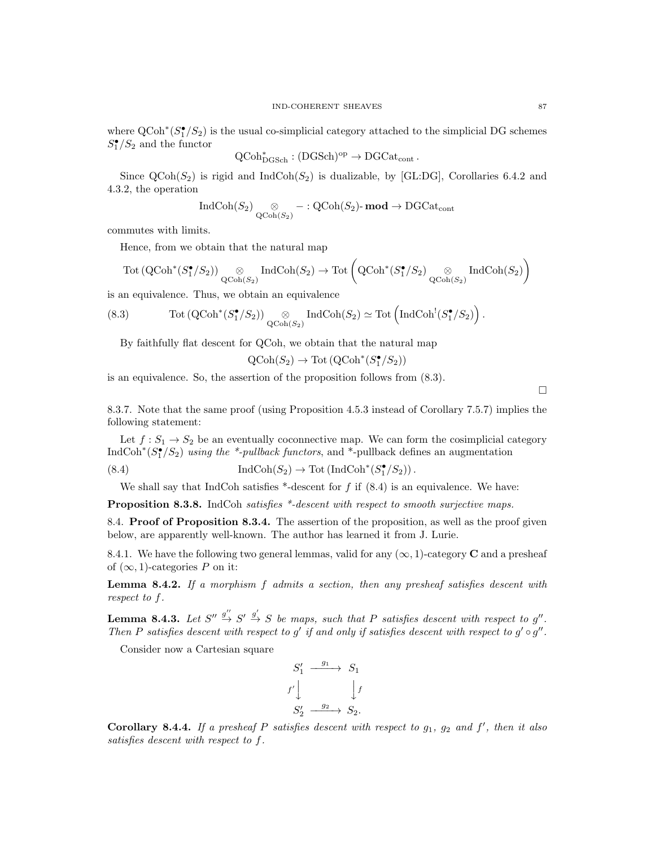where  $\text{QCoh}^*(S_1^{\bullet}/S_2)$  is the usual co-simplicial category attached to the simplicial DG schemes  $S_1^{\bullet}/S_2$  and the functor

$$
\operatorname{QCoh}^*_{\operatorname{DGSch}}: (\operatorname{DGSch})^{\operatorname{op}} \to \operatorname{DGCat}_{\operatorname{cont}}.
$$

Since  $\text{QCoh}(S_2)$  is rigid and Ind $\text{Coh}(S_2)$  is dualizable, by [GL:DG], Corollaries 6.4.2 and 4.3.2, the operation

$$
\operatorname{IndCoh}(S_2) \underset{\operatorname{QCoh}(S_2)}{\otimes} - : \operatorname{QCoh}(S_2) \text{-}\operatorname{mod} \to \operatorname{DGCat}_{\operatorname{cont}}
$$

commutes with limits.

Hence, from we obtain that the natural map

$$
\mathrm{Tot}\left(\mathrm{QCoh}^*(S_1^\bullet/S_2)\right) \underset{\mathrm{QCoh}(S_2)}{\otimes} \mathrm{IndCoh}(S_2) \to \mathrm{Tot}\left(\mathrm{QCoh}^*(S_1^\bullet/S_2) \underset{\mathrm{QCoh}(S_2)}{\otimes} \mathrm{IndCoh}(S_2)\right)
$$

is an equivalence. Thus, we obtain an equivalence

(8.3) 
$$
\text{Tot}(\text{QCoh}^*(S_1^{\bullet}/S_2)) \underset{\text{QCoh}(S_2)}{\otimes} \text{IndCoh}(S_2) \simeq \text{Tot}(\text{IndCoh}^!(S_1^{\bullet}/S_2)).
$$

By faithfully flat descent for QCoh, we obtain that the natural map

$$
\operatorname{QCoh}(S_2) \to \operatorname{Tot}(\operatorname{QCoh}^*(S_1^{\bullet}/S_2))
$$

is an equivalence. So, the assertion of the proposition follows from (8.3).

 $\Box$ 

8.3.7. Note that the same proof (using Proposition 4.5.3 instead of Corollary 7.5.7) implies the following statement:

Let  $f: S_1 \to S_2$  be an eventually coconnective map. We can form the cosimplicial category IndCoh<sup>\*</sup>( $S_1^{\bullet}/S_2$ ) using the <sup>\*</sup>-pullback functors, and <sup>\*</sup>-pullback defines an augmentation

(8.4) 
$$
\operatorname{IndCoh}(S_2) \to \operatorname{Tot}(\operatorname{IndCoh}^*(S_1^{\bullet}/S_2)).
$$

We shall say that IndCoh satisfies  $*$ -descent for f if  $(8.4)$  is an equivalence. We have:

**Proposition 8.3.8.** IndCoh satisfies \*-descent with respect to smooth surjective maps.

8.4. **Proof of Proposition 8.3.4.** The assertion of the proposition, as well as the proof given below, are apparently well-known. The author has learned it from J. Lurie.

8.4.1. We have the following two general lemmas, valid for any  $(\infty, 1)$ -category **C** and a presheaf of  $(\infty, 1)$ -categories P on it:

**Lemma 8.4.2.** If a morphism f admits a section, then any presheaf satisfies descent with respect to f.

**Lemma 8.4.3.** Let  $S'' \stackrel{g''}{\to} S' \stackrel{g'}{\to} S$  be maps, such that P satisfies descent with respect to g''. Then P satisfies descent with respect to g' if and only if satisfies descent with respect to  $g' \circ g''$ .

Consider now a Cartesian square

$$
S'_1 \xrightarrow{g_1} S_1
$$
  

$$
f' \downarrow \qquad \qquad \downarrow f
$$
  

$$
S'_2 \xrightarrow{g_2} S_2.
$$

Corollary 8.4.4. If a presheaf P satisfies descent with respect to  $g_1$ ,  $g_2$  and  $f'$ , then it also satisfies descent with respect to f.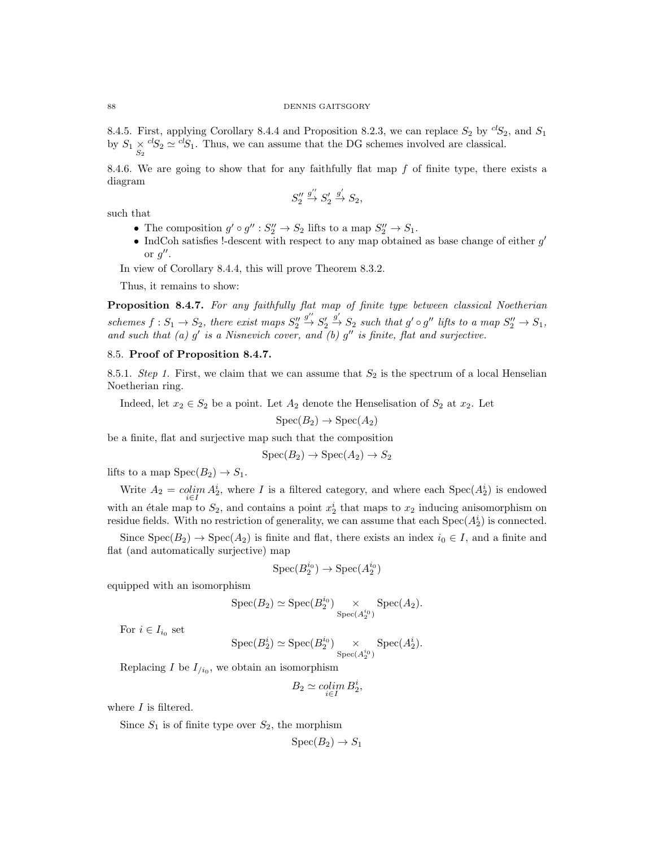8.4.5. First, applying Corollary 8.4.4 and Proposition 8.2.3, we can replace  $S_2$  by  ${}^{cl}S_2$ , and  $S_1$ by  $S_1 \underset{S_2}{\times} {}^{cl}S_2 \simeq {}^{cl}S_1$ . Thus, we can assume that the DG schemes involved are classical.

8.4.6. We are going to show that for any faithfully flat map  $f$  of finite type, there exists a diagram

$$
S_2''\stackrel{g''}{\rightarrow}S_2'\stackrel{g'}{\rightarrow}S_2,
$$

such that

- The composition  $g' \circ g'' : S''_2 \to S_2$  lifts to a map  $S''_2 \to S_1$ .
- IndCoh satisfies !-descent with respect to any map obtained as base change of either  $g'$ or  $g''$ .

In view of Corollary 8.4.4, this will prove Theorem 8.3.2.

Thus, it remains to show:

Proposition 8.4.7. For any faithfully flat map of finite type between classical Noetherian schemes  $f: S_1 \to S_2$ , there exist maps  $S_2''$  $\overset{g''}{\rightarrow} S'_2$  $\stackrel{g'}{\rightarrow} S_2$  such that  $g' \circ g''$  lifts to a map  $S_2'' \rightarrow S_1$ , and such that (a)  $g'$  is a Nisnevich cover, and (b)  $g''$  is finite, flat and surjective.

#### 8.5. Proof of Proposition 8.4.7.

8.5.1. Step 1. First, we claim that we can assume that  $S_2$  is the spectrum of a local Henselian Noetherian ring.

Indeed, let  $x_2 \in S_2$  be a point. Let  $A_2$  denote the Henselisation of  $S_2$  at  $x_2$ . Let

 $Spec(B_2) \rightarrow Spec(A_2)$ 

be a finite, flat and surjective map such that the composition

$$
Spec(B_2) \to Spec(A_2) \to S_2
$$

lifts to a map  $Spec(B_2) \rightarrow S_1$ .

Write  $A_2 = \operatorname{colim}_{i \in I} A_2^i$ , where I is a filtered category, and where each  $Spec(A_2^i)$  is endowed with an étale map to  $S_2$ , and contains a point  $x_2^i$  that maps to  $x_2$  inducing anisomorphism on residue fields. With no restriction of generality, we can assume that each  $Spec(A_2^i)$  is connected.

Since  $Spec(B_2) \rightarrow Spec(A_2)$  is finite and flat, there exists an index  $i_0 \in I$ , and a finite and flat (and automatically surjective) map

$$
\operatorname{Spec}(B_2^{i_0}) \to \operatorname{Spec}(A_2^{i_0})
$$

equipped with an isomorphism

$$
Spec(B_2) \simeq Spec(B_2^{i_0}) \underset{Spec(A_2^{i_0})}{\times} Spec(A_2).
$$

For  $i \in I_{i_0}$  set

$$
Spec(B_2^i) \simeq Spec(B_2^{i_0}) \underset{Spec(A_2^{i_0})}{\times} Spec(A_2^i).
$$

Replacing I be  $I_{/i_0}$ , we obtain an isomorphism

$$
B_2 \simeq \operatornamewithlimits{colim}_{i \in I} B_2^i,
$$

where  $I$  is filtered.

Since  $S_1$  is of finite type over  $S_2$ , the morphism

$$
\operatorname{Spec}(B_2) \to S_1
$$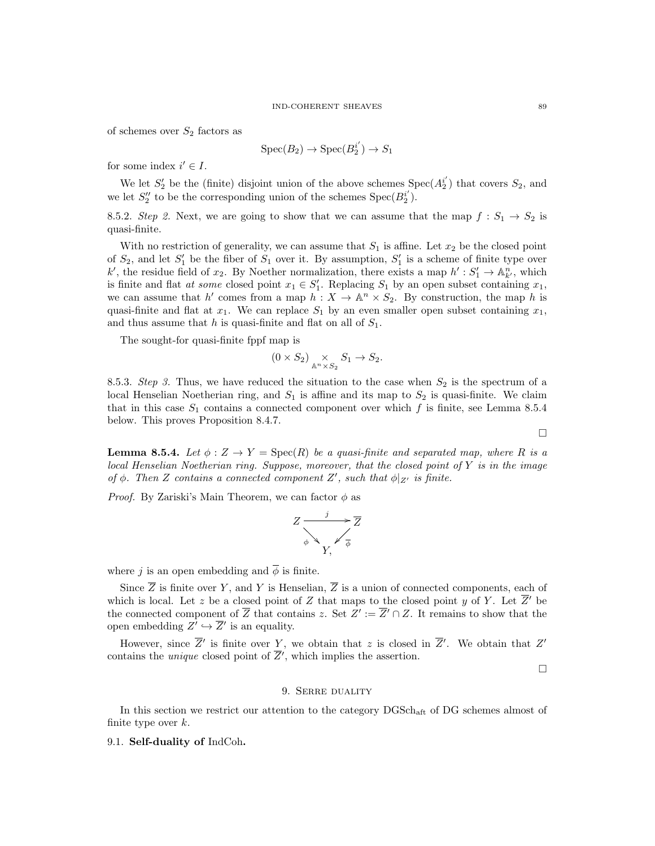of schemes over  $S_2$  factors as

$$
Spec(B_2) \to Spec(B_2^{i'}) \to S_1
$$

for some index  $i' \in I$ .

We let  $S'_2$  be the (finite) disjoint union of the above schemes  $Spec(A_2^{i'})$  that covers  $S_2$ , and we let  $S_2''$  to be the corresponding union of the schemes  $Spec(B_2^{i'})$ .

8.5.2. Step 2. Next, we are going to show that we can assume that the map  $f: S_1 \rightarrow S_2$  is quasi-finite.

With no restriction of generality, we can assume that  $S_1$  is affine. Let  $x_2$  be the closed point of  $S_2$ , and let  $S'_1$  be the fiber of  $S_1$  over it. By assumption,  $S'_1$  is a scheme of finite type over k', the residue field of  $x_2$ . By Noether normalization, there exists a map  $h': S'_1 \to \mathbb{A}^n_{k'}$ , which is finite and flat *at some* closed point  $x_1 \in S'_1$ . Replacing  $S_1$  by an open subset containing  $x_1$ , we can assume that h' comes from a map  $h: X \to \mathbb{A}^n \times S_2$ . By construction, the map h is quasi-finite and flat at  $x_1$ . We can replace  $S_1$  by an even smaller open subset containing  $x_1$ , and thus assume that h is quasi-finite and flat on all of  $S_1$ .

The sought-for quasi-finite fppf map is

$$
(0\times S_2)\underset{\mathbb{A}^n\times S_2}{\times}S_1\to S_2.
$$

8.5.3. Step 3. Thus, we have reduced the situation to the case when  $S_2$  is the spectrum of a local Henselian Noetherian ring, and  $S_1$  is affine and its map to  $S_2$  is quasi-finite. We claim that in this case  $S_1$  contains a connected component over which f is finite, see Lemma 8.5.4 below. This proves Proposition 8.4.7.

**Lemma 8.5.4.** Let  $\phi: Z \to Y = \text{Spec}(R)$  be a quasi-finite and separated map, where R is a local Henselian Noetherian ring. Suppose, moreover, that the closed point of  $Y$  is in the image of  $\phi$ . Then Z contains a connected component Z', such that  $\phi|_{Z'}$  is finite.

*Proof.* By Zariski's Main Theorem, we can factor  $\phi$  as

$$
Z \xrightarrow{\qquad j \qquad \qquad } Z
$$

$$
\qquad \qquad \downarrow \qquad \frac{Z}{\phi}
$$

$$
Y, \qquad \frac{Z}{\phi}
$$

where j is an open embedding and  $\overline{\phi}$  is finite.

Since  $\overline{Z}$  is finite over Y, and Y is Henselian,  $\overline{Z}$  is a union of connected components, each of which is local. Let z be a closed point of Z that maps to the closed point y of Y. Let  $\overline{Z}$ ' be the connected component of  $\overline{Z}$  that contains z. Set  $Z' := \overline{Z}' \cap Z$ . It remains to show that the open embedding  $Z' \hookrightarrow \overline{Z}'$  is an equality.

However, since  $\overline{Z}'$  is finite over Y, we obtain that z is closed in  $\overline{Z}'$ . We obtain that  $Z'$ contains the *unique* closed point of  $\overline{Z}'$ , which implies the assertion.

 $\Box$ 

 $\Box$ 

#### 9. Serre duality

In this section we restrict our attention to the category DGSch<sub>aft</sub> of DG schemes almost of finite type over  $k$ .

9.1. Self-duality of IndCoh.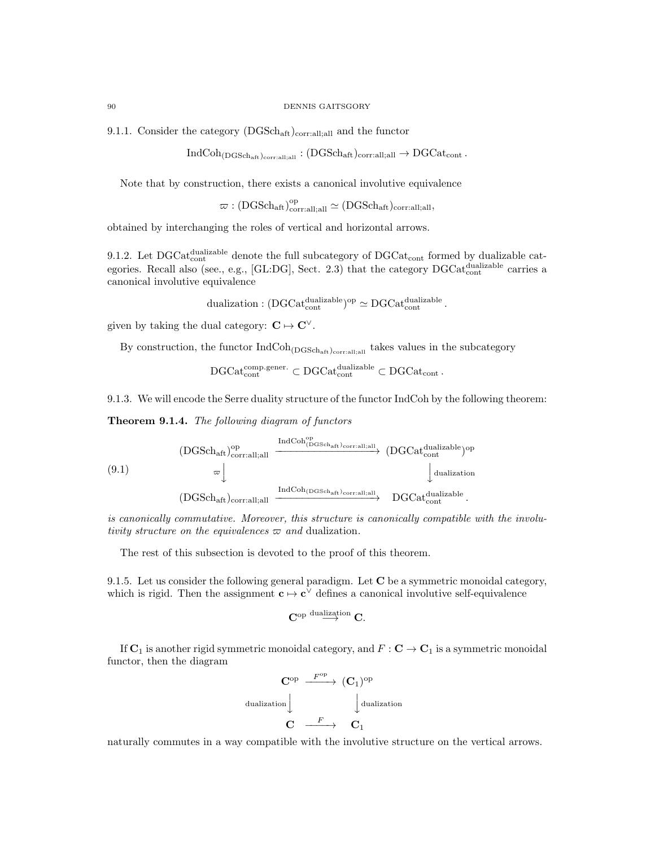9.1.1. Consider the category  $(DGSch<sub>aff</sub>)<sub>corr:all;all</sub>$  and the functor

$$
\operatorname{IndCoh}_{(\operatorname{DGSch}_{\operatorname{aff}})_{\operatorname{corr:all;all}}}: (\operatorname{DGSch}_{\operatorname{aff}})_{\operatorname{corr:all;all}} \to \operatorname{DGCat}_{\operatorname{cont}}.
$$

Note that by construction, there exists a canonical involutive equivalence

 $\varpi: (DGSch_{\mathrm{aft}})_{\mathrm{corr:all;all}}^{\mathrm{op}} \simeq (DGSch_{\mathrm{aft}})_{\mathrm{corr:all;all}},$ 

obtained by interchanging the roles of vertical and horizontal arrows.

9.1.2. Let  $\text{DGCat}_{\text{cont}}^{\text{dualizable}}$  denote the full subcategory of  $\text{DGCat}_{\text{cont}}$  formed by dualizable categories. Recall also (see., e.g., [GL:DG], Sect. 2.3) that the category  $\text{DGCat}_{\text{cont}}^{\text{dualizable}}$  carries a canonical involutive equivalence

dualization :  $(DGCat_{cont}^{dualizable})^{op} \simeq DGCat_{cont}^{dualizable}$ .

given by taking the dual category:  $C \mapsto C^{\vee}$ .

By construction, the functor  $IndCoh_{(DGSch_{aff})<sub>corr:all;all</sub>}$  takes values in the subcategory

$$
\mathrm{DGCat}_{\mathrm{cont}}^{\mathrm{comp.generic}} \subset \mathrm{DGCat}_{\mathrm{cont}}^{\mathrm{dualizable}} \subset \mathrm{DGCat}_{\mathrm{cont}}\,.
$$

9.1.3. We will encode the Serre duality structure of the functor IndCoh by the following theorem:

Theorem 9.1.4. The following diagram of functors

$$
\begin{array}{ccc} \text{(DGSch}_{\rm aft})^{\rm op}_{\rm corr:all;all} & \xrightarrow{\rm IndCoh^{\rm op}_{(DGSch_{\rm aft})_{\rm corr:all;all}}} & \text{(DGCat}_{\rm cont}^{\rm dualizable\, {\rm op}} \\ & \varpi \Big\downarrow & & \Big\downarrow \text{dualization} \\ & & \text{(DGSch}_{\rm aft})_{\rm corr:all;all} & \xrightarrow{\rm IndCoh}_{(DGSch_{\rm aft})_{\rm corr:all;all}}} & \text{DGCat}_{\rm cont}^{\rm dualizable} \,. \end{array}
$$

is canonically commutative. Moreover, this structure is canonically compatible with the involutivity structure on the equivalences  $\varpi$  and dualization.

The rest of this subsection is devoted to the proof of this theorem.

9.1.5. Let us consider the following general paradigm. Let  $C$  be a symmetric monoidal category, which is rigid. Then the assignment  $c \mapsto c^{\vee}$  defines a canonical involutive self-equivalence

$$
\mathbf{C}^{\mathrm{op}\; \mathrm{dualization}}\to \mathbf{C}.
$$

If  $\mathbf{C}_1$  is another rigid symmetric monoidal category, and  $F : \mathbf{C} \to \mathbf{C}_1$  is a symmetric monoidal functor, then the diagram

$$
\begin{array}{ccc}\n\mathbf{C}^{\mathrm{op}} & \xrightarrow{F^{\mathrm{op}}} & (\mathbf{C}_{1})^{\mathrm{op}} \\
\downarrow^{dualization} & & \downarrow^{dualization} \\
\mathbf{C} & \xrightarrow{F} & \mathbf{C}_{1}\n\end{array}
$$

naturally commutes in a way compatible with the involutive structure on the vertical arrows.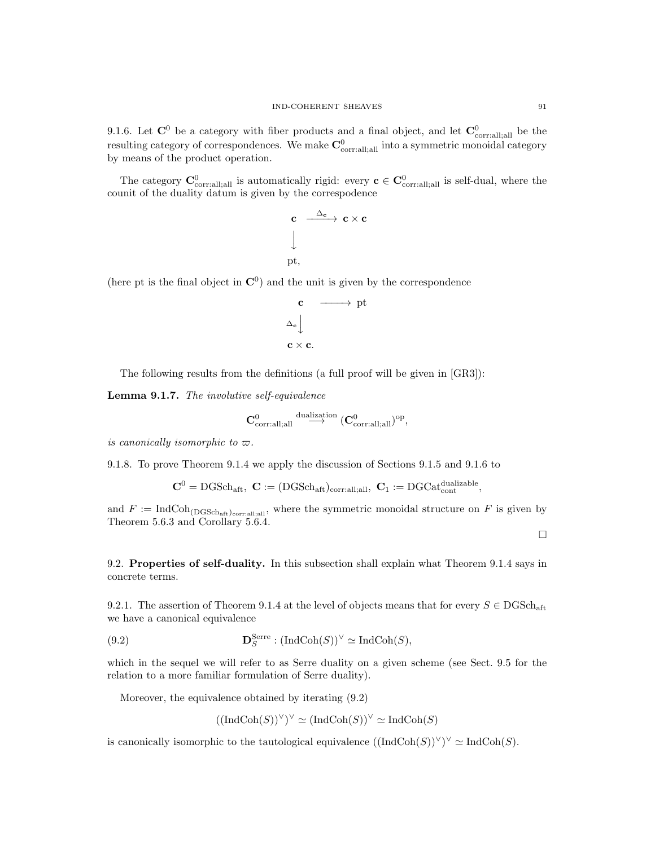9.1.6. Let  $\mathbf{C}^0$  be a category with fiber products and a final object, and let  $\mathbf{C}^0_{\text{corr:all;all}}$  be the resulting category of correspondences. We make  $\mathbf{C}^0_{\text{corr:all;all}}$  into a symmetric monoidal category by means of the product operation.

The category  $\mathbf{C}^0_{\text{corr.all;all}}$  is automatically rigid: every  $\mathbf{c} \in \mathbf{C}^0_{\text{corr.all;all}}$  is self-dual, where the counit of the duality datum is given by the correspodence

$$
\begin{array}{ccc}\n\mathbf{c} & \xrightarrow{\Delta_{\mathbf{c}}} & \mathbf{c} \times \mathbf{c} \\
\downarrow & & \\
\text{pt,} & & \\
\end{array}
$$

(here pt is the final object in  $\mathbb{C}^0$ ) and the unit is given by the correspondence

$$
\begin{array}{ccc}\n\mathbf{c} & \longrightarrow & \text{pt} \\
\Delta_{\mathbf{c}} & & \\
\mathbf{c} \times \mathbf{c}.\n\end{array}
$$

The following results from the definitions (a full proof will be given in [GR3]):

Lemma 9.1.7. The involutive self-equivalence

$$
\mathbf{C}^0_{\mathrm{corr:all;all}} \stackrel{\mathrm{dualization}}{\longrightarrow} (\mathbf{C}^0_{\mathrm{corr:all;all}})^{\mathrm{op}},
$$

is canonically isomorphic to  $\varpi$ .

9.1.8. To prove Theorem 9.1.4 we apply the discussion of Sections 9.1.5 and 9.1.6 to

 $\mathbf{C}^0 = \text{DGSch}_{\text{aft}}, \ \mathbf{C} := (\text{DGSch}_{\text{aft}})_{\text{corr:all;all}}, \ \mathbf{C}_1 := \text{DGCat}_{\text{cont}}^{\text{dualizable}},$ 

and  $F := \text{IndCoh}_{(\text{DGSch}_{\text{aff}})_{\text{corr.all}}},$  where the symmetric monoidal structure on F is given by Theorem 5.6.3 and Corollary 5.6.4.

 $\Box$ 

9.2. Properties of self-duality. In this subsection shall explain what Theorem 9.1.4 says in concrete terms.

9.2.1. The assertion of Theorem 9.1.4 at the level of objects means that for every  $S \in \text{DGSch}_{\text{aff}}$ we have a canonical equivalence

(9.2) 
$$
\mathbf{D}_S^{\text{Serre}} : (\text{IndCoh}(S))^{\vee} \simeq \text{IndCoh}(S),
$$

which in the sequel we will refer to as Serre duality on a given scheme (see Sect. 9.5 for the relation to a more familiar formulation of Serre duality).

Moreover, the equivalence obtained by iterating (9.2)

$$
((\mathrm{IndCoh}(S))^{\vee})^{\vee} \simeq (\mathrm{IndCoh}(S))^{\vee} \simeq \mathrm{IndCoh}(S)
$$

is canonically isomorphic to the tautological equivalence  $((\text{IndCoh}(S))^{\vee})^{\vee} \simeq \text{IndCoh}(S)$ .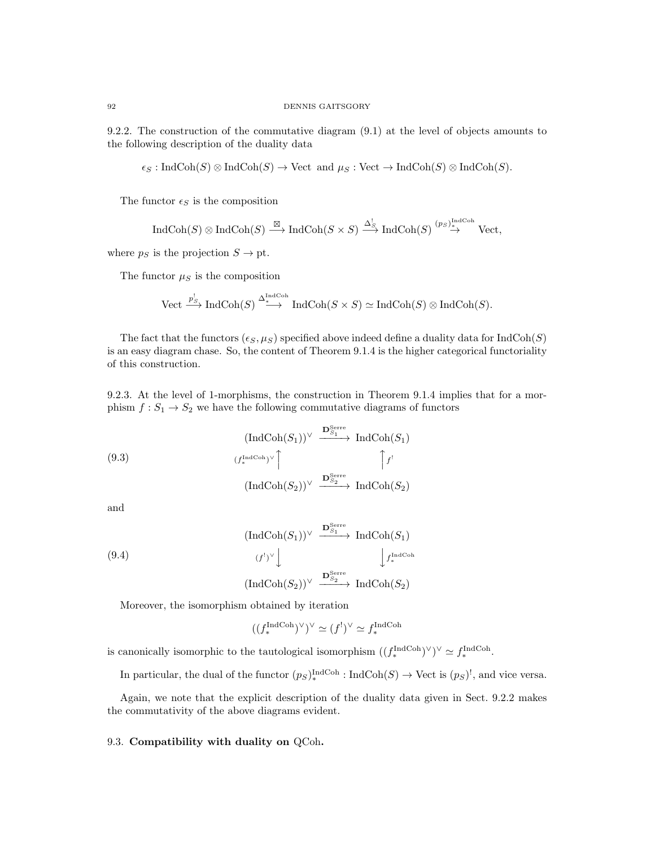9.2.2. The construction of the commutative diagram (9.1) at the level of objects amounts to the following description of the duality data

 $\epsilon_S : \text{IndCoh}(S) \otimes \text{IndCoh}(S) \to \text{Vect}$  and  $\mu_S : \text{Vect} \to \text{IndCoh}(S) \otimes \text{IndCoh}(S)$ .

The functor  $\epsilon_S$  is the composition

$$
\operatorname{IndCoh}(S) \otimes \operatorname{IndCoh}(S) \xrightarrow{\boxtimes} \operatorname{IndCoh}(S \times S) \xrightarrow{\Delta_S^!} \operatorname{IndCoh}(S) \xrightarrow{(ps)^{\operatorname{IndCoh}}}_{\rightarrow} \operatorname{Vect},
$$

where  $p_S$  is the projection  $S \to \text{pt}$ .

The functor  $\mu_S$  is the composition

Vect 
$$
\xrightarrow{p_S^!}
$$
 IndCoh(S)  $\xrightarrow{\Delta_{\text{IndCoh}}^{IndCoh}}$  IndCoh(S × S)  $\simeq$  IndCoh(S)  $\otimes$  IndCoh(S).

The fact that the functors  $(\epsilon_S, \mu_S)$  specified above indeed define a duality data for IndCoh(S) is an easy diagram chase. So, the content of Theorem 9.1.4 is the higher categorical functoriality of this construction.

9.2.3. At the level of 1-morphisms, the construction in Theorem 9.1.4 implies that for a morphism  $f: S_1 \to S_2$  we have the following commutative diagrams of functors

$$
\left(\text{IndCoh}(S_1)\right)^{\vee} \xrightarrow{\mathbf{D}_{S_1}^{\text{Serre}}} \text{IndCoh}(S_1)
$$
\n
$$
\left(f_*^{\text{IndCoh}}\right)^{\vee} \uparrow \qquad \qquad \uparrow f'
$$
\n
$$
\left(\text{IndCoh}(S_2)\right)^{\vee} \xrightarrow{\mathbf{D}_{S_2}^{\text{Serre}}} \text{IndCoh}(S_2)
$$

and

$$
(9.4) \qquad (\text{IndCoh}(S_1))^{\vee} \xrightarrow{\mathbf{D}_{S_1}^{\text{Serre}}} \text{IndCoh}(S_1)
$$
\n
$$
(f^!)^{\vee} \downarrow \qquad \qquad \downarrow f_*^{\text{IndCoh}}(S_2)
$$
\n
$$
(\text{IndCoh}(S_2))^{\vee} \xrightarrow{\mathbf{D}_{S_2}^{\text{Serre}}} \text{IndCoh}(S_2)
$$

Moreover, the isomorphism obtained by iteration

$$
((f_*^{\text{IndCoh}})^\vee)^\vee \simeq (f^!)^\vee \simeq f_*^{\text{IndCoh}}
$$

is canonically isomorphic to the tautological isomorphism  $((f_*^{\text{IndCoh}})^{\vee})^{\vee} \simeq f_*^{\text{IndCoh}}$ .

In particular, the dual of the functor  $(p_S)_{*}^{\text{IndCoh}}$ : IndCoh $(S) \to \text{Vect}$  is  $(p_S)^!$ , and vice versa.

Again, we note that the explicit description of the duality data given in Sect. 9.2.2 makes the commutativity of the above diagrams evident.

# 9.3. Compatibility with duality on QCoh.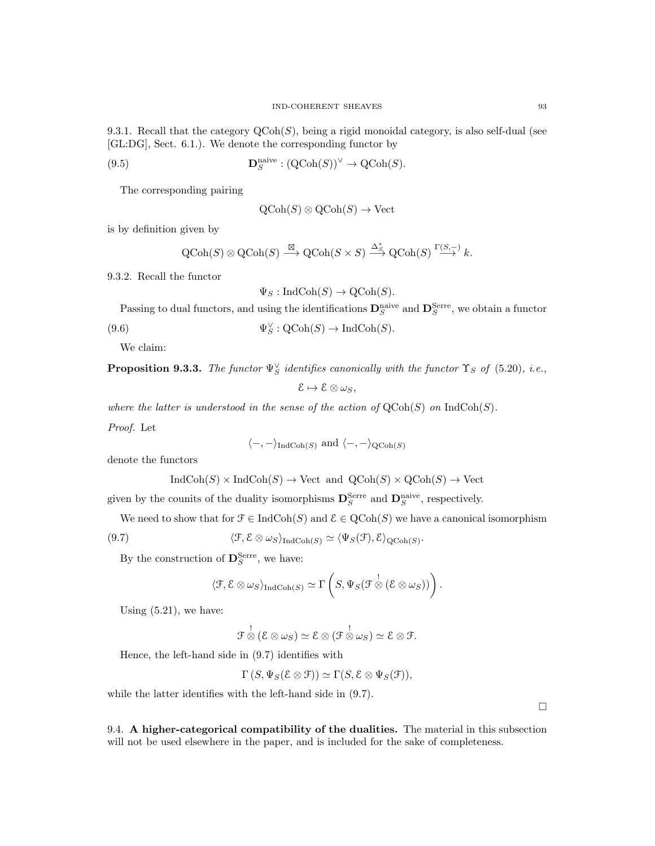9.3.1. Recall that the category  $Q\text{Coh}(S)$ , being a rigid monoidal category, is also self-dual (see [GL:DG], Sect. 6.1.). We denote the corresponding functor by

(9.5) 
$$
\mathbf{D}_S^{\text{naive}} : (\text{QCoh}(S))^{\vee} \to \text{QCoh}(S).
$$

The corresponding pairing

$$
Q\text{Coh}(S) \otimes Q\text{Coh}(S) \to \text{Vect}
$$

is by definition given by

$$
QCoh(S) \otimes QCoh(S) \xrightarrow{\boxtimes} QCoh(S \times S) \xrightarrow{\Delta_S^*} QCoh(S) \xrightarrow{\Gamma(S,-)} k.
$$

9.3.2. Recall the functor

$$
\Psi_S: \text{IndCoh}(S) \to \text{QCoh}(S).
$$

Passing to dual functors, and using the identifications  $\mathbf{D}_{S}^{\text{naive}}$  and  $\mathbf{D}_{S}^{\text{Serre}}$ , we obtain a functor

(9.6) 
$$
\Psi_S^{\vee} : \mathrm{QCoh}(S) \to \mathrm{IndCoh}(S).
$$

We claim:

**Proposition 9.3.3.** The functor  $\Psi_S^{\vee}$  identifies canonically with the functor  $\Upsilon_S$  of (5.20), i.e.,

$$
\mathcal{E}\mapsto\mathcal{E}\otimes\omega_S,
$$

where the latter is understood in the sense of the action of  $\mathrm{QCoh}(S)$  on  $\mathrm{IndCoh}(S)$ .

Proof. Let

$$
\langle -, - \rangle_{\text{IndCoh}(S)}
$$
 and  $\langle -, - \rangle_{\text{QCoh}(S)}$ 

denote the functors

$$
IndCoh(S) \times IndCoh(S) \rightarrow Vect \text{ and } QCoh(S) \times QCoh(S) \rightarrow Vect
$$

given by the counits of the duality isomorphisms  $\mathbf{D}_S^{\text{Serre}}$  and  $\mathbf{D}_S^{\text{naive}}$ , respectively.

We need to show that for  $\mathcal{F} \in \text{IndCoh}(S)$  and  $\mathcal{E} \in \text{QCoh}(S)$  we have a canonical isomorphism

(9.7) 
$$
\langle \mathcal{F}, \mathcal{E} \otimes \omega_S \rangle_{\text{IndCoh}(S)} \simeq \langle \Psi_S(\mathcal{F}), \mathcal{E} \rangle_{\text{QCoh}(S)}.
$$

By the construction of  $\mathbf{D}_{S}^{\text{Serre}}$ , we have:

$$
\langle \mathcal{F}, \mathcal{E} \otimes \omega_S \rangle_{\text{IndCoh}(S)} \simeq \Gamma \left( S, \Psi_S(\mathcal{F} \overset{!}{\otimes} (\mathcal{E} \otimes \omega_S)) \right).
$$

Using  $(5.21)$ , we have:

$$
\mathcal{F}\overset{!}{\otimes} (\mathcal{E}\otimes \omega_S) \simeq \mathcal{E}\otimes (\mathcal{F}\overset{!}{\otimes} \omega_S) \simeq \mathcal{E}\otimes \mathcal{F}.
$$

Hence, the left-hand side in (9.7) identifies with

 $\Gamma(S, \Psi_S(\mathcal{E} \otimes \mathcal{F})) \simeq \Gamma(S, \mathcal{E} \otimes \Psi_S(\mathcal{F})).$ 

while the latter identifies with the left-hand side in (9.7).

9.4. A higher-categorical compatibility of the dualities. The material in this subsection will not be used elsewhere in the paper, and is included for the sake of completeness.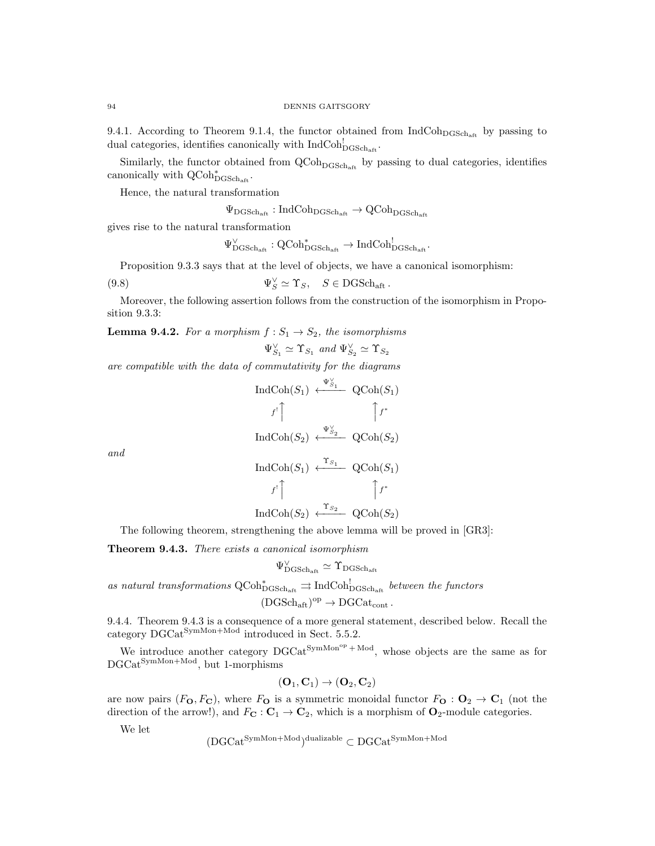9.4.1. According to Theorem 9.1.4, the functor obtained from  $\text{IndCoh}_{\text{DGSch}_{4f}}$  by passing to dual categories, identifies canonically with  $\text{IndCoh}^!_{\text{DGSch}_{\text{aff}}}$ .

Similarly, the functor obtained from  $\text{QCoh}_{\text{DGSch}_{\text{aff}}}$  by passing to dual categories, identifies canonically with  $\operatorname{QCoh}^*_{\mathrm{DGSch}_\mathrm{aff}}$ .

Hence, the natural transformation

 $\Psi_{\text{DGSch}_{\text{aff}}} : \text{IndCoh}_{\text{DGSch}_{\text{aff}}} \to \text{QCoh}_{\text{DGSch}_{\text{aff}}}$ 

gives rise to the natural transformation

 $\Psi_{\text{DGSch}_\text{aff}}^{\vee} : \text{QCoh}_{\text{DGSch}_\text{aff}}^{*} \to \text{IndCoh}_{\text{DGSch}_\text{aff}}^{!}.$ 

Proposition 9.3.3 says that at the level of objects, we have a canonical isomorphism:

(9.8) 
$$
\Psi_S^{\vee} \simeq \Upsilon_S, \quad S \in \text{DGSch}_{\text{aff}}.
$$

Moreover, the following assertion follows from the construction of the isomorphism in Proposition 9.3.3:

**Lemma 9.4.2.** For a morphism  $f: S_1 \rightarrow S_2$ , the isomorphisms

$$
\Psi_{S_1}^{\vee} \simeq \Upsilon_{S_1} \text{ and } \Psi_{S_2}^{\vee} \simeq \Upsilon_{S_2}
$$

are compatible with the data of commutativity for the diagrams

$$
\operatorname{IndCoh}(S_1) \stackrel{\Psi_{S_1}^{\vee}}{\longleftarrow} \operatorname{QCoh}(S_1)
$$

$$
f^! \uparrow \qquad \qquad \uparrow f^*
$$

$$
\operatorname{IndCoh}(S_2) \stackrel{\Psi_{S_2}^{\vee}}{\longleftarrow} \operatorname{QCoh}(S_2)
$$

$$
\operatorname{IndCoh}(S_1) \stackrel{\Upsilon_{S_1}}{\longleftarrow} \operatorname{QCoh}(S_1)
$$

$$
f^! \uparrow \qquad \qquad \uparrow f^*
$$

and

$$
\operatorname{IndCoh}(S_2) \xleftarrow{\Upsilon_{S_2}} \operatorname{QCoh}(S_2)
$$

The following theorem, strengthening the above lemma will be proved in [GR3]:

**Theorem 9.4.3.** There exists a canonical isomorphism

$$
\Psi_{\rm DGSch_{\rm aft}}^\vee\simeq\Upsilon_{\rm DGSch_{\rm aft}}
$$

as natural transformations  $\text{QCoh}_{\text{DGSch}_{\text{aff}}}^* \rightrightarrows \text{IndCoh}_{\text{DGSch}_{\text{aff}}}^!$  between the functors

$$
(\mathrm{DGSch}_{\mathrm{aft}})^{\mathrm{op}}\to \mathrm{DGCat}_{\mathrm{cont}}\,.
$$

9.4.4. Theorem 9.4.3 is a consequence of a more general statement, described below. Recall the category  $\text{DGCat}^{\text{SymMon+Mod}}$  introduced in Sect. 5.5.2.

We introduce another category  $DGCat^{SymMon^{op} + Mod}$ , whose objects are the same as for DGCatSymMon+Mod, but 1-morphisms

$$
(\mathbf{O}_1,\mathbf{C}_1)\to(\mathbf{O}_2,\mathbf{C}_2)
$$

are now pairs  $(F_{\mathbf{O}}, F_{\mathbf{C}})$ , where  $F_{\mathbf{O}}$  is a symmetric monoidal functor  $F_{\mathbf{O}} : \mathbf{O}_2 \to \mathbf{C}_1$  (not the direction of the arrow!), and  $F_{\mathbf{C}}: \mathbf{C}_1 \to \mathbf{C}_2$ , which is a morphism of  $\mathbf{O}_2$ -module categories.

We let

$$
(DGCat^{SymMon+Mod})^{\text{dualizable}} \subset DGCat^{SymMon+Mod}
$$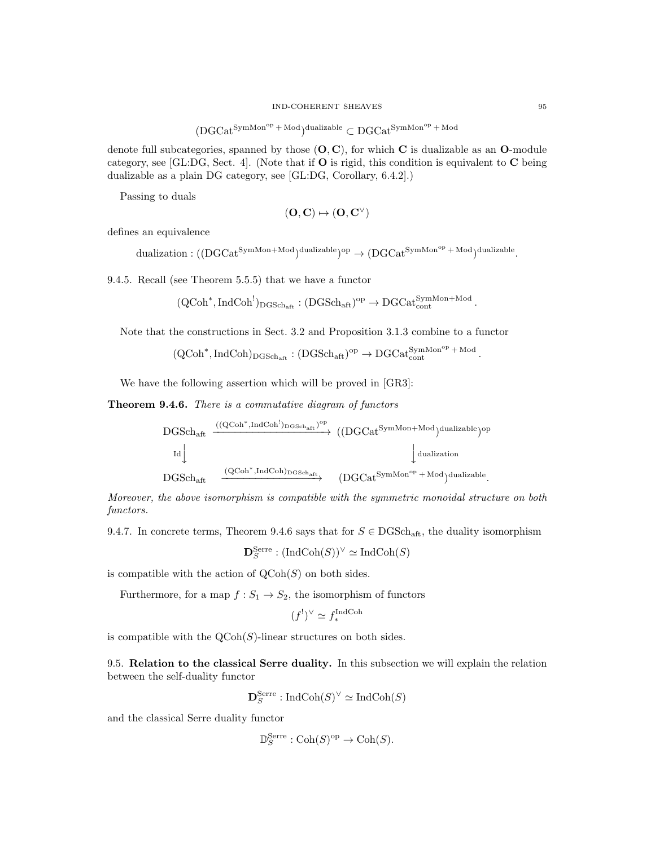$$
(DGCat^{SymMon^{op} + Mod})^{\text{dualizable}} \subset DGCat^{SymMon^{op} + Mod}
$$

denote full subcategories, spanned by those  $(O, C)$ , for which C is dualizable as an O-module category, see [GL:DG, Sect. 4]. (Note that if  $O$  is rigid, this condition is equivalent to  $C$  being dualizable as a plain DG category, see [GL:DG, Corollary, 6.4.2].)

Passing to duals

$$
(\mathbf{O}, \mathbf{C}) \mapsto (\mathbf{O}, \mathbf{C}^\vee)
$$

defines an equivalence

 $\text{dualization}: ((\text{DGCat}^{\text{SymMon+Mod}})^{\text{dualizable}})^{\text{op}} \to (\text{DGCat}^{\text{SymMon}^{\text{op}}+\text{Mod}})^{\text{dualizable}}.$ 

9.4.5. Recall (see Theorem 5.5.5) that we have a functor

 $(\mathrm{QCoh}^*, \mathrm{IndCoh}^!)_{\mathrm{DGSch}_{\mathrm{aft}}} : (\mathrm{DGSch}_{\mathrm{aft}})^{\mathrm{op}} \to \mathrm{DGCat}_{\mathrm{cont}}^{\mathrm{SymMon+Mod}}$ .

Note that the constructions in Sect. 3.2 and Proposition 3.1.3 combine to a functor

$$
(\mathrm{QCoh}^*, \mathrm{IndCoh})_{\mathrm{DGSch}_{\mathrm{aft}}} : (\mathrm{DGSch}_{\mathrm{aft}})^{\mathrm{op}} \to \mathrm{DGCat}_{\mathrm{cont}}^{\mathrm{SymMon}^{\mathrm{op}}+\mathrm{Mod}}.
$$

We have the following assertion which will be proved in [GR3]:

Theorem 9.4.6. There is a commutative diagram of functors

$$
\begin{array}{ccc} \mathrm{DGSch}_{\mathrm{aft}} & \xrightarrow{((QCoh^*,\mathrm{IndCoh}^!)_{\mathrm{DGSch}_{\mathrm{aft}}})^{\mathrm{op}}} & ((DGCat^{\mathrm{SymMon+Mod}})^{\mathrm{dualizable}})^{\mathrm{op}} \\ & \mathrm{Id} \Big\downarrow & & \Big\downarrow \mathrm{dualization} \\ & & \mathrm{DGSch}_{\mathrm{aft}} & \xrightarrow{(QCoh^*,\mathrm{IndCoh})_{\mathrm{DGSch}_{\mathrm{aft}}}} & (DGCat^{\mathrm{SymMon^{op}}+\mathrm{Mod}})^{\mathrm{dualizable}}. \end{array}
$$

Moreover, the above isomorphism is compatible with the symmetric monoidal structure on both functors.

9.4.7. In concrete terms, Theorem 9.4.6 says that for  $S \in DGSch_{\text{aff}}$ , the duality isomorphism

 $\mathbf{D}_S^{\text{Serre}}: (\text{IndCoh}(S))^{\vee} \simeq \text{IndCoh}(S)$ 

is compatible with the action of  $\mathrm{QCoh}(S)$  on both sides.

Furthermore, for a map  $f : S_1 \to S_2$ , the isomorphism of functors

$$
(f^{!})^{\vee} \simeq f^{\text{IndCoh}}_{*}
$$

is compatible with the  $\text{QCoh}(S)$ -linear structures on both sides.

9.5. Relation to the classical Serre duality. In this subsection we will explain the relation between the self-duality functor

 $\mathbf{D}_S^{\mathrm{Serre}}: \mathrm{IndCoh}(S)^\vee \simeq \mathrm{IndCoh}(S)$ 

and the classical Serre duality functor

$$
\mathbb{D}_S^{\text{Serre}} : \text{Coh}(S)^{\text{op}} \to \text{Coh}(S).
$$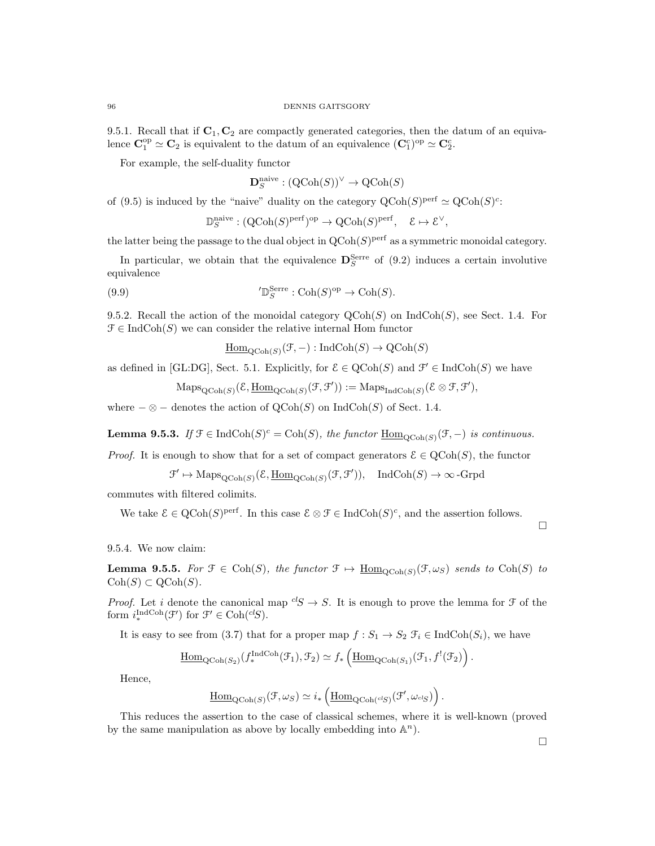9.5.1. Recall that if  $C_1, C_2$  are compactly generated categories, then the datum of an equivalence  $\mathbf{C}_1^{\text{op}} \simeq \mathbf{C}_2$  is equivalent to the datum of an equivalence  $(\mathbf{C}_1^c)^{\text{op}} \simeq \mathbf{C}_2^c$ .

For example, the self-duality functor

$$
\mathbf{D}_S^{\text{naive}} : (\text{QCoh}(S))^{\vee} \to \text{QCoh}(S)
$$

of (9.5) is induced by the "naive" duality on the category  $\mathrm{QCoh}(S)^\text{perf} \simeq \mathrm{QCoh}(S)^\text{c}$ :

$$
\mathbb{D}_S^{\text{naive}} : (\text{QCoh}(S)^{\text{perf}})^{\text{op}} \to \text{QCoh}(S)^{\text{perf}}, \quad \mathcal{E} \mapsto \mathcal{E}^{\vee},
$$

the latter being the passage to the dual object in  $QCoh(S)$ <sup>perf</sup> as a symmetric monoidal category.

In particular, we obtain that the equivalence  $\mathbf{D}_{S}^{\text{Serre}}$  of (9.2) induces a certain involutive equivalence

(9.9) 
$$
\mathcal{D}_S^{\text{Serre}}: \text{Coh}(S)^{\text{op}} \to \text{Coh}(S).
$$

9.5.2. Recall the action of the monoidal category  $\mathrm{QCoh}(S)$  on  $\mathrm{IndCoh}(S)$ , see Sect. 1.4. For  $\mathcal{F} \in \text{IndCoh}(S)$  we can consider the relative internal Hom functor

 $\underline{\mathrm{Hom}}_{\mathrm{QCoh}(S)}(\mathcal{F},-) : \mathrm{IndCoh}(S) \to \mathrm{QCoh}(S)$ 

as defined in [GL:DG], Sect. 5.1. Explicitly, for  $\mathcal{E} \in \text{QCoh}(S)$  and  $\mathcal{F}' \in \text{IndCoh}(S)$  we have

$$
\mathrm{Maps}_{\mathrm{QCoh}(S)}(\mathcal{E}, \underline{\mathrm{Hom}}_{\mathrm{QCoh}(S)}(\mathcal{F}, \mathcal{F}')) := \mathrm{Maps}_{\mathrm{IndCoh}(S)}(\mathcal{E} \otimes \mathcal{F}, \mathcal{F}'),
$$

where  $-\otimes$  – denotes the action of  $\mathrm{QCoh}(S)$  on  $\mathrm{IndCoh}(S)$  of Sect. 1.4.

**Lemma 9.5.3.** If  $\mathcal{F} \in \text{IndCoh}(S)^c = \text{Coh}(S)$ , the functor  $\underline{\text{Hom}}_{\text{QCoh}(S)}(\mathcal{F},-)$  is continuous.

*Proof.* It is enough to show that for a set of compact generators  $\mathcal{E} \in \text{QCoh}(S)$ , the functor

$$
\mathcal{F}' \mapsto \mathrm{Maps}_{\mathrm{QCoh}(S)}(\mathcal{E}, \underline{\mathrm{Hom}}_{\mathrm{QCoh}(S)}(\mathcal{F}, \mathcal{F}')), \quad \mathrm{IndCoh}(S) \to \infty\text{-Grpd}
$$

commutes with filtered colimits.

We take  $\mathcal{E} \in Q\text{Coh}(S)^{\text{perf}}$ . In this case  $\mathcal{E} \otimes \mathcal{F} \in \text{IndCoh}(S)^c$ , and the assertion follows.

9.5.4. We now claim:

**Lemma 9.5.5.** For  $\mathcal{F} \in \text{Coh}(S)$ , the functor  $\mathcal{F} \mapsto \underline{\text{Hom}}_{\text{QCoh}(S)}(\mathcal{F}, \omega_S)$  sends to  $\text{Coh}(S)$  to  $\mathrm{Coh}(S) \subset \mathrm{QCoh}(S)$ .

*Proof.* Let i denote the canonical map  ${}^{cl}S \rightarrow S$ . It is enough to prove the lemma for  $\mathcal F$  of the form  $i_*^{\text{IndCoh}}(\mathcal{F}')$  for  $\mathcal{F}' \in \text{Coh}(^{cl}S)$ .

It is easy to see from (3.7) that for a proper map  $f : S_1 \to S_2$   $\mathcal{F}_i \in \text{IndCoh}(S_i)$ , we have

$$
\underline{\mathrm{Hom}}_{\mathrm{QCoh}(S_2)}(f_*^{\mathrm{IndCoh}}(\mathcal{F}_1), \mathcal{F}_2) \simeq f_*\left(\underline{\mathrm{Hom}}_{\mathrm{QCoh}(S_1)}(\mathcal{F}_1, f^!(\mathcal{F}_2)\right).
$$

Hence,

$$
\underline{\mathrm{Hom}}_{\mathrm{QCoh}(S)}(\mathcal{F},\omega_S) \simeq i_* \left( \underline{\mathrm{Hom}}_{\mathrm{QCoh}({}^{cl}S)}(\mathcal{F}',\omega_{^{cl}S}) \right).
$$

This reduces the assertion to the case of classical schemes, where it is well-known (proved by the same manipulation as above by locally embedding into  $\mathbb{A}^n$ ).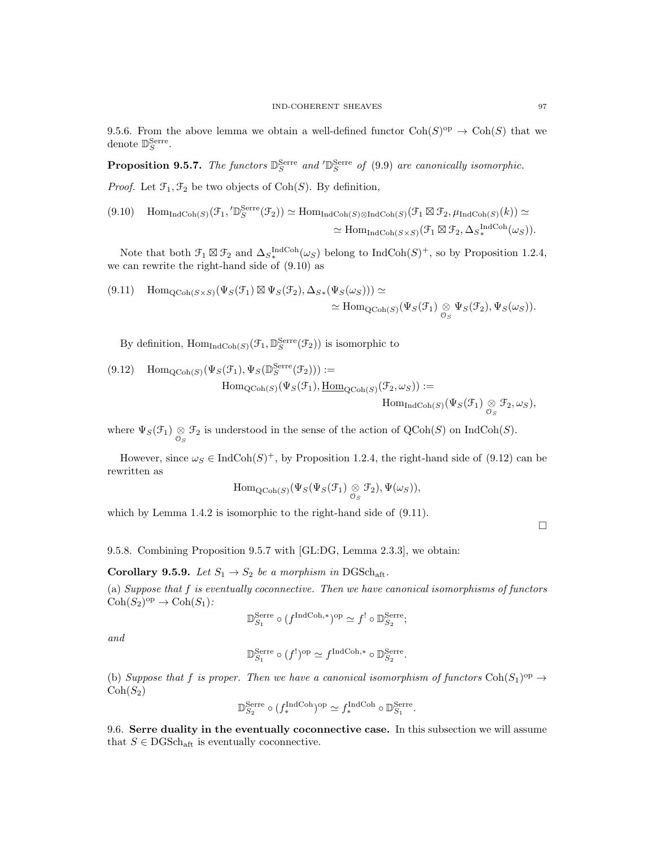9.5.6. From the above lemma we obtain a well-defined functor  $\text{Coh}(S)^{op} \to \text{Coh}(S)$  that we denote  $\mathbb{D}_S^{\text{Serre}}$ .

**Proposition 9.5.7.** The functors  $\mathbb{D}_{S}^{\text{Serre}}$  and  $'\mathbb{D}_{S}^{\text{Serre}}$  of (9.9) are canonically isomorphic.

*Proof.* Let  $\mathcal{F}_1, \mathcal{F}_2$  be two objects of  $\text{Coh}(S)$ . By definition,

$$
(9.10) \quad \text{Hom}_{\text{IndCoh}(S)}(\mathcal{F}_1, 'D_S^{\text{Serre}}(\mathcal{F}_2)) \simeq \text{Hom}_{\text{IndCoh}(S)\otimes \text{IndCoh}(S)}(\mathcal{F}_1 \boxtimes \mathcal{F}_2, \mu_{\text{IndCoh}(S)}(k)) \simeq
$$

$$
\simeq \text{Hom}_{\text{IndCoh}(S\times S)}(\mathcal{F}_1 \boxtimes \mathcal{F}_2, \Delta_{S_*}^{\text{IndCoh}(S)}(k)).
$$

Note that both  $\mathcal{F}_1 \boxtimes \mathcal{F}_2$  and  $\Delta_S^{\text{IndCoh}}(\omega_S)$  belong to  $\text{IndCoh}(S)^+$ , so by Proposition 1.2.4, we can rewrite the right-hand side of (9.10) as

$$
(9.11) \quad \text{Hom}_{\text{QCoh}(S \times S)}(\Psi_S(\mathcal{F}_1) \boxtimes \Psi_S(\mathcal{F}_2), \Delta_{S*}(\Psi_S(\omega_S))) \simeq \\ \simeq \text{Hom}_{\text{QCoh}(S)}(\Psi_S(\mathcal{F}_1) \underset{\mathcal{O}_S}{\otimes} \Psi_S(\mathcal{F}_2), \Psi_S(\omega_S)).
$$

By definition,  $\text{Hom}_{\text{IndCoh}(S)}(\mathcal{F}_1, \mathbb{D}_S^{\text{Serre}}(\mathcal{F}_2))$  is isomorphic to

(9.12) Hom<sub>QCoh(S)</sub>
$$
(\Psi_S(\mathcal{F}_1), \Psi_S(\mathbb{D}_S^{\text{Serre}}(\mathcal{F}_2))) :=
$$
  
Hom<sub>QCoh(S)</sub> $(\Psi_S(\mathcal{F}_1), \underline{\text{Hom}}_{\text{QCoh}(S)}(\mathcal{F}_2, \omega_S)) :=$   
Hom<sub>IndCoh(S)</sub> $(\Psi_S(\mathcal{F}_1) \underset{\mathcal{O}_S}{\otimes} \mathcal{F}_2, \omega_S),$ 

where  $\Psi_S(\mathcal{F}_1) \underset{\mathcal{O}_S}{\otimes} \mathcal{F}_2$  is understood in the sense of the action of  $\mathrm{QCoh}(S)$  on  $\mathrm{IndCoh}(S)$ .

However, since  $\omega_S \in \text{IndCoh}(S)^+$ , by Proposition 1.2.4, the right-hand side of (9.12) can be rewritten as

$$
\mathrm{Hom}_{\mathrm{QCoh}(S)}(\Psi_S(\Psi_S(\mathcal{F}_1) \underset{\mathcal{O}_S}{\otimes} \mathcal{F}_2), \Psi(\omega_S)),
$$

which by Lemma 1.4.2 is isomorphic to the right-hand side of  $(9.11)$ .

 $\Box$ 

9.5.8. Combining Proposition 9.5.7 with [GL:DG, Lemma 2.3.3], we obtain:

Corollary 9.5.9. Let  $S_1 \rightarrow S_2$  be a morphism in DGSch<sub>aft</sub>.

(a) Suppose that f is eventually coconnective. Then we have canonical isomorphisms of functors  $\text{Coh}(S_2)^{\text{op}} \to \text{Coh}(S_1)$ :

$$
\mathbb{D}^{\mathrm{Serre}}_{S_1} \circ (f^{\mathrm{IndCoh}, *})^{\mathrm{op}} \simeq f^! \circ \mathbb{D}^{\mathrm{Serre}}_{S_2};
$$

and

$$
\mathbb{D}^{\mathrm{Serre}}_{S_1} \circ (f^!)^{\mathrm{op}} \simeq f^{\mathrm{IndCoh},*} \circ \mathbb{D}^{\mathrm{Serre}}_{S_2}.
$$

(b) Suppose that f is proper. Then we have a canonical isomorphism of functors  $Coh(S_1)^{op} \rightarrow$  $\mathrm{Coh}(S_2)$ 

$$
\mathbb{D}_{S_2}^{\text{Serre}} \circ (f_*^{\text{IndCoh}})^{\text{op}} \simeq f_*^{\text{IndCoh}} \circ \mathbb{D}_{S_1}^{\text{Serre}}.
$$

9.6. Serre duality in the eventually coconnective case. In this subsection we will assume that  $S \in \text{DGSch}_{\text{aff}}$  is eventually coconnective.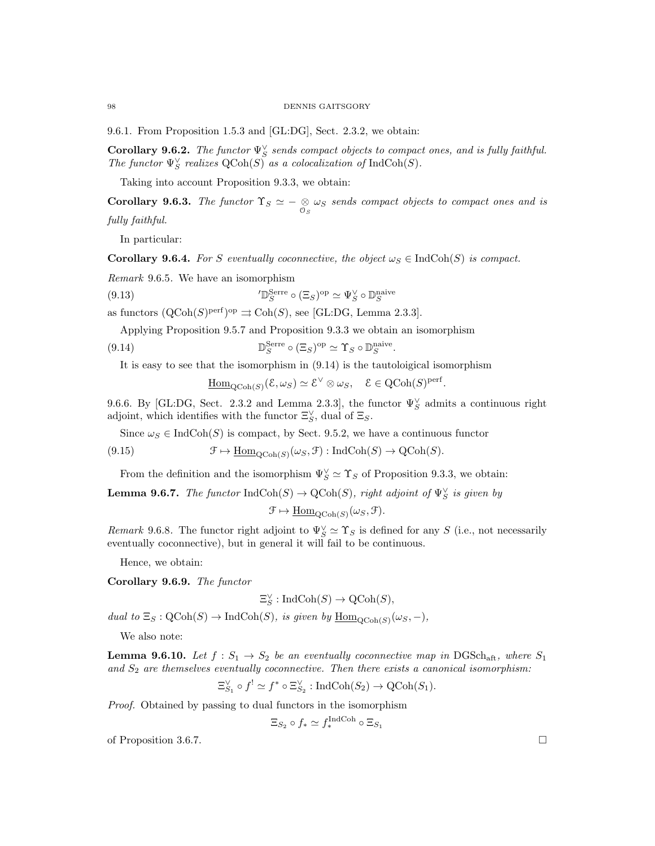#### 98 DENNIS GAITSGORY

9.6.1. From Proposition 1.5.3 and [GL:DG], Sect. 2.3.2, we obtain:

**Corollary 9.6.2.** The functor  $\Psi_S^{\vee}$  sends compact objects to compact ones, and is fully faithful. The functor  $\Psi_S^{\vee}$  realizes  $\text{QCoh}(S)$  as a colocalization of  $\text{IndCoh}(S)$ .

Taking into account Proposition 9.3.3, we obtain:

**Corollary 9.6.3.** The functor  $\Upsilon_S \simeq -\underset{\mathcal{O}_S}{\otimes} \omega_S$  sends compact objects to compact ones and is fully faithful.

In particular:

**Corollary 9.6.4.** For S eventually coconnective, the object  $\omega_S \in \text{IndCoh}(S)$  is compact.

Remark 9.6.5. We have an isomorphism

(9.13) 
$$
\mathcal{D}_S^{\text{Serre}} \circ (\Xi_S)^{\text{op}} \simeq \Psi_S^{\vee} \circ \mathbb{D}_S^{\text{naive}}
$$

as functors  $({\rm QCoh}(S)^{\text{perf}})^{\text{op}} \rightrightarrows {\rm Coh}(S)$ , see [GL:DG, Lemma 2.3.3].

Applying Proposition 9.5.7 and Proposition 9.3.3 we obtain an isomorphism

(9.14) 
$$
\mathbb{D}_{S}^{\text{Serre}} \circ (\Xi_{S})^{\text{op}} \simeq \Upsilon_{S} \circ \mathbb{D}_{S}^{\text{naive}}
$$

It is easy to see that the isomorphism in (9.14) is the tautoloigical isomorphism

 $\underline{\mathrm{Hom}}_{\mathrm{QCoh}(S)}(\mathcal{E},\omega_S) \simeq \mathcal{E}^{\vee} \otimes \omega_S, \quad \mathcal{E} \in \mathrm{QCoh}(S)^{\mathrm{perf}}.$ 

.

9.6.6. By [GL:DG, Sect. 2.3.2 and Lemma 2.3.3], the functor  $\Psi_{S}^{\vee}$  admits a continuous right adjoint, which identifies with the functor  $\Xi_S^{\vee}$ , dual of  $\Xi_S$ .

Since  $\omega_S \in \text{IndCoh}(S)$  is compact, by Sect. 9.5.2, we have a continuous functor

(9.15) 
$$
\mathcal{F} \mapsto \underline{\text{Hom}}_{\text{QCoh}(S)}(\omega_S, \mathcal{F}) : \text{IndCoh}(S) \to \text{QCoh}(S).
$$

From the definition and the isomorphism  $\Psi_S^{\vee} \simeq \Upsilon_S$  of Proposition 9.3.3, we obtain:

**Lemma 9.6.7.** The functor  $\text{IndCoh}(S) \to \text{QCoh}(S)$ , right adjoint of  $\Psi_S^{\vee}$  is given by

$$
\mathcal{F} \mapsto \underline{\mathrm{Hom}}_{\mathrm{QCoh}(S)}(\omega_S, \mathcal{F}).
$$

Remark 9.6.8. The functor right adjoint to  $\Psi_S^{\vee} \simeq \Upsilon_S$  is defined for any S (i.e., not necessarily eventually coconnective), but in general it will fail to be continuous.

Hence, we obtain:

Corollary 9.6.9. The functor

$$
\Xi_S^{\vee}:\operatorname{IndCoh}(S)\to \operatorname{QCoh}(S),
$$

dual to  $\Xi_S : \mathrm{QCoh}(S) \to \mathrm{IndCoh}(S)$ , is given by  $\underline{\mathrm{Hom}}_{\mathrm{QCoh}(S)}(\omega_S, -)$ ,

We also note:

**Lemma 9.6.10.** Let  $f : S_1 \to S_2$  be an eventually coconnective map in DGSch<sub>aft</sub>, where  $S_1$ and  $S_2$  are themselves eventually coconnective. Then there exists a canonical isomorphism:

$$
\Xi_{S_1}^{\vee} \circ f^{!} \simeq f^{*} \circ \Xi_{S_2}^{\vee} : \text{IndCoh}(S_2) \to \text{QCoh}(S_1).
$$

Proof. Obtained by passing to dual functors in the isomorphism

$$
\Xi_{S_2} \circ f_* \simeq f_*^{\text{IndCoh}} \circ \Xi_{S_1}
$$

of Proposition 3.6.7.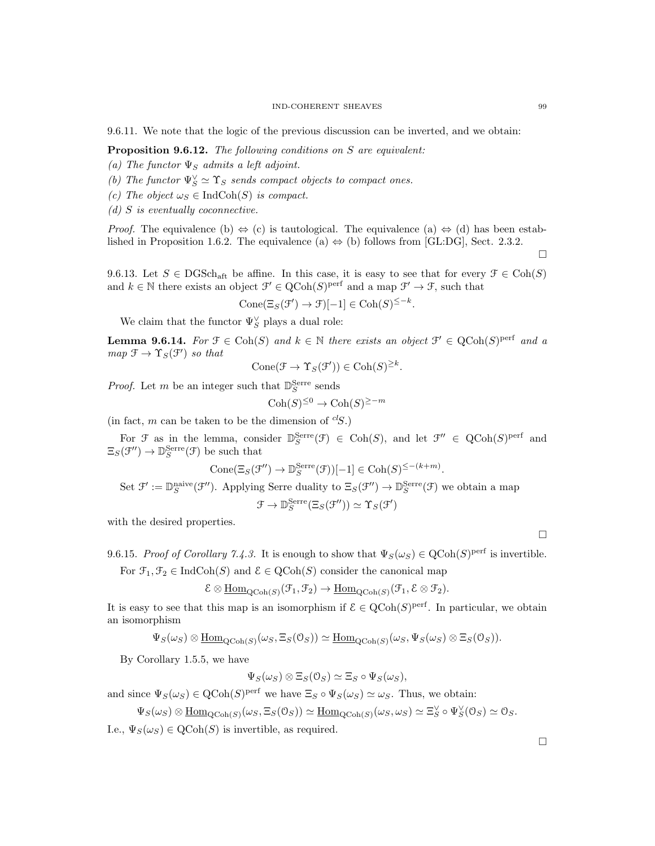9.6.11. We note that the logic of the previous discussion can be inverted, and we obtain:

Proposition 9.6.12. The following conditions on S are equivalent:

- (a) The functor  $\Psi_S$  admits a left adjoint.
- (b) The functor  $\Psi_S^{\vee} \simeq \Upsilon_S$  sends compact objects to compact ones.
- (c) The object  $\omega_S \in \text{IndCoh}(S)$  is compact.
- $(d)$  S is eventually coconnective.

*Proof.* The equivalence (b)  $\Leftrightarrow$  (c) is tautological. The equivalence (a)  $\Leftrightarrow$  (d) has been established in Proposition 1.6.2. The equivalence (a)  $\Leftrightarrow$  (b) follows from [GL:DG], Sect. 2.3.2.

9.6.13. Let  $S \in \text{DGSch}_{\text{aff}}$  be affine. In this case, it is easy to see that for every  $\mathcal{F} \in \text{Coh}(S)$ and  $k \in \mathbb{N}$  there exists an object  $\mathcal{F}' \in \mathrm{QCoh}(S)^{\mathrm{perf}}$  and a map  $\mathcal{F}' \to \mathcal{F}$ , such that

$$
Cone(\Xi_S(\mathcal{F}') \to \mathcal{F})[-1] \in Coh(S)^{\leq -k}.
$$

We claim that the functor  $\Psi_{S}^{\vee}$  plays a dual role:

**Lemma 9.6.14.** For  $\mathcal{F} \in \text{Coh}(S)$  and  $k \in \mathbb{N}$  there exists an object  $\mathcal{F}' \in \text{QCoh}(S)^\text{perf}$  and a  $map \mathcal{F} \rightarrow \Upsilon_S(\mathcal{F}')$  so that

$$
Cone(\mathcal{F} \to \Upsilon_S(\mathcal{F}')) \in \mathrm{Coh}(S)^{\geq k}.
$$

*Proof.* Let  $m$  be an integer such that  $\mathbb{D}_{S}^{\text{Serre}}$  sends

$$
\text{Coh}(S)^{\leq 0} \to \text{Coh}(S)^{\geq -m}
$$

(in fact,  $m$  can be taken to be the dimension of  ${}^{cl}S$ .)

For  $\mathcal F$  as in the lemma, consider  $\mathbb{D}_S^{\text{Serre}}(\mathcal F) \in \text{Coh}(S)$ , and let  $\mathcal F'' \in \text{QCoh}(S)^{\text{perf}}$  and  $\Xi_S(\mathcal{F}^{\prime\prime}) \to \mathbb{D}_S^{\mathrm{Serre}}(\mathcal{F})$  be such that

$$
Cone(\Xi_S(\mathcal{F}'') \to \mathbb{D}_S^{\text{Serre}}(\mathcal{F}))[-1] \in \text{Coh}(S)^{\leq -(k+m)}.
$$

Set  $\mathcal{F}' := \mathbb{D}_S^{\text{naive}}(\mathcal{F}'')$ . Applying Serre duality to  $\Xi_S(\mathcal{F}'') \to \mathbb{D}_S^{\text{Serre}}(\mathcal{F})$  we obtain a map

$$
\mathcal{F} \to \mathbb{D}_S^{\mathrm{Serre}}(\Xi_S(\mathcal{F}'')) \simeq \Upsilon_S(\mathcal{F}')
$$

with the desired properties.

9.6.15. Proof of Corollary 7.4.3. It is enough to show that  $\Psi_S(\omega_S) \in \text{QCoh}(S)^{\text{perf}}$  is invertible. For  $\mathfrak{F}_1, \mathfrak{F}_2 \in \text{IndCoh}(S)$  and  $\mathfrak{E} \in \text{QCoh}(S)$  consider the canonical map

$$
\mathcal{E}\otimes\underline{\mathrm{Hom}}_{\mathrm{QCoh}(S)}(\mathcal{F}_1,\mathcal{F}_2)\rightarrow\underline{\mathrm{Hom}}_{\mathrm{QCoh}(S)}(\mathcal{F}_1,\mathcal{E}\otimes\mathcal{F}_2).
$$

It is easy to see that this map is an isomorphism if  $\mathcal{E} \in \text{QCoh}(S)^{\text{perf}}$ . In particular, we obtain an isomorphism

$$
\Psi_S(\omega_S) \otimes \underline{\text{Hom}}_{\text{QCoh}(S)}(\omega_S, \Xi_S(\mathbb{O}_S)) \simeq \underline{\text{Hom}}_{\text{QCoh}(S)}(\omega_S, \Psi_S(\omega_S) \otimes \Xi_S(\mathbb{O}_S)).
$$

By Corollary 1.5.5, we have

$$
\Psi_S(\omega_S) \otimes \Xi_S(\mathcal{O}_S) \simeq \Xi_S \circ \Psi_S(\omega_S),
$$

and since  $\Psi_S(\omega_S) \in \text{QCoh}(S)^\text{perf}$  we have  $\Xi_S \circ \Psi_S(\omega_S) \simeq \omega_S$ . Thus, we obtain:

$$
\Psi_S(\omega_S) \otimes \underline{\text{Hom}}_{\text{QCoh}(S)}(\omega_S, \Xi_S(\mathbb{O}_S)) \simeq \underline{\text{Hom}}_{\text{QCoh}(S)}(\omega_S, \omega_S) \simeq \Xi_S^{\vee} \circ \Psi_S^{\vee}(\mathbb{O}_S) \simeq \mathbb{O}_S.
$$

I.e.,  $\Psi_S(\omega_S) \in \text{QCoh}(S)$  is invertible, as required.

 $\Box$ 

 $\Box$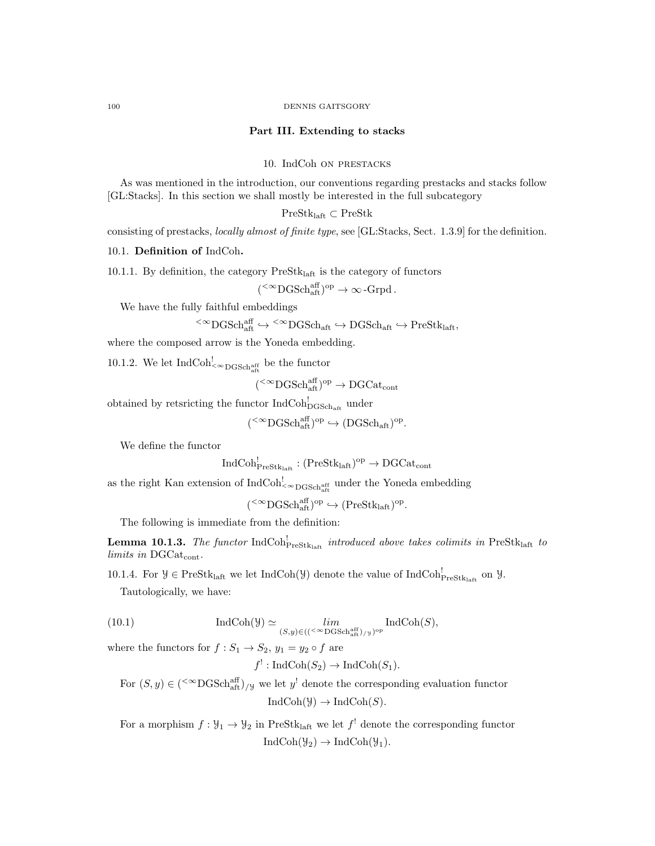#### Part III. Extending to stacks

10. IndCoh on prestacks

As was mentioned in the introduction, our conventions regarding prestacks and stacks follow [GL:Stacks]. In this section we shall mostly be interested in the full subcategory

PreStklaft ⊂ PreStk

consisting of prestacks, locally almost of finite type, see [GL:Stacks, Sect. 1.3.9] for the definition.

10.1. Definition of IndCoh.

10.1.1. By definition, the category  $PreStk<sub>laff</sub>$  is the category of functors

 $({}^{<\infty}{\rm DGSch}_{\rm aff}^{\rm aff})^{\rm op} \to \infty$ -Grpd.

We have the fully faithful embeddings

$$
{}^{<\infty}{\rm DGSch}_{\rm aff}^{\rm aff} \hookrightarrow {}^{<\infty}{\rm DGSch}_{\rm aff} \hookrightarrow {\rm DGSch}_{\rm aff} \hookrightarrow {\rm PreStk}_{\rm laff},
$$

where the composed arrow is the Yoneda embedding.

10.1.2. We let  $\text{IndCoh}_{\leq \infty_{\text{DGSch}_{{\text{aff}}}}^{{\text{aff}}}}$  be the functor

 $($ <sup>< $\infty$ </sup>DGSch<sub>aft</sub> $)$ <sup>op</sup>  $\rightarrow$  DGCat<sub>cont</sub>

obtained by retsricting the functor  $\text{IndCoh}^!_{\text{DGSch}_\text{aff}}$  under

 $({}^{<\infty}{\rm DGSch}_{\rm aft}^{\rm aff})^{\rm op}\hookrightarrow ({\rm DGSch}_{\rm aft})^{\rm op}.$ 

We define the functor

$$
\mathrm{IndCoh}^!_{\mathrm{PreStk}_{\mathrm{laff}}}:(\mathrm{PreStk}_{\mathrm{laff}})^{\mathrm{op}}\to \mathrm{DGCat}_{\mathrm{cont}}
$$

as the right Kan extension of  $\text{IndCoh}_{\leq \infty\text{DGSch}_{\text{aff}}^{\text{aff}}}$  under the Yoneda embedding

 $({}^{<\infty}{\rm DGSch}_{\rm aft}^{\rm aff})^{\rm op}\hookrightarrow({\rm PreStk}_{\rm laff})^{\rm op}.$ 

The following is immediate from the definition:

**Lemma 10.1.3.** The functor  $IndCoh_{\text{PreStk}_\text{laff}}^!$  introduced above takes colimits in  $PreStk_\text{laff}$  to limits in DGCat<sub>cont</sub>.

10.1.4. For  $\mathcal{Y} \in \text{PreStk}_{\text{laff}}$  we let  $\text{IndCoh}(\mathcal{Y})$  denote the value of  $\text{IndCoh}_{\text{PreStk}_{\text{laff}}}^!$  on  $\mathcal{Y}$ .

Tautologically, we have:

(10.1) 
$$
\operatorname{IndCoh}(\mathcal{Y}) \simeq \lim_{(S,y)\in (({}^{\leq \infty}\operatorname{DGSch}_{\operatorname{aff}}^{\operatorname{aff}}) / y})^{\operatorname{op}}} \operatorname{IndCoh}(S),
$$

where the functors for  $f: S_1 \to S_2$ ,  $y_1 = y_2 \circ f$  are

$$
f^!
$$
: IndCoh $(S_2)$   $\rightarrow$  IndCoh $(S_1)$ .

For  $(S, y) \in (\text{&DGSch}_{\text{aff}}^{\text{aff}})_{/\text{y}}$  we let y<sup>1</sup> denote the corresponding evaluation functor  $IndCoh(\mathcal{Y}) \to IndCoh(S)$ .

For a morphism  $f: \mathcal{Y}_1 \to \mathcal{Y}_2$  in PreStk<sub>laft</sub> we let  $f^!$  denote the corresponding functor  $IndCoh(\mathcal{Y}_2) \rightarrow IndCoh(\mathcal{Y}_1).$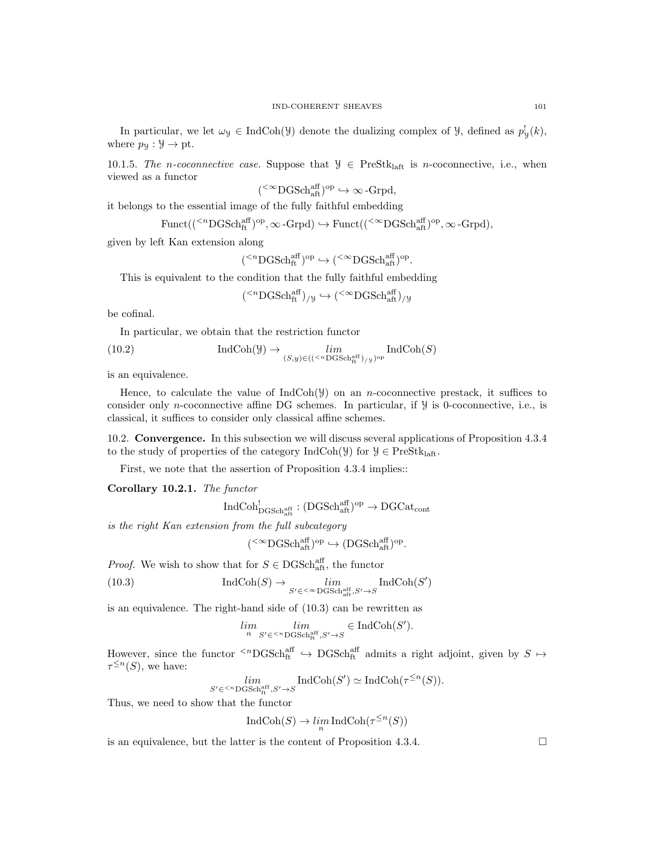In particular, we let  $\omega_y \in \text{IndCoh}(\mathcal{Y})$  denote the dualizing complex of  $\mathcal{Y}$ , defined as  $p_y^!(k)$ , where  $p_y : \mathcal{Y} \to \text{pt}$ .

10.1.5. The n-coconnective case. Suppose that  $\mathcal{Y} \in \text{PreStk}_{\text{la}}$  is n-coconnective, i.e., when viewed as a functor

 $({}^{<\infty}{\rm DGSch}_{\rm aff}^{\rm aff})^{\rm op}\hookrightarrow \infty$ -Grpd,

it belongs to the essential image of the fully faithful embedding

 $\text{Funct}((\mathsf{^{\langle n}DGSch}^{\text{aff}}_{\text{ft}})^{\text{op}}, \infty\text{-}\text{Grpd}) \hookrightarrow \text{Funct}((\mathsf{^{\langle \infty}DGSch}^{\text{aff}}_{\text{aff}})^{\text{op}}, \infty\text{-}\text{Grpd}),$ 

given by left Kan extension along

$$
({}^{
$$

This is equivalent to the condition that the fully faithful embedding

$$
\leq^n \text{DGSch}^{\text{aff}}_{\text{ft}})_{/\mathcal{Y}} \hookrightarrow (\leq^{\infty} \text{DGSch}^{\text{aff}}_{\text{aff}})_{/\mathcal{Y}}
$$

be cofinal.

In particular, we obtain that the restriction functor

(

(10.2) 
$$
\operatorname{IndCoh}(\mathcal{Y}) \to \lim_{(S,y)\in (({}^{
$$

is an equivalence.

Hence, to calculate the value of  $IndCoh(\mathcal{Y})$  on an *n*-coconnective prestack, it suffices to consider only n-coconnective affine DG schemes. In particular, if  $\mathcal{Y}$  is 0-coconnective, i.e., is classical, it suffices to consider only classical affine schemes.

10.2. Convergence. In this subsection we will discuss several applications of Proposition 4.3.4 to the study of properties of the category  $IndCoh(\mathcal{Y})$  for  $\mathcal{Y} \in PreStk<sub>laff</sub>$ .

First, we note that the assertion of Proposition 4.3.4 implies::

Corollary 10.2.1. The functor

$$
\operatorname{IndCoh}^!_{\mathrm{DGSch}^{\operatorname{aff}}_{\mathrm{aff}}}: (\mathrm{DGSch}^{\operatorname{aff}}_{\mathrm{aff}})^{\rm op}\to \mathrm{DGCat}_{\mathrm{cont}}
$$

is the right Kan extension from the full subcategory

$$
{}^{<\infty}{\rm DGSch}_{\rm aff}^{\rm aff})^{\rm op}\hookrightarrow({\rm DGSch}_{\rm aff}^{\rm aff})^{\rm op}.
$$

*Proof.* We wish to show that for  $S \in \text{DGSch}^{\text{aff}}_{\text{aff}}$ , the functor

(

(10.3) 
$$
\operatorname{IndCoh}(S) \to \lim_{S' \in \langle \infty, \operatorname{DGSch}^{\operatorname{aff}}_{\operatorname{aff}}, S' \to S} \operatorname{IndCoh}(S')
$$

is an equivalence. The right-hand side of (10.3) can be rewritten as

$$
\lim_n \lim_{S' \in {}^{
$$

However, since the functor  $\{n\log\text{Sch}^{\text{aff}}_{\text{ft}} \to \text{DGSch}^{\text{aff}}_{\text{ft}}$  admits a right adjoint, given by  $S \mapsto$  $\tau^{\leq n}(S)$ , we have:

$$
\lim_{S' \in \langle \mathcal{S}^n \text{DGSch}^{\text{aff}}_{\text{ft}}, S' \to S} \text{IndCoh}(S') \simeq \text{IndCoh}(\tau^{\leq n}(S)).
$$

Thus, we need to show that the functor

$$
\operatorname{IndCoh}(S)\to \lim_n\operatorname{IndCoh}(\tau^{\leq n}(S))
$$

is an equivalence, but the latter is the content of Proposition 4.3.4.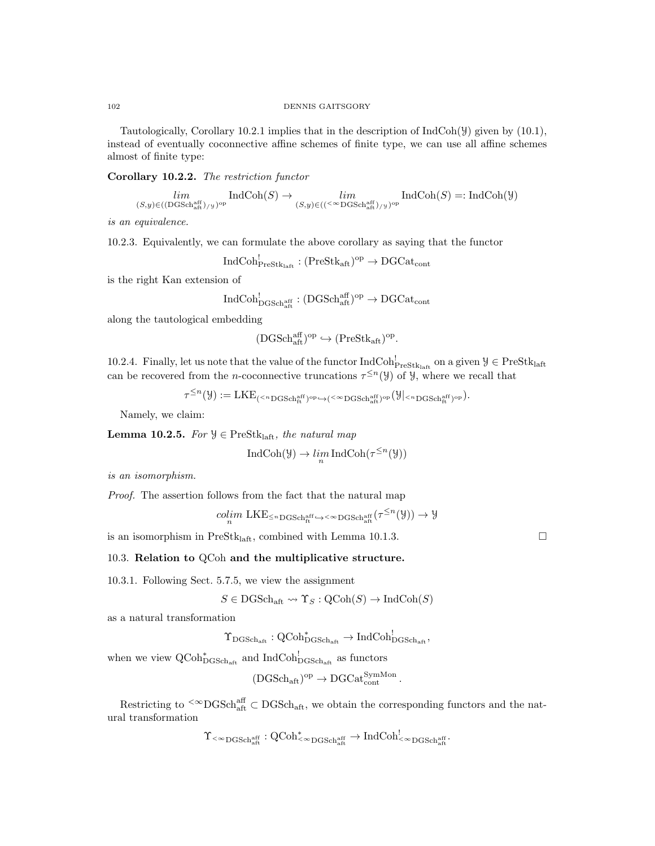Tautologically, Corollary 10.2.1 implies that in the description of IndCoh(Y) given by (10.1), instead of eventually coconnective affine schemes of finite type, we can use all affine schemes almost of finite type:

Corollary 10.2.2. The restriction functor

$$
\lim_{(S,y)\in((\text{DGSch}^{\text{aff}}_{\text{aff}})_{/\mathcal{Y}})^{\text{op}}} \text{IndCoh}(S) \to \lim_{(S,y)\in((<^\infty\text{DGSch}^{\text{aff}}_{\text{aff}})_{/\mathcal{Y}})^{\text{op}}} \text{IndCoh}(S) =: \text{IndCoh}(\mathcal{Y})
$$

is an equivalence.

10.2.3. Equivalently, we can formulate the above corollary as saying that the functor

 $\mathrm{IndCoh}^!_{\mathrm{PreStk}_\mathrm{laff}} : (\mathrm{PreStk}_\mathrm{aff})^\mathrm{op} \to \mathrm{DGCat}_\mathrm{cont}$ 

is the right Kan extension of

$$
\mathrm{IndCoh}^!_{\mathrm{DGSch}^{\mathrm{aff}}_{\mathrm{aff}}}: (\mathrm{DGSch}^{\mathrm{aff}}_{\mathrm{aff}})^{\mathrm{op}}\to \mathrm{DGCat}_{\mathrm{cont}}
$$

along the tautological embedding

$$
(\mathrm{DGSch}^{\mathrm{aff}}_{\mathrm{aft}})^\mathrm{op} \hookrightarrow (\mathrm{PreStk}_{\mathrm{aft}})^\mathrm{op}.
$$

10.2.4. Finally, let us note that the value of the functor  $IndCoh_{PreStk<sub>laff</sub>}^!$  on a given  $\mathcal{Y} \in PreStk<sub>laff</sub>$ can be recovered from the *n*-coconnective truncations  $\tau^{\leq n}(Y)$  of *Y*, where we recall that

 $\tau^{\leq n}(\mathcal{Y}):=\textup{LKE}_{(<^{n}\textup{DGSch}^{\textup{aff}}_{\textup{ft}})^\textup{op}\hookrightarrow (<^{\infty}\textup{DGSch}^{\textup{aff}}_{\textup{at}})^\textup{op}}(\mathcal{Y}|<^{n}\textup{DGSch}^{\textup{aff}}_{\textup{ft}})^\textup{op}}).$ 

Namely, we claim:

Lemma 10.2.5. For  $\mathcal{Y} \in \text{PreStk}_{\text{laff}},$  the natural map

$$
\operatorname{IndCoh}(\mathcal{Y}) \to \lim_n \operatorname{IndCoh}(\tau^{\leq n}(\mathcal{Y}))
$$

is an isomorphism.

Proof. The assertion follows from the fact that the natural map

$$
\mathop{colim}\limits_{n}\mathrm{LKE}_{\leq n\mathrm{DGSch}^{\mathrm{aff}}_{\mathrm{ft}}\hookrightarrow^{<\infty}\mathrm{DGSch}^{\mathrm{aff}}_{\mathrm{att}}}(\tau^{\leq n}(\mathcal{Y}))\to \mathcal{Y}
$$

is an isomorphism in PreSt $k_{\text{laff}}$ , combined with Lemma 10.1.3.

#### 10.3. Relation to QCoh and the multiplicative structure.

10.3.1. Following Sect. 5.7.5, we view the assignment

$$
S \in \mathrm{DGSch}_{\mathrm{aft}} \leadsto \Upsilon_S : \mathrm{QCoh}(S) \to \mathrm{IndCoh}(S)
$$

as a natural transformation

 $\Upsilon_{\mathrm{DGSch}_{\mathrm{aff}}}: \operatorname{QCoh}_{\mathrm{DGSch}_{\mathrm{aff}}}^* \to \operatorname{IndCoh}_{\mathrm{DGSch}_{\mathrm{aff}}},^!$ 

when we view  $\operatorname{QCoh}^*_{\operatorname{DGSch}_{\operatorname{aff}}}$  and  $\operatorname{IndCoh}^!_{\operatorname{DGSch}_{\operatorname{aff}}}$  as functors

$$
(\mathrm{DGSch}_\mathrm{aft})^\mathrm{op} \to \mathrm{DGCat}^\mathrm{SymMon}_\mathrm{cont}.
$$

Restricting to <sup> $\text{<}\infty$ </sup>DGSch<sub>aft</sub>  $\text{<}\infty$ DGSch<sub>aft</sub>, we obtain the corresponding functors and the natural transformation

$$
\Upsilon_{<\infty \mathrm{DGSch}_\mathrm{aff}^\mathrm{aff}}: \mathrm{QCoh}^*_{<\infty \mathrm{DGSch}_\mathrm{aff}^\mathrm{aff}} \to \mathrm{IndCoh}^!_{<\infty \mathrm{DGSch}_\mathrm{aff}^\mathrm{aff}}.
$$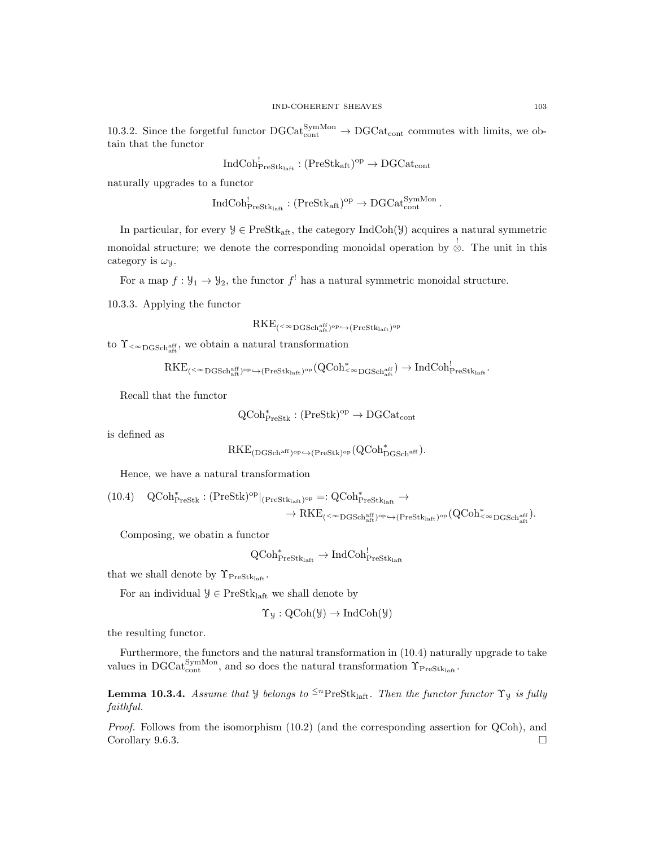10.3.2. Since the forgetful functor  $DGCat_{cont}^{SymMon} \rightarrow DGCat_{cont}$  commutes with limits, we obtain that the functor

$$
\mathrm{IndCoh}^!_{\mathrm{PreStk}_\mathrm{laff}}: (\mathrm{PreStk}_\mathrm{aff})^\mathrm{op} \to \mathrm{DGCat}_\mathrm{cont}
$$

naturally upgrades to a functor

$$
\mathrm{IndCoh}^!_{\mathrm{PreStk}_{\mathrm{laff}}} : (\mathrm{PreStk}_{\mathrm{aff}})^{\mathrm{op}} \to \mathrm{DGCat}^{\mathrm{SymMon}}_{\mathrm{cont}}.
$$

In particular, for every  $\mathcal{Y} \in \text{PreStk}_{\text{aft}}$ , the category IndCoh( $\mathcal{Y}$ ) acquires a natural symmetric monoidal structure; we denote the corresponding monoidal operation by  $\stackrel{!}{\otimes}$ . The unit in this category is  $\omega_y$ .

For a map  $f: \mathcal{Y}_1 \to \mathcal{Y}_2$ , the functor  $f^!$  has a natural symmetric monoidal structure.

10.3.3. Applying the functor

$$
RKE_{(<^{\infty}DGSch_{\mathrm{aff}}^{\mathrm{aff}})^{\mathrm{op}} \hookrightarrow (\mathrm{PreStk}_{\mathrm{laft}})^{\mathrm{op}}}
$$

to  $\Upsilon_{\text{&}^\infty\text{DGSch}_{\text{aff}}^{\text{aff}}},$  we obtain a natural transformation

$$
RKE_{(<^{\infty}DGSch_{aft}^{aff})^{op}\hookrightarrow (Prestk_{laff})^{op}}(QCoh^{*}_{<^{\infty}DGSch_{aft}^{aff}})\to IndCoh^{!}_{Prestk_{laff}}.
$$

Recall that the functor

$$
\operatorname{QCoh}_{\operatorname{PreStk}}^* : (\operatorname{PreStk})^{\operatorname{op}} \to \operatorname{DGCat}_{\operatorname{cont}}
$$

is defined as

$$
\mathrm{RKE}_{(\mathrm{DGSch}^{\mathrm{aff}})^{\mathrm{op}} \hookrightarrow (\mathrm{PreStk})^{\mathrm{op}}}(\mathrm{QCoh}_{\mathrm{DGSch}^{\mathrm{aff}}}^*).
$$

Hence, we have a natural transformation

$$
\begin{array}{ll} (10.4) & QCoh^{\ast}_{\mathrm{PreStk}}:(\mathrm{PreStk})^{\mathrm{op}}|_{(\mathrm{PreStk}_{\mathrm{laff}})^{\mathrm{op}}}=: \mathrm{QCoh}^{\ast}_{\mathrm{PreStk}_{\mathrm{laff}}}\rightarrow \\ & \to \mathrm{RKE}_{(<\infty\mathrm{DGSch}_{\mathrm{aff}}^{\mathrm{aff}})^{\mathrm{op}}\hookrightarrow (\mathrm{PreStk}_{\mathrm{laff}})^{\mathrm{op}}}(\mathrm{QCoh}^{\ast}_{<\infty\mathrm{DGSch}_{\mathrm{aff}}^{\mathrm{aff}}}). \end{array}
$$

Composing, we obatin a functor

$$
\operatorname{QCoh}\nolimits^*_\operatorname{PreStk}_{\operatorname{laff}} \to \operatorname{IndCoh}\nolimits^!_{\operatorname{PreStk}_{\operatorname{laff}}}
$$

that we shall denote by  $\Upsilon_{\text{PreStk}_{\text{left}}}$ .

For an individual  $\mathcal{Y} \in \text{PreStk}_{\text{laft}}$  we shall denote by

$$
\Upsilon_{\mathcal{Y}}: \mathrm{QCoh}(\mathcal{Y}) \to \mathrm{IndCoh}(\mathcal{Y})
$$

the resulting functor.

Furthermore, the functors and the natural transformation in (10.4) naturally upgrade to take values in DGCat<sup>SymMon</sup>, and so does the natural transformation  $\Upsilon_{\text{PreStk}_\text{lafit}}$ .

**Lemma 10.3.4.** Assume that *Y* belongs to <sup> $\leq n$ </sup>PreStk<sub>laft</sub>. Then the functor functor  $\Upsilon_y$  is fully faithful.

Proof. Follows from the isomorphism  $(10.2)$  (and the corresponding assertion for QCoh), and Corollary 9.6.3.  $\Box$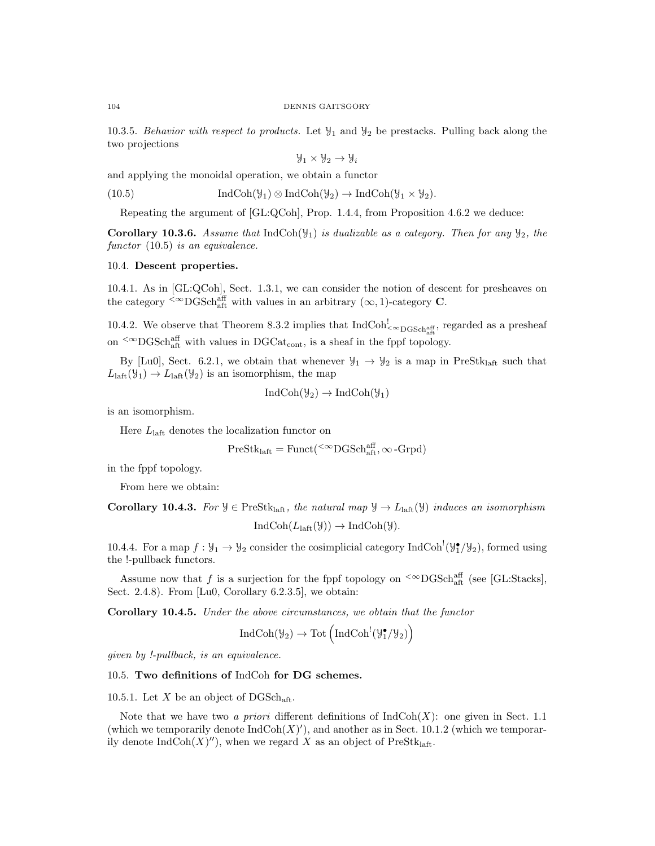10.3.5. Behavior with respect to products. Let  $\mathcal{Y}_1$  and  $\mathcal{Y}_2$  be prestacks. Pulling back along the two projections

$$
\mathcal{Y}_1 \times \mathcal{Y}_2 \to \mathcal{Y}_i
$$

and applying the monoidal operation, we obtain a functor

(10.5)  $\text{IndCoh}(\mathcal{Y}_1) \otimes \text{IndCoh}(\mathcal{Y}_2) \to \text{IndCoh}(\mathcal{Y}_1 \times \mathcal{Y}_2).$ 

Repeating the argument of [GL:QCoh], Prop. 1.4.4, from Proposition 4.6.2 we deduce:

**Corollary 10.3.6.** Assume that IndCoh( $\mathcal{Y}_1$ ) is dualizable as a category. Then for any  $\mathcal{Y}_2$ , the functor  $(10.5)$  is an equivalence.

# 10.4. Descent properties.

10.4.1. As in [GL:QCoh], Sect. 1.3.1, we can consider the notion of descent for presheaves on the category  $\leq \infty$ DGSchaff with values in an arbitrary  $(\infty, 1)$ -category **C**.

10.4.2. We observe that Theorem 8.3.2 implies that  $IndCoh_{\leq \infty}^!$  garded as a presheaf on <sup> $< \infty$ </sup>DGSch<sup>aff</sup> with values in DGCat<sub>cont</sub>, is a sheaf in the fppf topology.

By [Lu0], Sect. 6.2.1, we obtain that whenever  $\mathcal{Y}_1 \to \mathcal{Y}_2$  is a map in PreStk<sub>laft</sub> such that  $L<sub>laff</sub>(\mathcal{Y}<sub>1</sub>) \rightarrow L<sub>laff</sub>(\mathcal{Y}<sub>2</sub>)$  is an isomorphism, the map

$$
IndCoh(\mathcal{Y}_2) \to IndCoh(\mathcal{Y}_1)
$$

is an isomorphism.

Here  $L<sub>laff</sub>$  denotes the localization functor on

$$
\mathrm{PreStk}_{\mathrm{laft}} = \mathrm{Funct}({}^{<\infty}\mathrm{DGSch}_{\mathrm{aft}}^{\mathrm{aff}}, \infty\text{-}\mathrm{Grpd})
$$

in the fppf topology.

From here we obtain:

Corollary 10.4.3. For  $\mathcal{Y} \in \text{PreStk}_{\text{laff}}$ , the natural map  $\mathcal{Y} \to L_{\text{laff}}(\mathcal{Y})$  induces an isomorphism

 $IndCoh(L<sub>laff</sub>(\mathcal{Y})) \rightarrow IndCoh(\mathcal{Y}).$ 

10.4.4. For a map  $f: \mathcal{Y}_1 \to \mathcal{Y}_2$  consider the cosimplicial category IndCoh<sup>1</sup>( $\mathcal{Y}_1^{\bullet}/\mathcal{Y}_2$ ), formed using the !-pullback functors.

Assume now that f is a surjection for the fppf topology on  $\rm ^{&\infty}DGSch_{aff}^{aff}$  (see [GL:Stacks], Sect. 2.4.8). From [Lu0, Corollary 6.2.3.5], we obtain:

Corollary 10.4.5. Under the above circumstances, we obtain that the functor

$$
\operatorname{IndCoh}(\mathcal{Y}_{2})\rightarrow \operatorname{Tot}\left(\operatorname{IndCoh}^{!}(\mathcal{Y}_{1}^{\bullet}/\mathcal{Y}_{2})\right)
$$

given by !-pullback, is an equivalence.

# 10.5. Two definitions of IndCoh for DG schemes.

10.5.1. Let X be an object of  $\text{DGSch}_{\text{aff}}$ .

Note that we have two a priori different definitions of  $IndCoh(X)$ : one given in Sect. 1.1 (which we temporarily denote  $\text{IndCoh}(X)$ '), and another as in Sect. 10.1.2 (which we temporarily denote  $\text{IndCoh}(X)''$ , when we regard X as an object of PreStk<sub>laft</sub>.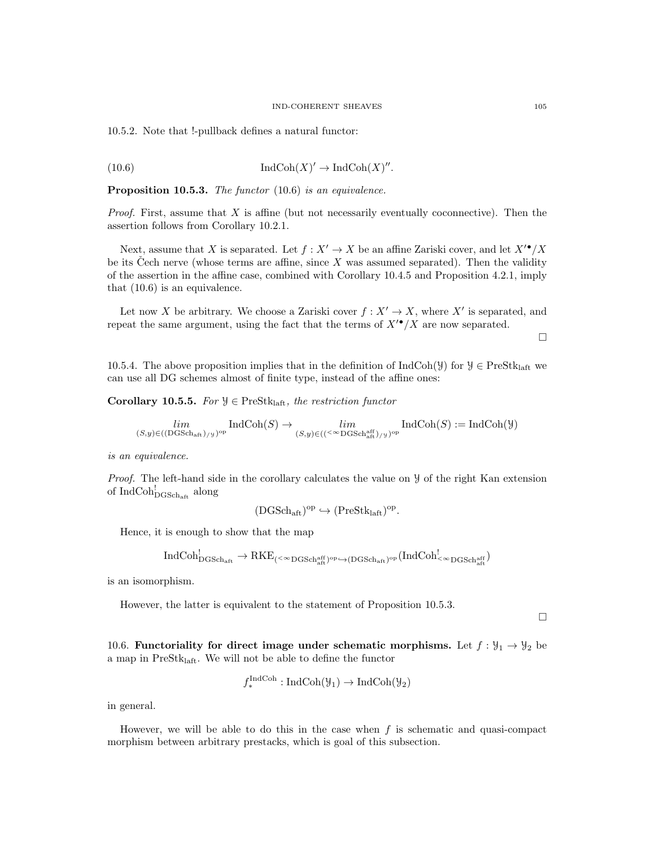10.5.2. Note that !-pullback defines a natural functor:

(10.6) 
$$
\operatorname{IndCoh}(X)' \to \operatorname{IndCoh}(X)''.
$$

Proposition 10.5.3. The functor (10.6) is an equivalence.

*Proof.* First, assume that  $X$  is affine (but not necessarily eventually coconnective). Then the assertion follows from Corollary 10.2.1.

Next, assume that X is separated. Let  $f : X' \to X$  be an affine Zariski cover, and let  $X^{\bullet} / X$ be its Cech nerve (whose terms are affine, since  $X$  was assumed separated). Then the validity of the assertion in the affine case, combined with Corollary 10.4.5 and Proposition 4.2.1, imply that (10.6) is an equivalence.

Let now X be arbitrary. We choose a Zariski cover  $f: X' \to X$ , where X' is separated, and repeat the same argument, using the fact that the terms of  $X^{\prime\bullet}/X$  are now separated.

 $\Box$ 

10.5.4. The above proposition implies that in the definition of IndCoh(Y) for  $\mathcal{Y} \in \text{PreStk}_{\text{laff}}$  we can use all DG schemes almost of finite type, instead of the affine ones:

Corollary 10.5.5. For  $\mathcal{Y} \in \text{PreStk}_{\text{laff}},$  the restriction functor

$$
\lim_{(S,y)\in((\text{DGSch}_{\text{aff}})_{/y})^{\text{op}}} \text{IndCoh}(S) \to \lim_{(S,y)\in((\leq^{\infty}\text{DGSch}_{\text{aff}}^{\text{aff}})_{/y})^{\text{op}}} \text{IndCoh}(S) := \text{IndCoh}(\mathcal{Y})
$$

is an equivalence.

Proof. The left-hand side in the corollary calculates the value on  $\mathcal Y$  of the right Kan extension of  $\mathrm{IndCoh}^!_{\mathrm{DGSch}_\mathrm{aff}}$  along

$$
(\mathrm{DGSch}_{\mathrm{aft}})^{\mathrm{op}}\hookrightarrow(\mathrm{PreStk}_{\mathrm{laft}})^{\mathrm{op}}.
$$

Hence, it is enough to show that the map

$$
\rm IndCoh^!_{\rm DGSch_{aff}} \rightarrow RKE_{(<\infty\rm DGSch_{aff}^{aff})^{\rm op}\hookrightarrow (DGSch_{aff})^{\rm op}}(IndCoh^!_{<\infty\rm DGSch_{aff}^{aff}})
$$

is an isomorphism.

However, the latter is equivalent to the statement of Proposition 10.5.3.

 $\Box$ 

10.6. Functoriality for direct image under schematic morphisms. Let  $f : \mathcal{Y}_1 \to \mathcal{Y}_2$  be a map in  $PreStk<sub>laff</sub>$ . We will not be able to define the functor

$$
f_*^{\text{IndCoh}} : \text{IndCoh}(\mathcal{Y}_1) \to \text{IndCoh}(\mathcal{Y}_2)
$$

in general.

However, we will be able to do this in the case when  $f$  is schematic and quasi-compact morphism between arbitrary prestacks, which is goal of this subsection.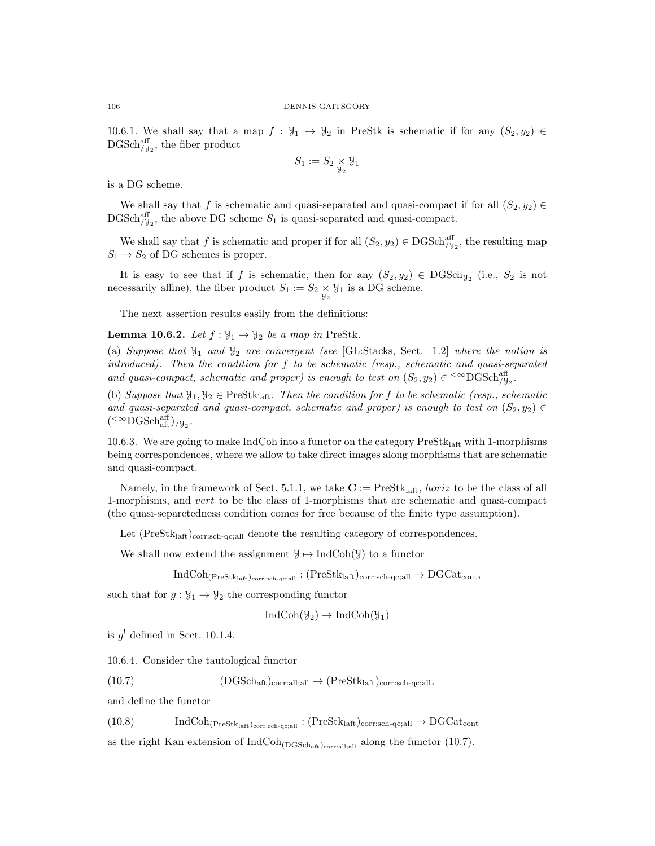10.6.1. We shall say that a map  $f : \mathcal{Y}_1 \to \mathcal{Y}_2$  in PreStk is schematic if for any  $(S_2, y_2) \in$  $\mathrm{DGSch}_{/\mathcal{Y}_2}^{\mathrm{aff}},$  the fiber product

$$
S_1 := S_2 \underset{\mathcal{Y}_2}{\times} \mathcal{Y}_1
$$

is a DG scheme.

We shall say that f is schematic and quasi-separated and quasi-compact if for all  $(S_2, y_2) \in$  $\mathrm{DGSch}_{/\mathcal{Y}_2}^{\text{aff}}$ , the above DG scheme  $S_1$  is quasi-separated and quasi-compact.

We shall say that f is schematic and proper if for all  $(S_2, y_2) \in \text{DGSch}_{\mathcal{J}_2}^{\text{aff}}$ , the resulting map  $S_1 \rightarrow S_2$  of DG schemes is proper.

It is easy to see that if f is schematic, then for any  $(S_2, y_2) \in DGSch_{y_2}$  (i.e.,  $S_2$  is not necessarily affine), the fiber product  $S_1 := S_2 \underset{\mathcal{Y}_2}{\times} \mathcal{Y}_1$  is a DG scheme.

The next assertion results easily from the definitions:

**Lemma 10.6.2.** Let  $f : \mathcal{Y}_1 \to \mathcal{Y}_2$  be a map in PreStk.

(a) Suppose that  $\mathcal{Y}_1$  and  $\mathcal{Y}_2$  are convergent (see [GL:Stacks, Sect. 1.2] where the notion is introduced). Then the condition for f to be schematic (resp., schematic and quasi-separated and quasi-compact, schematic and proper) is enough to test on  $(S_2, y_2) \in \text{&}^{\text{C}}\text{DGSch}_{y_2}^{\text{aff}}$ .

(b) Suppose that  $\mathcal{Y}_1, \mathcal{Y}_2 \in \text{PreStk}_{\text{laff}}$ . Then the condition for f to be schematic (resp., schematic and quasi-separated and quasi-compact, schematic and proper) is enough to test on  $(S_2, y_2) \in$  $({}^{<\infty}{\rm DGSch}^{\rm aff}_{\rm aft})_{/\mathcal{Y}_2}.$ 

10.6.3. We are going to make IndCoh into a functor on the category  $PreStk<sub>laff</sub>$  with 1-morphisms being correspondences, where we allow to take direct images along morphisms that are schematic and quasi-compact.

Namely, in the framework of Sect. 5.1.1, we take  $\mathbf{C} := \text{PreStk}_{\text{left}}$ , horiz to be the class of all 1-morphisms, and vert to be the class of 1-morphisms that are schematic and quasi-compact (the quasi-separetedness condition comes for free because of the finite type assumption).

Let  $(PreStk<sub>laff</sub>)<sub>corr:sch-qc;all</sub>$  denote the resulting category of correspondences.

We shall now extend the assignment  $\mathcal{Y} \mapsto \text{IndCoh}(\mathcal{Y})$  to a functor

 $IndCoh_{(PreStk<sub>laff</sub>)<sub>corr:sch-qc;all</sub>} : (PreStk<sub>laff</sub>)<sub>corr:sch-qc;all</sub> \rightarrow DGCat<sub>cont</sub>,$ 

such that for  $g: \mathcal{Y}_1 \to \mathcal{Y}_2$  the corresponding functor

$$
IndCoh(\mathcal{Y}_2) \to IndCoh(\mathcal{Y}_1)
$$

is  $g^!$  defined in Sect. 10.1.4.

10.6.4. Consider the tautological functor

(10.7)  $(DGSch_{\text{aft}})_{\text{corr:all;all}} \rightarrow (PreStk_{\text{laft}})_{\text{corr:sch-qc;all}},$ 

and define the functor

(10.8)  $\text{IndCoh}_{(\text{PreStk}_{\text{laff}})_{\text{corr}:\text{sch-qc};\text{all}}}: (\text{PreStk}_{\text{laff}})_{\text{corr}:\text{sch-qc};\text{all}} \to \text{DGCat}_{\text{cont}}$ 

as the right Kan extension of  $IndCoh<sub>(DGSch<sub>att</sub>)</sub>_{\text{corrallall}}$  along the functor (10.7).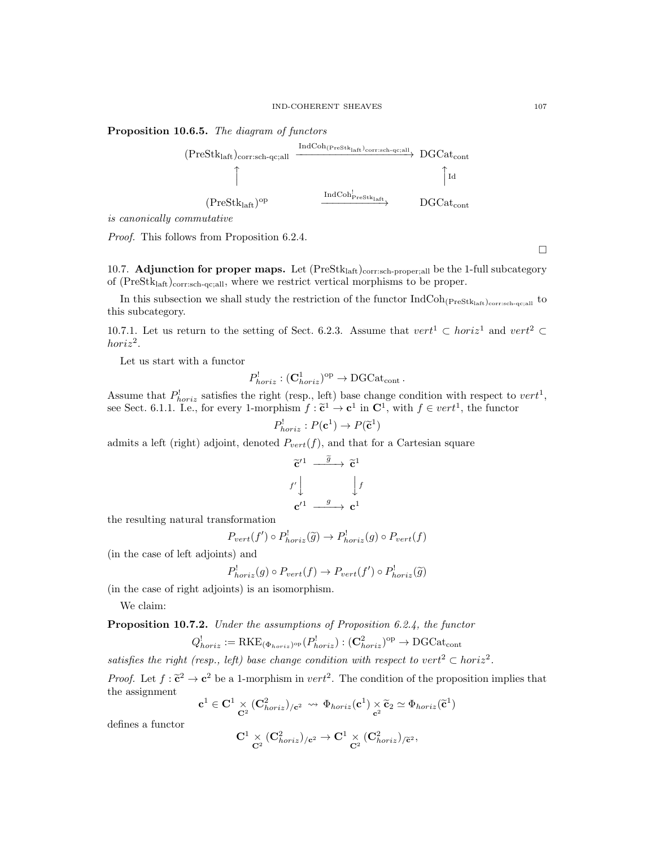## Proposition 10.6.5. The diagram of functors



is canonically commutative

Proof. This follows from Proposition 6.2.4.

10.7. Adjunction for proper maps. Let  $(Prestk<sub>laff</sub>)<sub>corr:sch-proper;all</sub>$  be the 1-full subcategory of  $(PreStk<sub>laff</sub>)<sub>corr:sch-qc;all</sub>$ , where we restrict vertical morphisms to be proper.

In this subsection we shall study the restriction of the functor  $IndCoh_{(PreStk<sub>laff</sub>)<sub>corr:sch-qc;all</sub>}$  to this subcategory.

10.7.1. Let us return to the setting of Sect. 6.2.3. Assume that  $vert^1 \subset horiz^1$  and  $vert^2 \subset$  $horiz^2$ .

Let us start with a functor

$$
P_{horiz}^! : (\mathbf{C}_{horiz}^1)^{\mathrm{op}} \to \mathrm{DGCat}_{\mathrm{cont}}.
$$

Assume that  $P_{horiz}^!$  satisfies the right (resp., left) base change condition with respect to  $vert^1$ , see Sect. 6.1.1. I.e., for every 1-morphism  $f : \tilde{c}^1 \to c^1$  in  $C^1$ , with  $f \in vert^1$ , the functor

$$
P_{horiz}^! : P(\mathbf{c}^1) \to P(\widetilde{\mathbf{c}}^1)
$$

admits a left (right) adjoint, denoted  $P_{vert}(f)$ , and that for a Cartesian square

$$
\begin{aligned}\n\widetilde{\mathbf{c}}'^1 &\xrightarrow{\widetilde{g}} \widetilde{\mathbf{c}}^1 \\
f' &\downarrow \qquad \qquad \downarrow f \\
\mathbf{c}'^1 &\xrightarrow{g} \mathbf{c}^1\n\end{aligned}
$$

the resulting natural transformation

$$
P_{vert}(f') \circ P_{horiz}^{\perp}(\widetilde{g}) \to P_{horiz}^{\perp}(g) \circ P_{vert}(f)
$$

(in the case of left adjoints) and

$$
P_{horiz}^!(g) \circ P_{vert}(f) \to P_{vert}(f') \circ P_{horiz}^!(\widetilde{g})
$$

(in the case of right adjoints) is an isomorphism.

We claim:

Proposition 10.7.2. Under the assumptions of Proposition 6.2.4, the functor

$$
Q_{horiz}^{!} := \text{RKE}_{(\Phi_{horiz})^{\text{op}}}(P_{horiz}^{!}) : (\mathbf{C}_{horiz}^{2})^{\text{op}} \to \text{DGCat}_{\text{cont}}
$$

satisfies the right (resp., left) base change condition with respect to vert<sup>2</sup>  $\subset$  horiz<sup>2</sup>.

*Proof.* Let  $f : \tilde{\mathbf{c}}^2 \to \mathbf{c}^2$  be a 1-morphism in  $vert^2$ . The condition of the proposition implies that the assignment the assignment

$$
\mathbf{c}^1 \in \mathbf{C}^1 \underset{\mathbf{C}^2}{\times} (\mathbf{C}^2_{\mathit{horiz}})_{/ \mathbf{c}^2} \rightsquigarrow \Phi_{\mathit{horiz}}(\mathbf{c}^1) \underset{\mathbf{c}^2}{\times} \widetilde{\mathbf{c}}_2 \simeq \Phi_{\mathit{horiz}}(\widetilde{\mathbf{c}}^1)
$$

defines a functor

$$
\mathbf{C}^1 \underset{\mathbf{C}^2}{\times} (\mathbf{C}^2_{horiz})_{/ \mathbf{c}^2} \to \mathbf{C}^1 \underset{\mathbf{C}^2}{\times} (\mathbf{C}^2_{horiz})_{/\widetilde{\mathbf{c}}^2},
$$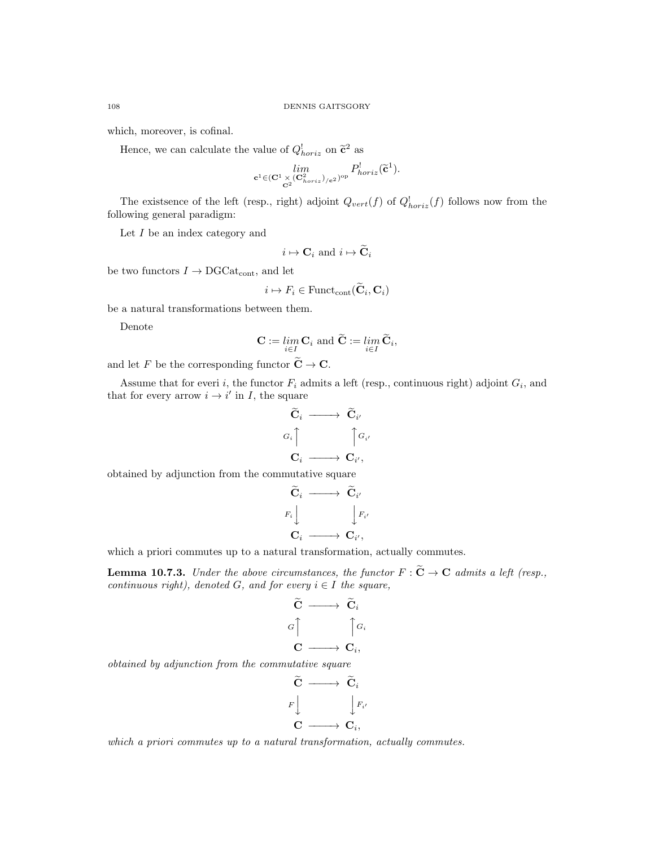which, moreover, is cofinal.

Hence, we can calculate the value of  $Q_{horiz}^1$  on  $\tilde{c}^2$  as

$$
\lim_{\mathbf{c}^1 \in (\mathbf{C}^1\times (\mathbf{C}^2_{horiz})_{/\mathbf{c}^2})^\mathrm{op}} P^!_{horiz}(\widetilde{\mathbf{c}}^1).
$$

The existsence of the left (resp., right) adjoint  $Q_{vert}(f)$  of  $Q_{horiz}^{\dagger}(f)$  follows now from the following general paradigm:

Let  $I$  be an index category and

$$
i \mapsto \mathbf{C}_i \text{ and } i \mapsto \widetilde{\mathbf{C}}_i
$$

be two functors  $I \rightarrow \text{DGCat}_{\text{cont}}$ , and let

$$
i \mapsto F_i \in \text{Funct}_{\text{cont}}(\widetilde{\mathbf{C}}_i, \mathbf{C}_i)
$$

be a natural transformations between them.

Denote

$$
\mathbf{C} := \lim_{i \in I} \mathbf{C}_i \text{ and } \widetilde{\mathbf{C}} := \lim_{i \in I} \widetilde{\mathbf{C}}_i,
$$

and let F be the corresponding functor  $\widetilde{\mathbf{C}} \to \mathbf{C}$ .

Assume that for everi i, the functor  $F_i$  admits a left (resp., continuous right) adjoint  $G_i$ , and that for every arrow  $i \rightarrow i'$  in I, the square

$$
\begin{aligned}\n\widetilde{\mathbf{C}}_i &\longrightarrow \widetilde{\mathbf{C}}_{i'} \\
G_i \begin{bmatrix}\n\cdot & \cdot \\
\cdot & \cdot \\
\mathbf{C}_i &\longrightarrow & \mathbf{C}_{i'}\n\end{bmatrix}\n\end{aligned}
$$

obtained by adjunction from the commutative square

$$
\begin{array}{ccc}\n\widetilde{\mathbf{C}}_i & \longrightarrow & \widetilde{\mathbf{C}}_{i'} \\
F_i \downarrow & & \downarrow F_{i'} \\
\mathbf{C}_i & \longrightarrow & \mathbf{C}_{i'},\n\end{array}
$$

which a priori commutes up to a natural transformation, actually commutes.

**Lemma 10.7.3.** Under the above circumstances, the functor  $F : \widetilde{\mathbf{C}} \to \mathbf{C}$  admits a left (resp., continuous right), denoted G, and for every  $i \in I$  the square,

$$
\begin{array}{ccc}\n\widetilde{\mathbf{C}} & \longrightarrow & \widetilde{\mathbf{C}}_i \\
G & & \uparrow G_i \\
\mathbf{C} & \longrightarrow & \mathbf{C}_i,\n\end{array}
$$

obtained by adjunction from the commutative square

$$
\begin{array}{ccc}\n\widetilde{\mathbf{C}} & \longrightarrow & \widetilde{\mathbf{C}}_i \\
F \downarrow & & \downarrow F_{i'} \\
\mathbf{C} & \longrightarrow & \mathbf{C}_i,\n\end{array}
$$

which a priori commutes up to a natural transformation, actually commutes.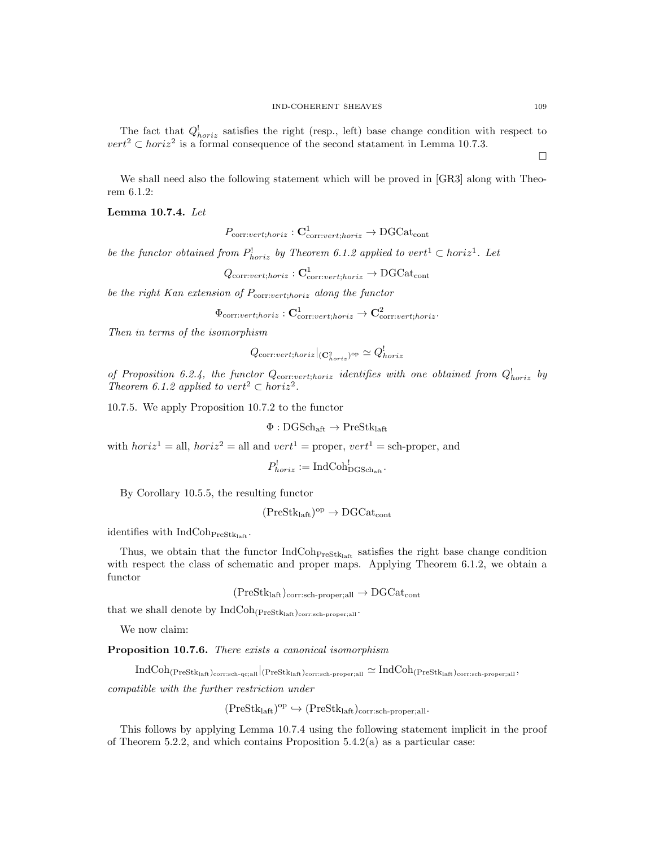The fact that  $Q_{horiz}^{\dagger}$  satisfies the right (resp., left) base change condition with respect to  $vert^2 \text{ }\subset horiz^2$  is a formal consequence of the second statament in Lemma 10.7.3.

We shall need also the following statement which will be proved in [GR3] along with Theorem 6.1.2:

Lemma 10.7.4. Let

$$
P_{\text{corr:}vert;horiz}: \mathbf{C}_{\text{corr:}vert;horiz}^{1} \to \text{DGCat}_{\text{cont}}
$$

be the functor obtained from  $P^!_{horiz}$  by Theorem 6.1.2 applied to vert<sup>1</sup>  $\subset horiz^1$ . Let

$$
Q_{\text{corr:}vert;horiz}: \mathbf{C}^1_{\text{corr:}vert;horiz} \to \text{DGCat}_{\text{cont}}
$$

be the right Kan extension of  $P_{\text{corr:}vert;horiz}$  along the functor

 $\Phi_{\mathrm{corr:}vert;horiz}: \mathbf{C}^1_{\mathrm{corr:}vert;horiz} \rightarrow \mathbf{C}^2_{\mathrm{corr:}vert;horiz}.$ 

Then in terms of the isomorphism

$$
Q_{\mathrm{corr}:\textit{vert};horiz}|_{(\mathbf{C}^{2}_{horiz})^{\mathrm{op}}} \simeq Q^{!}_{horiz}
$$

of Proposition 6.2.4, the functor  $Q_{\text{corr:vert;horiz}}$  identifies with one obtained from  $Q_{horiz}^{\dagger}$  by Theorem 6.1.2 applied to vert<sup>2</sup>  $\subset$  horiz<sup>2</sup>.

10.7.5. We apply Proposition 10.7.2 to the functor

$$
\Phi : \mathrm{DGSch}_{\mathrm{aft}} \to \mathrm{PreStk}_{\mathrm{laft}}
$$

with  $horiz^1 = \text{all}, horiz^2 = \text{all}$  and  $vert^1 = \text{proper}, vert^1 = \text{sch-proper},$  and

$$
P_{horiz}^! := \operatorname{IndCoh}^!_{\mathrm{DGSch}_{\mathrm{aff}}}.
$$

By Corollary 10.5.5, the resulting functor

$$
(\mathrm{PreStk}_{\mathrm{laft}})^{\mathrm{op}}\to \mathrm{DGCat}_{\mathrm{cont}}
$$

identifies with  $IndCoh_{\text{PreStk}_{\text{left}}}$ .

Thus, we obtain that the functor  $IndCoh<sub>PreStk<sub>laff</sub></sub>$  satisfies the right base change condition with respect the class of schematic and proper maps. Applying Theorem 6.1.2, we obtain a functor

 $(Prestk<sub>laff</sub>)<sub>corr:sch-proper;all</sub> \rightarrow DGCat<sub>cont</sub>$ 

that we shall denote by  $\operatorname{IndCoh}_{(\operatorname{PreStk}_{\operatorname{laff}})_{\operatorname{corr:sch-proper}; \operatorname{all}}}.$ 

We now claim:

Proposition 10.7.6. There exists a canonical isomorphism

 $\text{IndCoh}_{(\text{PreStk}_{\text{laff}})_{\text{corr}:\text{sch-qc};\text{all}}}\vert_{(\text{PreStk}_{\text{laff}})_{\text{corr}:\text{sch-proper};\text{all}}}\simeq \text{IndCoh}_{(\text{PreStk}_{\text{laff}})_{\text{corr}:\text{sch-proper};\text{all}}},$ 

compatible with the further restriction under

 $(PreStk<sub>laff</sub>)<sup>op</sup> \hookrightarrow (PreStk<sub>laff</sub>)<sub>corr:sch-proper;all</sub>.$ 

This follows by applying Lemma 10.7.4 using the following statement implicit in the proof of Theorem 5.2.2, and which contains Proposition  $5.4.2(a)$  as a particular case:

 $\Box$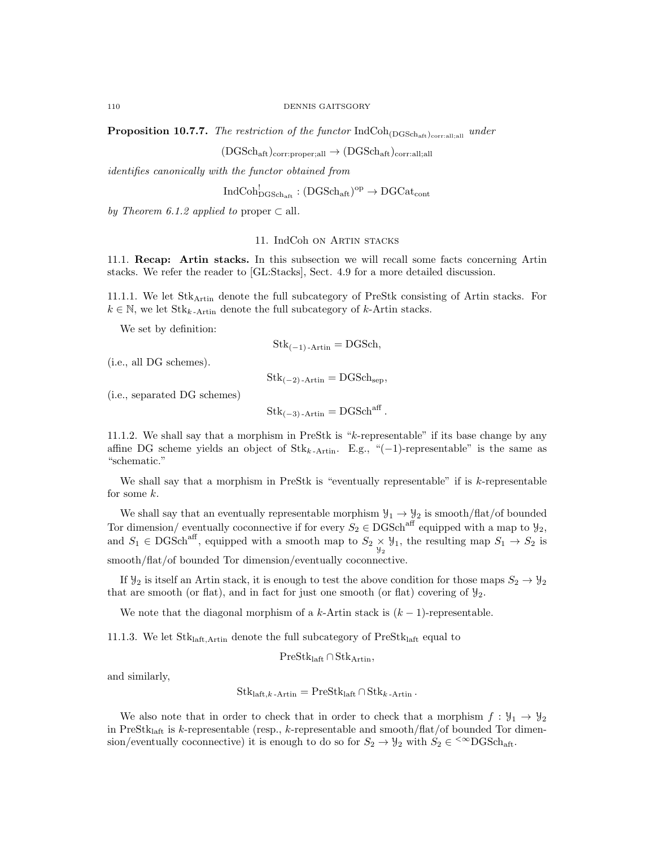**Proposition 10.7.7.** The restriction of the functor  $IndCoh_{(DGSch<sub>aff</sub>)<sub>corr:all;all</sub>}$  under

 $(DGSch<sub>aft</sub>)<sub>corr:proper;all</sub> \rightarrow (DGSch<sub>aft</sub>)<sub>corr:all;all</sub>$ 

identifies canonically with the functor obtained from

 $\mathrm{IndCoh}^!_{\mathrm{DGSch}_\mathrm{aff}} : (\mathrm{DGSch}_\mathrm{aff})^\mathrm{op} \to \mathrm{DGCat}_\mathrm{cont}$ 

by Theorem 6.1.2 applied to proper  $\subset$  all.

## 11. IndCoh on Artin stacks

11.1. Recap: Artin stacks. In this subsection we will recall some facts concerning Artin stacks. We refer the reader to [GL:Stacks], Sect. 4.9 for a more detailed discussion.

11.1.1. We let StkArtin denote the full subcategory of PreStk consisting of Artin stacks. For  $k \in \mathbb{N}$ , we let  $\text{Stk}_{k-\text{Artin}}$  denote the full subcategory of k-Artin stacks.

We set by definition:

$$
Stk_{(-1)-Artin} = DGSch,
$$

(i.e., all DG schemes).

 $\text{Stk}_{(-2)$ -Artin = DGSch<sub>sep</sub>,

(i.e., separated DG schemes)

$$
Stk_{(-3)\text{-Artin}} = DGSch^{aff}.
$$

11.1.2. We shall say that a morphism in PreStk is "k-representable" if its base change by any affine DG scheme yields an object of  $Stk_{k-Artin}$ . E.g., "(−1)-representable" is the same as "schematic."

We shall say that a morphism in PreStk is "eventually representable" if is  $k$ -representable for some k.

We shall say that an eventually representable morphism  $\mathcal{Y}_1 \to \mathcal{Y}_2$  is smooth/flat/of bounded Tor dimension/ eventually coconnective if for every  $S_2 \in \text{DGSch}^{\text{aff}}$  equipped with a map to  $\mathcal{Y}_2$ , and  $S_1 \in \text{DGSch}^{\text{aff}}$ , equipped with a smooth map to  $S_2 \times \mathcal{Y}_1$ , the resulting map  $S_1 \to S_2$  is smooth/flat/of bounded Tor dimension/eventually coconnective.

If  $\mathcal{Y}_2$  is itself an Artin stack, it is enough to test the above condition for those maps  $S_2 \to \mathcal{Y}_2$ that are smooth (or flat), and in fact for just one smooth (or flat) covering of  $\mathcal{Y}_2$ .

We note that the diagonal morphism of a k-Artin stack is  $(k-1)$ -representable.

11.1.3. We let  $\rm{Stk}_{\rm laff,Artin}$  denote the full subcategory of  $\rm{PreStk}_{\rm laff}$  equal to

PreStklaft ∩ StkArtin,

and similarly,

$$
Stk_{\mathrm{laff},k\text{-Artin}} = \mathrm{PreStk}_{\mathrm{laff}} \cap Stk_{k\text{-Artin}}
$$

We also note that in order to check that in order to check that a morphism  $f : \mathcal{Y}_1 \to \mathcal{Y}_2$ in PreStk<sub>laft</sub> is k-representable (resp., k-representable and smooth/flat/of bounded Tor dimension/eventually coconnective) it is enough to do so for  $S_2 \to \mathcal{Y}_2$  with  $S_2 \in \text{{}^{\textless}\textless} \text{DGSch}_{\text{aft}}$ .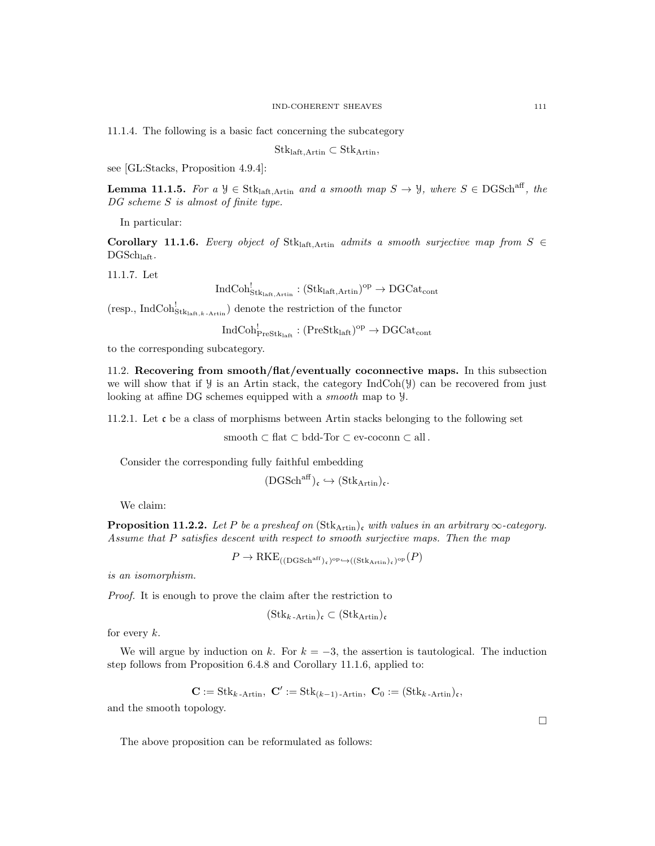11.1.4. The following is a basic fact concerning the subcategory

 $Stk<sub>laff,Artin</sub> \subset Stk<sub>Artin</sub>$ 

see [GL:Stacks, Proposition 4.9.4]:

**Lemma 11.1.5.** For a  $\mathcal{Y} \in \text{Stk}_{\text{laff}, \text{Artin}}$  and a smooth map  $S \to \mathcal{Y}$ , where  $S \in \text{DGSch}^{\text{aff}}$ , the DG scheme S is almost of finite type.

In particular:

Corollary 11.1.6. Every object of Stklatt,Artin admits a smooth surjective map from  $S \in$  $DGSch<sub>left</sub>$ .

11.1.7. Let

 $\mathrm{IndCoh}^!_{\mathrm{Stk}_\mathrm{laft,Artin}}: (\mathrm{Stk}_\mathrm{laft,Artin})^\mathrm{op}\to \mathrm{DGCat}_\mathrm{cont}$ 

(resp., IndCoh<sup>!</sup><sub>Stk<sub>laft,k-Artin</sub>) denote the restriction of the functor</sub>

 $\mathrm{IndCoh}^!_{\mathrm{PreStk}_\mathrm{laff}} : (\mathrm{PreStk}_\mathrm{laff})^\mathrm{op} \to \mathrm{DGCat}_\mathrm{cont}$ 

to the corresponding subcategory.

11.2. Recovering from smooth/flat/eventually coconnective maps. In this subsection we will show that if  $\mathcal Y$  is an Artin stack, the category IndCoh( $\mathcal Y$ ) can be recovered from just looking at affine DG schemes equipped with a smooth map to Y.

11.2.1. Let c be a class of morphisms between Artin stacks belonging to the following set

smooth  $\subset$  flat  $\subset$  bdd-Tor  $\subset$  ev-coconn  $\subset$  all.

Consider the corresponding fully faithful embedding

$$
(\mathrm{DGSch}^{\mathrm{aff}})_{\mathfrak{c}}\hookrightarrow (\mathrm{Stk}_{\mathrm{Artin}})_{\mathfrak{c}}.
$$

We claim:

**Proposition 11.2.2.** Let P be a presheaf on  $(\text{Stk}_{\text{Artin}})$ , with values in an arbitrary  $\infty$ -category. Assume that P satisfies descent with respect to smooth surjective maps. Then the map

 $P \to \mathrm{RKE}_{\mathrm{((DGSch^{\mathrm{aff}})_c)^{\mathrm{op}}} \hookrightarrow \mathrm{((Stk_{Artin})_c)^{\mathrm{op}}}(P)}$ 

is an isomorphism.

Proof. It is enough to prove the claim after the restriction to

$$
(\mathrm{Stk}_{k\text{-Artin}})_{\mathfrak{c}}\subset (\mathrm{Stk}_\mathrm{Artin})_{\mathfrak{c}}
$$

for every  $k$ .

We will argue by induction on k. For  $k = -3$ , the assertion is tautological. The induction step follows from Proposition 6.4.8 and Corollary 11.1.6, applied to:

$$
\mathbf{C} := \mathrm{Stk}_{k\text{-Artin}}, \ \mathbf{C}' := \mathrm{Stk}_{(k-1)\text{-Artin}}, \ \mathbf{C}_0 := (\mathrm{Stk}_{k\text{-Artin}})_{\mathfrak{c}},
$$

and the smooth topology.

The above proposition can be reformulated as follows:

 $\Box$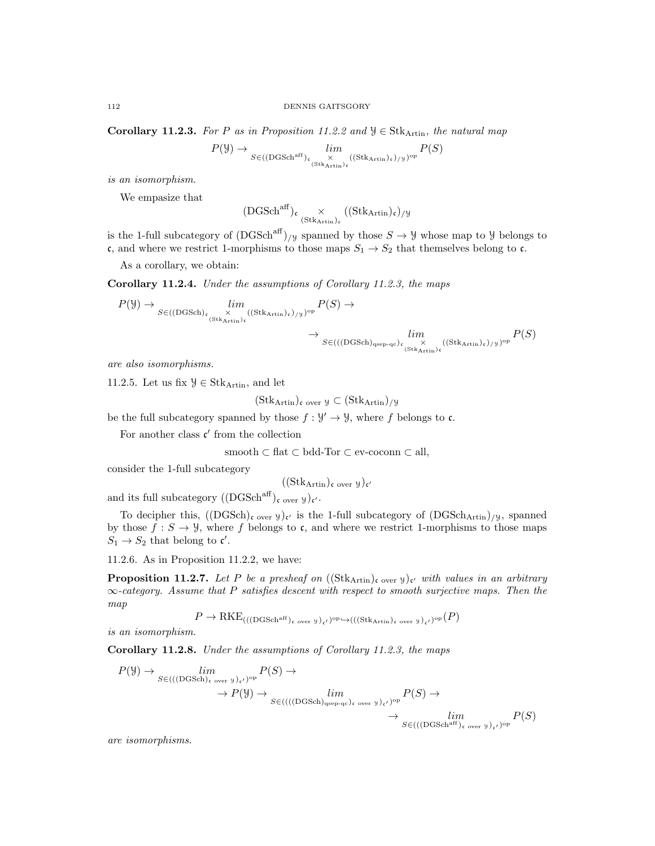Corollary 11.2.3. For P as in Proposition 11.2.2 and  $\mathcal{Y} \in \text{Stk}_{\text{Artin}}$ , the natural map

$$
P(\mathcal{Y}) \to \lim_{S \in ((\text{DGSch}^{\text{aff}})_{\mathfrak{c}} \times (\text{Stk}_{\text{Artin}})_{\mathfrak{c}}} ((\text{Stk}_{\text{Artin}})_{\mathfrak{c}})_{/\mathcal{Y}})^{\text{op}} P(S)
$$

is an isomorphism.

We empasize that

$$
(\mathrm{DGSch}^{\mathrm{aff}})_{\mathfrak{c}}\underset{(\mathrm{Stk}_\mathrm{Artin})_{\mathfrak{c}}} {\times}((\mathrm{Stk}_\mathrm{Artin})_{\mathfrak{c}})_{/\mathcal{Y}}
$$

is the 1-full subcategory of  $(DGSch<sup>aff</sup>)_{/Y}$  spanned by those  $S \to Y$  whose map to Y belongs to c, and where we restrict 1-morphisms to those maps  $S_1 \rightarrow S_2$  that themselves belong to c.

As a corollary, we obtain:

Corollary 11.2.4. Under the assumptions of Corollary 11.2.3, the maps

$$
P(\mathcal{Y}) \to \lim_{S \in ((\text{DGSch})_{\mathfrak{c}} \xrightarrow[\text{StkArtin}]_{\mathfrak{c}}} \lim_{(StkArtin)_{\mathfrak{c}}} P(S) \to \lim_{S \to ((\text{DGSch})_{\text{qsep-qc}})_{\mathfrak{c}} \xrightarrow[\text{StkArtin}]_{\mathfrak{c}}} \lim_{(StkArtin)_{\mathfrak{c}} \xrightarrow[\text{StkArtin}]_{\mathfrak{c}}} P(S)
$$

are also isomorphisms.

11.2.5. Let us fix  $\mathcal{Y} \in \text{Stk}_{\text{Artin}}$ , and let

$$
(\text{Stk}_{\text{Artin}})_{\mathfrak{c}}
$$
 over  $\mathfrak{y} \subset (\text{Stk}_{\text{Artin}})_{/\mathfrak{Y}}$ 

be the full subcategory spanned by those  $f: \mathcal{Y}' \to \mathcal{Y}$ , where f belongs to c.

For another class  $c'$  from the collection

$$
smooth \subset flat \subset bdd-Tor \subset ev\text{-}coconn \subset all,
$$

consider the 1-full subcategory

$$
((\mathrm{Stk}_\mathrm{Artin})_{\mathfrak{c} \text{ over } \mathcal{Y}})_{\mathfrak{c}'}
$$

and its full subcategory  $((\text{DGSch}^{\text{aff}})_{\mathfrak{c}}_{over y})_{\mathfrak{c}'}$ .

To decipher this,  $((DGSch)_{c \text{ over } y})_{c'}$  is the 1-full subcategory of  $(DGSch<sub>Artin</sub>)_{/y}$ , spanned by those  $f : S \to Y$ , where f belongs to c, and where we restrict 1-morphisms to those maps  $S_1 \rightarrow S_2$  that belong to  $\mathfrak{c}'$ .

11.2.6. As in Proposition 11.2.2, we have:

**Proposition 11.2.7.** Let P be a presheaf on  $((\text{Stk}_{\text{Artin}})_{\text{c over }y})_{\text{c}}'$  with values in an arbitrary  $\infty$ -category. Assume that P satisfies descent with respect to smooth surjective maps. Then the map

$$
P \to \text{RKE}_{(((\text{DGSch}^{\text{aff}})_{\mathfrak{c}} \text{ over } \mathcal{Y})_{\mathfrak{c}'})^{\text{op}} \hookrightarrow (((\text{Stk}_{\text{Artin}})_{\mathfrak{c}} \text{ over } \mathcal{Y})_{\mathfrak{c}'})^{\text{op}}(P)
$$

is an isomorphism.

Corollary 11.2.8. Under the assumptions of Corollary 11.2.3, the maps

$$
P(\mathcal{Y}) \to \lim_{S \in (((\text{DGSch})_{\epsilon \text{ over } \mathcal{Y}})_{\epsilon'})^{\text{op}}} P(S) \to \lim_{S \in (((\text{DGSch})_{\text{gsep-qc}})_{\epsilon \text{ over } \mathcal{Y}})_{\epsilon'})^{\text{op}}} P(S) \to \to \lim_{S \in (((\text{DGSch})_{\text{gsep-qc}})_{\epsilon \text{ over } \mathcal{Y}})_{\epsilon'})^{\text{op}}} P(S) \to \lim_{S \in (((\text{DGSch}^{\text{aff}})_{\epsilon \text{ over } \mathcal{Y}})_{\epsilon'})^{\text{op}}} P(S)
$$

are isomorphisms.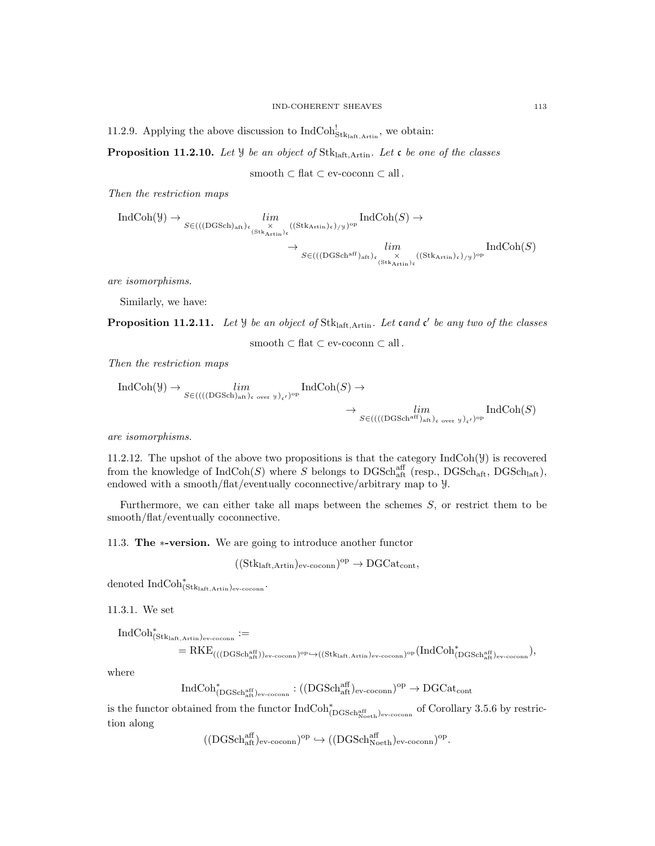11.2.9. Applying the above discussion to  $IndCoh_{Stk<sub>laff,Artin</sub>}^!$ , we obtain:

**Proposition 11.2.10.** Let  $\mathcal{Y}$  be an object of Stk<sub>laft,Artin</sub>. Let  $\mathfrak{c}$  be one of the classes

smooth  $\subset$  flat  $\subset$  ev-coconn  $\subset$  all.

Then the restriction maps

$$
\operatorname{IndCoh}(\mathcal{Y}) \to \lim_{\substack{S \in (((\operatorname{DGSch})_{\mathrm{aft}})_{\mathfrak{c}} \times \operatorname{GStk_{\mathrm{Artin}})_{\mathfrak{c}} \text{((Stk_{\mathrm{Artin}})_{\mathfrak{c}}) / \mathfrak{Y}})^{\mathrm{op}}}} \operatorname{IndCoh}(S) \to \lim_{\substack{S \in (((\operatorname{DGSch}^{\operatorname{aff}})_{\mathrm{aft}})_{\mathfrak{c}} \times \operatorname{GStk_{\mathrm{Artin}})_{\mathfrak{c}} \text{((Stk_{\mathrm{Artin}})_{\mathfrak{c}}) / \mathfrak{Y}})^{\mathrm{op}}}} \operatorname{IndCoh}(S)
$$

are isomorphisms.

Similarly, we have:

**Proposition 11.2.11.** Let  $\mathcal{Y}$  be an object of Stk<sub>laft,Artin</sub>. Let cand c' be any two of the classes

smooth  $\subset$  flat  $\subset$  ev-coconn  $\subset$  all.

Then the restriction maps

$$
\text{IndCoh}(\mathcal{Y}) \to \lim_{S \in (((\text{DGSch})_{\text{aff}})_{\text{c over }\mathcal{Y}})_{\mathfrak{c}'})^{\text{op}}} \text{IndCoh}(S) \to \lim_{S \in (((\text{DGSch}^{\text{aff}})_{\text{aff}})_{\text{c over }\mathcal{Y}})_{\mathfrak{c}'})^{\text{op}}} \text{IndCoh}(S)
$$

are isomorphisms.

11.2.12. The upshot of the above two propositions is that the category  $IndCoh(\mathcal{Y})$  is recovered from the knowledge of  $IndCoh(S)$  where S belongs to DGSch<sub>aft</sub> (resp., DGSch<sub>aft</sub>, DGSch<sub>laft</sub>), endowed with a smooth/flat/eventually coconnective/arbitrary map to Y.

Furthermore, we can either take all maps between the schemes  $S$ , or restrict them to be smooth/flat/eventually coconnective.

11.3. The ∗-version. We are going to introduce another functor

$$
((Stk_{\mathrm{laff},\mathrm{Artin}})_{\mathrm{ev}\text{-}\mathrm{coconn}})^{\mathrm{op}}\to \mathrm{DGCat}_{\mathrm{cont}},
$$

denoted  $\mathrm{IndCoh}^*_{(\mathrm{Stk}_\mathrm{laff},\mathrm{Artin})_\mathrm{ev-coconn}}.$ 

11.3.1. We set

$$
\begin{aligned} \mathrm{IndCoh}^*_{(\mathrm{Stk}_{\mathrm{laff}, \mathrm{Artin}})_{\mathrm{ev-coconn}}} &:= \\ &= \mathrm{RKE}_{(((\mathrm{DGSch}^{\mathrm{aff}}_{\mathrm{aft}})_{\mathrm{ev-coconn}})^{\mathrm{op}} \hookrightarrow ((\mathrm{Stk}_{\mathrm{laff}, \mathrm{Artin}})_{\mathrm{ev-coconn}})^{\mathrm{op}}}(\mathrm{IndCoh}^*_{(\mathrm{DGSch}^{\mathrm{aff}}_{\mathrm{aft}})_{\mathrm{ev-coconn}}}), \end{aligned}
$$

where

 $\mathrm{IndCoh}^*_{(\mathrm{DGSch}^{\mathrm{aff}}_{\mathrm{at}})_{\mathrm{ev-coconn}}} : ((\mathrm{DGSch}^{\mathrm{aff}}_{\mathrm{alt}})_{\mathrm{ev-coconn}})^{\mathrm{op}} \to \mathrm{DGCat}_{\mathrm{cont}}$ 

is the functor obtained from the functor  $\text{IndCoh}^*_{(\text{DGSch}^{\text{aff}}_{\text{Noeth}})_{\text{ev-coconn}}}$  of Corollary 3.5.6 by restriction along

```
((\text{DGSch}^{\text{aff}}_{\text{att}})_{\text{ev-coconn}})^{\text{op}} \hookrightarrow ((\text{DGSch}^{\text{aff}}_{\text{Noeth}})_{\text{ev-coconn}})^{\text{op}}.
```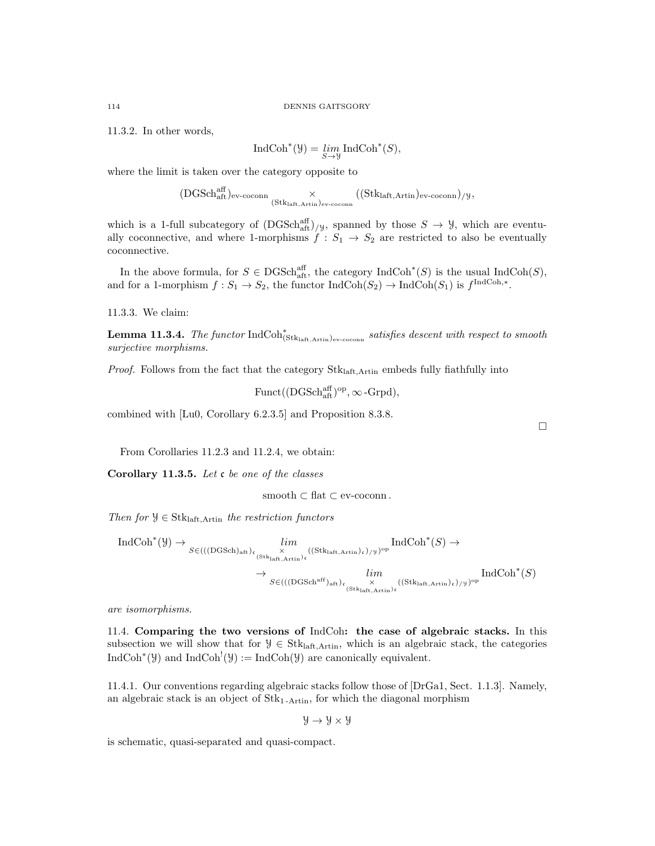11.3.2. In other words,

$$
IndCoh^{*}(\mathcal{Y}) = \lim_{S \to \mathcal{Y}} IndCoh^{*}(S),
$$

where the limit is taken over the category opposite to

$$
(\text{DGSch}^{\text{aff}}_{\text{aft}})_{\text{ev-coconn}} \underset{(\text{Stk}_{\text{laft}, \text{Artin}})_{\text{ev-coconn}}}{\times} ((\text{Stk}_{\text{laft}, \text{Artin}})_{\text{ev-coconn}})_{/\text{y}},
$$

which is a 1-full subcategory of  $(DGSch<sub>aff</sub><sup>aff</sup>)/y$ , spanned by those  $S \to Y$ , which are eventually coconnective, and where 1-morphisms  $f : S_1 \rightarrow S_2$  are restricted to also be eventually coconnective.

In the above formula, for  $S \in \text{DGSch}_{\text{aff}}^{\text{aff}}$ , the category  $\text{IndCoh}^*(S)$  is the usual  $\text{IndCoh}(S)$ , and for a 1-morphism  $f: S_1 \to S_2$ , the functor  $\text{IndCoh}(S_2) \to \text{IndCoh}(S_1)$  is  $f^{\text{IndCoh},*}$ .

11.3.3. We claim:

**Lemma 11.3.4.** The functor  $IndCoh^*_{(\text{Stk}_{\text{left}, \text{Artin}})_{\text{ev-cocom}}}$  satisfies descent with respect to smooth surjective morphisms.

*Proof.* Follows from the fact that the category  $Stk<sub>laff.Artin</sub>$  embeds fully fiathfully into

Funct( $(DGSch<sub>aff</sub><sup>aff</sup>)<sup>op</sup>, \infty$ -Grpd),

combined with [Lu0, Corollary 6.2.3.5] and Proposition 8.3.8.

From Corollaries 11.2.3 and 11.2.4, we obtain:

Corollary 11.3.5. Let  $c$  be one of the classes

smooth  $\subset$  flat  $\subset$  ev-coconn.

Then for  $\mathcal{Y} \in \text{Stk}_{\text{left}, \text{Artin}}$  the restriction functors

$$
\operatorname{IndCoh}^*(\mathcal{Y}) \to \underset{S \in (((\operatorname{DGSch})_{\mathrm{aft}})_{\mathfrak{c}}}{\overset{\times}{\longrightarrow}} \lim_{\substack{(\mathrm{Stk}_{\mathrm{laft},\mathrm{Artin}})_{\mathfrak{c}} \\\text{(\mathrm{Stk}_{\mathrm{laft},\mathrm{Artin}})_{\mathfrak{c}}}} \operatorname{IndCoh}^*(S) \to \\ \to \lim_{\substack{S \in (((\operatorname{DGSch}^{\operatorname{af}})_{\mathrm{aft}})_{\mathfrak{c}} \\\text{(\mathrm{Stk}_{\mathrm{laft},\mathrm{Artin}})_{\mathfrak{c}} \\\text{(\mathrm{Stk}_{\mathrm{laft},\mathrm{Artin}})_{\mathfrak{c}}}} \operatorname{IndCoh}^*(S)
$$

are isomorphisms.

11.4. Comparing the two versions of IndCoh: the case of algebraic stacks. In this subsection we will show that for  $\mathcal{Y} \in \text{Stk}_{\text{laff},\text{Artin}}$ , which is an algebraic stack, the categories  $\text{IndCoh}^*(\mathcal{Y})$  and  $\text{IndCoh}^!(\mathcal{Y}) := \text{IndCoh}(\mathcal{Y})$  are canonically equivalent.

11.4.1. Our conventions regarding algebraic stacks follow those of [DrGa1, Sect. 1.1.3]. Namely, an algebraic stack is an object of  $Stk<sub>1-Artin</sub>$ , for which the diagonal morphism

$$
\mathcal{Y} \to \mathcal{Y} \times \mathcal{Y}
$$

is schematic, quasi-separated and quasi-compact.

 $\Box$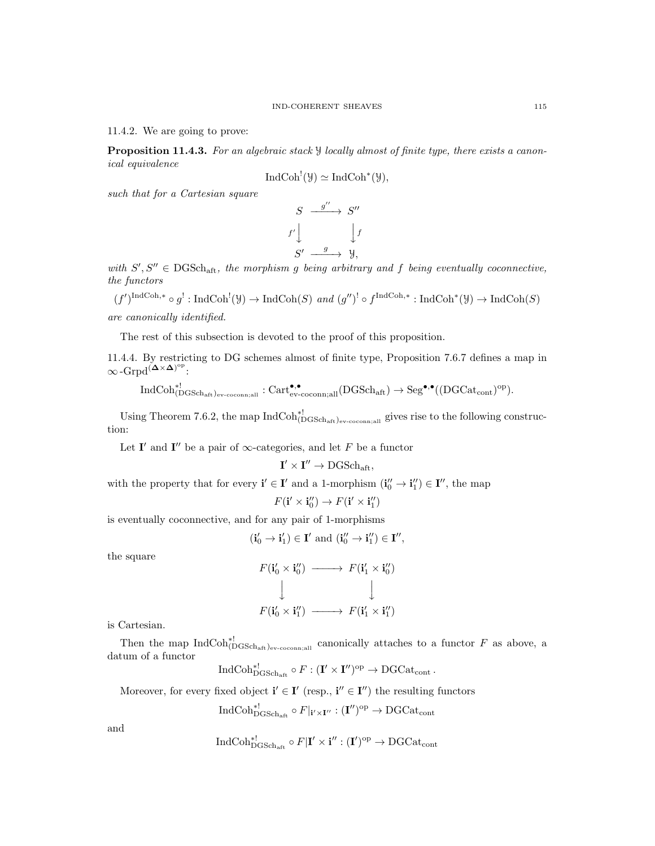11.4.2. We are going to prove:

**Proposition 11.4.3.** For an algebraic stack  $\mathcal{Y}$  locally almost of finite type, there exists a canonical equivalence

$$
IndCoh^{!}(\mathcal{Y}) \simeq IndCoh^{*}(\mathcal{Y}),
$$

such that for a Cartesian square

$$
S \xrightarrow{g''} S''
$$
  

$$
f' \downarrow \qquad \qquad \downarrow f
$$
  

$$
S' \xrightarrow{g} \qquad \qquad \downarrow g,
$$

with  $S', S'' \in DGSch_{aff}$ , the morphism g being arbitrary and f being eventually coconnective, the functors

 $(f')^{\text{IndCoh},*} \circ g^!: \text{IndCoh}^!(\mathcal{Y}) \to \text{IndCoh}(S) \text{ and } (g'')^! \circ f^{\text{IndCoh},*} : \text{IndCoh}^*(\mathcal{Y}) \to \text{IndCoh}(S)$ are canonically identified.

The rest of this subsection is devoted to the proof of this proposition.

11.4.4. By restricting to DG schemes almost of finite type, Proposition 7.6.7 defines a map in  $\infty$ -Grpd<sup>( $\Delta \times \Delta$ )°<sup>p</sup>:</sup>

 $\mathrm{IndCoh}_{(\mathrm{DGSch}_\mathrm{aff})_\mathrm{ev-coconn;all}}^{*!}:\mathrm{Cart}_{\mathrm{ev-coconn;all}}^{ \bullet,\bullet}(\mathrm{DGSch}_\mathrm{aff})\to \mathrm{Seg}^{\bullet,\bullet}((\mathrm{DGCat}_\mathrm{cont})^\mathrm{op}).$ 

Using Theorem 7.6.2, the map  $IndCoh^{*!}_{(DGSch_{aff})_{ev-coconn;all}}$  gives rise to the following construction:

Let I' and I'' be a pair of  $\infty$ -categories, and let F be a functor

$$
\mathbf{I}' \times \mathbf{I}'' \to \mathrm{DGSch}_{\mathrm{aft}},
$$

with the property that for every  $\mathbf{i}' \in \mathbf{I}'$  and a 1-morphism  $(\mathbf{i}_0'' \to \mathbf{i}_1'') \in \mathbf{I}'$ , the map

$$
F(\mathbf{i}' \times \mathbf{i}''_0) \to F(\mathbf{i}' \times \mathbf{i}''_1)
$$

is eventually coconnective, and for any pair of 1-morphisms

$$
(\mathbf{i}_0' \rightarrow \mathbf{i}_1') \in \mathbf{I}' \text{ and } (\mathbf{i}_0'' \rightarrow \mathbf{i}_1'') \in \mathbf{I}'',
$$

the square

$$
F(\mathbf{i}'_0 \times \mathbf{i}''_0) \longrightarrow F(\mathbf{i}'_1 \times \mathbf{i}''_0)
$$
  
\n
$$
\downarrow \qquad \qquad \downarrow
$$
  
\n
$$
F(\mathbf{i}'_0 \times \mathbf{i}''_1) \longrightarrow F(\mathbf{i}'_1 \times \mathbf{i}''_1)
$$

is Cartesian.

Then the map  $\text{IndCoh}_{(DGSch_{\text{aff}})_{\text{ev-coconn,all}}}^{*!}$  canonically attaches to a functor F as above, a datum of a functor

$$
\operatorname{IndCoh}^{*!}_{\mathrm{DGSch}_{\mathrm{aff}}}\circ F: (\mathbf{I}' \times \mathbf{I}'')^{\mathrm{op}} \to \mathrm{DGCat}_{\mathrm{cont}}.
$$

Moreover, for every fixed object  $\mathbf{i}' \in \mathbf{I}'$  (resp.,  $\mathbf{i}'' \in \mathbf{I}''$ ) the resulting functors

$$
\operatorname{IndCoh}^{*!}_{\mathrm{DGSch}_\mathrm{aff}} \circ F|_{\mathbf{i}' \times \mathbf{I}''} : (\mathbf{I}'')^{\mathrm{op}} \to \mathrm{DGCat}_{\mathrm{cont}}
$$

and

$$
\operatorname{IndCoh}^{*!}_{\mathrm{DGSch}_\mathrm{aff}} \circ F | \mathbf{I}' \times \mathbf{i}'' : (\mathbf{I}')^{\mathrm{op}} \to \mathrm{DGCat}_\mathrm{cont}
$$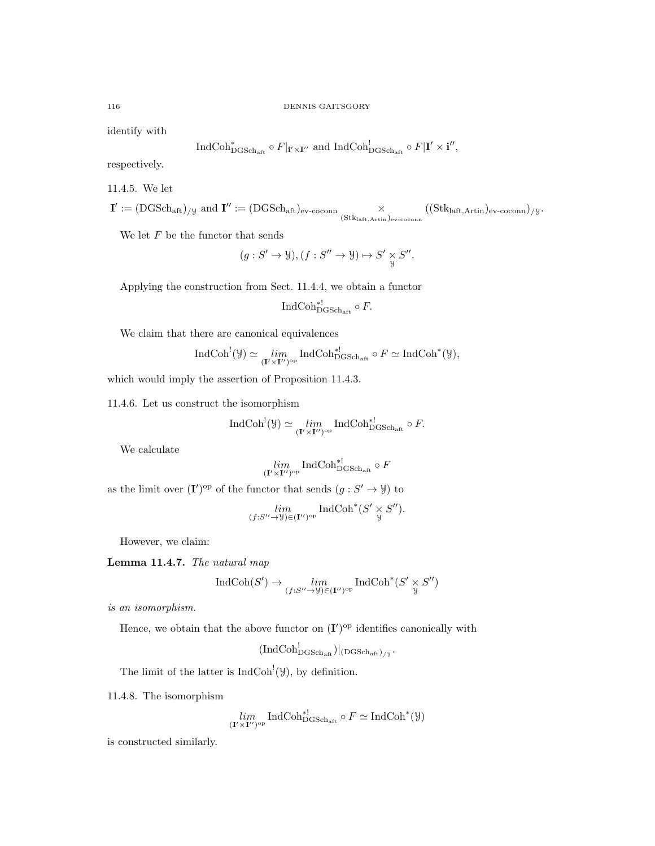identify with

$$
\operatorname{IndCoh}^*_{\mathrm{DGSch}_{\mathrm{aff}}}\circ F|_{\mathbf{i}'\times\mathbf{I}''}\text{ and }\operatorname{IndCoh}^!_{\mathrm{DGSch}_{\mathrm{aff}}}\circ F|\mathbf{I}'\times\mathbf{i}'',
$$

respectively.

11.4.5. We let

 $\mathbf{I}' := (\mathrm{DGSch}_{\mathrm{aff}})_{/\mathcal{Y}} \text{ and } \mathbf{I}'' := (\mathrm{DGSch}_{\mathrm{aff}})_{\mathrm{ev-coconn}} \times (\mathrm{(Stk}_{\mathrm{laff},\mathrm{Artin}})_{\mathrm{ev-coconn}})_{/\mathcal{Y}}.$ 

We let  $F$  be the functor that sends

$$
(g: S' \to \mathcal{Y}), (f: S'' \to \mathcal{Y}) \mapsto S' \underset{\mathcal{Y}}{\times} S''.
$$

Applying the construction from Sect. 11.4.4, we obtain a functor

$$
\operatorname{IndCoh}^*_{\operatorname{DGSch}_{\text{aff}}}\circ F.
$$

We claim that there are canonical equivalences

$$
\operatorname{IndCoh}^!(\mathcal{Y}) \simeq \lim_{(\mathbf{I}' \times \mathbf{I}'')^{\mathrm{op}}} \operatorname{IndCoh}^{*!}_{\mathrm{DGSch}_{\mathrm{aff}}} \circ F \simeq \operatorname{IndCoh}^*(\mathcal{Y}),
$$

which would imply the assertion of Proposition 11.4.3.

11.4.6. Let us construct the isomorphism

$$
\operatorname{IndCoh}^!(\mathcal{Y}) \simeq \lim_{(\mathbf{I}' \times \mathbf{I}'')^{\mathrm{op}}} \operatorname{IndCoh}^{*!}_{\mathrm{DGSch}_{\mathrm{aff}}} \circ F.
$$

We calculate

$$
\lim_{(\mathbf{I}' \times \mathbf{I}'')^{\mathrm{op}}} \operatorname{IndCoh}^{*!}_{\mathrm{DGSch}_\mathrm{aff}} \circ F
$$

as the limit over  $(I')^{op}$  of the functor that sends  $(g: S' \to Y)$  to

$$
\lim_{(f:S''\to \mathcal{Y})\in (\mathbf{I}'')^{\mathrm{op}}} \mathrm{IndCoh}^*(S'\times S'').
$$

However, we claim:

Lemma 11.4.7. The natural map

$$
\operatorname{IndCoh}(S') \to \lim_{(f:S'' \to \mathcal{Y}) \in (\mathbf{I}'')^{\mathrm{op}}} \operatorname{IndCoh}^*(S' \underset{\mathcal{Y}}{\times} S'')
$$

is an isomorphism.

Hence, we obtain that the above functor on  $(I')^{\text{op}}$  identifies canonically with

 $(\mathrm{IndCoh}^!_{\mathrm{DGSch}_\mathrm{aff}})|_{(\mathrm{DGSch}_\mathrm{aff})/y}.$ 

The limit of the latter is  $\text{IndCoh}^!(\mathcal{Y})$ , by definition.

11.4.8. The isomorphism

$$
\lim_{(\mathbf{I}'\times\mathbf{I}'')^{\mathrm{op}}} \operatorname{IndCoh}^{*!}_{\mathrm{DGSch}_{{\mathrm{aff}}}}\circ F \simeq \operatorname{IndCoh}^*(\mathcal{Y})
$$

is constructed similarly.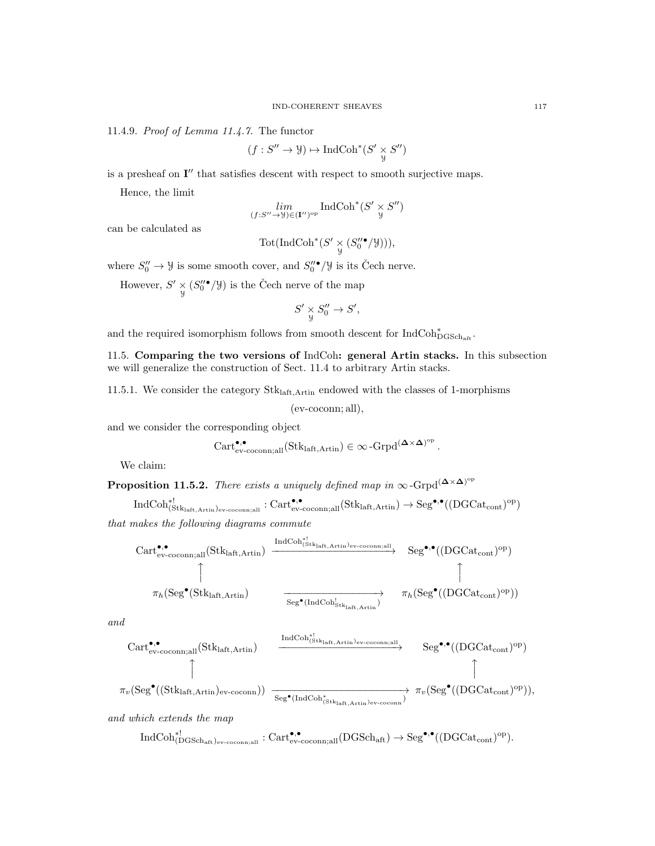11.4.9. Proof of Lemma 11.4.7. The functor

$$
(f: S'' \to \mathcal{Y}) \mapsto \text{IndCoh}^*(S' \underset{\mathcal{Y}}{\times} S'')
$$

is a presheaf on  $I''$  that satisfies descent with respect to smooth surjective maps.

Hence, the limit

$$
\lim_{(f:S''\to\mathcal{Y})\in(\mathbf{I''})^{\mathrm{op}}} \mathrm{IndCoh}^*(S'\underset{\mathcal{Y}}{\times}S'')
$$

can be calculated as

$$
\text{Tot}(\text{IndCoh}^*(S' \underset{\mathcal{Y}}{\times} (S_0''^{\bullet}/\mathcal{Y}))),
$$

where  $S_0'' \to \mathcal{Y}$  is some smooth cover, and  $S_0''^{\bullet}/\mathcal{Y}$  is its Čech nerve.

However,  $S' \underset{y}{\times} (S_0''^{\bullet}/\mathcal{Y})$  is the Čech nerve of the map

$$
S' \underset{y}{\times} S_0'' \to S',
$$

and the required isomorphism follows from smooth descent for  $\mathrm{IndCoh}^*_{\mathrm{DGSch}_\mathrm{aff}}.$ 

11.5. Comparing the two versions of IndCoh: general Artin stacks. In this subsection we will generalize the construction of Sect. 11.4 to arbitrary Artin stacks.

11.5.1. We consider the category  $Stk<sub>laff,Artin</sub>$  endowed with the classes of 1-morphisms

(ev-coconn; all),

and we consider the corresponding object

$$
\operatorname{Cart}_{\operatorname{ev-coconn;all}}^{\bullet,\bullet}(\operatorname{Stk}_{\operatorname{laft},\operatorname{Artin}}) \in \infty\operatorname{-Grpd}^{(\mathbf{\Delta} \times \mathbf{\Delta})^{\operatorname{op}}}.
$$

We claim:

**Proposition 11.5.2.** There exists a uniquely defined map in  $\infty$ -Grpd<sup>( $\Delta \times \Delta$ )<sup>op</sup></sup>

$$
\operatorname{IndCoh}_{(Stk_{\text{laff}, \text{Artin}})ev\text{-}{\text{coconn,all}}}^{\ast!}: \operatorname{Cart}_{ev\text{-}{\text{coconn,all}}}^{\bullet,\bullet}(\operatorname{Stk}_{\text{laff}, \text{Artin}}) \to \operatorname{Seg}^{\bullet,\bullet}((\operatorname{DGCat}_{\text{cont}})^{\text{op}})
$$

that makes the following diagrams commute

$$
\begin{array}{ccc}\n \text{Cart}_{ev\text{-}coconn;all}^{\\\bullet,\bullet}(\text{Stk}_{\text{laff},\text{Artin}}) & \xrightarrow{\text{IndCoh}_{(\text{Stk}_{\text{laff},\text{Artin}})ev\text{-}coconn;all}} & \text{Seg}^{\bullet,\bullet}((\text{DGCat}_{\text{cont}})^{\text{op}}) \\
\uparrow & & \uparrow \\
\pi_{h}(\text{Seg}^{\bullet}(\text{Stk}_{\text{laff},\text{Artin}}) & \xrightarrow{\text{Seg}^{\bullet}(\text{IndCoh}_{\text{Stk}_{\text{laff},\text{Artin}})}^{!}} & \pi_{h}(\text{Seg}^{\bullet}((\text{DGCat}_{\text{cont}})^{\text{op}}))\n \end{array}
$$

and

$$
\begin{array}{ccc} \text{Cart}_{ev\text{-}coconn;all}^{\bullet,\bullet}(\text{Stk}_{\text{laff},\text{Artin}}) & \xrightarrow{\text{IndCoh}_{(\text{Stk}_{\text{laff},\text{Artin}})_{ev\text{-}coconn;all}}}\text{Seg}^{\bullet,\bullet}((\text{DGCat}_{\text{cont}})^{\text{op}})\\ \uparrow & & \uparrow\\ \pi_v(\text{Seg}^{\bullet}((\text{Stk}_{\text{laff},\text{Artin}})_{ev\text{-}coconn})) & \xrightarrow{\text{Seg}^{\bullet}(\text{IndCoh}_{(\text{Stk}_{\text{laff},\text{Artin}})_{ev\text{-}coconn}})} \pi_v(\text{Seg}^{\bullet}((\text{DGCat}_{\text{cont}})^{\text{op}})), \end{array}
$$

and which extends the map

 $\mathrm{IndCoh}_{(\mathrm{DGSch}_\mathrm{aff})_\mathrm{ev-coconn;all}}^{*!}:\mathrm{Cart}_{\mathrm{ev-coconn;all}}^{ \bullet,\bullet}(\mathrm{DGSch}_\mathrm{aff})\to \mathrm{Seg}^{\bullet,\bullet}((\mathrm{DGCat}_\mathrm{cont})^\mathrm{op}).$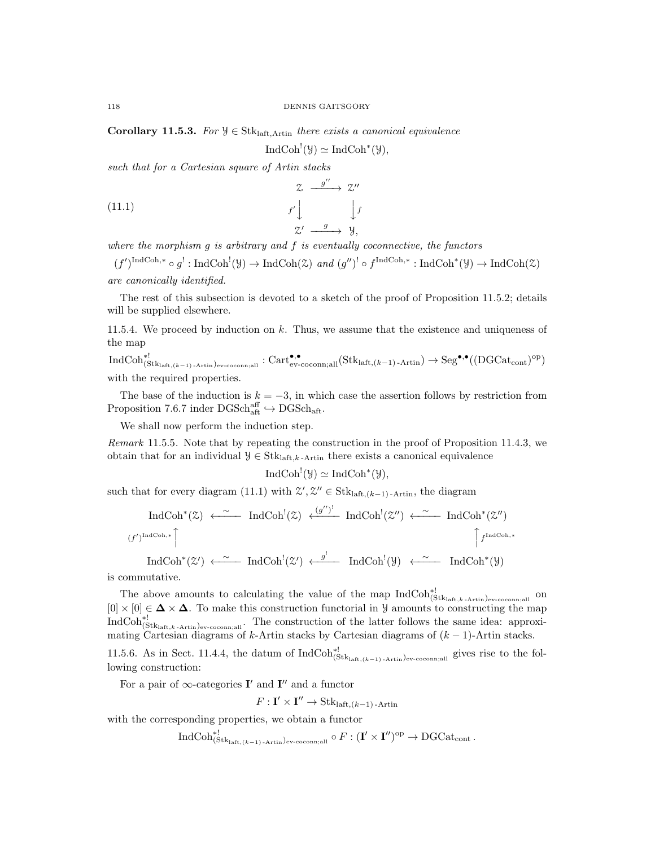Corollary 11.5.3. For  $\mathcal{Y} \in \text{Stk}_{\text{laff. Artin}}$  there exists a canonical equivalence

$$
IndCoh^{!}(\mathcal{Y}) \simeq IndCoh^{*}(\mathcal{Y}),
$$

such that for a Cartesian square of Artin stacks

(11.1) 
$$
\begin{array}{ccc}\n & z & \xrightarrow{g''} & z'' \\
& & f' \downarrow & & f' \\
& & z' & \xrightarrow{g} & y,\n\end{array}
$$

where the morphism  $g$  is arbitrary and  $f$  is eventually coconnective, the functors

 $(f')^{\text{IndCoh},*} \circ g^!: \text{IndCoh}^!(\mathcal{Y}) \to \text{IndCoh}(\mathcal{Z}) \text{ and } (g'')^! \circ f^{\text{IndCoh},*} : \text{IndCoh}^*(\mathcal{Y}) \to \text{IndCoh}(\mathcal{Z})$ are canonically identified.

The rest of this subsection is devoted to a sketch of the proof of Proposition 11.5.2; details will be supplied elsewhere.

11.5.4. We proceed by induction on k. Thus, we assume that the existence and uniqueness of the map

 $\mathrm{IndCoh}^{*!}_{(\text{Stk}_\text{laff},(k-1)\text{-Artin})_\text{ev-coconn;all}}: \mathrm{Cart}_{\text{ev-coconn;all}}^\bullet(\text{Stk}_\text{laff,(k-1)\text{-Artin}}) \to \mathrm{Seg}^{\bullet,\bullet}((\mathrm{DGCat}_\text{cont})^\text{op})$ with the required properties.

The base of the induction is  $k = -3$ , in which case the assertion follows by restriction from Proposition 7.6.7 inder  $\mathrm{DGSch}_{\mathrm{aff}}^{\mathrm{aff}} \hookrightarrow \mathrm{DGSch}_{\mathrm{aff}}$ .

We shall now perform the induction step.

Remark 11.5.5. Note that by repeating the construction in the proof of Proposition 11.4.3, we obtain that for an individual  $\mathcal{Y} \in \text{Stk}_{\text{laft},k}$ -Artin there exists a canonical equivalence

$$
\operatorname{IndCoh}^!(\mathcal{Y}) \simeq \operatorname{IndCoh}^*(\mathcal{Y}),
$$

such that for every diagram (11.1) with  $\mathcal{Z}', \mathcal{Z}'' \in \text{Stk}_{\text{laff},(k-1) - \text{Artin}}$ , the diagram

$$
\text{IndCoh}^*(\mathcal{Z}) \longleftarrow \text{IndCoh}^!(\mathcal{Z}) \stackrel{(g'')^!}{\longleftarrow} \text{IndCoh}^!(\mathcal{Z}'') \stackrel{\sim}{\longleftarrow} \text{IndCoh}^*(\mathcal{Z}'')
$$
\n
$$
(f')^{\text{IndCoh},*}
$$
\n
$$
\uparrow \text{IndCoh}^*(\mathcal{Z}') \stackrel{\sim}{\longleftarrow} \text{IndCoh}^!(\mathcal{Z}') \stackrel{g^!}{\longleftarrow} \text{IndCoh}^!(\mathcal{Y}) \stackrel{\sim}{\longleftarrow} \text{IndCoh}^*(\mathcal{Y})
$$

is commutative.

The above amounts to calculating the value of the map  $\text{IndCoh}_{(Stk_{\text{laff}},k\text{-Artin})_{ev\text{-}{\text{-}{\text{-}}\text{coconn}};all}}^{!}$  on  $[0] \times [0] \in \Delta \times \Delta$ . To make this construction functorial in *y* amounts to constructing the map  $\text{IndCoh}_{(\text{Stk}_\text{laff},k\text{-Artin})\text{ev-coconn},\text{all}}^{\ast}$ . The construction of the latter follows the same idea: approximating Cartesian diagrams of k-Artin stacks by Cartesian diagrams of  $(k-1)$ -Artin stacks.

11.5.6. As in Sect. 11.4.4, the datum of  $IndCoh^{*!}_{(Stk<sub>laff, (k-1)-Artin)ev-coconn; all}</sub>$  gives rise to the following construction:

For a pair of  $\infty$ -categories **I'** and **I''** and a functor

 $F: \mathbf{I}' \times \mathbf{I}'' \to \text{Stk}_{\text{laff},(k-1) \text{-Artin}}$ 

with the corresponding properties, we obtain a functor

 $\mathrm{IndCoh}^{*!}_{(\text{Stk}_\text{laft},(k-1)\text{-Artin})_\text{ev-cocomn;all}} \circ F: (\mathbf{I}' \times \mathbf{I}'')^\text{op} \to \mathrm{DGCat}_\text{cont}.$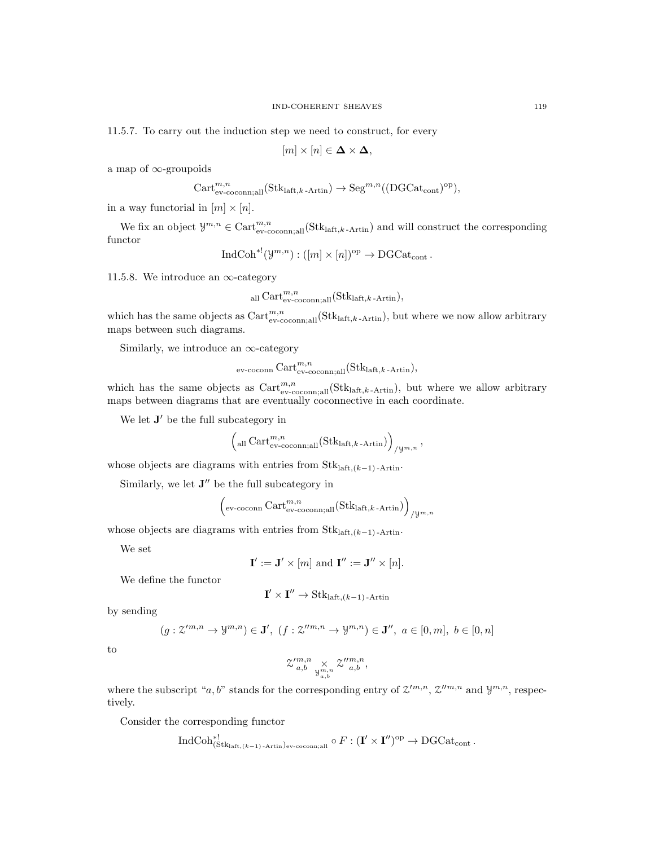11.5.7. To carry out the induction step we need to construct, for every

$$
[m] \times [n] \in \mathbf{\Delta} \times \mathbf{\Delta},
$$

a map of ∞-groupoids

$$
\operatorname{Cart}_{\operatorname{ev-coconn;all}}^{m,n}(\operatorname{Stk}_{\operatorname{laft},k\operatorname{-Artin}}) \to \operatorname{Seg}^{m,n}((\operatorname{DGCat}_{\operatorname{cont}})^{\operatorname{op}}),
$$

in a way functorial in  $[m] \times [n]$ .

We fix an object  $\mathcal{Y}^{m,n} \in \text{Cart}_{\text{ev-coconn},\text{all}}^{m,n}(\text{Stk}_{\text{laff},k\text{-Artin}})$  and will construct the corresponding functor

$$
\text{IndCoh}^{*!}(\mathcal{Y}^{m,n}): ([m] \times [n])^{\text{op}} \to \text{DGCat}_{\text{cont}}.
$$

11.5.8. We introduce an  $\infty$ -category

$$
_{\text{all}} \text{Cart}_{\text{ev-coconn;all}}^{m,n}(\text{Stk}_{\text{laff},k-\text{Artin}}),
$$

which has the same objects as  $Cart_{ev-coconn;all}^{m,n}(\text{Stk}_{\text{laff},k-Artin})$ , but where we now allow arbitrary maps between such diagrams.

Similarly, we introduce an  $\infty$ -category

$$
_{\rm ev\text{-}coconn} \, {\rm Cart}_{\rm ev\text{-}coconn;all}^{m,n} ({\rm Stk}_{\mathrm{laff},k\text{-}Artin}),
$$

which has the same objects as  $Cart_{ev\text{-}coconn;all}^{m,n}(\text{Stk}_{\text{laff},k-\text{Artin}})$ , but where we allow arbitrary maps between diagrams that are eventually coconnective in each coordinate.

We let  $J'$  be the full subcategory in

$$
\left(\text{all Cart}_{\text{ev-coconn};\text{all}}^{m,n}(Stk_{\text{laft},k\text{-Artin}})\right)_{/y^{m,n}}
$$

,

whose objects are diagrams with entries from  $\text{Stk}_{\text{laff},(k-1)}$ -Artin.

Similarly, we let  $J''$  be the full subcategory in

$$
\left(\text{ev-cocomn Cart}_{\text{ev-cocomn};\text{all}}^{m,n}(\text{Stk}_{\text{laff},k\text{-Artin}})\right)_{/\mathcal{Y}^{m,n}}
$$

whose objects are diagrams with entries from  $Stk<sub>laff.(k-1)</sub>$ -Artin.

We set

$$
\mathbf{I}' := \mathbf{J}' \times [m] \text{ and } \mathbf{I}'' := \mathbf{J}'' \times [n].
$$

We define the functor

$$
\mathbf{I}' \times \mathbf{I}'' \to \text{Stk}_{\text{laff},(k-1)\text{-Artin}}
$$

by sending

$$
(g: \mathcal{Z}^{\prime m,n}\to \mathcal{Y}^{m,n})\in \mathbf{J}',\ (f:\mathcal{Z}^{\prime\prime m,n}\to \mathcal{Y}^{m,n})\in \mathbf{J}'',\ a\in [0,m],\ b\in [0,n]
$$

to

$$
\mathcal{Z'}^{m,n}_{a,b} \underset{\mathcal{Y}^{m,n}_{a,b}}{\times} \mathcal{Z''}^{m,n}_{a,b},
$$

where the subscript "a, b" stands for the corresponding entry of  $\mathcal{Z}^{\prime m,n}$ ,  $\mathcal{Z}^{\prime\prime m,n}$  and  $\mathcal{Y}^{m,n}$ , respectively.

Consider the corresponding functor

$$
\operatorname{IndCoh}_{(\operatorname{Stk}_{\operatorname{laff},(k-1)\operatorname{-Artin}})_{\operatorname{ev-coconn};\operatorname{all}}^{\ast})}\circ F: (\mathbf{I}' \times \mathbf{I}'')^{\operatorname{op}} \to \operatorname{DGCat}_{\operatorname{cont}}.
$$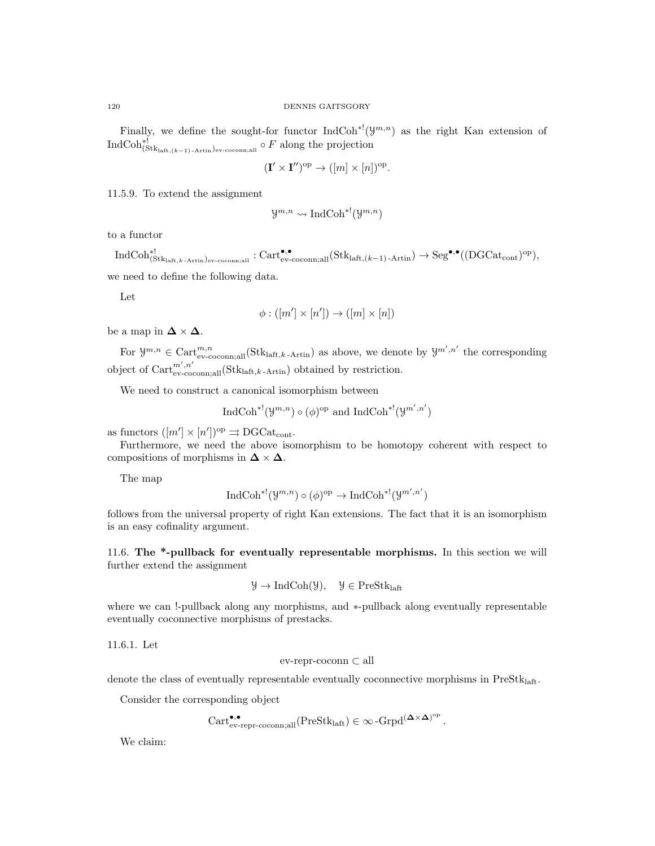Finally, we define the sought-for functor  $\text{IndCoh}^{*l}(y^{m,n})$  as the right Kan extension of  $\text{IndCoh}^{*!}_{(\text{Stk}_{\text{laff},(k-1)\text{-Artin}})_{\text{ev-cocomn;all}}}\circ F$  along the projection

$$
(\mathbf{I}' \times \mathbf{I}'')^{\mathrm{op}} \to ([m] \times [n])^{\mathrm{op}}.
$$

11.5.9. To extend the assignment

$$
\mathcal{Y}^{m,n} \leadsto \text{IndCoh}^{*!}(\mathcal{Y}^{m,n})
$$

to a functor

 $\text{IndCoh}_{(\text{Stk}_\text{laff},k\text{-Artin})_\text{ev-coconn;all}}^{\bullet,\bullet}:\text{Cart}_{\text{ev-coconn;all}}^{\bullet,\bullet}(\text{Stk}_\text{laff,(k-1)\text{-Artin}})\to \text{Seg}^{\bullet,\bullet}((\text{DGCat}_\text{cont})^\text{op}),$ we need to define the following data.

Let

$$
\phi : ([m'] \times [n']) \to ([m] \times [n])
$$

be a map in  $\Delta \times \Delta$ .

For  $\mathcal{Y}^{m,n} \in \text{Cart}_{\text{ev-coconn,all}}^{m,n}(\text{Stk}_{\text{laff},k\text{-Artin}})$  as above, we denote by  $\mathcal{Y}^{m',n'}$  the corresponding object of  $Cart_{ev-coconn,all}^{m',n'}$  (Stklaft,k-Artin) obtained by restriction.

We need to construct a canonical isomorphism between

$$
\text{IndCoh}^{*!}(\mathcal{Y}^{m,n}) \circ (\phi)^{\text{op}}
$$
 and  $\text{IndCoh}^{*!}(\mathcal{Y}^{m',n'})$ 

as functors  $([m'] \times [n'])^{\text{op}} \rightrightarrows \text{DGCat}_{\text{cont}}$ .

Furthermore, we need the above isomorphism to be homotopy coherent with respect to compositions of morphisms in  $\Delta \times \Delta$ .

The map

$$
\operatorname{IndCoh}^{*!}(\mathcal{Y}^{m,n})\circ(\phi)^{\rm op}\to\operatorname{IndCoh}^{*!}(\mathcal{Y}^{m',n'})
$$

follows from the universal property of right Kan extensions. The fact that it is an isomorphism is an easy cofinality argument.

11.6. The \*-pullback for eventually representable morphisms. In this section we will further extend the assignment

$$
\mathcal{Y} \to \mathrm{IndCoh}(\mathcal{Y}), \quad \mathcal{Y} \in \mathrm{PreStk}_{\mathrm{laft}}
$$

where we can !-pullback along any morphisms, and ∗-pullback along eventually representable eventually coconnective morphisms of prestacks.

11.6.1. Let

ev-repr-coconn ⊂ all

denote the class of eventually representable eventually coconnective morphisms in  $Prestk<sub>laff</sub>$ .

Consider the corresponding object

$$
\operatorname{Cart}_{\operatorname{ev-repr-coconn;all}}^{\bullet,\bullet}(\operatorname{PreStk}_{\operatorname{laff}})\in \infty\operatorname{-Grpd}^{(\mathbf{\Delta}\times\mathbf{\Delta})^{\operatorname{op}}}
$$

.

We claim: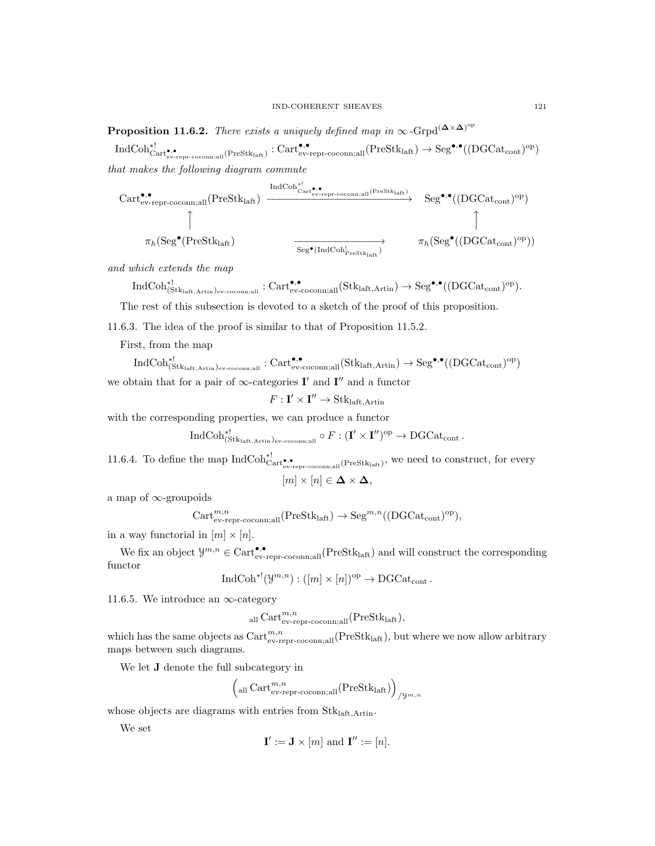**Proposition 11.6.2.** There exists a uniquely defined map in  $\infty$ -Grpd<sup>( $\Delta \times \Delta$ )<sup>op</sup></sup>

 $\mathrm{IndCoh}^{*!}_{\mathrm{Cart}^{\bullet,\bullet}_{\mathrm{ev-repr-coconn}; \mathrm{all}}(\mathrm{PreStk}_{\mathrm{laff}}) : \mathrm{Cart}^{\bullet,\bullet}_{\mathrm{ev-repr-coconn}; \mathrm{all}}(\mathrm{PreStk}_{\mathrm{laff}}) \rightarrow \mathrm{Seg}^{\bullet,\bullet}((\mathrm{DGCat}_\mathrm{cont})^{\mathrm{op}})$ that makes the following diagram commute

$$
\begin{array}{ccc}\n \text{Cart}_{\text{ev-repr-coconn;all}}^{\bullet,\bullet}(\text{PreStk}_{\text{laff}}) & \xrightarrow{\text{IndCoh}_{\text{Cart}_{\text{ev-repr-coconn;all}}^{\bullet,\bullet}(\text{PreStk}_{\text{laff}})}} & \text{Seg}^{\bullet,\bullet}((\text{DGCat}_{\text{cont}})^{\text{op}}) \\
\uparrow & & \uparrow & \uparrow \\
\pi_{h}(\text{Seg}^{\bullet}(\text{PreStk}_{\text{laff}}) & \xrightarrow{\text{Seg}^{\bullet}(\text{IndCoh}_{\text{PreStk}_{\text{laff}}^{\bullet}})} & \pi_{h}(\text{Seg}^{\bullet}((\text{DGCat}_{\text{cont}})^{\text{op}}))\n \end{array}
$$

and which extends the map

$$
\mathrm{IndCoh}_{(\mathrm{Stk}_{\mathrm{laff}, \mathrm{Artin}})_{\mathrm{ev}\text{-}\mathrm{coconn}; \mathrm{all}}^{\bullet,\bullet}}^{\ast\bullet}:\mathrm{Cart}_{\mathrm{ev}\text{-}\mathrm{coconn}; \mathrm{all}}^{\bullet,\bullet}(\mathrm{Stk}_{\mathrm{laff}, \mathrm{Artin}})\to \mathrm{Seg}^{\bullet,\bullet}((\mathrm{DGCat}_{\mathrm{cont}})^{\mathrm{op}}).
$$

The rest of this subsection is devoted to a sketch of the proof of this proposition.

11.6.3. The idea of the proof is similar to that of Proposition 11.5.2.

First, from the map

 $\mathrm{IndCoh}^{*!}_{(\text{Stk}_\text{laff,Artin})_\text{ev-coconn,all}}: \mathrm{Cart}_{\text{ev-coconn,all}}^{\bullet,\bullet}(\text{Stk}_\text{laff,Artin}) \to \mathrm{Seg}^{\bullet,\bullet}((\mathrm{DGCat}_\text{cont})^\text{op})$ we obtain that for a pair of  $\infty$ -categories **I'** and **I''** and a functor

 $F: \mathbf{I}' \times \mathbf{I}'' \to \text{Stk}_{\text{laft}, \text{Artin}}$ 

with the corresponding properties, we can produce a functor

$$
\operatorname{IndCoh}^{*!}_{(\operatorname{Stk}_{\operatorname{laff},\operatorname{Artin}})_{\operatorname{ev-coconn},\operatorname{all}}}\circ F: (\mathbf{I}' \times \mathbf{I}'')^{\operatorname{op}} \to \operatorname{DGCat}_{\operatorname{cont}}.
$$

11.6.4. To define the map  $\text{IndCoh}_{\text{Cart}_\text{ev-repr-coconn,all}}^{*!}(\text{PreStk}_{\text{last}})$ , we need to construct, for every

$$
[m] \times [n] \in \mathbf{\Delta} \times \mathbf{\Delta},
$$

a map of ∞-groupoids

$$
\text{Cart}_{\text{ev-repr-coconn;all}}^{m,n}(\text{PreStk}_{\text{latt}}) \to \text{Seg}^{m,n}((\text{DGCat}_{\text{cont}})^{\text{op}}),
$$

in a way functorial in  $[m] \times [n]$ .

We fix an object  $\mathcal{Y}^{m,n} \in \text{Cart}_{ev-repr-coconn;all}^{\bullet,\bullet}(\text{PreStk}_{\text{laff}})$  and will construct the corresponding functor

 $\text{IndCoh}^{*!}(\mathcal{Y}^{m,n}):\left( [m]\times [n] \right)^{\text{op}}\to \text{DGCat}_{\text{cont}}$ .

11.6.5. We introduce an  $\infty$ -category

$$
_{\text{all}} \text{Cart}_{\text{ev-repr-coconn,all}}^{m,n}(\text{PreStk}_{\text{laft}}),
$$

which has the same objects as  $Cart_{ev-repr-coconn;all}^{m,n}(PreStk_{\text{laff}})$ , but where we now allow arbitrary maps between such diagrams.

We let J denote the full subcategory in

$$
\left(\text{all Cart}_{\text{ev-repr-coconn,all}}^{m,n}(\text{PreStk}_{\text{laff}})\right)_{/\mathcal{Y}^{m,n}}
$$

whose objects are diagrams with entries from Stklaft,Artin.

We set

$$
\mathbf{I}':=\mathbf{J}\times[m] \text{ and } \mathbf{I}'' := [n].
$$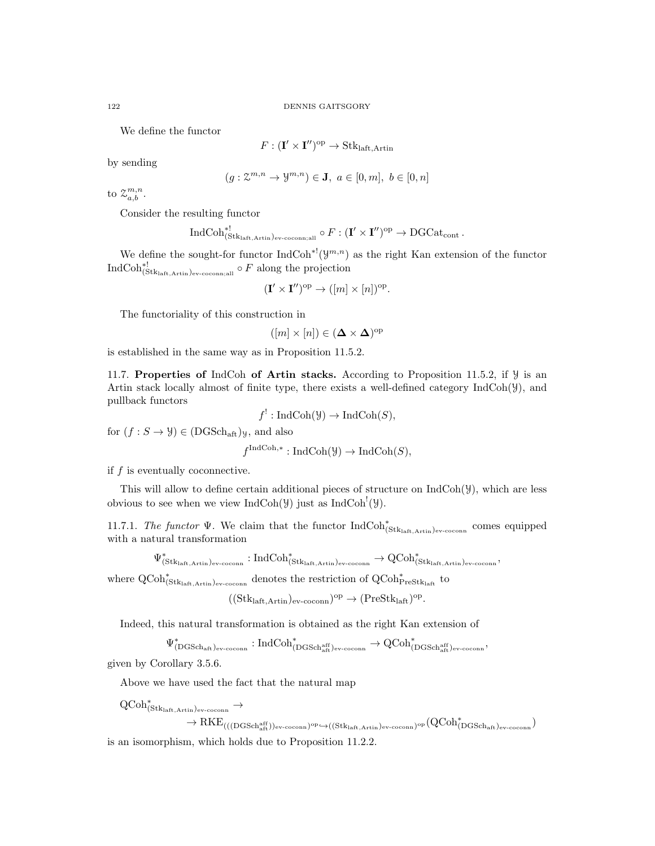We define the functor

$$
F: (\mathbf{I}' \times \mathbf{I}'')^{\mathrm{op}} \to \mathbf{Stk}_{\mathrm{laft}, \mathrm{Artin}}
$$

by sending

$$
(g: \mathcal{Z}^{m,n} \to \mathcal{Y}^{m,n}) \in \mathbf{J}, \ a \in [0,m], \ b \in [0,n]
$$

to  $z_{a,b}^{m,n}$ .

Consider the resulting functor

$$
\operatorname{IndCoh}^*_{(\operatorname{Stk}_{\operatorname{laft},\operatorname{Artin}})_{\operatorname{ev-coconn};\operatorname{all}}}\circ F: (\mathbf{I}' \times \mathbf{I}'')^{\operatorname{op}} \to \operatorname{DGCat}_{\operatorname{cont}}.
$$

We define the sought-for functor  $\text{IndCoh}^{*1}(\mathcal{Y}^{m,n})$  as the right Kan extension of the functor  $\text{IndCoh}_{(\text{Stk}_\text{laff,Artin})_{\text{ev-coconn}, \text{all}}^*}^{\ast!} \circ F$  along the projection

$$
(\mathbf{I}' \times \mathbf{I}'')^{\mathrm{op}} \to ([m] \times [n])^{\mathrm{op}}.
$$

The functoriality of this construction in

$$
([m] \times [n]) \in (\mathbf{\Delta} \times \mathbf{\Delta})^{\mathrm{op}}
$$

is established in the same way as in Proposition 11.5.2.

11.7. Properties of IndCoh of Artin stacks. According to Proposition 11.5.2, if  $\mathcal Y$  is an Artin stack locally almost of finite type, there exists a well-defined category  $IndCoh(Y)$ , and pullback functors

$$
f^! : \text{IndCoh}(\mathcal{Y}) \to \text{IndCoh}(S),
$$

for  $(f : S \to Y) \in (DGSch<sub>aff</sub>)_Y$ , and also

 $f^{\text{IndCoh},*}: \text{IndCoh}(\mathcal{Y}) \to \text{IndCoh}(S),$ 

if  $f$  is eventually coconnective.

This will allow to define certain additional pieces of structure on  $IndCoh(\mathcal{Y})$ , which are less obvious to see when we view  $\text{IndCoh}(\mathcal{Y})$  just as  $\text{IndCoh}^!(\mathcal{Y})$ .

11.7.1. The functor  $\Psi$ . We claim that the functor  $IndCoh^*_{(Stk<sub>laff,Artin)</sub>)<sub>ev-coconn</sub>}$  comes equipped with a natural transformation

 $\Psi^*_{(\text{Stk}_{\text{laff}},\text{Artin})_\text{ev-cocomn}}: \text{IndCoh}^*_{(\text{Stk}_{\text{laff}},\text{Artin})_\text{ev-cocomn}} \to \text{QCoh}^*_{(\text{Stk}_{\text{laff}},\text{Artin})_\text{ev-cocomn}},$ 

where  $\operatorname{QCoh}_{(Stk_{\text{left},Artin})_{ev\text{-}{\text{coconn}}}}^*$  denotes the restriction of  $\operatorname{QCoh}_{\operatorname{PreStk}_{\text{left}}}^*$  to

 $((Stk<sub>laff,Artin</sub>)<sub>ev-coconn</sub>)<sup>op</sup> \rightarrow (PreStk<sub>laff</sub>)<sup>op</sup>.$ 

Indeed, this natural transformation is obtained as the right Kan extension of

 $\Psi^*_{(\text{DGSch}_{\text{aff}})_{\text{ev-coconn}}} : \text{IndCoh}^*_{(\text{DGSch}_{\text{aff}}^{\text{aff}})_{\text{ev-coconn}}} \to \text{QCoh}^*_{(\text{DGSch}_{\text{aff}}^{\text{aff}})_{\text{ev-coconn}}},$ 

given by Corollary 3.5.6.

Above we have used the fact that the natural map

 $\operatorname{QCoh}^*_{(\operatorname{Stk}_\textrm{laft},\operatorname{Artin})_\textrm{ev-coconn}} \to$ 

 $\rightarrow \text{RKE}_{(((\text{DGSch}_{\text{aff}}^{ \text{aff}})) \text{ev-coconn}})^\text{op} \hookrightarrow ((\text{Stk}_{\text{left}, \text{Artin}}) \text{ev-coconn}})^\text{op} (QCoh_{(\text{DGSch}_{\text{aff}}) \text{ev-coconn}}^*)$ 

is an isomorphism, which holds due to Proposition 11.2.2.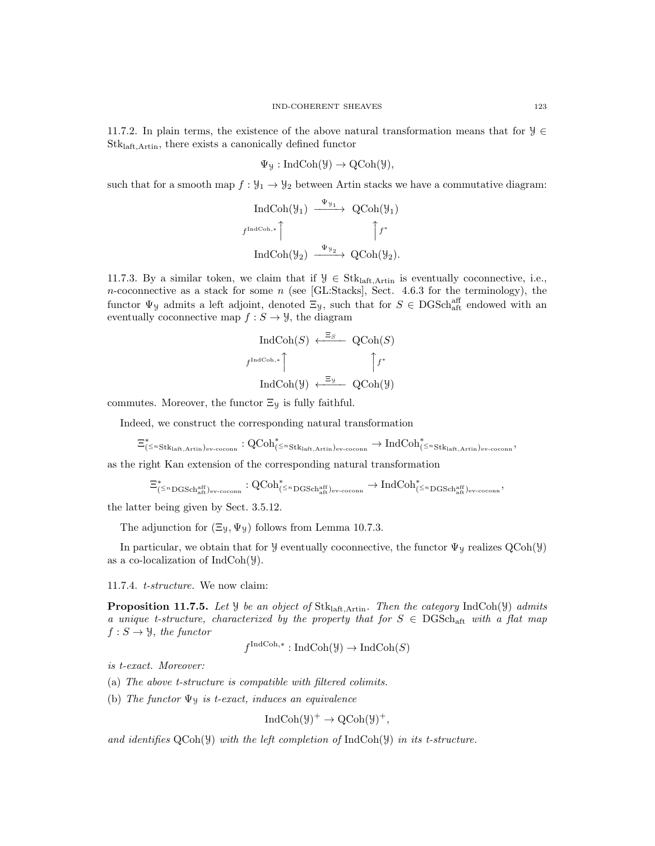11.7.2. In plain terms, the existence of the above natural transformation means that for  $\mathcal{Y} \in$ Stklaft,Artin, there exists a canonically defined functor

$$
\Psi_{\mathcal{Y}}: \mathrm{IndCoh}(\mathcal{Y}) \to \mathrm{QCoh}(\mathcal{Y}),
$$

such that for a smooth map  $f: \mathcal{Y}_1 \to \mathcal{Y}_2$  between Artin stacks we have a commutative diagram:

$$
\operatorname{IndCoh}(\mathcal{Y}_1) \xrightarrow{\Psi_{\mathcal{Y}_1}} \operatorname{QCoh}(\mathcal{Y}_1)
$$
\n
$$
f^{\operatorname{IndCoh},*} \qquad \qquad \uparrow f^*
$$
\n
$$
\operatorname{IndCoh}(\mathcal{Y}_2) \xrightarrow{\Psi_{\mathcal{Y}_2}} \operatorname{QCoh}(\mathcal{Y}_2).
$$

11.7.3. By a similar token, we claim that if  $\mathcal{Y} \in \text{Stk}_{\text{laff}, \text{Artin}}$  is eventually coconnective, i.e., n-coconnective as a stack for some n (see [GL:Stacks], Sect. 4.6.3 for the terminology), the functor  $\Psi_y$  admits a left adjoint, denoted  $\Xi_y$ , such that for  $S \in \text{DGSch}^{\text{aff}}_{\text{aff}}$  endowed with an eventually coconnective map  $f : S \to Y$ , the diagram

$$
\text{IndCoh}(S) \xleftarrow{\Xi_S} \text{QCoh}(S)
$$
\n
$$
f^{\text{IndCoh},*} \qquad \qquad \uparrow f^*
$$
\n
$$
\text{IndCoh}(\mathcal{Y}) \xleftarrow{\Xi_{\mathcal{Y}}} \text{QCoh}(\mathcal{Y})
$$

commutes. Moreover, the functor  $\Xi_{\mathcal{Y}}$  is fully faithful.

Indeed, we construct the corresponding natural transformation

$$
\Xi^*_{(\leq n\text{Stk}_{\text{laft},\text{Artin}})_{\text{ev-coconn}}} : \operatorname{QCoh}^*_{(\leq n\text{Stk}_{\text{laft},\text{Artin}})_{\text{ev-coconn}}} \to \operatorname{IndCoh}^*_{(\leq n\text{Stk}_{\text{laft},\text{Artin}})_{\text{ev-coconn}}},
$$

as the right Kan extension of the corresponding natural transformation

$$
\Xi_{(\leq n\mathrm{DGSch}^{\mathrm{aff}}_{\mathrm{aff}})_{\mathrm{ev}\text{-}\mathrm{coconn}}}^{*} : \mathrm{QCoh}_{(\leq n\mathrm{DGSch}^{\mathrm{aff}}_{\mathrm{aff}})_{\mathrm{ev}\text{-}\mathrm{coconn}}}^{*} \to \mathrm{IndCoh}_{(\leq n\mathrm{DGSch}^{\mathrm{aff}}_{\mathrm{alt}})_{\mathrm{ev}\text{-}\mathrm{coconn}}}^{*},
$$

the latter being given by Sect. 3.5.12.

The adjunction for  $(\Xi_y, \Psi_y)$  follows from Lemma 10.7.3.

In particular, we obtain that for  $\mathcal Y$  eventually coconnective, the functor  $\Psi_{\mathcal Y}$  realizes  $QCoh(\mathcal Y)$ as a co-localization of  $IndCoh(\mathcal{Y})$ .

11.7.4. t-structure. We now claim:

**Proposition 11.7.5.** Let  $\mathcal{Y}$  be an object of Stk<sub>laft,Artin</sub>. Then the category IndCoh( $\mathcal{Y}$ ) admits a unique t-structure, characterized by the property that for  $S \in \text{DGSch}_{\text{aff}}$  with a flat map  $f: S \to \mathcal{Y}$ , the functor

$$
f^{\text{IndCoh},*}: \text{IndCoh}(\mathcal{Y}) \to \text{IndCoh}(S)
$$

is t-exact. Moreover:

- (a) The above t-structure is compatible with filtered colimits.
- (b) The functor  $\Psi$ y is t-exact, induces an equivalence

$$
IndCoh(\mathcal{Y})^+ \to QCoh(\mathcal{Y})^+,
$$

and identifies  $QCoh(\mathcal{Y})$  with the left completion of IndCoh( $\mathcal{Y}$ ) in its t-structure.